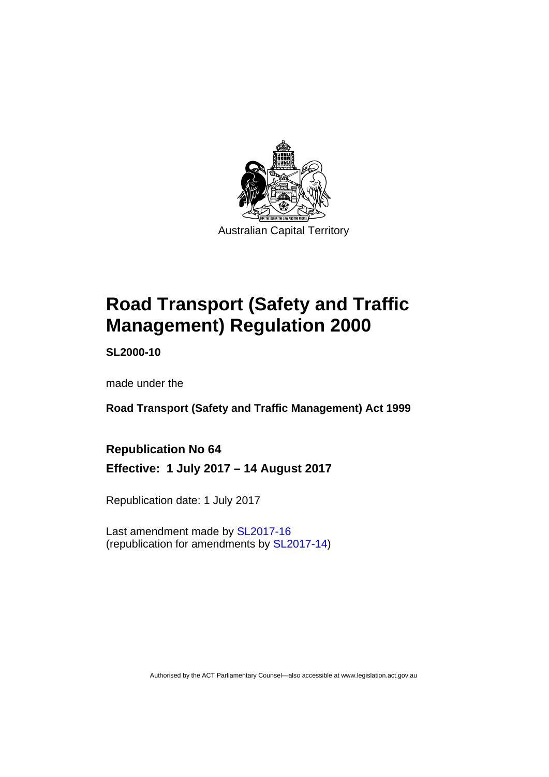

# **Road Transport (Safety and Traffic Management) Regulation 2000**

**SL2000-10** 

made under the

**Road Transport (Safety and Traffic Management) Act 1999** 

**Republication No 64 Effective: 1 July 2017 – 14 August 2017** 

Republication date: 1 July 2017

Last amendment made by [SL2017-16](http://www.legislation.act.gov.au/sl/2017-16/default.asp)  (republication for amendments by [SL2017-14](http://www.legislation.act.gov.au/sl/2017-14/default.asp))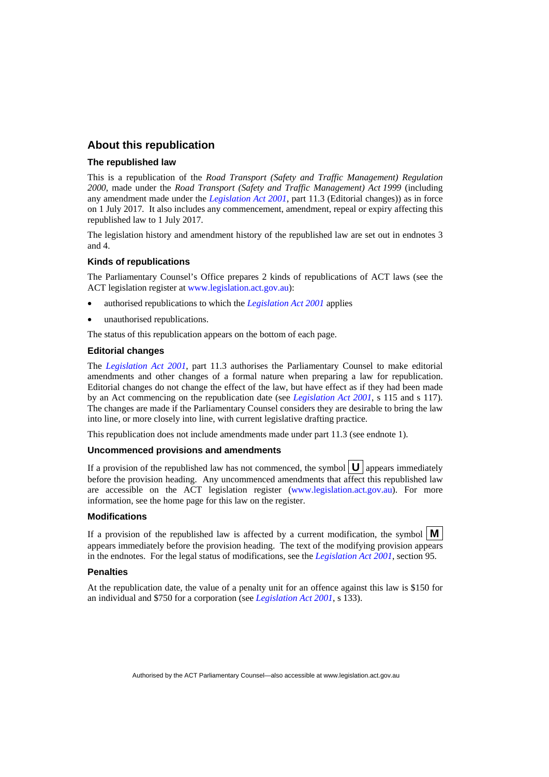#### **About this republication**

#### **The republished law**

This is a republication of the *Road Transport (Safety and Traffic Management) Regulation 2000*, made under the *Road Transport (Safety and Traffic Management) Act 1999* (including any amendment made under the *[Legislation Act 2001](http://www.legislation.act.gov.au/a/2001-14)*, part 11.3 (Editorial changes)) as in force on 1 July 2017*.* It also includes any commencement, amendment, repeal or expiry affecting this republished law to 1 July 2017.

The legislation history and amendment history of the republished law are set out in endnotes 3 and 4.

#### **Kinds of republications**

The Parliamentary Counsel's Office prepares 2 kinds of republications of ACT laws (see the ACT legislation register at [www.legislation.act.gov.au](http://www.legislation.act.gov.au/)):

- authorised republications to which the *[Legislation Act 2001](http://www.legislation.act.gov.au/a/2001-14)* applies
- unauthorised republications.

The status of this republication appears on the bottom of each page.

#### **Editorial changes**

The *[Legislation Act 2001](http://www.legislation.act.gov.au/a/2001-14)*, part 11.3 authorises the Parliamentary Counsel to make editorial amendments and other changes of a formal nature when preparing a law for republication. Editorial changes do not change the effect of the law, but have effect as if they had been made by an Act commencing on the republication date (see *[Legislation Act 2001](http://www.legislation.act.gov.au/a/2001-14)*, s 115 and s 117). The changes are made if the Parliamentary Counsel considers they are desirable to bring the law into line, or more closely into line, with current legislative drafting practice.

This republication does not include amendments made under part 11.3 (see endnote 1).

#### **Uncommenced provisions and amendments**

If a provision of the republished law has not commenced, the symbol  $\mathbf{U}$  appears immediately before the provision heading. Any uncommenced amendments that affect this republished law are accessible on the ACT legislation register [\(www.legislation.act.gov.au](http://www.legislation.act.gov.au/)). For more information, see the home page for this law on the register.

#### **Modifications**

If a provision of the republished law is affected by a current modification, the symbol  $\mathbf{M}$ appears immediately before the provision heading. The text of the modifying provision appears in the endnotes. For the legal status of modifications, see the *[Legislation Act 2001](http://www.legislation.act.gov.au/a/2001-14)*, section 95.

#### **Penalties**

At the republication date, the value of a penalty unit for an offence against this law is \$150 for an individual and \$750 for a corporation (see *[Legislation Act 2001](http://www.legislation.act.gov.au/a/2001-14)*, s 133).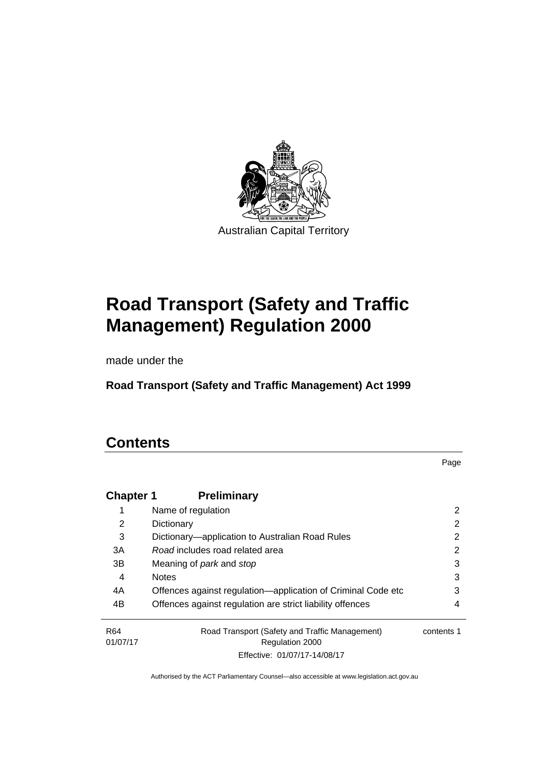

# **Road Transport (Safety and Traffic Management) Regulation 2000**

made under the

**Road Transport (Safety and Traffic Management) Act 1999** 

### **Contents**

Page

| <b>Chapter 1</b>            | <b>Preliminary</b>                                                       |            |
|-----------------------------|--------------------------------------------------------------------------|------------|
|                             | Name of regulation                                                       | 2          |
| 2                           | Dictionary                                                               | 2          |
| 3                           | Dictionary—application to Australian Road Rules                          | 2          |
| 3A                          | Road includes road related area                                          | 2          |
| 3B                          | Meaning of park and stop                                                 | 3          |
| 4                           | <b>Notes</b>                                                             | 3          |
| 4A                          | Offences against regulation-application of Criminal Code etc             | 3          |
| 4B                          | Offences against regulation are strict liability offences                | 4          |
| R <sub>64</sub><br>01/07/17 | Road Transport (Safety and Traffic Management)<br><b>Regulation 2000</b> | contents 1 |
|                             | Effective: 01/07/17-14/08/17                                             |            |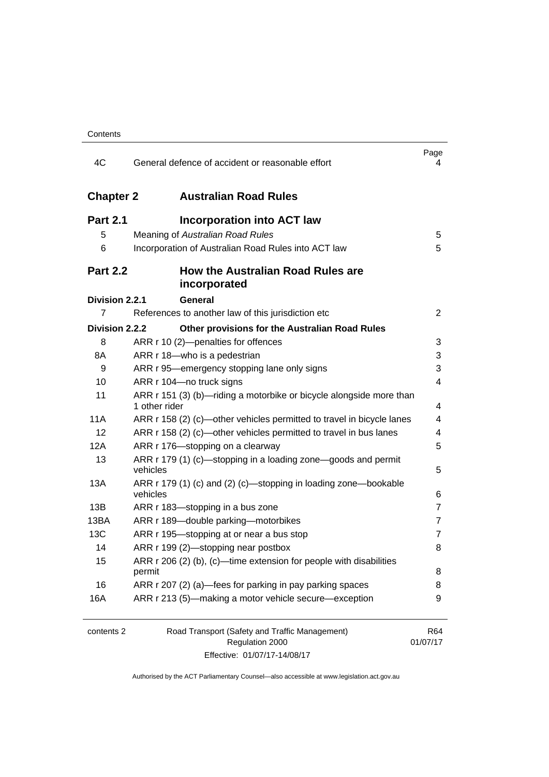| 4C               | General defence of accident or reasonable effort                                     | Page<br>4       |
|------------------|--------------------------------------------------------------------------------------|-----------------|
| <b>Chapter 2</b> | <b>Australian Road Rules</b>                                                         |                 |
| <b>Part 2.1</b>  | <b>Incorporation into ACT law</b>                                                    |                 |
| 5                | Meaning of Australian Road Rules                                                     | 5               |
| 6                | Incorporation of Australian Road Rules into ACT law                                  | 5               |
| <b>Part 2.2</b>  | How the Australian Road Rules are<br>incorporated                                    |                 |
| Division 2.2.1   | <b>General</b>                                                                       |                 |
| 7                | References to another law of this jurisdiction etc                                   | $\overline{2}$  |
| Division 2.2.2   | Other provisions for the Australian Road Rules                                       |                 |
| 8                | ARR r 10 (2)-penalties for offences                                                  | 3               |
| 8A               | ARR r 18-who is a pedestrian                                                         | 3               |
| 9                | ARR r 95—emergency stopping lane only signs                                          | 3               |
| 10               | ARR r 104-no truck signs                                                             | 4               |
| 11               | ARR r 151 (3) (b)—riding a motorbike or bicycle alongside more than<br>1 other rider | 4               |
| 11A              | ARR r 158 (2) (c)—other vehicles permitted to travel in bicycle lanes                | 4               |
| 12               | ARR r 158 (2) (c)—other vehicles permitted to travel in bus lanes                    | 4               |
| 12A              | ARR r 176-stopping on a clearway                                                     | 5               |
| 13               | ARR r 179 (1) (c)—stopping in a loading zone—goods and permit<br>vehicles            | 5               |
| 13A              | ARR r 179 (1) (c) and (2) (c)—stopping in loading zone—bookable<br>vehicles          | 6               |
| 13B              | ARR r 183—stopping in a bus zone                                                     | $\overline{7}$  |
| 13BA             | ARR r 189-double parking-motorbikes                                                  | 7               |
| 13C              | ARR r 195-stopping at or near a bus stop                                             | 7               |
| 14               | ARR r 199 (2)-stopping near postbox                                                  | 8               |
| 15               | ARR r 206 (2) (b), (c)-time extension for people with disabilities                   |                 |
|                  | permit                                                                               | 8               |
| 16               | ARR r 207 (2) (a)-fees for parking in pay parking spaces                             | 8               |
| 16A              | ARR r 213 (5)-making a motor vehicle secure-exception                                | 9               |
| contents 2       | Road Transport (Safety and Traffic Management)<br>Regulation 2000                    | R64<br>01/07/17 |

Effective: 01/07/17-14/08/17

01/07/17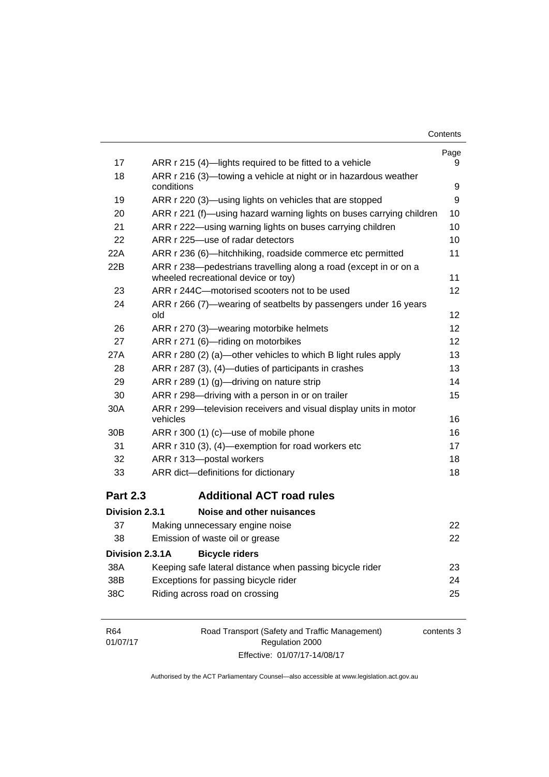| Contents |
|----------|
|----------|

|                 |                                                                                                         | Page              |
|-----------------|---------------------------------------------------------------------------------------------------------|-------------------|
| 17              | ARR r 215 (4)—lights required to be fitted to a vehicle                                                 | 9                 |
| 18              | ARR r 216 (3)—towing a vehicle at night or in hazardous weather                                         |                   |
|                 | conditions                                                                                              | 9                 |
| 19              | ARR r 220 (3)—using lights on vehicles that are stopped                                                 | 9                 |
| 20              | ARR r 221 (f)—using hazard warning lights on buses carrying children                                    | 10                |
| 21              | ARR r 222-using warning lights on buses carrying children                                               | 10                |
| 22              | ARR r 225-use of radar detectors                                                                        | 10                |
| 22A             | ARR r 236 (6)-hitchhiking, roadside commerce etc permitted                                              | 11                |
| 22B             | ARR r 238-pedestrians travelling along a road (except in or on a<br>wheeled recreational device or toy) | 11                |
| 23              | ARR r 244C-motorised scooters not to be used                                                            | $12 \overline{ }$ |
| 24              | ARR r 266 (7)-wearing of seatbelts by passengers under 16 years<br>old                                  | 12                |
| 26              | ARR r 270 (3)—wearing motorbike helmets                                                                 | 12                |
| 27              | ARR r 271 (6)-riding on motorbikes                                                                      | 12                |
| 27A             | ARR r 280 (2) (a)—other vehicles to which B light rules apply                                           | 13                |
| 28              | ARR r 287 (3), (4)—duties of participants in crashes                                                    | 13                |
| 29              | ARR r 289 (1) (g)-driving on nature strip                                                               | 14                |
| 30              | ARR r 298-driving with a person in or on trailer                                                        | 15                |
| 30A             | ARR r 299-television receivers and visual display units in motor<br>vehicles                            | 16                |
| 30B             | ARR r 300 (1) (c)-use of mobile phone                                                                   | 16                |
| 31              | ARR r 310 (3), (4)-exemption for road workers etc                                                       | 17                |
| 32              | ARR r 313-postal workers                                                                                | 18                |
| 33              | ARR dict-definitions for dictionary                                                                     | 18                |
| <b>Part 2.3</b> | <b>Additional ACT road rules</b>                                                                        |                   |
| Division 2.3.1  | Noise and other nuisances                                                                               |                   |
| 37              | Making unnecessary engine noise                                                                         | 22                |
| 38              | Emission of waste oil or grease                                                                         | 22                |
| Division 2.3.1A | <b>Bicycle riders</b>                                                                                   |                   |
| 38A             | Keeping safe lateral distance when passing bicycle rider                                                | 23                |
| 38B             | Exceptions for passing bicycle rider                                                                    | 24                |
| 38C             | Riding across road on crossing                                                                          | 25                |
|                 |                                                                                                         |                   |

| R64      | Road Transport (Safety and Traffic Management) | contents 3 |
|----------|------------------------------------------------|------------|
| 01/07/17 | Regulation 2000                                |            |
|          | Effective: 01/07/17-14/08/17                   |            |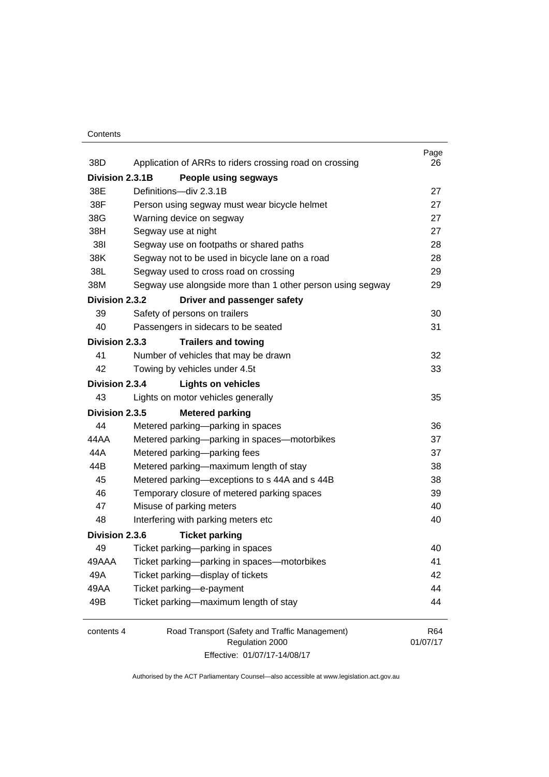#### **Contents**

| 38D             | Application of ARRs to riders crossing road on crossing    | Page<br>26 |
|-----------------|------------------------------------------------------------|------------|
| Division 2.3.1B | People using segways                                       |            |
| 38E             | Definitions-div 2.3.1B                                     | 27         |
| 38F             | Person using segway must wear bicycle helmet               | 27         |
| 38G             | Warning device on segway                                   | 27         |
| 38H             | Segway use at night                                        | 27         |
| 381             | Segway use on footpaths or shared paths                    | 28         |
| 38K             | Segway not to be used in bicycle lane on a road            | 28         |
| 38L             | Segway used to cross road on crossing                      | 29         |
| 38M             | Segway use alongside more than 1 other person using segway | 29         |
| Division 2.3.2  | Driver and passenger safety                                |            |
| 39              | Safety of persons on trailers                              | 30         |
| 40              | Passengers in sidecars to be seated                        | 31         |
| Division 2.3.3  | <b>Trailers and towing</b>                                 |            |
| 41              | Number of vehicles that may be drawn                       | 32         |
| 42              | Towing by vehicles under 4.5t                              | 33         |
| Division 2.3.4  | <b>Lights on vehicles</b>                                  |            |
| 43              | Lights on motor vehicles generally                         | 35         |
| Division 2.3.5  | <b>Metered parking</b>                                     |            |
| 44              | Metered parking-parking in spaces                          | 36         |
| 44 A A          | Metered parking-parking in spaces-motorbikes               | 37         |
| 44A             | Metered parking-parking fees                               | 37         |
| 44B             | Metered parking-maximum length of stay                     | 38         |
| 45              | Metered parking-exceptions to s 44A and s 44B              | 38         |
| 46              | Temporary closure of metered parking spaces                | 39         |
| 47              | Misuse of parking meters                                   | 40         |
| 48              | Interfering with parking meters etc                        | 40         |
| Division 2.3.6  | <b>Ticket parking</b>                                      |            |
| 49              | Ticket parking-parking in spaces                           | 40         |
| 49AAA           | Ticket parking-parking in spaces-motorbikes                | 41         |
| 49A             | Ticket parking-display of tickets                          | 42         |
| 49AA            | Ticket parking-e-payment                                   | 44         |
| 49B             | Ticket parking-maximum length of stay                      | 44         |
| contents 4      | Road Transport (Safety and Traffic Management)             | R64        |
|                 | Regulation 2000                                            | 01/07/17   |

Effective: 01/07/17-14/08/17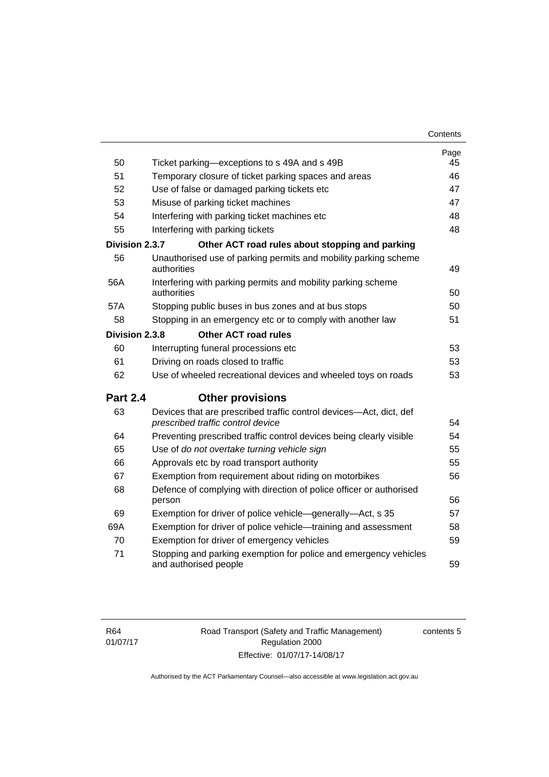| Contents |
|----------|
|----------|

|                 |                                                                                                         | Page |
|-----------------|---------------------------------------------------------------------------------------------------------|------|
| 50              | Ticket parking—exceptions to s 49A and s 49B                                                            | 45   |
| 51              | Temporary closure of ticket parking spaces and areas                                                    | 46   |
| 52              | Use of false or damaged parking tickets etc                                                             | 47   |
| 53              | Misuse of parking ticket machines                                                                       | 47   |
| 54              | Interfering with parking ticket machines etc                                                            | 48   |
| 55              | Interfering with parking tickets                                                                        | 48   |
| Division 2.3.7  | Other ACT road rules about stopping and parking                                                         |      |
| 56              | Unauthorised use of parking permits and mobility parking scheme<br>authorities                          | 49   |
| 56A             | Interfering with parking permits and mobility parking scheme<br>authorities                             | 50   |
| 57A             | Stopping public buses in bus zones and at bus stops                                                     | 50   |
| 58              | Stopping in an emergency etc or to comply with another law                                              | 51   |
| Division 2.3.8  | <b>Other ACT road rules</b>                                                                             |      |
| 60              | Interrupting funeral processions etc                                                                    | 53   |
| 61              | Driving on roads closed to traffic                                                                      | 53   |
| 62              | Use of wheeled recreational devices and wheeled toys on roads                                           | 53   |
| <b>Part 2.4</b> | <b>Other provisions</b>                                                                                 |      |
| 63              | Devices that are prescribed traffic control devices-Act, dict, def<br>prescribed traffic control device | 54   |
| 64              | Preventing prescribed traffic control devices being clearly visible                                     | 54   |
| 65              | Use of do not overtake turning vehicle sign                                                             | 55   |
| 66              | Approvals etc by road transport authority                                                               | 55   |
| 67              | Exemption from requirement about riding on motorbikes                                                   | 56   |
| 68              | Defence of complying with direction of police officer or authorised<br>person                           | 56   |
| 69              | Exemption for driver of police vehicle—generally—Act, s 35                                              | 57   |
| 69A             | Exemption for driver of police vehicle—training and assessment                                          | 58   |
| 70              | Exemption for driver of emergency vehicles                                                              | 59   |
| 71              | Stopping and parking exemption for police and emergency vehicles<br>and authorised people               | 59   |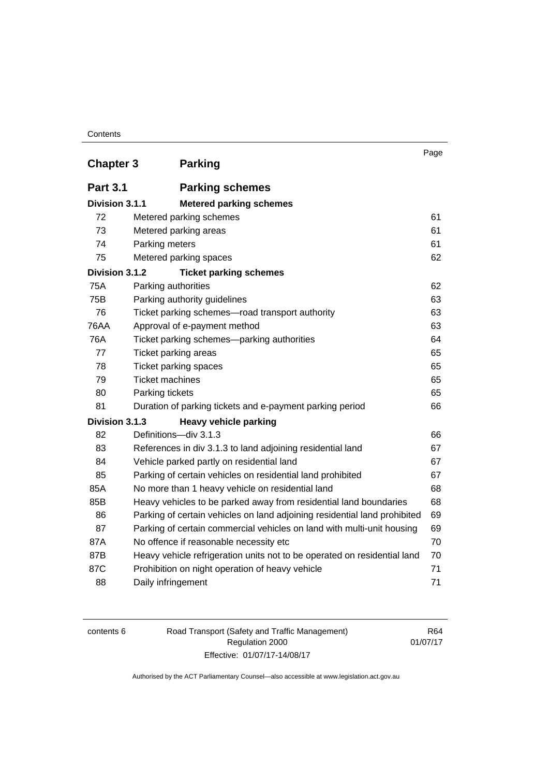#### **Contents**

|                  | <b>Parking</b>                                                            | Page |
|------------------|---------------------------------------------------------------------------|------|
| <b>Chapter 3</b> |                                                                           |      |
| <b>Part 3.1</b>  | <b>Parking schemes</b>                                                    |      |
| Division 3.1.1   | <b>Metered parking schemes</b>                                            |      |
| 72               | Metered parking schemes                                                   | 61   |
| 73               | Metered parking areas                                                     | 61   |
| 74               | Parking meters                                                            | 61   |
| 75               | Metered parking spaces                                                    | 62   |
| Division 3.1.2   | <b>Ticket parking schemes</b>                                             |      |
| <b>75A</b>       | Parking authorities                                                       | 62   |
| 75B              | Parking authority guidelines                                              | 63   |
| 76               | Ticket parking schemes-road transport authority                           | 63   |
| <b>76AA</b>      | Approval of e-payment method                                              | 63   |
| 76A              | Ticket parking schemes—parking authorities                                | 64   |
| 77               | Ticket parking areas                                                      | 65   |
| 78               | Ticket parking spaces                                                     | 65   |
| 79               | <b>Ticket machines</b>                                                    | 65   |
| 80               | Parking tickets                                                           | 65   |
| 81               | Duration of parking tickets and e-payment parking period                  | 66   |
| Division 3.1.3   | <b>Heavy vehicle parking</b>                                              |      |
| 82               | Definitions-div 3.1.3                                                     | 66   |
| 83               | References in div 3.1.3 to land adjoining residential land                | 67   |
| 84               | Vehicle parked partly on residential land                                 | 67   |
| 85               | Parking of certain vehicles on residential land prohibited                | 67   |
| 85A              | No more than 1 heavy vehicle on residential land                          | 68   |
| 85B              | Heavy vehicles to be parked away from residential land boundaries         | 68   |
| 86               | Parking of certain vehicles on land adjoining residential land prohibited | 69   |
| 87               | Parking of certain commercial vehicles on land with multi-unit housing    | 69   |
| 87A              | No offence if reasonable necessity etc                                    | 70   |
| 87B              | Heavy vehicle refrigeration units not to be operated on residential land  | 70   |
| 87C              | Prohibition on night operation of heavy vehicle                           | 71   |
| 88               | Daily infringement                                                        | 71   |

| contents 6 |  |
|------------|--|
|------------|--|

Road Transport (Safety and Traffic Management) Regulation 2000 Effective: 01/07/17-14/08/17

R64 01/07/17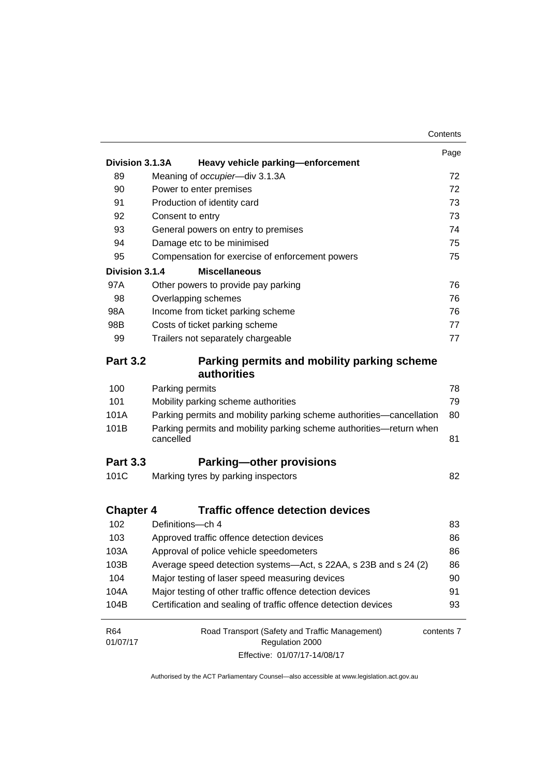|                  |                                                                                  | Contents   |
|------------------|----------------------------------------------------------------------------------|------------|
|                  |                                                                                  | Page       |
| Division 3.1.3A  | Heavy vehicle parking-enforcement                                                |            |
| 89               | Meaning of occupier-div 3.1.3A                                                   | 72         |
| 90               | Power to enter premises                                                          | 72         |
| 91               | Production of identity card                                                      | 73         |
| 92               | Consent to entry                                                                 | 73         |
| 93               | General powers on entry to premises                                              | 74         |
| 94               | Damage etc to be minimised                                                       | 75         |
| 95               | Compensation for exercise of enforcement powers                                  | 75         |
| Division 3.1.4   | <b>Miscellaneous</b>                                                             |            |
| 97A              | Other powers to provide pay parking                                              | 76         |
| 98               | Overlapping schemes                                                              | 76         |
| 98A              | Income from ticket parking scheme                                                | 76         |
| 98B              | Costs of ticket parking scheme                                                   | 77         |
| 99               | Trailers not separately chargeable                                               | 77         |
| <b>Part 3.2</b>  | Parking permits and mobility parking scheme                                      |            |
|                  | authorities                                                                      |            |
| 100              | Parking permits                                                                  | 78         |
| 101              | Mobility parking scheme authorities                                              | 79         |
| 101A             | Parking permits and mobility parking scheme authorities-cancellation             | 80         |
| 101B             | Parking permits and mobility parking scheme authorities-return when<br>cancelled | 81         |
| <b>Part 3.3</b>  | <b>Parking-other provisions</b>                                                  |            |
| 101C             | Marking tyres by parking inspectors                                              | 82         |
| <b>Chapter 4</b> | <b>Traffic offence detection devices</b>                                         |            |
| 102              | Definitions-ch 4                                                                 | 83         |
| 103              | Approved traffic offence detection devices                                       | 86         |
| 103A             | Approval of police vehicle speedometers                                          | 86         |
| 103B             | Average speed detection systems-Act, s 22AA, s 23B and s 24 (2)                  | 86         |
| 104              | Major testing of laser speed measuring devices                                   | 90         |
| 104A             | Major testing of other traffic offence detection devices                         | 91         |
| 104B             | Certification and sealing of traffic offence detection devices                   | 93         |
| R64              | Road Transport (Safety and Traffic Management)                                   | contents 7 |
| 01/07/17         | Regulation 2000                                                                  |            |
|                  | Effective: 01/07/17-14/08/17                                                     |            |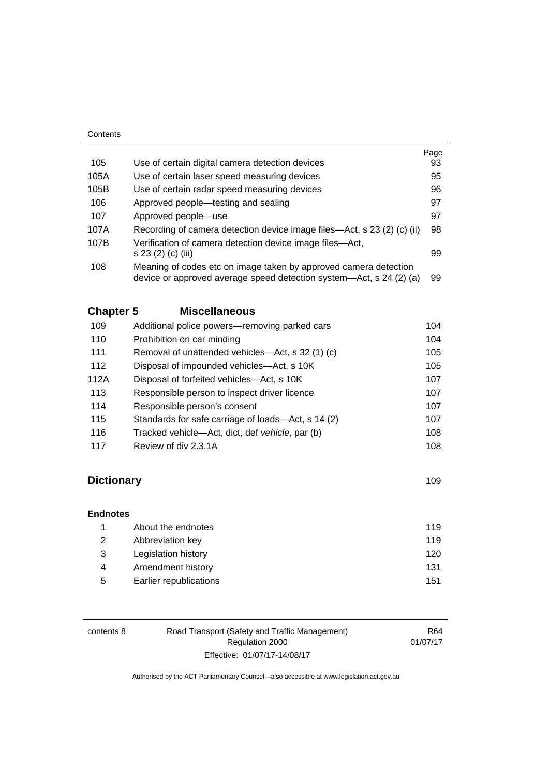|                                                                                | Page                                                                                                                                           |
|--------------------------------------------------------------------------------|------------------------------------------------------------------------------------------------------------------------------------------------|
| Use of certain digital camera detection devices                                | 93                                                                                                                                             |
| Use of certain laser speed measuring devices                                   | 95                                                                                                                                             |
| Use of certain radar speed measuring devices                                   | 96                                                                                                                                             |
| Approved people—testing and sealing                                            | 97                                                                                                                                             |
| Approved people—use                                                            | 97                                                                                                                                             |
|                                                                                | 98                                                                                                                                             |
| Verification of camera detection device image files—Act,<br>s 23 (2) (c) (iii) | 99                                                                                                                                             |
| Meaning of codes etc on image taken by approved camera detection               | 99                                                                                                                                             |
|                                                                                | Recording of camera detection device image files—Act, s 23 (2) (c) (ii)<br>device or approved average speed detection system—Act, s 24 (2) (a) |

### **Chapter 5 [Miscellaneous](#page-120-0)**

| 109  | Additional police powers—removing parked cars      | 104 |
|------|----------------------------------------------------|-----|
| 110  | Prohibition on car minding                         | 104 |
| 111  | Removal of unattended vehicles—Act, s 32 (1) (c)   | 105 |
| 112  | Disposal of impounded vehicles—Act, s 10K          | 105 |
| 112A | Disposal of forfeited vehicles—Act, s 10K          | 107 |
| 113  | Responsible person to inspect driver licence       | 107 |
| 114  | Responsible person's consent                       | 107 |
| 115  | Standards for safe carriage of loads—Act, s 14 (2) | 107 |
| 116  | Tracked vehicle—Act, dict, def vehicle, par (b)    | 108 |
| 117  | Review of div 2.3.1A                               | 108 |

### **Dictionary** [109](#page-125-0)

**[Endnotes](#page-136-0)**

| 119 |
|-----|
| 120 |
| 131 |
| 151 |
|     |

| contents 8 | Road Transport (Safety and Traffic Management) | R64      |
|------------|------------------------------------------------|----------|
|            | Regulation 2000                                | 01/07/17 |
|            | Effective: 01/07/17-14/08/17                   |          |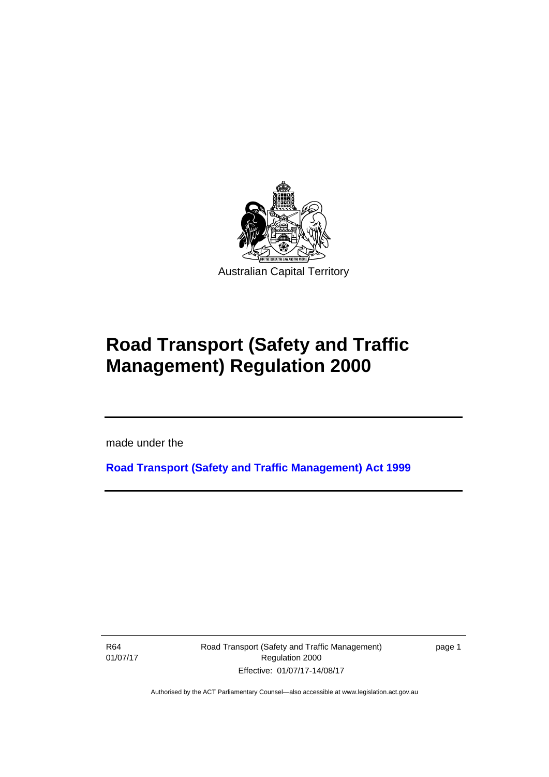

# **Road Transport (Safety and Traffic Management) Regulation 2000**

made under the

**[Road Transport \(Safety and Traffic Management\) Act 1999](http://www.legislation.act.gov.au/a/1999-80)**

R64 01/07/17

Ī

Road Transport (Safety and Traffic Management) Regulation 2000 Effective: 01/07/17-14/08/17

page 1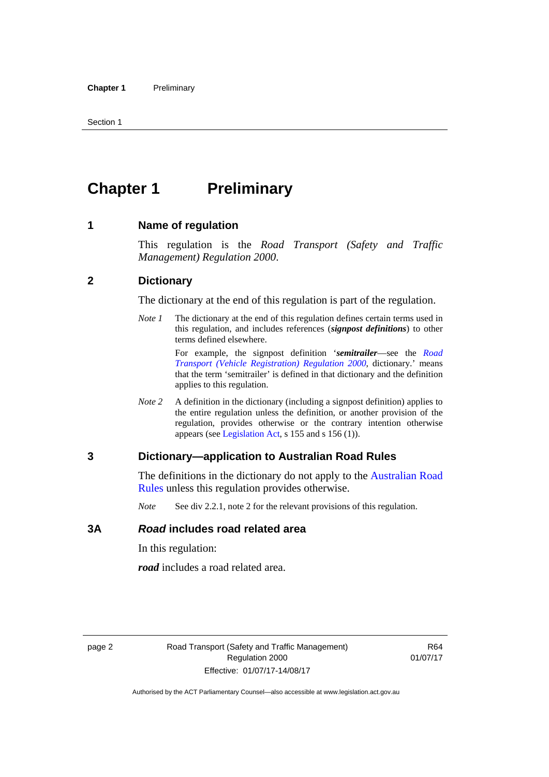## <span id="page-11-0"></span>**Chapter 1** Preliminary

#### <span id="page-11-1"></span>**1 Name of regulation**

This regulation is the *Road Transport (Safety and Traffic Management) Regulation 2000*.

#### <span id="page-11-2"></span>**2 Dictionary**

The dictionary at the end of this regulation is part of the regulation.

*Note 1* The dictionary at the end of this regulation defines certain terms used in this regulation, and includes references (*signpost definitions*) to other terms defined elsewhere.

> For example, the signpost definition '*semitrailer*—see the *[Road](http://www.legislation.act.gov.au/sl/2000-12)  [Transport \(Vehicle Registration\) Regulation 2000](http://www.legislation.act.gov.au/sl/2000-12)*, dictionary.' means that the term 'semitrailer' is defined in that dictionary and the definition applies to this regulation.

*Note 2* A definition in the dictionary (including a signpost definition) applies to the entire regulation unless the definition, or another provision of the regulation, provides otherwise or the contrary intention otherwise appears (see [Legislation Act,](http://www.legislation.act.gov.au/a/2001-14) s 155 and s 156 (1)).

#### <span id="page-11-3"></span>**3 Dictionary—application to Australian Road Rules**

The definitions in the dictionary do not apply to the Australian Road [Rules](http://www.legislation.act.gov.au//ni/db_37271/default.asp) unless this regulation provides otherwise.

*Note* See div 2.2.1, note 2 for the relevant provisions of this regulation.

#### <span id="page-11-4"></span>**3A** *Road* **includes road related area**

In this regulation:

*road* includes a road related area.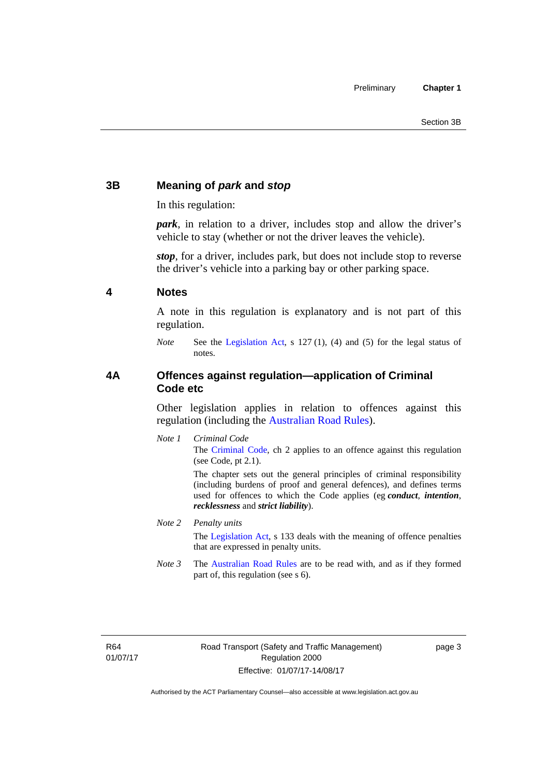#### <span id="page-12-0"></span>**3B Meaning of** *park* **and** *stop*

In this regulation:

*park*, in relation to a driver, includes stop and allow the driver's vehicle to stay (whether or not the driver leaves the vehicle).

*stop*, for a driver, includes park, but does not include stop to reverse the driver's vehicle into a parking bay or other parking space.

#### <span id="page-12-1"></span>**4 Notes**

A note in this regulation is explanatory and is not part of this regulation.

*Note* See the [Legislation Act,](http://www.legislation.act.gov.au/a/2001-14) s 127 (1), (4) and (5) for the legal status of notes.

#### <span id="page-12-2"></span>**4A Offences against regulation—application of Criminal Code etc**

Other legislation applies in relation to offences against this regulation (including the [Australian Road Rules](http://www.legislation.act.gov.au//ni/db_37271/default.asp)).

*Note 1 Criminal Code* The [Criminal Code,](http://www.legislation.act.gov.au/a/2002-51) ch 2 applies to an offence against this regulation (see Code, pt 2.1).

> The chapter sets out the general principles of criminal responsibility (including burdens of proof and general defences), and defines terms used for offences to which the Code applies (eg *conduct*, *intention*, *recklessness* and *strict liability*).

#### *Note 2 Penalty units*

The [Legislation Act](http://www.legislation.act.gov.au/a/2001-14), s 133 deals with the meaning of offence penalties that are expressed in penalty units.

*Note 3* The [Australian Road Rules](http://www.legislation.act.gov.au//ni/db_37271/default.asp) are to be read with, and as if they formed part of, this regulation (see s 6).

R64 01/07/17 page 3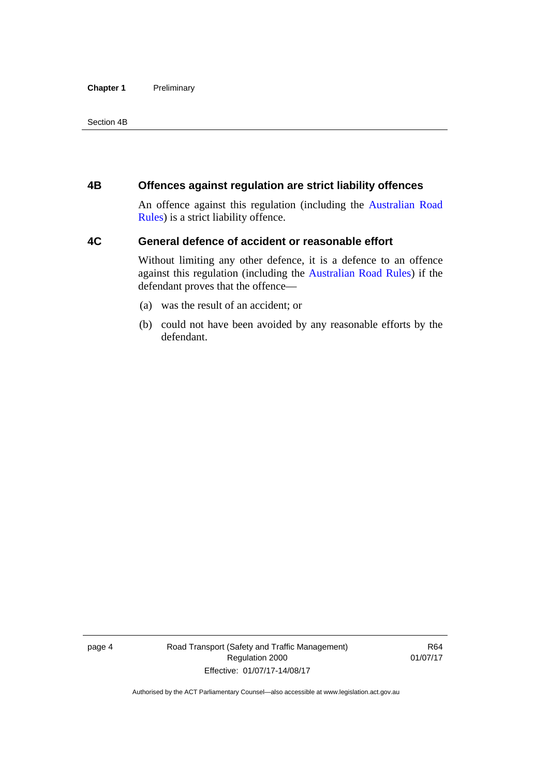#### **Chapter 1** Preliminary

Section 4B

#### <span id="page-13-0"></span>**4B Offences against regulation are strict liability offences**

An offence against this regulation (including the [Australian Road](http://www.legislation.act.gov.au//ni/db_37271/default.asp)  [Rules](http://www.legislation.act.gov.au//ni/db_37271/default.asp)) is a strict liability offence.

#### <span id="page-13-1"></span>**4C General defence of accident or reasonable effort**

Without limiting any other defence, it is a defence to an offence against this regulation (including the [Australian Road Rules\)](http://www.legislation.act.gov.au//ni/db_37271/default.asp) if the defendant proves that the offence—

- (a) was the result of an accident; or
- (b) could not have been avoided by any reasonable efforts by the defendant.

page 4 Road Transport (Safety and Traffic Management) Regulation 2000 Effective: 01/07/17-14/08/17

R64 01/07/17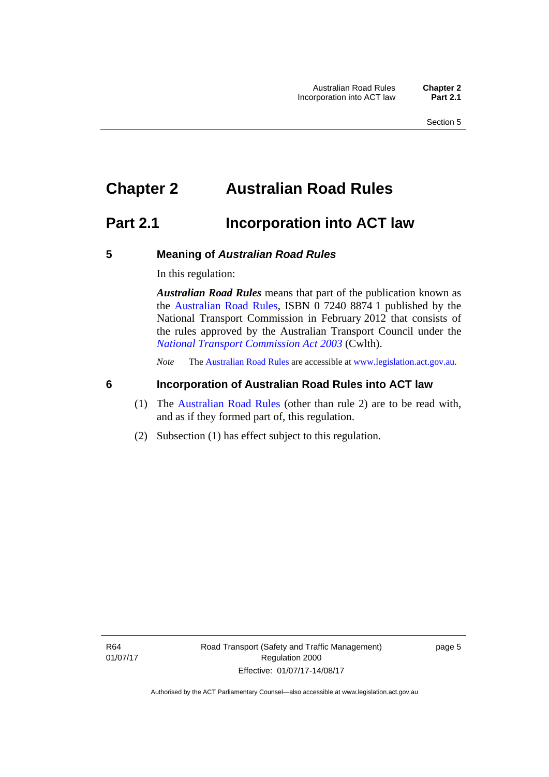### <span id="page-14-0"></span>**Chapter 2 Australian Road Rules**

### <span id="page-14-1"></span>**Part 2.1 Incorporation into ACT law**

#### <span id="page-14-2"></span>**5 Meaning of** *Australian Road Rules*

In this regulation:

*Australian Road Rules* means that part of the publication known as the [Australian Road Rules](http://www.legislation.act.gov.au//ni/db_37271/default.asp), ISBN 0 7240 8874 1 published by the National Transport Commission in February 2012 that consists of the rules approved by the Australian Transport Council under the *[National Transport Commission Act 2003](http://www.comlaw.gov.au/Series/C2004A01166)* (Cwlth).

*Note* The [Australian Road Rules](http://www.legislation.act.gov.au//ni/db_37271/default.asp) are accessible at [www.legislation.act.gov.au](http://www.legislation.act.gov.au/).

#### <span id="page-14-3"></span>**6 Incorporation of Australian Road Rules into ACT law**

- (1) The [Australian Road Rules](http://www.legislation.act.gov.au//ni/db_37271/default.asp) (other than rule 2) are to be read with, and as if they formed part of, this regulation.
- (2) Subsection (1) has effect subject to this regulation.

page 5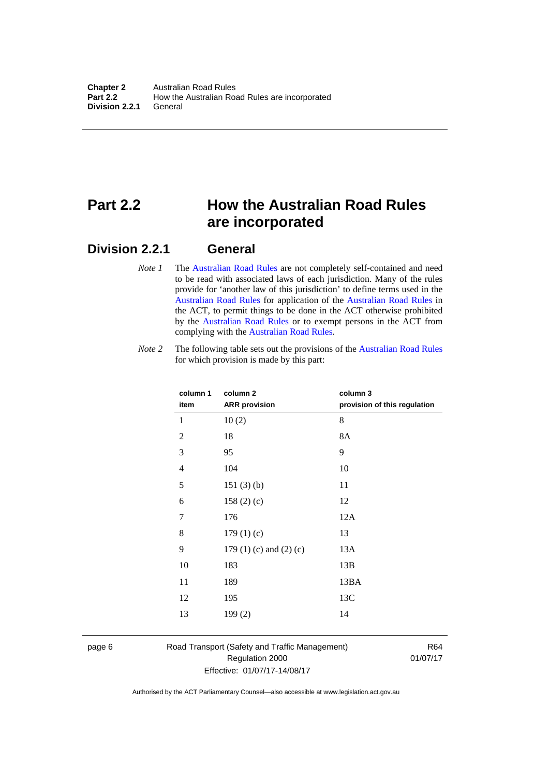### <span id="page-15-0"></span>**Part 2.2 How the Australian Road Rules are incorporated**

#### <span id="page-15-1"></span>**Division 2.2.1 General**

*Note 1* The [Australian Road Rules](http://www.legislation.act.gov.au//ni/db_37271/default.asp) are not completely self-contained and need to be read with associated laws of each jurisdiction. Many of the rules provide for 'another law of this jurisdiction' to define terms used in the [Australian Road Rules](http://www.legislation.act.gov.au//ni/db_37271/default.asp) for application of the [Australian Road Rules](http://www.legislation.act.gov.au//ni/db_37271/default.asp) in the ACT, to permit things to be done in the ACT otherwise prohibited by the [Australian Road Rules](http://www.legislation.act.gov.au//ni/db_37271/default.asp) or to exempt persons in the ACT from complying with the [Australian Road Rules.](http://www.legislation.act.gov.au//ni/db_37271/default.asp)

*Note 2* The following table sets out the provisions of the [Australian Road Rules](http://www.legislation.act.gov.au//ni/db_37271/default.asp) for which provision is made by this part:

| column 1<br>item | column <sub>2</sub><br><b>ARR</b> provision | column 3<br>provision of this regulation |
|------------------|---------------------------------------------|------------------------------------------|
| 1                | 10(2)                                       | 8                                        |
| $\overline{c}$   | 18                                          | 8A                                       |
| 3                | 95                                          | 9                                        |
| $\overline{4}$   | 104                                         | 10                                       |
| 5                | 151(3)(b)                                   | 11                                       |
| 6                | 158(2)(c)                                   | 12                                       |
| 7                | 176                                         | 12A                                      |
| 8                | 179(1)(c)                                   | 13                                       |
| 9                | 179 $(1)$ $(c)$ and $(2)$ $(c)$             | 13A                                      |
| 10               | 183                                         | 13B                                      |
| 11               | 189                                         | 13BA                                     |
| 12               | 195                                         | 13C                                      |
| 13               | 199(2)                                      | 14                                       |
|                  |                                             |                                          |

page 6 Road Transport (Safety and Traffic Management) Regulation 2000 Effective: 01/07/17-14/08/17

R64 01/07/17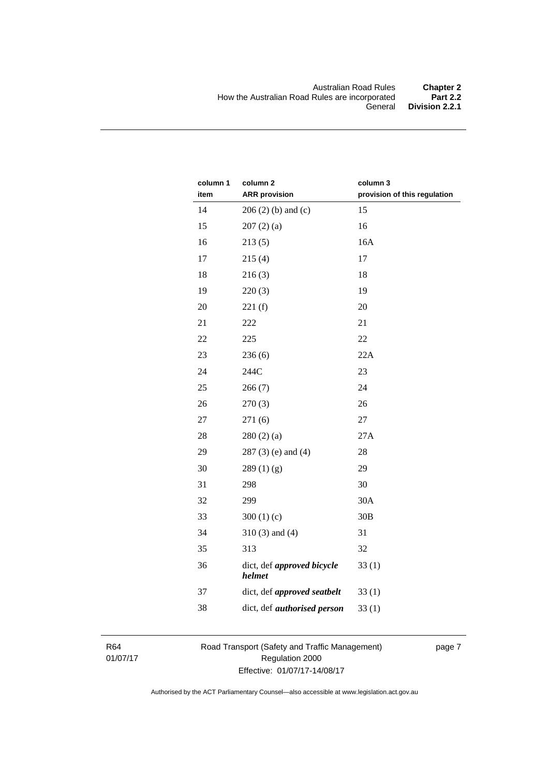| column 1<br>item | column 2<br><b>ARR provision</b>     | column 3<br>provision of this regulation |
|------------------|--------------------------------------|------------------------------------------|
| 14               | $206(2)$ (b) and (c)                 | 15                                       |
| 15               | 207(2)(a)                            | 16                                       |
| 16               | 213(5)                               | 16A                                      |
| 17               | 215(4)                               | 17                                       |
| 18               | 216(3)                               | 18                                       |
| 19               | 220(3)                               | 19                                       |
| 20               | 221(f)                               | 20                                       |
| 21               | 222                                  | 21                                       |
| 22               | 225                                  | 22                                       |
| 23               | 236(6)                               | 22A                                      |
| 24               | 244C                                 | 23                                       |
| 25               | 266(7)                               | 24                                       |
| 26               | 270(3)                               | 26                                       |
| $27\,$           | 271(6)                               | 27                                       |
| 28               | 280(2)(a)                            | 27A                                      |
| 29               | $287(3)$ (e) and (4)                 | 28                                       |
| 30               | 289(1)(g)                            | 29                                       |
| 31               | 298                                  | 30                                       |
| 32               | 299                                  | 30A                                      |
| 33               | 300 $(1)(c)$                         | 30B                                      |
| 34               | $310(3)$ and $(4)$                   | 31                                       |
| 35               | 313                                  | 32                                       |
| 36               | dict, def approved bicycle<br>helmet | 33(1)                                    |
| 37               | dict, def approved seatbelt          | 33(1)                                    |
| 38               | dict, def <i>authorised</i> person   | 33(1)                                    |

R64 01/07/17 Road Transport (Safety and Traffic Management) Regulation 2000 Effective: 01/07/17-14/08/17

page 7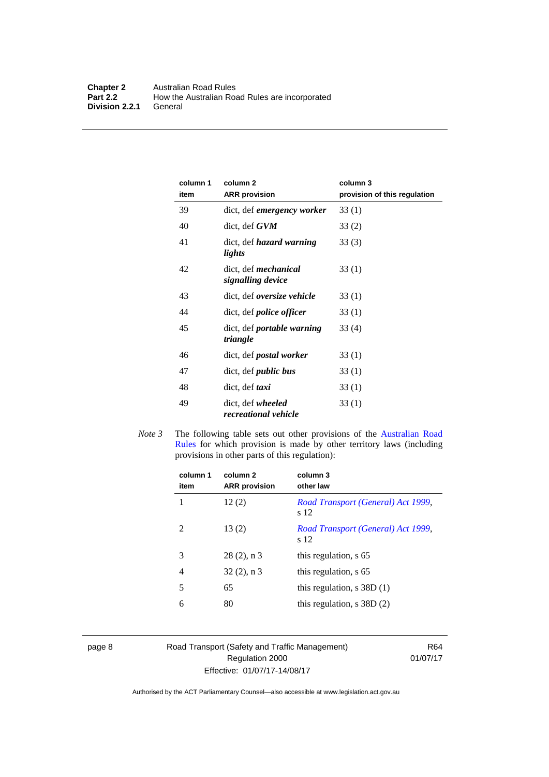| column 1<br>item | column <sub>2</sub><br><b>ARR</b> provision   | column 3<br>provision of this regulation |
|------------------|-----------------------------------------------|------------------------------------------|
| 39               | dict, def <i>emergency worker</i>             | 33(1)                                    |
| 40               | dict, def GVM                                 | 33(2)                                    |
| 41               | dict, def <i>hazard</i> warning<br>lights     | 33(3)                                    |
| 42               | dict, def mechanical<br>signalling device     | 33(1)                                    |
| 43               | dict, def <i>oversize</i> vehicle             | 33(1)                                    |
| 44               | dict, def <i>police</i> officer               | 33(1)                                    |
| 45               | dict, def <i>portable warning</i><br>triangle | 33 (4)                                   |
| 46               | dict, def <i>postal</i> worker                | 33(1)                                    |
| 47               | dict, def <i>public</i> bus                   | 33(1)                                    |
| 48               | dict, def <i>taxi</i>                         | 33(1)                                    |
| 49               | dict, def wheeled<br>recreational vehicle     | 33(1)                                    |

*Note 3* The following table sets out other provisions of the Australian Road [Rules](http://www.legislation.act.gov.au//ni/db_37271/default.asp) for which provision is made by other territory laws (including provisions in other parts of this regulation):

| column 1<br>item | column 2<br><b>ARR</b> provision | column 3<br>other law                      |
|------------------|----------------------------------|--------------------------------------------|
| 1                | 12(2)                            | Road Transport (General) Act 1999,<br>s 12 |
| $\mathfrak{D}$   | 13(2)                            | Road Transport (General) Act 1999,<br>s 12 |
| 3                | $28(2)$ , n 3                    | this regulation, s 65                      |
| 4                | $32(2)$ , n 3                    | this regulation, s 65                      |
| 5                | 65                               | this regulation, $s$ 38D $(1)$             |
| 6                | 80                               | this regulation, $s$ 38D $(2)$             |
|                  |                                  |                                            |

page 8 Road Transport (Safety and Traffic Management) Regulation 2000 Effective: 01/07/17-14/08/17

R64 01/07/17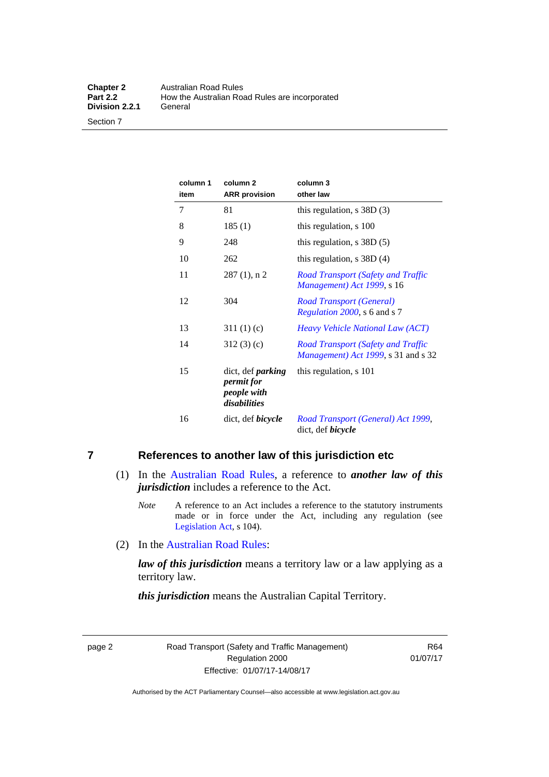Section 7

| column 1<br>item | column <sub>2</sub><br><b>ARR</b> provision                                  | column 3<br>other law                                                                     |
|------------------|------------------------------------------------------------------------------|-------------------------------------------------------------------------------------------|
| 7                | 81                                                                           | this regulation, $s$ 38D $(3)$                                                            |
| 8                | 185(1)                                                                       | this regulation, s 100                                                                    |
| 9                | 248                                                                          | this regulation, $s$ 38D $(5)$                                                            |
| 10               | 262                                                                          | this regulation, $s$ 38D (4)                                                              |
| 11               | $287(1)$ , n 2                                                               | <b>Road Transport (Safety and Traffic</b><br>Management) Act 1999, s 16                   |
| 12               | 304                                                                          | Road Transport (General)<br>Regulation 2000, s 6 and s 7                                  |
| 13               | 311(1)(c)                                                                    | Heavy Vehicle National Law (ACT)                                                          |
| 14               | 312(3)(c)                                                                    | Road Transport (Safety and Traffic<br><i>Management</i> ) <i>Act 1999</i> , s 31 and s 32 |
| 15               | dict, def <i>parking</i><br><i>permit for</i><br>people with<br>disabilities | this regulation, s 101                                                                    |
| 16               | dict, def <i>bicycle</i>                                                     | Road Transport (General) Act 1999,<br>dict, def <i>bicycle</i>                            |

### <span id="page-18-0"></span>**7 References to another law of this jurisdiction etc**

- (1) In the [Australian Road Rules,](http://www.legislation.act.gov.au//ni/db_37271/default.asp) a reference to *another law of this jurisdiction* includes a reference to the Act.
	- *Note* A reference to an Act includes a reference to the statutory instruments made or in force under the Act, including any regulation (see [Legislation Act,](http://www.legislation.act.gov.au/a/2001-14) s 104).
- (2) In the [Australian Road Rules](http://www.legislation.act.gov.au//ni/db_37271/default.asp):

*law of this jurisdiction* means a territory law or a law applying as a territory law.

*this jurisdiction* means the Australian Capital Territory.

page 2 Road Transport (Safety and Traffic Management) Regulation 2000 Effective: 01/07/17-14/08/17

R64 01/07/17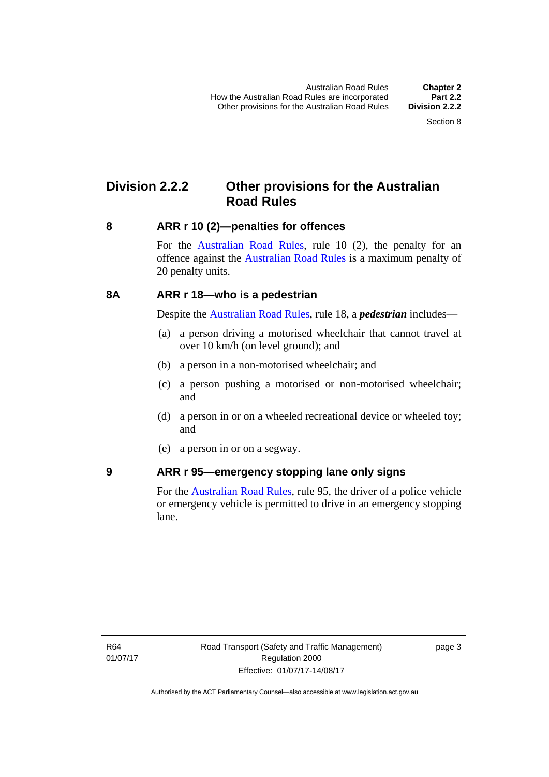### <span id="page-19-0"></span>**Division 2.2.2 Other provisions for the Australian Road Rules**

#### <span id="page-19-1"></span>**8 ARR r 10 (2)—penalties for offences**

For the [Australian Road Rules,](http://www.legislation.act.gov.au//ni/db_37271/default.asp) rule 10 (2), the penalty for an offence against the [Australian Road Rules](http://www.legislation.act.gov.au//ni/db_37271/default.asp) is a maximum penalty of 20 penalty units.

#### <span id="page-19-2"></span>**8A ARR r 18—who is a pedestrian**

Despite the [Australian Road Rules](http://www.legislation.act.gov.au//ni/db_37271/default.asp), rule 18, a *pedestrian* includes—

- (a) a person driving a motorised wheelchair that cannot travel at over 10 km/h (on level ground); and
- (b) a person in a non-motorised wheelchair; and
- (c) a person pushing a motorised or non-motorised wheelchair; and
- (d) a person in or on a wheeled recreational device or wheeled toy; and
- (e) a person in or on a segway.

#### <span id="page-19-3"></span>**9 ARR r 95—emergency stopping lane only signs**

For the [Australian Road Rules,](http://www.legislation.act.gov.au//ni/db_37271/default.asp) rule 95, the driver of a police vehicle or emergency vehicle is permitted to drive in an emergency stopping lane.

page 3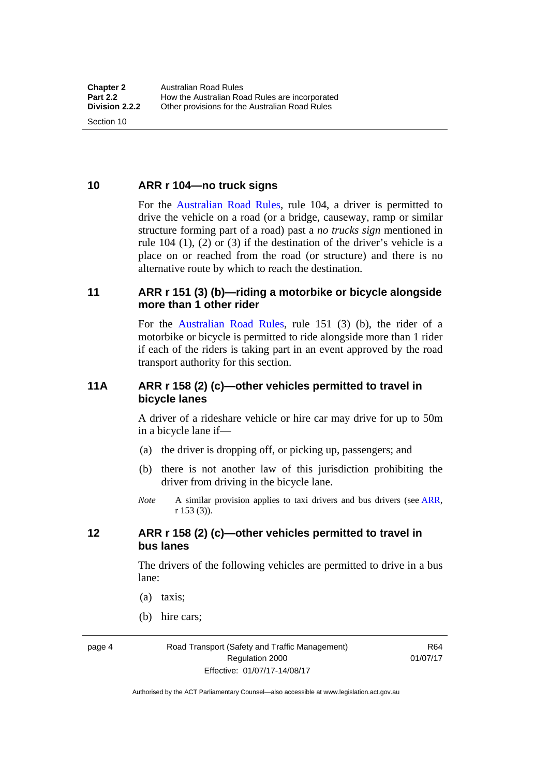<span id="page-20-0"></span>**10 ARR r 104—no truck signs**

Section 10

For the [Australian Road Rules](http://www.legislation.act.gov.au//ni/db_37271/default.asp), rule 104, a driver is permitted to drive the vehicle on a road (or a bridge, causeway, ramp or similar structure forming part of a road) past a *no trucks sign* mentioned in rule 104 (1), (2) or (3) if the destination of the driver's vehicle is a place on or reached from the road (or structure) and there is no alternative route by which to reach the destination.

#### <span id="page-20-1"></span>**11 ARR r 151 (3) (b)—riding a motorbike or bicycle alongside more than 1 other rider**

For the [Australian Road Rules](http://www.legislation.act.gov.au//ni/db_37271/default.asp), rule 151 (3) (b), the rider of a motorbike or bicycle is permitted to ride alongside more than 1 rider if each of the riders is taking part in an event approved by the road transport authority for this section.

#### <span id="page-20-2"></span>**11A ARR r 158 (2) (c)—other vehicles permitted to travel in bicycle lanes**

A driver of a rideshare vehicle or hire car may drive for up to 50m in a bicycle lane if—

- (a) the driver is dropping off, or picking up, passengers; and
- (b) there is not another law of this jurisdiction prohibiting the driver from driving in the bicycle lane.
- *Note* A similar provision applies to taxi drivers and bus drivers (see [ARR,](http://www.legislation.act.gov.au//ni/db_37271/default.asp) r 153 (3)).

#### <span id="page-20-3"></span>**12 ARR r 158 (2) (c)—other vehicles permitted to travel in bus lanes**

The drivers of the following vehicles are permitted to drive in a bus lane:

- (a) taxis;
- (b) hire cars;

page 4 Road Transport (Safety and Traffic Management) Regulation 2000 Effective: 01/07/17-14/08/17

R64 01/07/17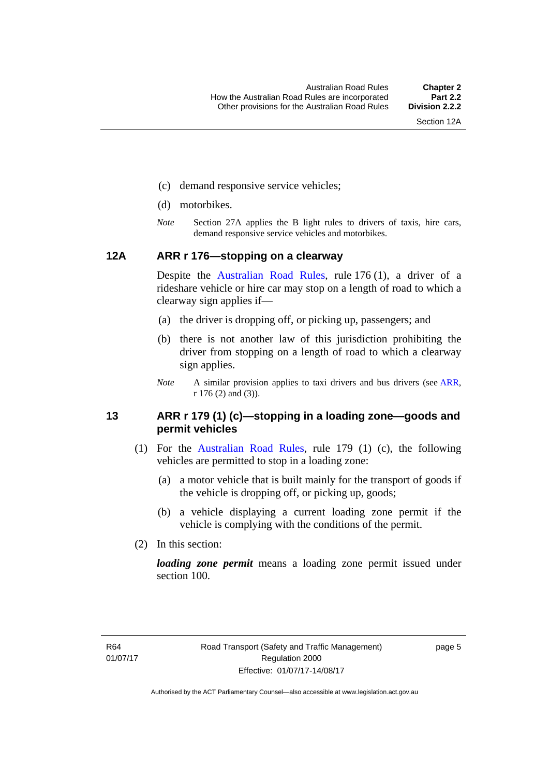- (c) demand responsive service vehicles;
- (d) motorbikes.
- *Note* Section 27A applies the B light rules to drivers of taxis, hire cars, demand responsive service vehicles and motorbikes.

#### <span id="page-21-0"></span>**12A ARR r 176—stopping on a clearway**

Despite the [Australian Road Rules,](http://www.legislation.act.gov.au//ni/db_37271/default.asp) rule 176 (1), a driver of a rideshare vehicle or hire car may stop on a length of road to which a clearway sign applies if—

- (a) the driver is dropping off, or picking up, passengers; and
- (b) there is not another law of this jurisdiction prohibiting the driver from stopping on a length of road to which a clearway sign applies.
- *Note* A similar provision applies to taxi drivers and bus drivers (see [ARR,](http://www.legislation.act.gov.au//ni/db_37271/default.asp) r 176 (2) and (3)).

#### <span id="page-21-1"></span>**13 ARR r 179 (1) (c)—stopping in a loading zone—goods and permit vehicles**

- (1) For the [Australian Road Rules](http://www.legislation.act.gov.au//ni/db_37271/default.asp), rule 179 (1) (c), the following vehicles are permitted to stop in a loading zone:
	- (a) a motor vehicle that is built mainly for the transport of goods if the vehicle is dropping off, or picking up, goods;
	- (b) a vehicle displaying a current loading zone permit if the vehicle is complying with the conditions of the permit.
- (2) In this section:

*loading zone permit* means a loading zone permit issued under section 100.

page 5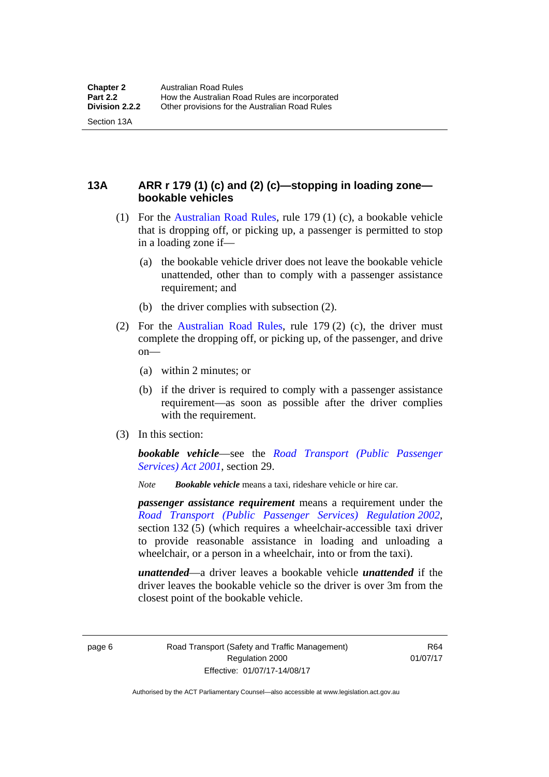Section 13A

<span id="page-22-0"></span>**13A ARR r 179 (1) (c) and (2) (c)—stopping in loading zone bookable vehicles** 

- (1) For the [Australian Road Rules,](http://www.legislation.act.gov.au//ni/db_37271/default.asp) rule 179 (1) (c), a bookable vehicle that is dropping off, or picking up, a passenger is permitted to stop in a loading zone if—
	- (a) the bookable vehicle driver does not leave the bookable vehicle unattended, other than to comply with a passenger assistance requirement; and
	- (b) the driver complies with subsection (2).
- (2) For the [Australian Road Rules,](http://www.legislation.act.gov.au//ni/db_37271/default.asp) rule 179 (2) (c), the driver must complete the dropping off, or picking up, of the passenger, and drive on—
	- (a) within 2 minutes; or
	- (b) if the driver is required to comply with a passenger assistance requirement—as soon as possible after the driver complies with the requirement.
- (3) In this section:

*bookable vehicle*—see the *[Road Transport \(Public Passenger](http://www.legislation.act.gov.au/a/2001-62)  [Services\) Act 2001](http://www.legislation.act.gov.au/a/2001-62)*, section 29.

*Note Bookable vehicle* means a taxi, rideshare vehicle or hire car.

*passenger assistance requirement* means a requirement under the *[Road Transport \(Public Passenger Services\) Regulation 2002](http://www.legislation.act.gov.au/sl/2002-3)*, section 132 (5) (which requires a wheelchair-accessible taxi driver to provide reasonable assistance in loading and unloading a wheelchair, or a person in a wheelchair, into or from the taxi).

*unattended*—a driver leaves a bookable vehicle *unattended* if the driver leaves the bookable vehicle so the driver is over 3m from the closest point of the bookable vehicle.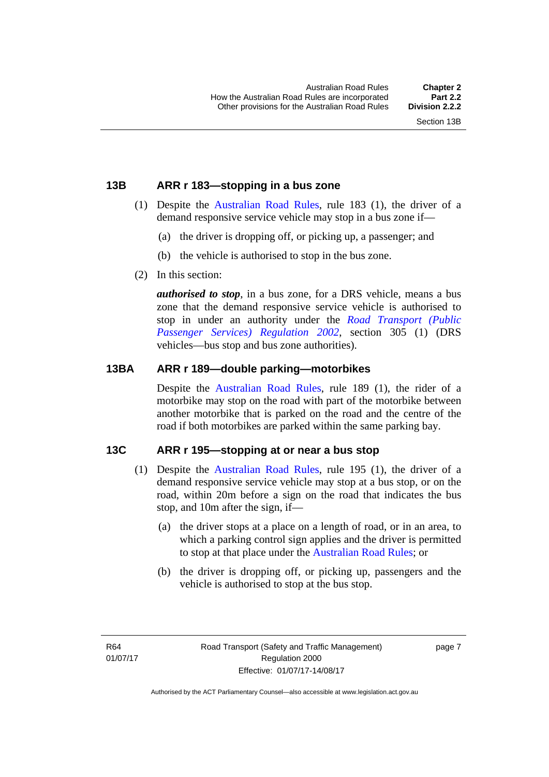#### <span id="page-23-0"></span>**13B ARR r 183—stopping in a bus zone**

- (1) Despite the [Australian Road Rules](http://www.legislation.act.gov.au//ni/db_37271/default.asp), rule 183 (1), the driver of a demand responsive service vehicle may stop in a bus zone if—
	- (a) the driver is dropping off, or picking up, a passenger; and
	- (b) the vehicle is authorised to stop in the bus zone.
- (2) In this section:

*authorised to stop*, in a bus zone, for a DRS vehicle, means a bus zone that the demand responsive service vehicle is authorised to stop in under an authority under the *[Road Transport \(Public](http://www.legislation.act.gov.au/sl/2002-3)  [Passenger Services\) Regulation 2002](http://www.legislation.act.gov.au/sl/2002-3)*, section 305 (1) (DRS vehicles—bus stop and bus zone authorities).

#### <span id="page-23-1"></span>**13BA ARR r 189—double parking—motorbikes**

Despite the [Australian Road Rules,](http://www.legislation.act.gov.au//ni/db_37271/default.asp) rule 189 (1), the rider of a motorbike may stop on the road with part of the motorbike between another motorbike that is parked on the road and the centre of the road if both motorbikes are parked within the same parking bay.

#### <span id="page-23-2"></span>**13C ARR r 195—stopping at or near a bus stop**

- (1) Despite the [Australian Road Rules](http://www.legislation.act.gov.au//ni/db_37271/default.asp), rule 195 (1), the driver of a demand responsive service vehicle may stop at a bus stop, or on the road, within 20m before a sign on the road that indicates the bus stop, and 10m after the sign, if—
	- (a) the driver stops at a place on a length of road, or in an area, to which a parking control sign applies and the driver is permitted to stop at that place under the [Australian Road Rules](http://www.legislation.act.gov.au//ni/db_37271/default.asp); or
	- (b) the driver is dropping off, or picking up, passengers and the vehicle is authorised to stop at the bus stop.

page 7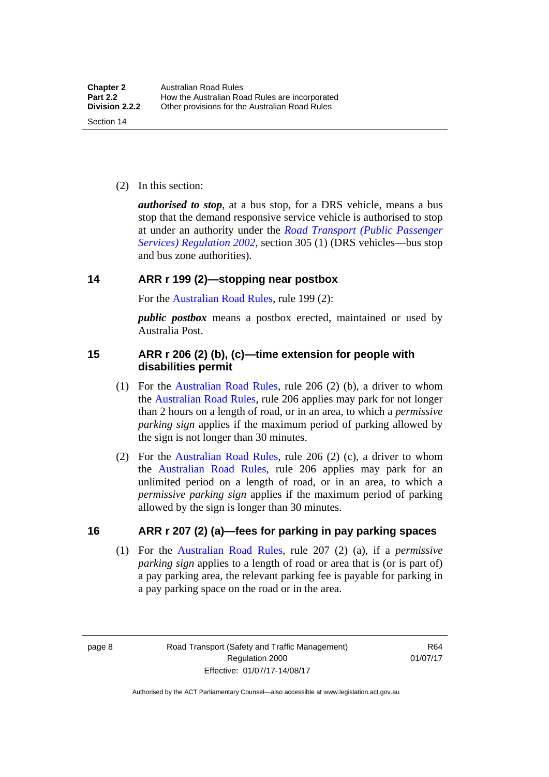(2) In this section:

*authorised to stop*, at a bus stop, for a DRS vehicle, means a bus stop that the demand responsive service vehicle is authorised to stop at under an authority under the *[Road Transport \(Public Passenger](http://www.legislation.act.gov.au/sl/2002-3)  [Services\) Regulation 2002](http://www.legislation.act.gov.au/sl/2002-3)*, section 305 (1) (DRS vehicles—bus stop and bus zone authorities).

#### <span id="page-24-0"></span>**14 ARR r 199 (2)—stopping near postbox**

For the [Australian Road Rules,](http://www.legislation.act.gov.au//ni/db_37271/default.asp) rule 199 (2):

*public postbox* means a postbox erected, maintained or used by Australia Post.

#### <span id="page-24-1"></span>**15 ARR r 206 (2) (b), (c)—time extension for people with disabilities permit**

- (1) For the [Australian Road Rules](http://www.legislation.act.gov.au//ni/db_37271/default.asp), rule 206 (2) (b), a driver to whom the [Australian Road Rules](http://www.legislation.act.gov.au//ni/db_37271/default.asp), rule 206 applies may park for not longer than 2 hours on a length of road, or in an area, to which a *permissive parking sign* applies if the maximum period of parking allowed by the sign is not longer than 30 minutes.
- (2) For the [Australian Road Rules,](http://www.legislation.act.gov.au//ni/db_37271/default.asp) rule 206 (2) (c), a driver to whom the [Australian Road Rules,](http://www.legislation.act.gov.au//ni/db_37271/default.asp) rule 206 applies may park for an unlimited period on a length of road, or in an area, to which a *permissive parking sign* applies if the maximum period of parking allowed by the sign is longer than 30 minutes.

#### <span id="page-24-2"></span>**16 ARR r 207 (2) (a)—fees for parking in pay parking spaces**

 (1) For the [Australian Road Rules,](http://www.legislation.act.gov.au//ni/db_37271/default.asp) rule 207 (2) (a), if a *permissive parking sign* applies to a length of road or area that is (or is part of) a pay parking area, the relevant parking fee is payable for parking in a pay parking space on the road or in the area.

page 8 Road Transport (Safety and Traffic Management) Regulation 2000 Effective: 01/07/17-14/08/17

R64 01/07/17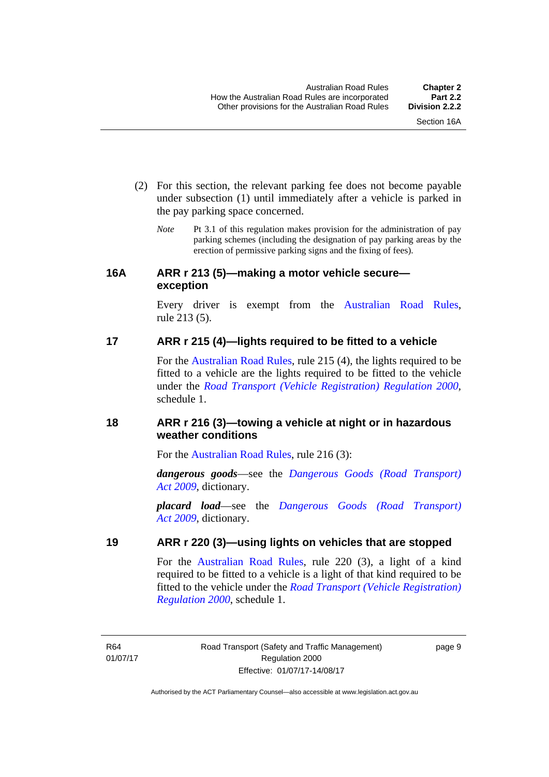- (2) For this section, the relevant parking fee does not become payable under subsection (1) until immediately after a vehicle is parked in the pay parking space concerned.
	- *Note* Pt 3.1 of this regulation makes provision for the administration of pay parking schemes (including the designation of pay parking areas by the erection of permissive parking signs and the fixing of fees).

#### <span id="page-25-0"></span>**16A ARR r 213 (5)—making a motor vehicle secure exception**

Every driver is exempt from the [Australian Road Rules](http://www.legislation.act.gov.au//ni/db_37271/default.asp), rule 213 (5).

#### <span id="page-25-1"></span>**17 ARR r 215 (4)—lights required to be fitted to a vehicle**

For the [Australian Road Rules,](http://www.legislation.act.gov.au//ni/db_37271/default.asp) rule 215 (4), the lights required to be fitted to a vehicle are the lights required to be fitted to the vehicle under the *[Road Transport \(Vehicle Registration\) Regulation 2000](http://www.legislation.act.gov.au/sl/2000-12),*  schedule 1.

#### <span id="page-25-2"></span>**18 ARR r 216 (3)—towing a vehicle at night or in hazardous weather conditions**

For the [Australian Road Rules](http://www.legislation.act.gov.au//ni/db_37271/default.asp), rule 216 (3):

*dangerous goods*—see the *[Dangerous Goods \(Road Transport\)](http://www.legislation.act.gov.au/a/2009-34)  [Act 2009](http://www.legislation.act.gov.au/a/2009-34)*, dictionary.

*placard load*—see the *[Dangerous Goods \(Road Transport\)](http://www.legislation.act.gov.au/a/2009-34)  [Act 2009](http://www.legislation.act.gov.au/a/2009-34)*, dictionary.

#### <span id="page-25-3"></span>**19 ARR r 220 (3)—using lights on vehicles that are stopped**

For the [Australian Road Rules](http://www.legislation.act.gov.au//ni/db_37271/default.asp), rule 220 (3), a light of a kind required to be fitted to a vehicle is a light of that kind required to be fitted to the vehicle under the *[Road Transport \(Vehicle Registration\)](http://www.legislation.act.gov.au/sl/2000-12)  [Regulation 2000](http://www.legislation.act.gov.au/sl/2000-12)*, schedule 1.

R64 01/07/17 page 9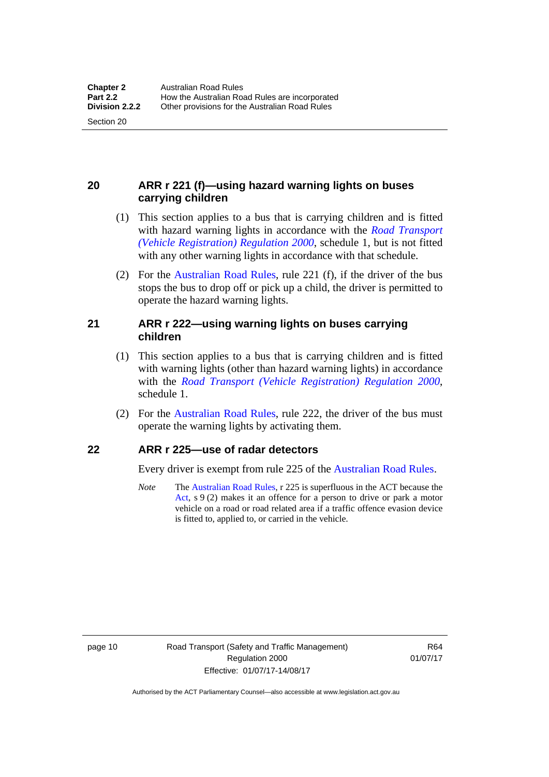Section 20

#### <span id="page-26-0"></span>**20 ARR r 221 (f)—using hazard warning lights on buses carrying children**

- (1) This section applies to a bus that is carrying children and is fitted with hazard warning lights in accordance with the *[Road Transport](http://www.legislation.act.gov.au/sl/2000-12)  [\(Vehicle Registration\) Regulation 2000](http://www.legislation.act.gov.au/sl/2000-12)*, schedule 1, but is not fitted with any other warning lights in accordance with that schedule.
- (2) For the [Australian Road Rules](http://www.legislation.act.gov.au//ni/db_37271/default.asp), rule 221 (f), if the driver of the bus stops the bus to drop off or pick up a child, the driver is permitted to operate the hazard warning lights.

#### <span id="page-26-1"></span>**21 ARR r 222—using warning lights on buses carrying children**

- (1) This section applies to a bus that is carrying children and is fitted with warning lights (other than hazard warning lights) in accordance with the *[Road Transport \(Vehicle Registration\) Regulation 2000](http://www.legislation.act.gov.au/sl/2000-12)*, schedule 1.
- (2) For the [Australian Road Rules](http://www.legislation.act.gov.au//ni/db_37271/default.asp), rule 222, the driver of the bus must operate the warning lights by activating them.

#### <span id="page-26-2"></span>**22 ARR r 225—use of radar detectors**

Every driver is exempt from rule 225 of the [Australian Road Rules.](http://www.legislation.act.gov.au//ni/db_37271/default.asp)

*Note* The [Australian Road Rules,](http://www.legislation.act.gov.au//ni/db_37271/default.asp) r 225 is superfluous in the ACT because the [Act](http://www.legislation.act.gov.au/a/1999-80/default.asp), s 9 (2) makes it an offence for a person to drive or park a motor vehicle on a road or road related area if a traffic offence evasion device is fitted to, applied to, or carried in the vehicle.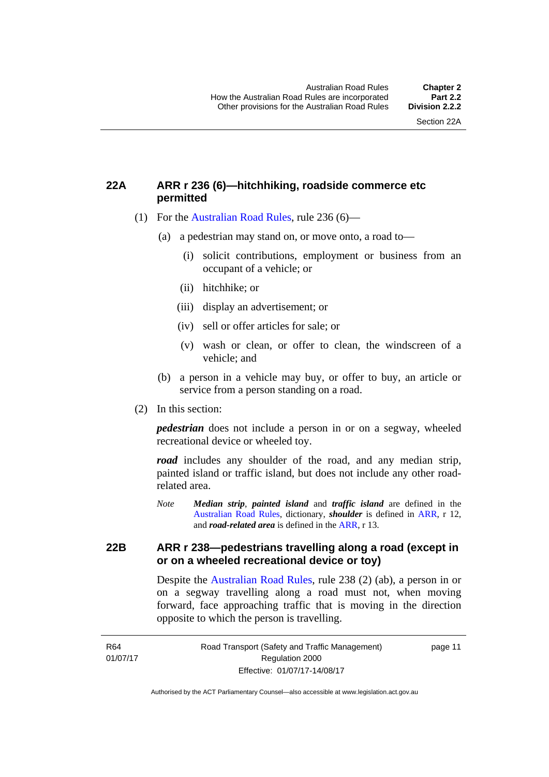#### <span id="page-27-0"></span>**22A ARR r 236 (6)—hitchhiking, roadside commerce etc permitted**

- (1) For the [Australian Road Rules](http://www.legislation.act.gov.au//ni/db_37271/default.asp), rule 236 (6)—
	- (a) a pedestrian may stand on, or move onto, a road to—
		- (i) solicit contributions, employment or business from an occupant of a vehicle; or
		- (ii) hitchhike; or
		- (iii) display an advertisement; or
		- (iv) sell or offer articles for sale; or
		- (v) wash or clean, or offer to clean, the windscreen of a vehicle; and
	- (b) a person in a vehicle may buy, or offer to buy, an article or service from a person standing on a road.
- (2) In this section:

*pedestrian* does not include a person in or on a segway, wheeled recreational device or wheeled toy.

*road* includes any shoulder of the road, and any median strip, painted island or traffic island, but does not include any other roadrelated area.

*Note Median strip*, *painted island* and *traffic island* are defined in the [Australian Road Rules,](http://www.legislation.act.gov.au//ni/db_37271/default.asp) dictionary, *shoulder* is defined in [ARR](http://www.legislation.act.gov.au//ni/db_37271/default.asp), r 12, and *road-related area* is defined in the [ARR](http://www.legislation.act.gov.au//ni/db_37271/default.asp), r 13.

#### <span id="page-27-1"></span>**22B ARR r 238—pedestrians travelling along a road (except in or on a wheeled recreational device or toy)**

Despite the [Australian Road Rules,](http://www.legislation.act.gov.au//ni/db_37271/default.asp) rule 238 (2) (ab), a person in or on a segway travelling along a road must not, when moving forward, face approaching traffic that is moving in the direction opposite to which the person is travelling.

page 11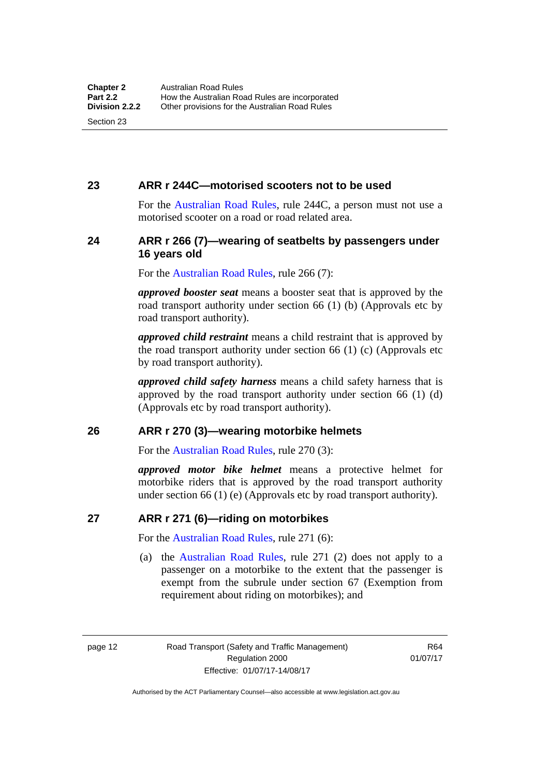#### <span id="page-28-0"></span>**23 ARR r 244C—motorised scooters not to be used**

For the [Australian Road Rules](http://www.legislation.act.gov.au//ni/db_37271/default.asp), rule 244C, a person must not use a motorised scooter on a road or road related area.

#### <span id="page-28-1"></span>**24 ARR r 266 (7)—wearing of seatbelts by passengers under 16 years old**

For the [Australian Road Rules,](http://www.legislation.act.gov.au//ni/db_37271/default.asp) rule 266 (7):

*approved booster seat* means a booster seat that is approved by the road transport authority under section 66 (1) (b) (Approvals etc by road transport authority).

*approved child restraint* means a child restraint that is approved by the road transport authority under section 66 (1) (c) (Approvals etc by road transport authority).

*approved child safety harness* means a child safety harness that is approved by the road transport authority under section 66 (1) (d) (Approvals etc by road transport authority).

#### <span id="page-28-2"></span>**26 ARR r 270 (3)—wearing motorbike helmets**

For the [Australian Road Rules,](http://www.legislation.act.gov.au//ni/db_37271/default.asp) rule 270 (3):

*approved motor bike helmet* means a protective helmet for motorbike riders that is approved by the road transport authority under section 66 (1) (e) (Approvals etc by road transport authority).

#### <span id="page-28-3"></span>**27 ARR r 271 (6)—riding on motorbikes**

For the [Australian Road Rules,](http://www.legislation.act.gov.au//ni/db_37271/default.asp) rule 271 (6):

 (a) the [Australian Road Rules](http://www.legislation.act.gov.au//ni/db_37271/default.asp), rule 271 (2) does not apply to a passenger on a motorbike to the extent that the passenger is exempt from the subrule under section 67 (Exemption from requirement about riding on motorbikes); and

page 12 Road Transport (Safety and Traffic Management) Regulation 2000 Effective: 01/07/17-14/08/17

R64 01/07/17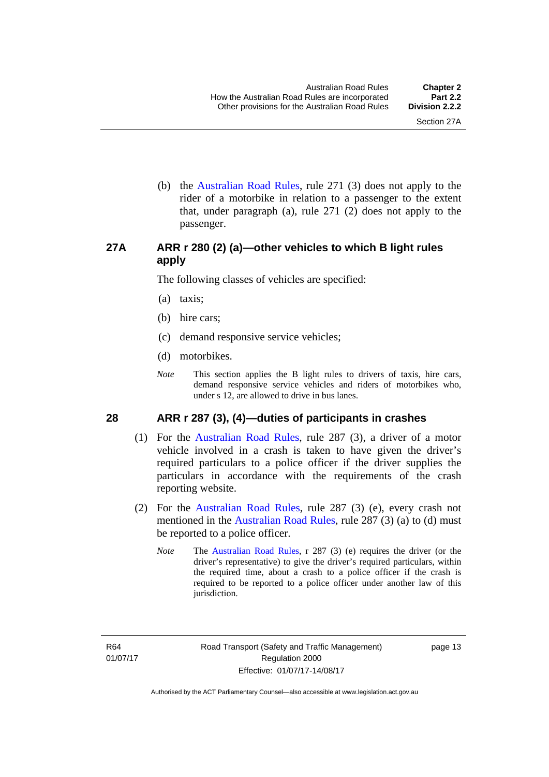(b) the [Australian Road Rules](http://www.legislation.act.gov.au//ni/db_37271/default.asp), rule 271 (3) does not apply to the rider of a motorbike in relation to a passenger to the extent that, under paragraph (a), rule 271 (2) does not apply to the passenger.

#### <span id="page-29-0"></span>**27A ARR r 280 (2) (a)—other vehicles to which B light rules apply**

The following classes of vehicles are specified:

- (a) taxis;
- (b) hire cars;
- (c) demand responsive service vehicles;
- (d) motorbikes.
- *Note* This section applies the B light rules to drivers of taxis, hire cars, demand responsive service vehicles and riders of motorbikes who, under s 12, are allowed to drive in bus lanes.

#### <span id="page-29-1"></span>**28 ARR r 287 (3), (4)—duties of participants in crashes**

- (1) For the [Australian Road Rules,](http://www.legislation.act.gov.au//ni/db_37271/default.asp) rule 287 (3), a driver of a motor vehicle involved in a crash is taken to have given the driver's required particulars to a police officer if the driver supplies the particulars in accordance with the requirements of the crash reporting website.
- (2) For the [Australian Road Rules,](http://www.legislation.act.gov.au//ni/db_37271/default.asp) rule 287 (3) (e), every crash not mentioned in the [Australian Road Rules,](http://www.legislation.act.gov.au//ni/db_37271/default.asp) rule 287 (3) (a) to (d) must be reported to a police officer.
	- *Note* The [Australian Road Rules,](http://www.legislation.act.gov.au//ni/db_37271/default.asp) r 287 (3) (e) requires the driver (or the driver's representative) to give the driver's required particulars, within the required time, about a crash to a police officer if the crash is required to be reported to a police officer under another law of this jurisdiction.

page 13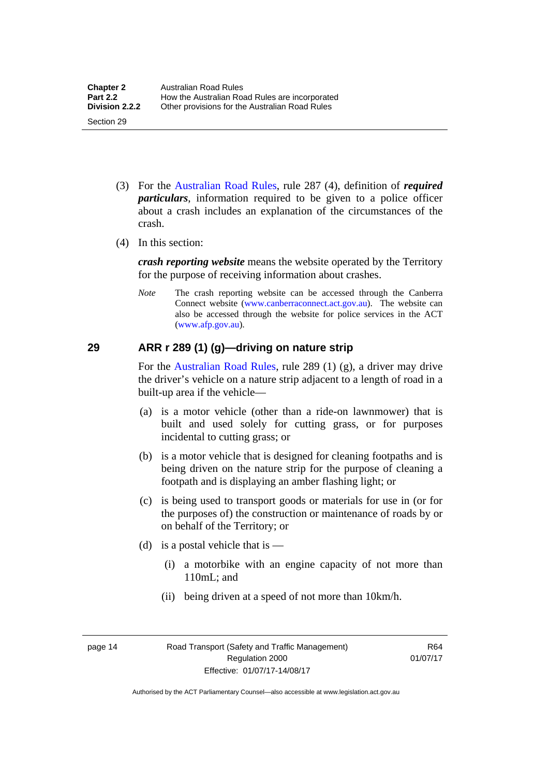- (3) For the [Australian Road Rules](http://www.legislation.act.gov.au//ni/db_37271/default.asp), rule 287 (4), definition of *required particulars*, information required to be given to a police officer about a crash includes an explanation of the circumstances of the crash.
- (4) In this section:

*crash reporting website* means the website operated by the Territory for the purpose of receiving information about crashes.

*Note* The crash reporting website can be accessed through the Canberra Connect website [\(www.canberraconnect.act.gov.au](http://www.canberraconnect.act.gov.au/)). The website can also be accessed through the website for police services in the ACT [\(www.afp.gov.au\)](http://www.afp.gov.au/).

#### <span id="page-30-0"></span>**29 ARR r 289 (1) (g)—driving on nature strip**

For the [Australian Road Rules](http://www.legislation.act.gov.au//ni/db_37271/default.asp), rule 289 (1) (g), a driver may drive the driver's vehicle on a nature strip adjacent to a length of road in a built-up area if the vehicle—

- (a) is a motor vehicle (other than a ride-on lawnmower) that is built and used solely for cutting grass, or for purposes incidental to cutting grass; or
- (b) is a motor vehicle that is designed for cleaning footpaths and is being driven on the nature strip for the purpose of cleaning a footpath and is displaying an amber flashing light; or
- (c) is being used to transport goods or materials for use in (or for the purposes of) the construction or maintenance of roads by or on behalf of the Territory; or
- (d) is a postal vehicle that is  $-$ 
	- (i) a motorbike with an engine capacity of not more than 110mL; and
	- (ii) being driven at a speed of not more than 10km/h.

page 14 Road Transport (Safety and Traffic Management) Regulation 2000 Effective: 01/07/17-14/08/17

R64 01/07/17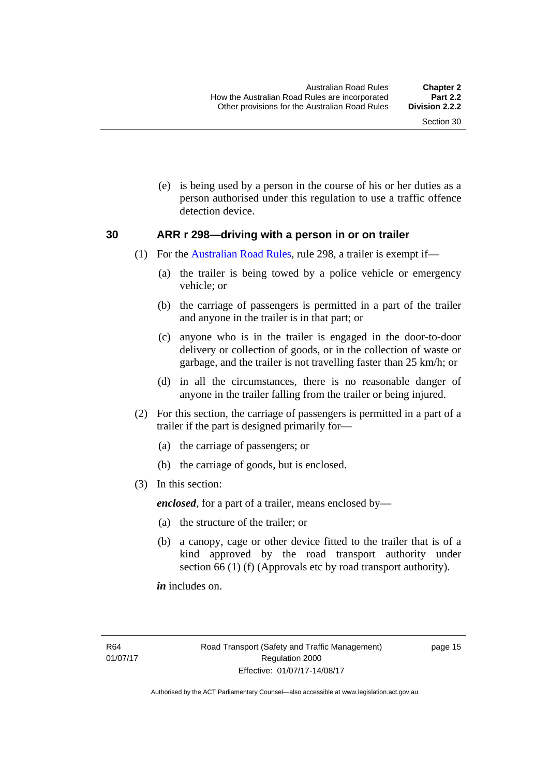(e) is being used by a person in the course of his or her duties as a person authorised under this regulation to use a traffic offence detection device.

#### <span id="page-31-0"></span>**30 ARR r 298—driving with a person in or on trailer**

- (1) For the [Australian Road Rules](http://www.legislation.act.gov.au//ni/db_37271/default.asp), rule 298, a trailer is exempt if—
	- (a) the trailer is being towed by a police vehicle or emergency vehicle; or
	- (b) the carriage of passengers is permitted in a part of the trailer and anyone in the trailer is in that part; or
	- (c) anyone who is in the trailer is engaged in the door-to-door delivery or collection of goods, or in the collection of waste or garbage, and the trailer is not travelling faster than 25 km/h; or
	- (d) in all the circumstances, there is no reasonable danger of anyone in the trailer falling from the trailer or being injured.
- (2) For this section, the carriage of passengers is permitted in a part of a trailer if the part is designed primarily for—
	- (a) the carriage of passengers; or
	- (b) the carriage of goods, but is enclosed.
- (3) In this section:

*enclosed*, for a part of a trailer, means enclosed by—

- (a) the structure of the trailer; or
- (b) a canopy, cage or other device fitted to the trailer that is of a kind approved by the road transport authority under section 66 (1) (f) (Approvals etc by road transport authority).

*in* includes on.

page 15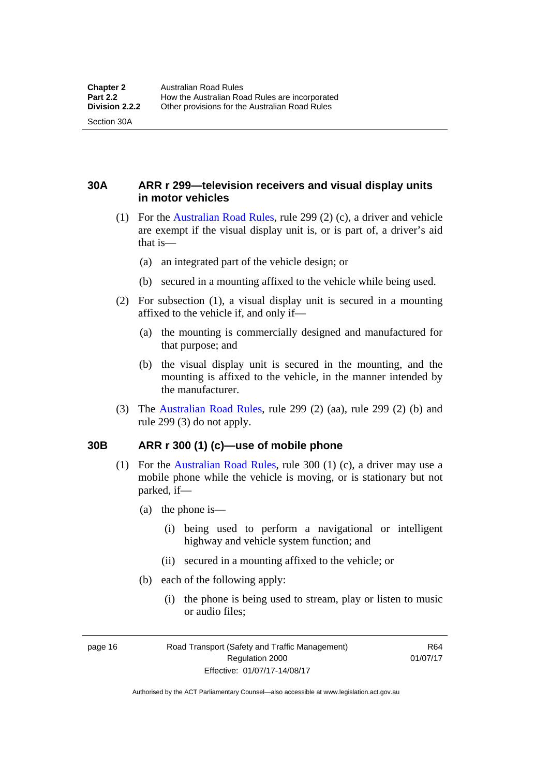Section 30A

<span id="page-32-0"></span>**30A ARR r 299—television receivers and visual display units in motor vehicles** 

- (1) For the [Australian Road Rules](http://www.legislation.act.gov.au//ni/db_37271/default.asp), rule 299 (2) (c), a driver and vehicle are exempt if the visual display unit is, or is part of, a driver's aid that is—
	- (a) an integrated part of the vehicle design; or
	- (b) secured in a mounting affixed to the vehicle while being used.
- (2) For subsection (1), a visual display unit is secured in a mounting affixed to the vehicle if, and only if—
	- (a) the mounting is commercially designed and manufactured for that purpose; and
	- (b) the visual display unit is secured in the mounting, and the mounting is affixed to the vehicle, in the manner intended by the manufacturer.
- (3) The [Australian Road Rules](http://www.legislation.act.gov.au//ni/db_37271/default.asp), rule 299 (2) (aa), rule 299 (2) (b) and rule 299 (3) do not apply.

#### <span id="page-32-1"></span>**30B ARR r 300 (1) (c)—use of mobile phone**

- (1) For the [Australian Road Rules,](http://www.legislation.act.gov.au//ni/db_37271/default.asp) rule 300 (1) (c), a driver may use a mobile phone while the vehicle is moving, or is stationary but not parked, if—
	- (a) the phone is—
		- (i) being used to perform a navigational or intelligent highway and vehicle system function; and
		- (ii) secured in a mounting affixed to the vehicle; or
	- (b) each of the following apply:
		- (i) the phone is being used to stream, play or listen to music or audio files;

page 16 Road Transport (Safety and Traffic Management) Regulation 2000 Effective: 01/07/17-14/08/17

R64 01/07/17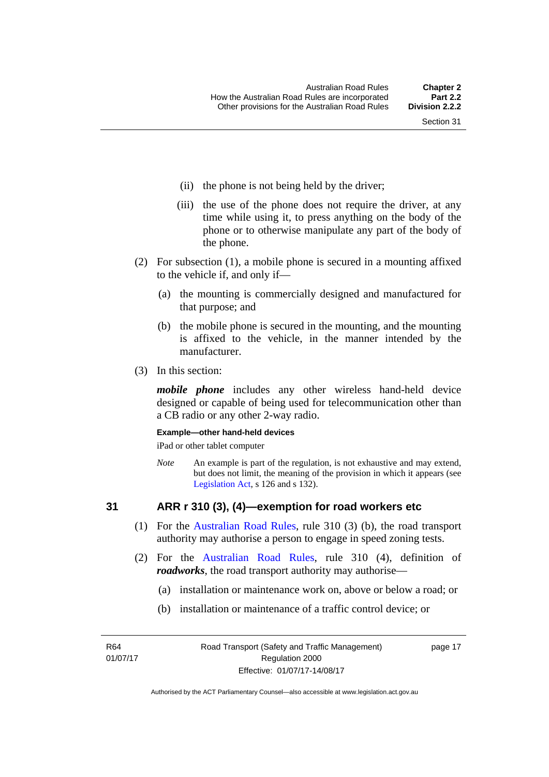- (ii) the phone is not being held by the driver;
- (iii) the use of the phone does not require the driver, at any time while using it, to press anything on the body of the phone or to otherwise manipulate any part of the body of the phone.
- (2) For subsection (1), a mobile phone is secured in a mounting affixed to the vehicle if, and only if—
	- (a) the mounting is commercially designed and manufactured for that purpose; and
	- (b) the mobile phone is secured in the mounting, and the mounting is affixed to the vehicle, in the manner intended by the manufacturer.
- (3) In this section:

*mobile phone* includes any other wireless hand-held device designed or capable of being used for telecommunication other than a CB radio or any other 2-way radio.

#### **Example—other hand-held devices**

iPad or other tablet computer

*Note* An example is part of the regulation, is not exhaustive and may extend, but does not limit, the meaning of the provision in which it appears (see [Legislation Act,](http://www.legislation.act.gov.au/a/2001-14) s 126 and s 132).

#### <span id="page-33-0"></span>**31 ARR r 310 (3), (4)—exemption for road workers etc**

- (1) For the [Australian Road Rules](http://www.legislation.act.gov.au//ni/db_37271/default.asp), rule 310 (3) (b), the road transport authority may authorise a person to engage in speed zoning tests.
- (2) For the [Australian Road Rules](http://www.legislation.act.gov.au//ni/db_37271/default.asp), rule 310 (4), definition of *roadworks*, the road transport authority may authorise—
	- (a) installation or maintenance work on, above or below a road; or
	- (b) installation or maintenance of a traffic control device; or

R64 01/07/17 page 17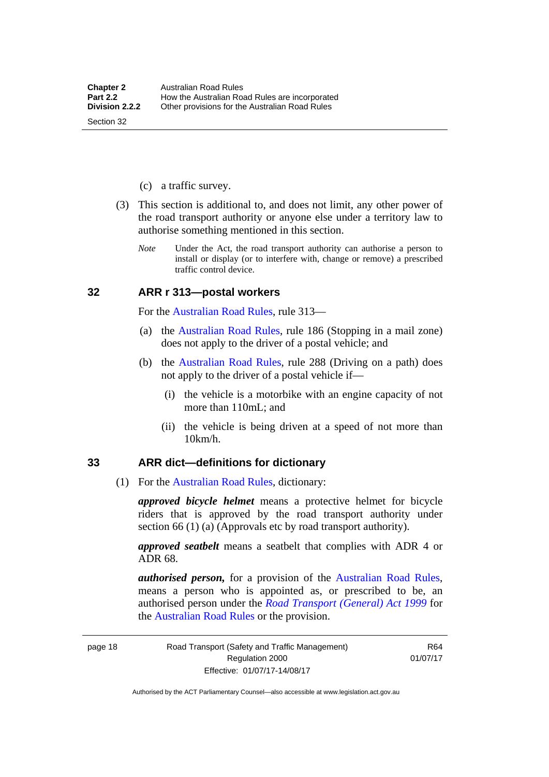(c) a traffic survey.

Section 32

- (3) This section is additional to, and does not limit, any other power of the road transport authority or anyone else under a territory law to authorise something mentioned in this section.
	- *Note* Under the Act, the road transport authority can authorise a person to install or display (or to interfere with, change or remove) a prescribed traffic control device.

#### <span id="page-34-0"></span>**32 ARR r 313—postal workers**

For the [Australian Road Rules,](http://www.legislation.act.gov.au//ni/db_37271/default.asp) rule 313—

- (a) the [Australian Road Rules,](http://www.legislation.act.gov.au//ni/db_37271/default.asp) rule 186 (Stopping in a mail zone) does not apply to the driver of a postal vehicle; and
- (b) the [Australian Road Rules](http://www.legislation.act.gov.au//ni/db_37271/default.asp), rule 288 (Driving on a path) does not apply to the driver of a postal vehicle if—
	- (i) the vehicle is a motorbike with an engine capacity of not more than 110mL; and
	- (ii) the vehicle is being driven at a speed of not more than 10km/h.

#### <span id="page-34-1"></span>**33 ARR dict—definitions for dictionary**

(1) For the [Australian Road Rules,](http://www.legislation.act.gov.au//ni/db_37271/default.asp) dictionary:

*approved bicycle helmet* means a protective helmet for bicycle riders that is approved by the road transport authority under section 66 (1) (a) (Approvals etc by road transport authority).

*approved seatbelt* means a seatbelt that complies with ADR 4 or ADR 68.

*authorised person,* for a provision of the [Australian Road Rules](http://www.legislation.act.gov.au//ni/db_37271/default.asp), means a person who is appointed as, or prescribed to be, an authorised person under the *[Road Transport \(General\) Act 1999](http://www.legislation.act.gov.au/a/1999-77)* for the [Australian Road Rules](http://www.legislation.act.gov.au//ni/db_37271/default.asp) or the provision.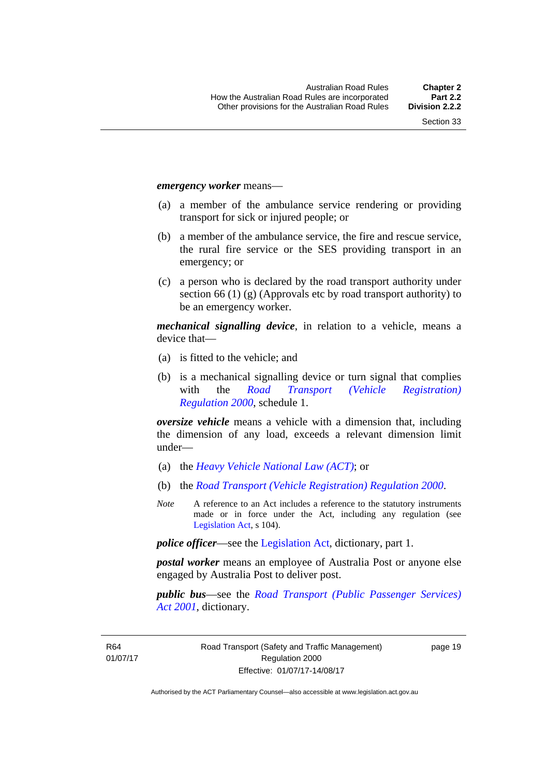#### *emergency worker* means—

- (a) a member of the ambulance service rendering or providing transport for sick or injured people; or
- (b) a member of the ambulance service, the fire and rescue service, the rural fire service or the SES providing transport in an emergency; or
- (c) a person who is declared by the road transport authority under section 66 (1) (g) (Approvals etc by road transport authority) to be an emergency worker.

*mechanical signalling device*, in relation to a vehicle, means a device that—

- (a) is fitted to the vehicle; and
- (b) is a mechanical signalling device or turn signal that complies with the *[Road Transport \(Vehicle Registration\)](http://www.legislation.act.gov.au/sl/2000-12)  [Regulation 2000](http://www.legislation.act.gov.au/sl/2000-12)*, schedule 1.

*oversize vehicle* means a vehicle with a dimension that, including the dimension of any load, exceeds a relevant dimension limit under—

- (a) the *[Heavy Vehicle National Law \(ACT\)](http://www.legislation.act.gov.au/a/db_49155/default.asp)*; or
- (b) the *[Road Transport \(Vehicle Registration\) Regulation 2000](http://www.legislation.act.gov.au/sl/2000-12)*.
- *Note* A reference to an Act includes a reference to the statutory instruments made or in force under the Act, including any regulation (see [Legislation Act,](http://www.legislation.act.gov.au/a/2001-14) s 104).

*police officer*—see the [Legislation Act](http://www.legislation.act.gov.au/a/2001-14), dictionary, part 1.

*postal worker* means an employee of Australia Post or anyone else engaged by Australia Post to deliver post.

*public bus*—see the *[Road Transport \(Public Passenger Services\)](http://www.legislation.act.gov.au/a/2001-62)  [Act 2001](http://www.legislation.act.gov.au/a/2001-62)*, dictionary.

R64 01/07/17 page 19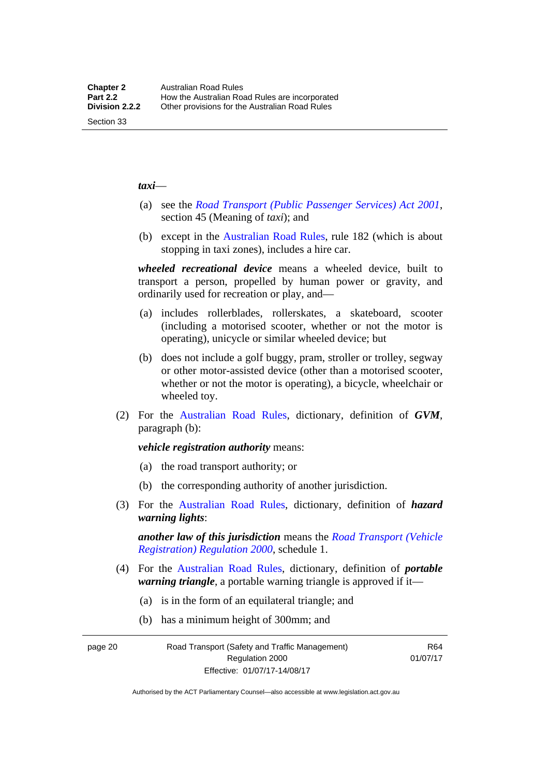#### *taxi*—

- (a) see the *[Road Transport \(Public Passenger Services\) Act 2001](http://www.legislation.act.gov.au/a/2001-62)*, section 45 (Meaning of *taxi*); and
- (b) except in the [Australian Road Rules,](http://www.legislation.act.gov.au//ni/db_37271/default.asp) rule 182 (which is about stopping in taxi zones), includes a hire car.

*wheeled recreational device* means a wheeled device, built to transport a person, propelled by human power or gravity, and ordinarily used for recreation or play, and—

- (a) includes rollerblades, rollerskates, a skateboard, scooter (including a motorised scooter, whether or not the motor is operating), unicycle or similar wheeled device; but
- (b) does not include a golf buggy, pram, stroller or trolley, segway or other motor-assisted device (other than a motorised scooter, whether or not the motor is operating), a bicycle, wheelchair or wheeled toy.
- (2) For the [Australian Road Rules](http://www.legislation.act.gov.au//ni/db_37271/default.asp), dictionary, definition of *GVM*, paragraph (b):

#### *vehicle registration authority* means:

- (a) the road transport authority; or
- (b) the corresponding authority of another jurisdiction.
- (3) For the [Australian Road Rules](http://www.legislation.act.gov.au//ni/db_37271/default.asp), dictionary, definition of *hazard warning lights*:

*another law of this jurisdiction* means the *[Road Transport \(Vehicle](http://www.legislation.act.gov.au/sl/2000-12)  [Registration\) Regulation 2000](http://www.legislation.act.gov.au/sl/2000-12)*, schedule 1.

- (4) For the [Australian Road Rules](http://www.legislation.act.gov.au//ni/db_37271/default.asp), dictionary, definition of *portable warning triangle*, a portable warning triangle is approved if it—
	- (a) is in the form of an equilateral triangle; and
	- (b) has a minimum height of 300mm; and

page 20 Road Transport (Safety and Traffic Management) Regulation 2000 Effective: 01/07/17-14/08/17

R64 01/07/17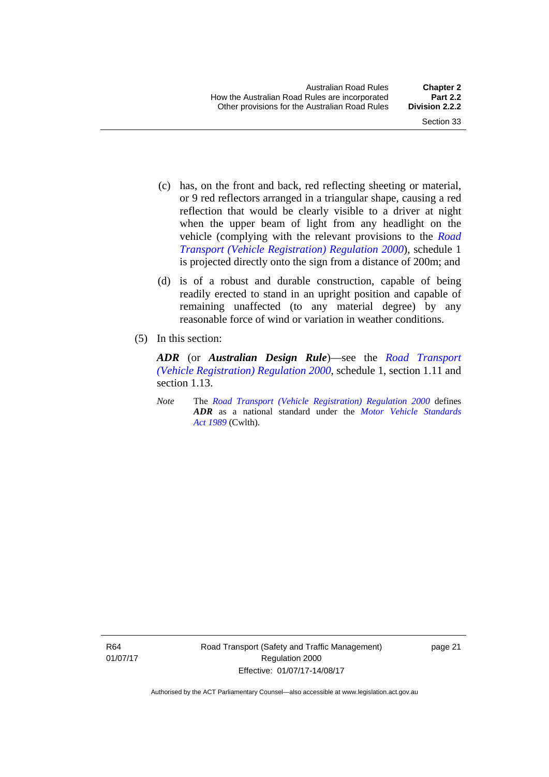- (c) has, on the front and back, red reflecting sheeting or material, or 9 red reflectors arranged in a triangular shape, causing a red reflection that would be clearly visible to a driver at night when the upper beam of light from any headlight on the vehicle (complying with the relevant provisions to the *[Road](http://www.legislation.act.gov.au/sl/2000-12)  [Transport \(Vehicle Registration\) Regulation 2000](http://www.legislation.act.gov.au/sl/2000-12)*), schedule 1 is projected directly onto the sign from a distance of 200m; and
- (d) is of a robust and durable construction, capable of being readily erected to stand in an upright position and capable of remaining unaffected (to any material degree) by any reasonable force of wind or variation in weather conditions.
- (5) In this section:

*ADR* (or *Australian Design Rule*)—see the *[Road Transport](http://www.legislation.act.gov.au/sl/2000-12)  [\(Vehicle Registration\) Regulation 2000](http://www.legislation.act.gov.au/sl/2000-12)*, schedule 1, section 1.11 and section 1.13.

*Note* The *[Road Transport \(Vehicle Registration\) Regulation 2000](http://www.legislation.act.gov.au/sl/2000-12)* defines *ADR* as a national standard under the *[Motor Vehicle Standards](http://www.comlaw.gov.au/Series/C2004A03813)  [Act 1989](http://www.comlaw.gov.au/Series/C2004A03813)* (Cwlth).

R64 01/07/17 page 21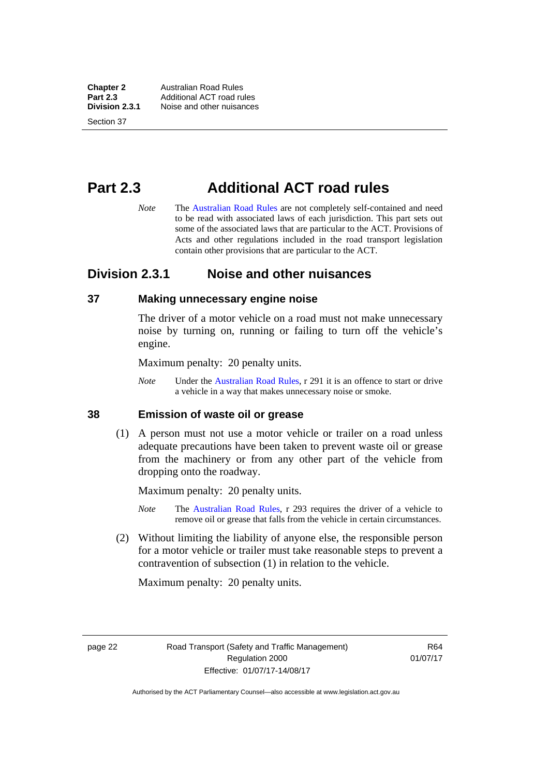**Chapter 2 Australian Road Rules**<br>**Part 2.3 Additional ACT road rules Part 2.3** Additional ACT road rules<br>**Division 2.3.1** Noise and other nuisances **Division 2.3.1** Noise and other nuisances

Section 37

# **Part 2.3 Additional ACT road rules**

*Note* The [Australian Road Rules](http://www.legislation.act.gov.au//ni/db_37271/default.asp) are not completely self-contained and need to be read with associated laws of each jurisdiction. This part sets out some of the associated laws that are particular to the ACT. Provisions of Acts and other regulations included in the road transport legislation contain other provisions that are particular to the ACT.

## **Division 2.3.1 Noise and other nuisances**

#### **37 Making unnecessary engine noise**

The driver of a motor vehicle on a road must not make unnecessary noise by turning on, running or failing to turn off the vehicle's engine.

Maximum penalty: 20 penalty units.

*Note* Under the [Australian Road Rules,](http://www.legislation.act.gov.au//ni/db_37271/default.asp) r 291 it is an offence to start or drive a vehicle in a way that makes unnecessary noise or smoke.

#### **38 Emission of waste oil or grease**

 (1) A person must not use a motor vehicle or trailer on a road unless adequate precautions have been taken to prevent waste oil or grease from the machinery or from any other part of the vehicle from dropping onto the roadway.

Maximum penalty: 20 penalty units.

- *Note* The [Australian Road Rules,](http://www.legislation.act.gov.au//ni/db_37271/default.asp) r 293 requires the driver of a vehicle to remove oil or grease that falls from the vehicle in certain circumstances.
- (2) Without limiting the liability of anyone else, the responsible person for a motor vehicle or trailer must take reasonable steps to prevent a contravention of subsection (1) in relation to the vehicle.

Maximum penalty: 20 penalty units.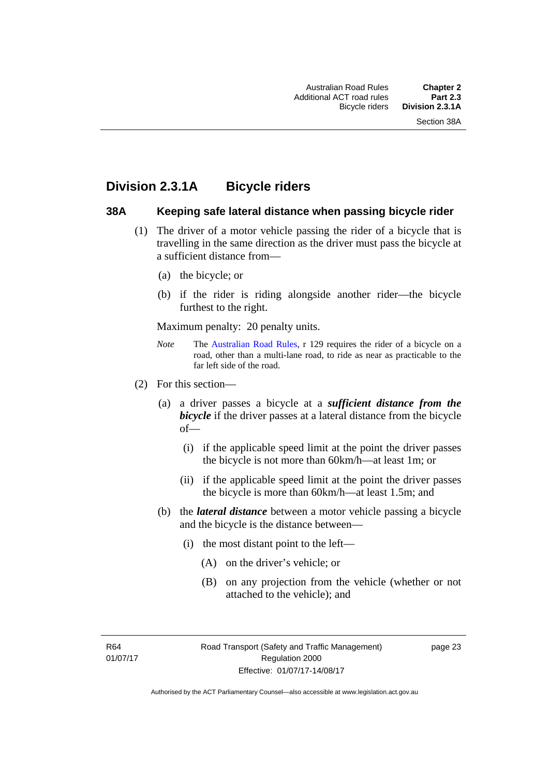# **Division 2.3.1A Bicycle riders**

#### **38A Keeping safe lateral distance when passing bicycle rider**

- (1) The driver of a motor vehicle passing the rider of a bicycle that is travelling in the same direction as the driver must pass the bicycle at a sufficient distance from—
	- (a) the bicycle; or
	- (b) if the rider is riding alongside another rider—the bicycle furthest to the right.

Maximum penalty: 20 penalty units.

- *Note* **The [Australian Road Rules](http://www.legislation.act.gov.au//ni/db_37271/default.asp), r 129 requires the rider of a bicycle on a** road, other than a multi-lane road, to ride as near as practicable to the far left side of the road.
- (2) For this section—
	- (a) a driver passes a bicycle at a *sufficient distance from the bicycle* if the driver passes at a lateral distance from the bicycle of—
		- (i) if the applicable speed limit at the point the driver passes the bicycle is not more than 60km/h—at least 1m; or
		- (ii) if the applicable speed limit at the point the driver passes the bicycle is more than 60km/h—at least 1.5m; and
	- (b) the *lateral distance* between a motor vehicle passing a bicycle and the bicycle is the distance between—
		- (i) the most distant point to the left—
			- (A) on the driver's vehicle; or
			- (B) on any projection from the vehicle (whether or not attached to the vehicle); and

R64 01/07/17 page 23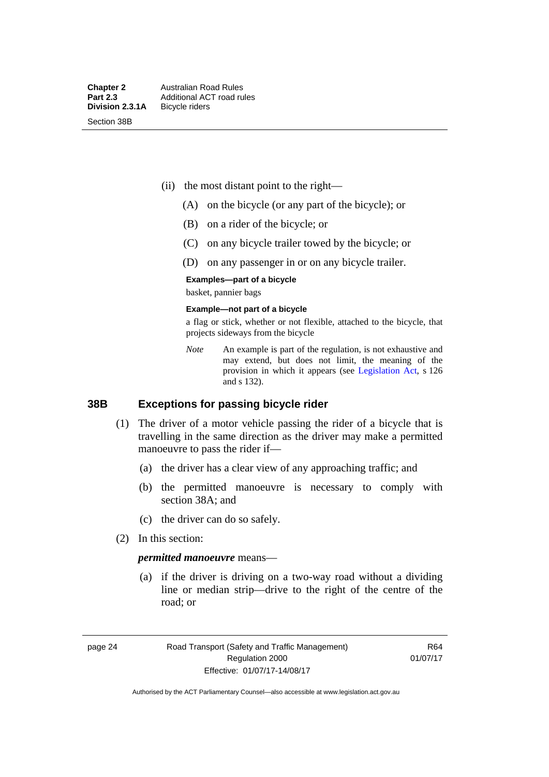Section 38B

- (ii) the most distant point to the right—
	- (A) on the bicycle (or any part of the bicycle); or
	- (B) on a rider of the bicycle; or
	- (C) on any bicycle trailer towed by the bicycle; or
	- (D) on any passenger in or on any bicycle trailer.

#### **Examples—part of a bicycle**

basket, pannier bags

#### **Example—not part of a bicycle**

a flag or stick, whether or not flexible, attached to the bicycle, that projects sideways from the bicycle

*Note* An example is part of the regulation, is not exhaustive and may extend, but does not limit, the meaning of the provision in which it appears (see [Legislation Act](http://www.legislation.act.gov.au/a/2001-14), s 126 and s 132).

#### **38B Exceptions for passing bicycle rider**

- (1) The driver of a motor vehicle passing the rider of a bicycle that is travelling in the same direction as the driver may make a permitted manoeuvre to pass the rider if—
	- (a) the driver has a clear view of any approaching traffic; and
	- (b) the permitted manoeuvre is necessary to comply with section 38A; and
	- (c) the driver can do so safely.
- (2) In this section:

#### *permitted manoeuvre* means—

 (a) if the driver is driving on a two-way road without a dividing line or median strip—drive to the right of the centre of the road; or

page 24 Road Transport (Safety and Traffic Management) Regulation 2000 Effective: 01/07/17-14/08/17

R64 01/07/17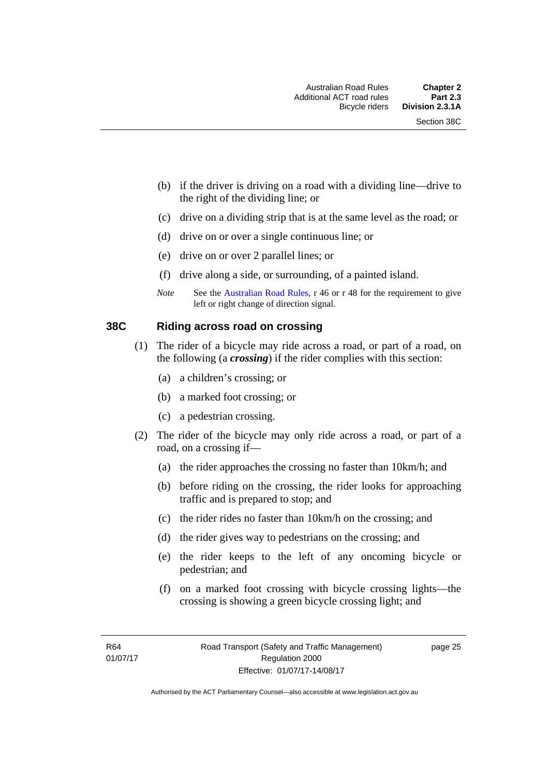- (b) if the driver is driving on a road with a dividing line—drive to the right of the dividing line; or
- (c) drive on a dividing strip that is at the same level as the road; or
- (d) drive on or over a single continuous line; or
- (e) drive on or over 2 parallel lines; or
- (f) drive along a side, or surrounding, of a painted island.
- *Note* See the [Australian Road Rules,](http://www.legislation.act.gov.au//ni/db_37271/default.asp) r 46 or r 48 for the requirement to give left or right change of direction signal.

#### **38C Riding across road on crossing**

- (1) The rider of a bicycle may ride across a road, or part of a road, on the following (a *crossing*) if the rider complies with this section:
	- (a) a children's crossing; or
	- (b) a marked foot crossing; or
	- (c) a pedestrian crossing.
- (2) The rider of the bicycle may only ride across a road, or part of a road, on a crossing if—
	- (a) the rider approaches the crossing no faster than 10km/h; and
	- (b) before riding on the crossing, the rider looks for approaching traffic and is prepared to stop; and
	- (c) the rider rides no faster than 10km/h on the crossing; and
	- (d) the rider gives way to pedestrians on the crossing; and
	- (e) the rider keeps to the left of any oncoming bicycle or pedestrian; and
	- (f) on a marked foot crossing with bicycle crossing lights—the crossing is showing a green bicycle crossing light; and

page 25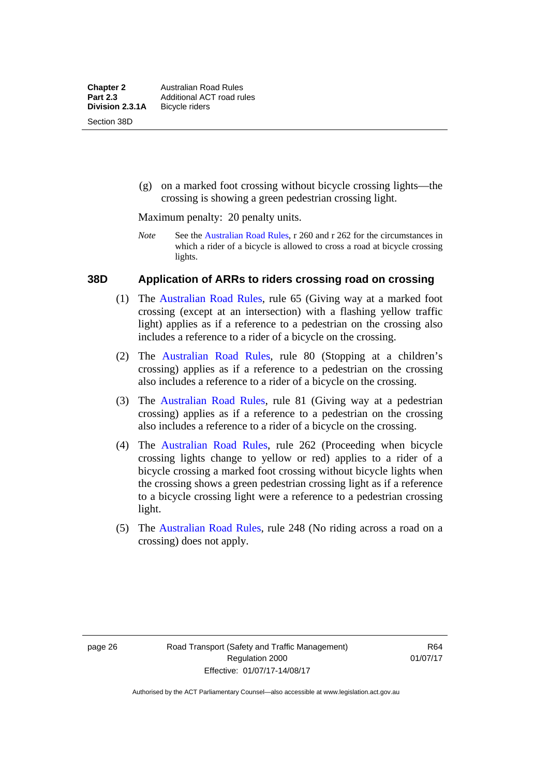(g) on a marked foot crossing without bicycle crossing lights—the crossing is showing a green pedestrian crossing light.

Maximum penalty: 20 penalty units.

*Note* See the [Australian Road Rules](http://www.legislation.act.gov.au//ni/db_37271/default.asp), r 260 and r 262 for the circumstances in which a rider of a bicycle is allowed to cross a road at bicycle crossing lights.

#### **38D Application of ARRs to riders crossing road on crossing**

- (1) The [Australian Road Rules,](http://www.legislation.act.gov.au//ni/db_37271/default.asp) rule 65 (Giving way at a marked foot crossing (except at an intersection) with a flashing yellow traffic light) applies as if a reference to a pedestrian on the crossing also includes a reference to a rider of a bicycle on the crossing.
- (2) The [Australian Road Rules](http://www.legislation.act.gov.au//ni/db_37271/default.asp), rule 80 (Stopping at a children's crossing) applies as if a reference to a pedestrian on the crossing also includes a reference to a rider of a bicycle on the crossing.
- (3) The [Australian Road Rules,](http://www.legislation.act.gov.au//ni/db_37271/default.asp) rule 81 (Giving way at a pedestrian crossing) applies as if a reference to a pedestrian on the crossing also includes a reference to a rider of a bicycle on the crossing.
- (4) The [Australian Road Rules](http://www.legislation.act.gov.au//ni/db_37271/default.asp), rule 262 (Proceeding when bicycle crossing lights change to yellow or red) applies to a rider of a bicycle crossing a marked foot crossing without bicycle lights when the crossing shows a green pedestrian crossing light as if a reference to a bicycle crossing light were a reference to a pedestrian crossing light.
- (5) The [Australian Road Rules](http://www.legislation.act.gov.au//ni/db_37271/default.asp), rule 248 (No riding across a road on a crossing) does not apply.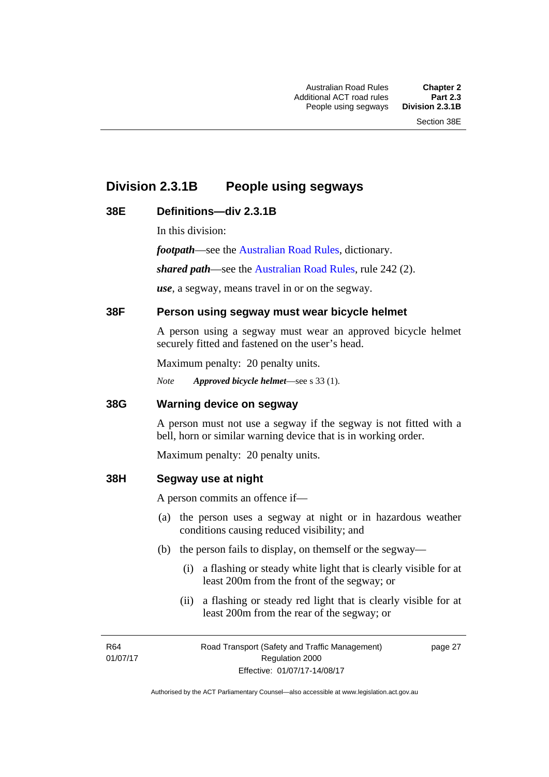# **Division 2.3.1B People using segways**

## **38E Definitions—div 2.3.1B**

In this division:

*footpath*—see the [Australian Road Rules](http://www.legislation.act.gov.au//ni/db_37271/default.asp), dictionary.

*shared path*—see the [Australian Road Rules](http://www.legislation.act.gov.au//ni/db_37271/default.asp), rule 242 (2).

*use*, a segway, means travel in or on the segway.

### **38F Person using segway must wear bicycle helmet**

A person using a segway must wear an approved bicycle helmet securely fitted and fastened on the user's head.

Maximum penalty: 20 penalty units.

*Note Approved bicycle helmet*—see s 33 (1).

#### **38G Warning device on segway**

A person must not use a segway if the segway is not fitted with a bell, horn or similar warning device that is in working order.

Maximum penalty: 20 penalty units.

#### **38H Segway use at night**

A person commits an offence if—

- (a) the person uses a segway at night or in hazardous weather conditions causing reduced visibility; and
- (b) the person fails to display, on themself or the segway—
	- (i) a flashing or steady white light that is clearly visible for at least 200m from the front of the segway; or
	- (ii) a flashing or steady red light that is clearly visible for at least 200m from the rear of the segway; or

R64 01/07/17 page 27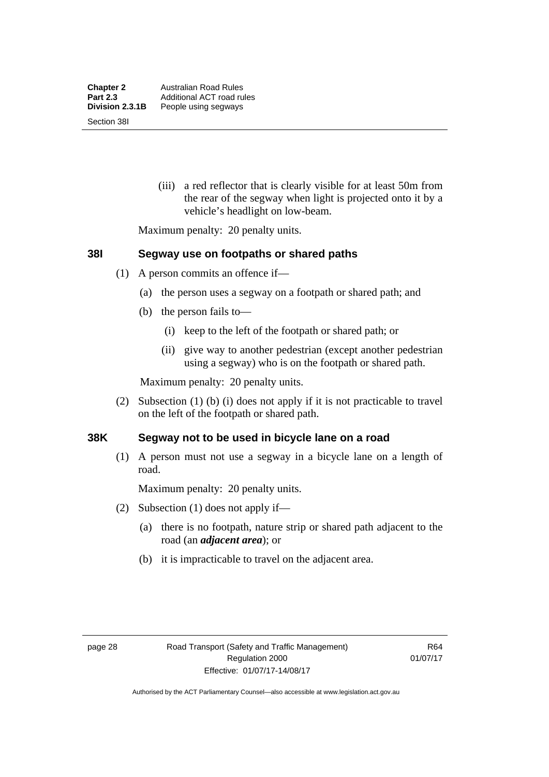(iii) a red reflector that is clearly visible for at least 50m from the rear of the segway when light is projected onto it by a vehicle's headlight on low-beam.

Maximum penalty: 20 penalty units.

#### **38I Segway use on footpaths or shared paths**

- (1) A person commits an offence if—
	- (a) the person uses a segway on a footpath or shared path; and
	- (b) the person fails to—
		- (i) keep to the left of the footpath or shared path; or
		- (ii) give way to another pedestrian (except another pedestrian using a segway) who is on the footpath or shared path.

Maximum penalty: 20 penalty units.

 (2) Subsection (1) (b) (i) does not apply if it is not practicable to travel on the left of the footpath or shared path.

#### **38K Segway not to be used in bicycle lane on a road**

(1) A person must not use a segway in a bicycle lane on a length of road.

Maximum penalty: 20 penalty units.

- (2) Subsection (1) does not apply if—
	- (a) there is no footpath, nature strip or shared path adjacent to the road (an *adjacent area*); or
	- (b) it is impracticable to travel on the adjacent area.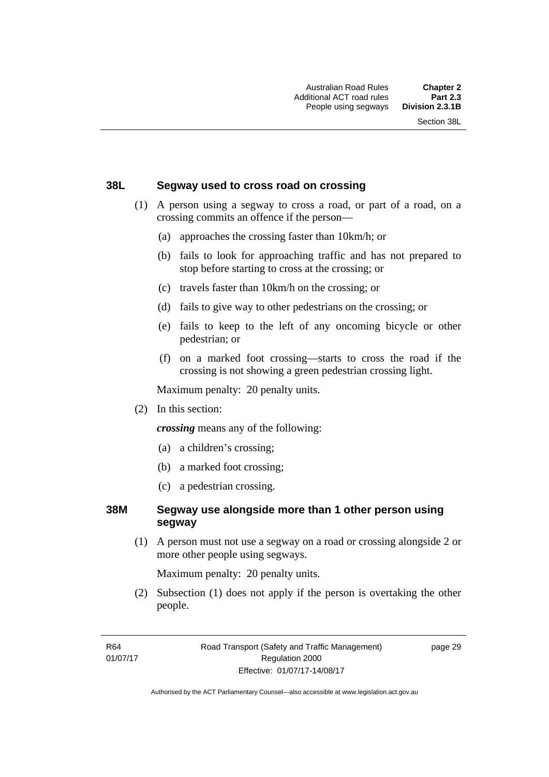#### **38L Segway used to cross road on crossing**

- (1) A person using a segway to cross a road, or part of a road, on a crossing commits an offence if the person—
	- (a) approaches the crossing faster than 10km/h; or
	- (b) fails to look for approaching traffic and has not prepared to stop before starting to cross at the crossing; or
	- (c) travels faster than 10km/h on the crossing; or
	- (d) fails to give way to other pedestrians on the crossing; or
	- (e) fails to keep to the left of any oncoming bicycle or other pedestrian; or
	- (f) on a marked foot crossing—starts to cross the road if the crossing is not showing a green pedestrian crossing light.

Maximum penalty: 20 penalty units.

(2) In this section:

*crossing* means any of the following:

- (a) a children's crossing;
- (b) a marked foot crossing;
- (c) a pedestrian crossing.

### **38M Segway use alongside more than 1 other person using segway**

 (1) A person must not use a segway on a road or crossing alongside 2 or more other people using segways.

Maximum penalty: 20 penalty units.

 (2) Subsection (1) does not apply if the person is overtaking the other people.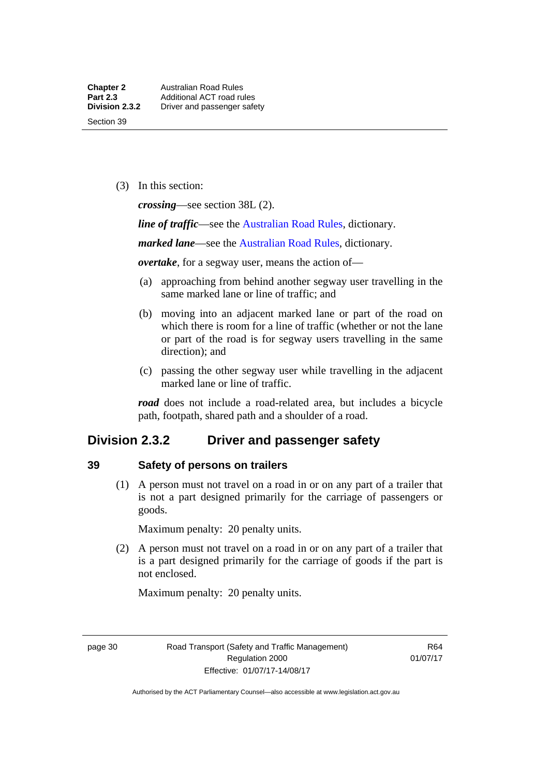(3) In this section:

*crossing*—see section 38L (2).

*line of traffic*—see the [Australian Road Rules,](http://www.legislation.act.gov.au//ni/db_37271/default.asp) dictionary.

*marked lane*—see the [Australian Road Rules](http://www.legislation.act.gov.au//ni/db_37271/default.asp), dictionary.

*overtake*, for a segway user, means the action of—

- (a) approaching from behind another segway user travelling in the same marked lane or line of traffic; and
- (b) moving into an adjacent marked lane or part of the road on which there is room for a line of traffic (whether or not the lane or part of the road is for segway users travelling in the same direction); and
- (c) passing the other segway user while travelling in the adjacent marked lane or line of traffic.

*road* does not include a road-related area, but includes a bicycle path, footpath, shared path and a shoulder of a road.

## **Division 2.3.2 Driver and passenger safety**

#### **39 Safety of persons on trailers**

 (1) A person must not travel on a road in or on any part of a trailer that is not a part designed primarily for the carriage of passengers or goods.

Maximum penalty: 20 penalty units.

 (2) A person must not travel on a road in or on any part of a trailer that is a part designed primarily for the carriage of goods if the part is not enclosed.

Maximum penalty: 20 penalty units.

page 30 Road Transport (Safety and Traffic Management) Regulation 2000 Effective: 01/07/17-14/08/17

R64 01/07/17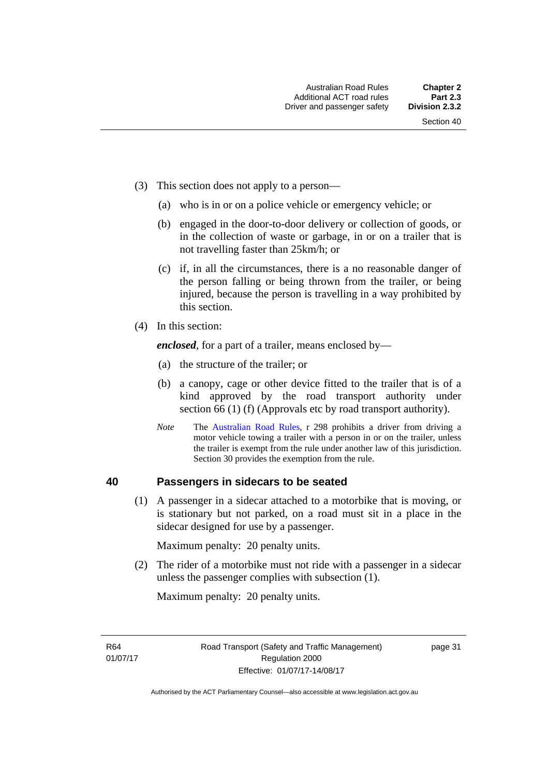- (3) This section does not apply to a person—
	- (a) who is in or on a police vehicle or emergency vehicle; or
	- (b) engaged in the door-to-door delivery or collection of goods, or in the collection of waste or garbage, in or on a trailer that is not travelling faster than 25km/h; or
	- (c) if, in all the circumstances, there is a no reasonable danger of the person falling or being thrown from the trailer, or being injured, because the person is travelling in a way prohibited by this section.
- (4) In this section:

*enclosed*, for a part of a trailer, means enclosed by—

- (a) the structure of the trailer; or
- (b) a canopy, cage or other device fitted to the trailer that is of a kind approved by the road transport authority under section 66 (1) (f) (Approvals etc by road transport authority).
- *Note* The [Australian Road Rules](http://www.legislation.act.gov.au//ni/db_37271/default.asp), r 298 prohibits a driver from driving a motor vehicle towing a trailer with a person in or on the trailer, unless the trailer is exempt from the rule under another law of this jurisdiction. Section 30 provides the exemption from the rule.

## **40 Passengers in sidecars to be seated**

 (1) A passenger in a sidecar attached to a motorbike that is moving, or is stationary but not parked, on a road must sit in a place in the sidecar designed for use by a passenger.

Maximum penalty: 20 penalty units.

 (2) The rider of a motorbike must not ride with a passenger in a sidecar unless the passenger complies with subsection (1).

Maximum penalty: 20 penalty units.

R64 01/07/17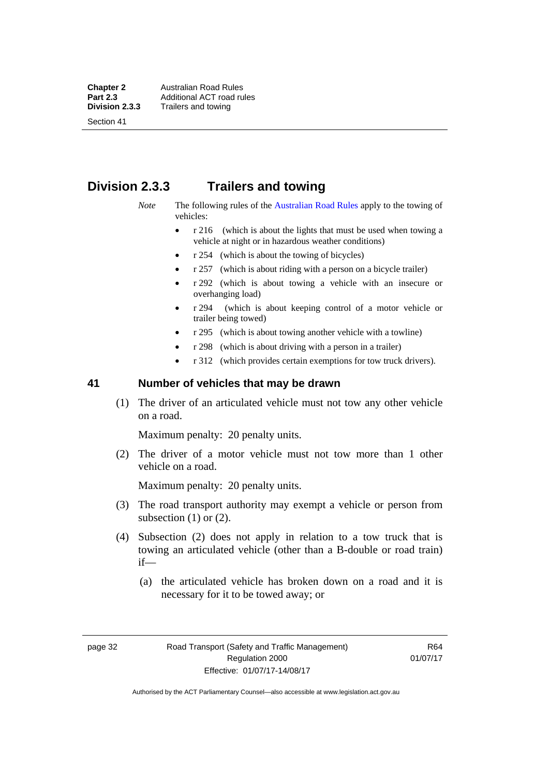Section 41

# **Division 2.3.3 Trailers and towing**

- *Note* The following rules of the [Australian Road Rules](http://www.legislation.act.gov.au//ni/db_37271/default.asp) apply to the towing of vehicles:
	- r 216 (which is about the lights that must be used when towing a vehicle at night or in hazardous weather conditions)
	- r 254 (which is about the towing of bicycles)
	- r 257 (which is about riding with a person on a bicycle trailer)
	- r 292 (which is about towing a vehicle with an insecure or overhanging load)
	- r 294 (which is about keeping control of a motor vehicle or trailer being towed)
	- r 295 (which is about towing another vehicle with a towline)
	- r 298 (which is about driving with a person in a trailer)
	- r 312 (which provides certain exemptions for tow truck drivers).

#### **41 Number of vehicles that may be drawn**

 (1) The driver of an articulated vehicle must not tow any other vehicle on a road.

Maximum penalty: 20 penalty units.

 (2) The driver of a motor vehicle must not tow more than 1 other vehicle on a road.

Maximum penalty: 20 penalty units.

- (3) The road transport authority may exempt a vehicle or person from subsection  $(1)$  or  $(2)$ .
- (4) Subsection (2) does not apply in relation to a tow truck that is towing an articulated vehicle (other than a B-double or road train) if—
	- (a) the articulated vehicle has broken down on a road and it is necessary for it to be towed away; or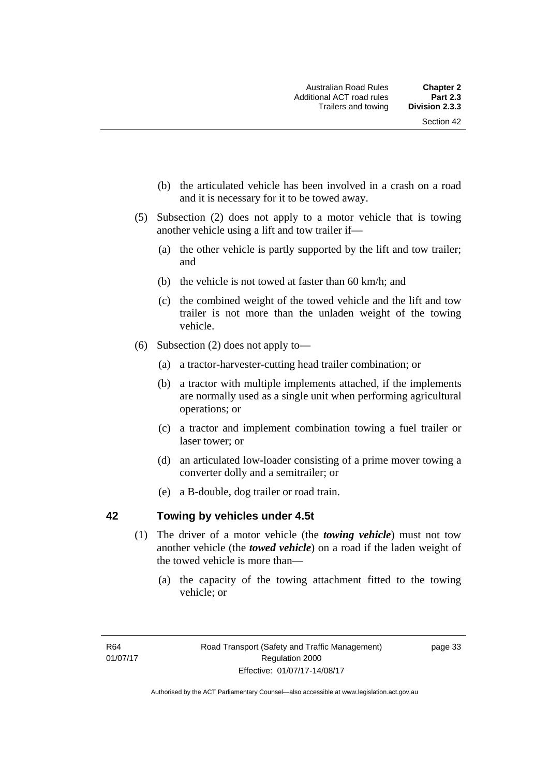- (b) the articulated vehicle has been involved in a crash on a road and it is necessary for it to be towed away.
- (5) Subsection (2) does not apply to a motor vehicle that is towing another vehicle using a lift and tow trailer if—
	- (a) the other vehicle is partly supported by the lift and tow trailer; and
	- (b) the vehicle is not towed at faster than 60 km/h; and
	- (c) the combined weight of the towed vehicle and the lift and tow trailer is not more than the unladen weight of the towing vehicle.
- (6) Subsection (2) does not apply to—
	- (a) a tractor-harvester-cutting head trailer combination; or
	- (b) a tractor with multiple implements attached, if the implements are normally used as a single unit when performing agricultural operations; or
	- (c) a tractor and implement combination towing a fuel trailer or laser tower; or
	- (d) an articulated low-loader consisting of a prime mover towing a converter dolly and a semitrailer; or
	- (e) a B-double, dog trailer or road train.

## **42 Towing by vehicles under 4.5t**

- (1) The driver of a motor vehicle (the *towing vehicle*) must not tow another vehicle (the *towed vehicle*) on a road if the laden weight of the towed vehicle is more than—
	- (a) the capacity of the towing attachment fitted to the towing vehicle; or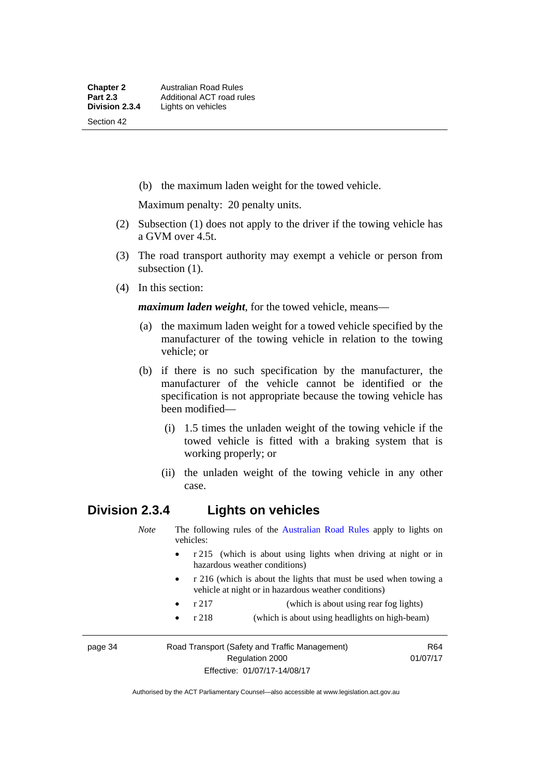(b) the maximum laden weight for the towed vehicle.

Maximum penalty: 20 penalty units.

- (2) Subsection (1) does not apply to the driver if the towing vehicle has a GVM over 4.5t.
- (3) The road transport authority may exempt a vehicle or person from subsection  $(1)$ .
- (4) In this section:

*maximum laden weight*, for the towed vehicle, means—

- (a) the maximum laden weight for a towed vehicle specified by the manufacturer of the towing vehicle in relation to the towing vehicle; or
- (b) if there is no such specification by the manufacturer, the manufacturer of the vehicle cannot be identified or the specification is not appropriate because the towing vehicle has been modified—
	- (i) 1.5 times the unladen weight of the towing vehicle if the towed vehicle is fitted with a braking system that is working properly; or
	- (ii) the unladen weight of the towing vehicle in any other case.

## **Division 2.3.4 Lights on vehicles**

*Note* The following rules of the [Australian Road Rules](http://www.legislation.act.gov.au//ni/db_37271/default.asp) apply to lights on vehicles:

- r 215 (which is about using lights when driving at night or in hazardous weather conditions)
- r 216 (which is about the lights that must be used when towing a vehicle at night or in hazardous weather conditions)
- r 217 (which is about using rear fog lights)
- r 218 (which is about using headlights on high-beam)

page 34 Road Transport (Safety and Traffic Management) Regulation 2000

R64 01/07/17

Authorised by the ACT Parliamentary Counsel—also accessible at www.legislation.act.gov.au

Effective: 01/07/17-14/08/17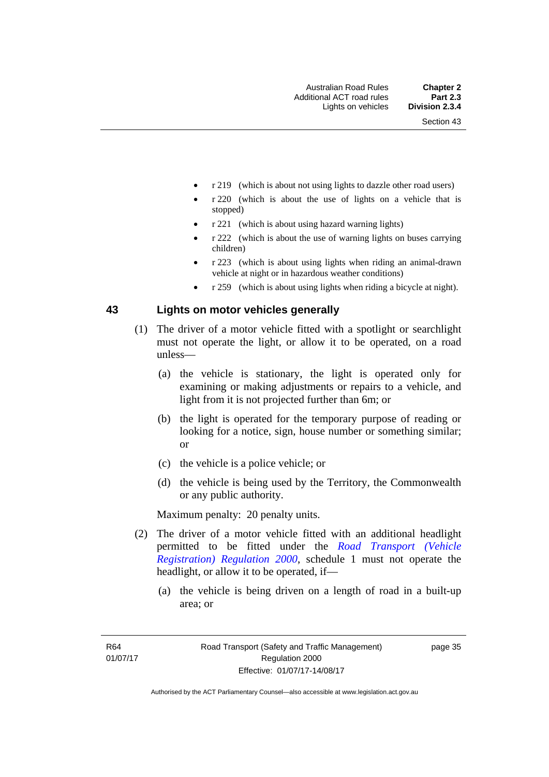- r 219 (which is about not using lights to dazzle other road users)
- r 220 (which is about the use of lights on a vehicle that is stopped)
- r 221 (which is about using hazard warning lights)
- r 222 (which is about the use of warning lights on buses carrying children)
- r 223 (which is about using lights when riding an animal-drawn vehicle at night or in hazardous weather conditions)
- r 259 (which is about using lights when riding a bicycle at night).

#### **43 Lights on motor vehicles generally**

- (1) The driver of a motor vehicle fitted with a spotlight or searchlight must not operate the light, or allow it to be operated, on a road unless—
	- (a) the vehicle is stationary, the light is operated only for examining or making adjustments or repairs to a vehicle, and light from it is not projected further than 6m; or
	- (b) the light is operated for the temporary purpose of reading or looking for a notice, sign, house number or something similar; or
	- (c) the vehicle is a police vehicle; or
	- (d) the vehicle is being used by the Territory, the Commonwealth or any public authority.

Maximum penalty: 20 penalty units.

- (2) The driver of a motor vehicle fitted with an additional headlight permitted to be fitted under the *[Road Transport \(Vehicle](http://www.legislation.act.gov.au/sl/2000-12)  [Registration\) Regulation 2000](http://www.legislation.act.gov.au/sl/2000-12)*, schedule 1 must not operate the headlight, or allow it to be operated, if—
	- (a) the vehicle is being driven on a length of road in a built-up area; or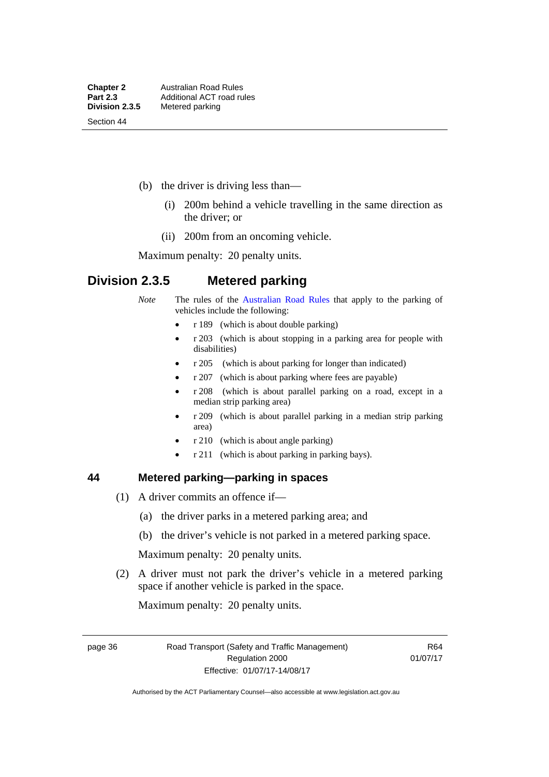Section 44

- (b) the driver is driving less than—
	- (i) 200m behind a vehicle travelling in the same direction as the driver; or
	- (ii) 200m from an oncoming vehicle.

Maximum penalty: 20 penalty units.

# **Division 2.3.5 Metered parking**

- *Note* The rules of the [Australian Road Rules](http://www.legislation.act.gov.au//ni/db_37271/default.asp) that apply to the parking of vehicles include the following:
	- $r 189$  (which is about double parking)
	- r 203 (which is about stopping in a parking area for people with disabilities)
	- r 205 (which is about parking for longer than indicated)
	- r 207 (which is about parking where fees are payable)
	- r 208 (which is about parallel parking on a road, except in a median strip parking area)
	- r 209 (which is about parallel parking in a median strip parking area)
	- r 210 (which is about angle parking)
	- r 211 (which is about parking in parking bays).

#### **44 Metered parking—parking in spaces**

- (1) A driver commits an offence if—
	- (a) the driver parks in a metered parking area; and
	- (b) the driver's vehicle is not parked in a metered parking space.

Maximum penalty: 20 penalty units.

 (2) A driver must not park the driver's vehicle in a metered parking space if another vehicle is parked in the space.

Maximum penalty: 20 penalty units.

page 36 Road Transport (Safety and Traffic Management) Regulation 2000 Effective: 01/07/17-14/08/17

R64 01/07/17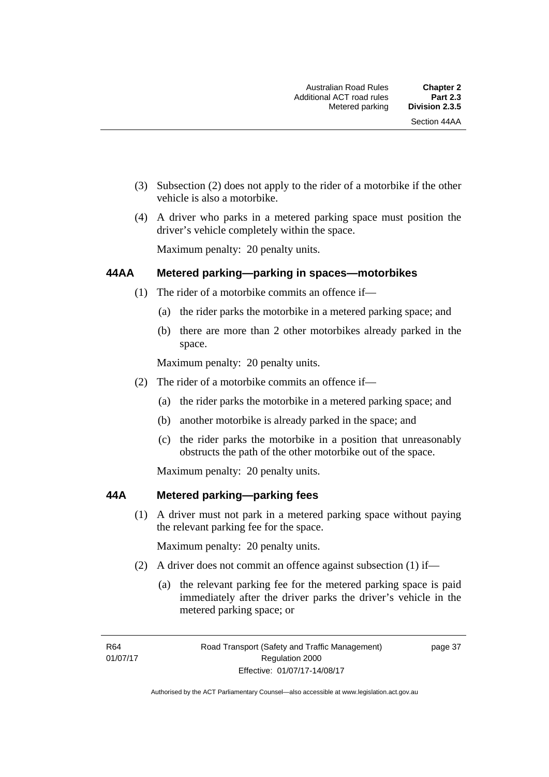- (3) Subsection (2) does not apply to the rider of a motorbike if the other vehicle is also a motorbike.
- (4) A driver who parks in a metered parking space must position the driver's vehicle completely within the space.

Maximum penalty: 20 penalty units.

#### **44AA Metered parking—parking in spaces—motorbikes**

- (1) The rider of a motorbike commits an offence if—
	- (a) the rider parks the motorbike in a metered parking space; and
	- (b) there are more than 2 other motorbikes already parked in the space.

Maximum penalty: 20 penalty units.

- (2) The rider of a motorbike commits an offence if—
	- (a) the rider parks the motorbike in a metered parking space; and
	- (b) another motorbike is already parked in the space; and
	- (c) the rider parks the motorbike in a position that unreasonably obstructs the path of the other motorbike out of the space.

Maximum penalty: 20 penalty units.

#### **44A Metered parking—parking fees**

(1) A driver must not park in a metered parking space without paying the relevant parking fee for the space.

Maximum penalty: 20 penalty units.

- (2) A driver does not commit an offence against subsection (1) if—
	- (a) the relevant parking fee for the metered parking space is paid immediately after the driver parks the driver's vehicle in the metered parking space; or

R64 01/07/17 page 37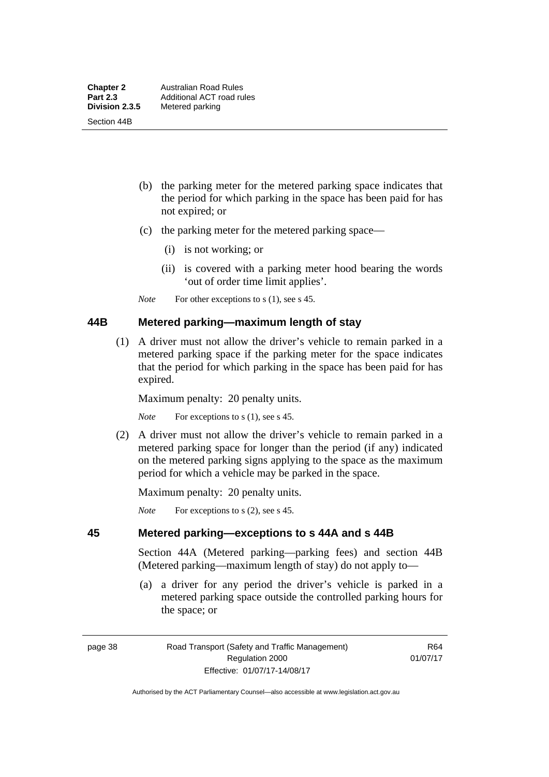Section 44B

- (b) the parking meter for the metered parking space indicates that the period for which parking in the space has been paid for has not expired; or
- (c) the parking meter for the metered parking space—
	- (i) is not working; or
	- (ii) is covered with a parking meter hood bearing the words 'out of order time limit applies'.
- *Note* For other exceptions to s (1), see s 45.

#### **44B Metered parking—maximum length of stay**

 (1) A driver must not allow the driver's vehicle to remain parked in a metered parking space if the parking meter for the space indicates that the period for which parking in the space has been paid for has expired.

Maximum penalty: 20 penalty units.

*Note* For exceptions to s (1), see s 45.

 (2) A driver must not allow the driver's vehicle to remain parked in a metered parking space for longer than the period (if any) indicated on the metered parking signs applying to the space as the maximum period for which a vehicle may be parked in the space.

Maximum penalty: 20 penalty units.

*Note* For exceptions to s (2), see s 45.

## **45 Metered parking—exceptions to s 44A and s 44B**

Section 44A (Metered parking—parking fees) and section 44B (Metered parking—maximum length of stay) do not apply to—

 (a) a driver for any period the driver's vehicle is parked in a metered parking space outside the controlled parking hours for the space; or

page 38 Road Transport (Safety and Traffic Management) Regulation 2000 Effective: 01/07/17-14/08/17

R64 01/07/17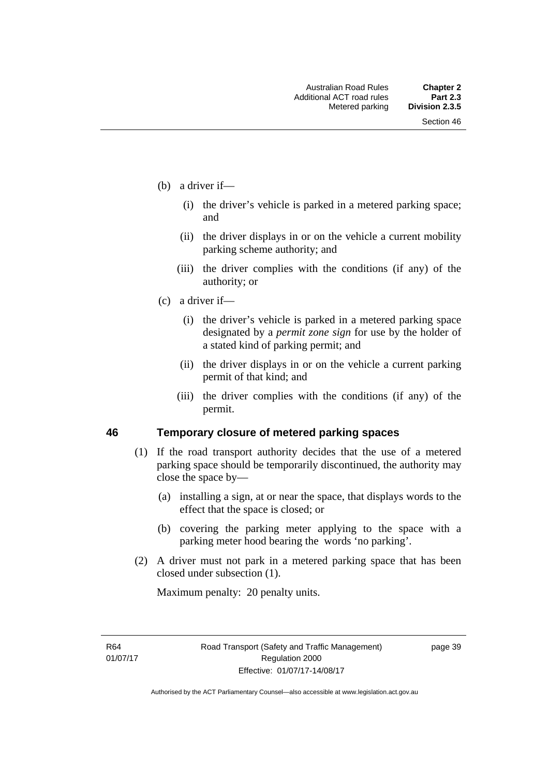- (b) a driver if—
	- (i) the driver's vehicle is parked in a metered parking space; and
	- (ii) the driver displays in or on the vehicle a current mobility parking scheme authority; and
	- (iii) the driver complies with the conditions (if any) of the authority; or
- (c) a driver if—
	- (i) the driver's vehicle is parked in a metered parking space designated by a *permit zone sign* for use by the holder of a stated kind of parking permit; and
	- (ii) the driver displays in or on the vehicle a current parking permit of that kind; and
	- (iii) the driver complies with the conditions (if any) of the permit.

#### **46 Temporary closure of metered parking spaces**

- (1) If the road transport authority decides that the use of a metered parking space should be temporarily discontinued, the authority may close the space by—
	- (a) installing a sign, at or near the space, that displays words to the effect that the space is closed; or
	- (b) covering the parking meter applying to the space with a parking meter hood bearing the words 'no parking'.
- (2) A driver must not park in a metered parking space that has been closed under subsection (1).

Maximum penalty: 20 penalty units.

R64 01/07/17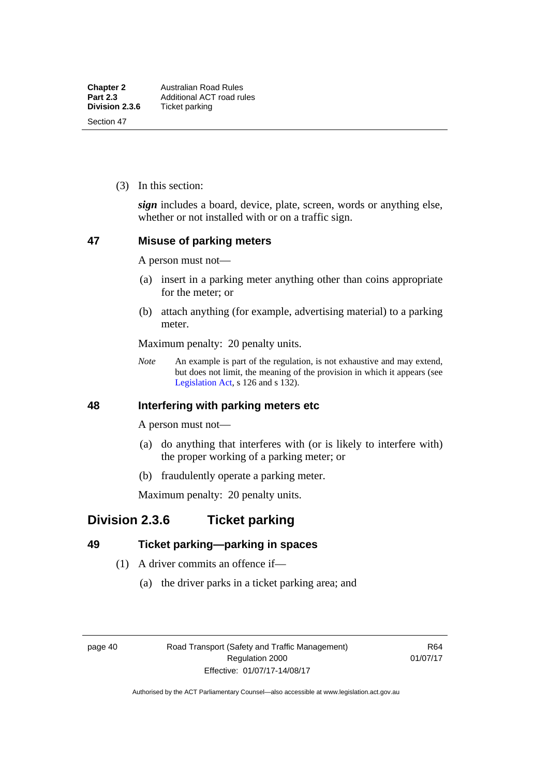(3) In this section:

*sign* includes a board, device, plate, screen, words or anything else, whether or not installed with or on a traffic sign.

#### **47 Misuse of parking meters**

A person must not—

- (a) insert in a parking meter anything other than coins appropriate for the meter; or
- (b) attach anything (for example, advertising material) to a parking meter.

Maximum penalty: 20 penalty units.

*Note* An example is part of the regulation, is not exhaustive and may extend, but does not limit, the meaning of the provision in which it appears (see [Legislation Act,](http://www.legislation.act.gov.au/a/2001-14) s 126 and s 132).

### **48 Interfering with parking meters etc**

A person must not—

- (a) do anything that interferes with (or is likely to interfere with) the proper working of a parking meter; or
- (b) fraudulently operate a parking meter.

Maximum penalty: 20 penalty units.

# **Division 2.3.6 Ticket parking**

## **49 Ticket parking—parking in spaces**

- (1) A driver commits an offence if—
	- (a) the driver parks in a ticket parking area; and

R64 01/07/17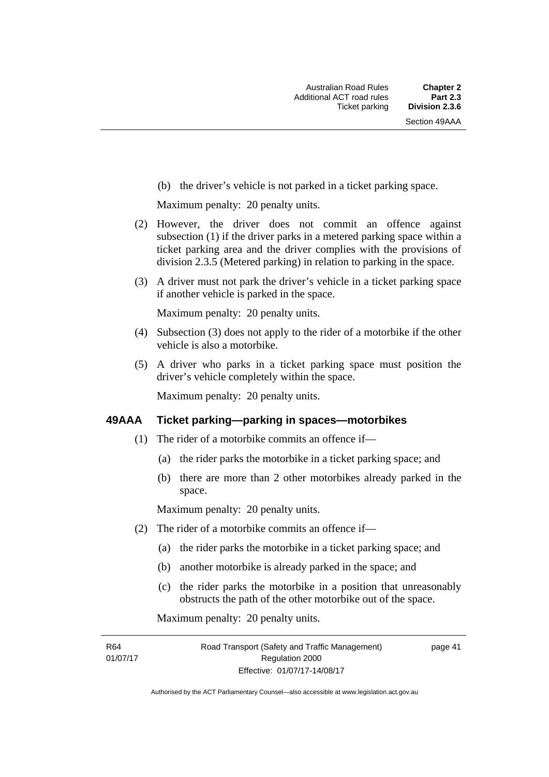(b) the driver's vehicle is not parked in a ticket parking space.

Maximum penalty: 20 penalty units.

- (2) However, the driver does not commit an offence against subsection (1) if the driver parks in a metered parking space within a ticket parking area and the driver complies with the provisions of division 2.3.5 (Metered parking) in relation to parking in the space.
- (3) A driver must not park the driver's vehicle in a ticket parking space if another vehicle is parked in the space.

Maximum penalty: 20 penalty units.

- (4) Subsection (3) does not apply to the rider of a motorbike if the other vehicle is also a motorbike.
- (5) A driver who parks in a ticket parking space must position the driver's vehicle completely within the space.

Maximum penalty: 20 penalty units.

#### **49AAA Ticket parking—parking in spaces—motorbikes**

- (1) The rider of a motorbike commits an offence if—
	- (a) the rider parks the motorbike in a ticket parking space; and
	- (b) there are more than 2 other motorbikes already parked in the space.

Maximum penalty: 20 penalty units.

- (2) The rider of a motorbike commits an offence if—
	- (a) the rider parks the motorbike in a ticket parking space; and
	- (b) another motorbike is already parked in the space; and
	- (c) the rider parks the motorbike in a position that unreasonably obstructs the path of the other motorbike out of the space.

Maximum penalty: 20 penalty units.

R64 01/07/17 page 41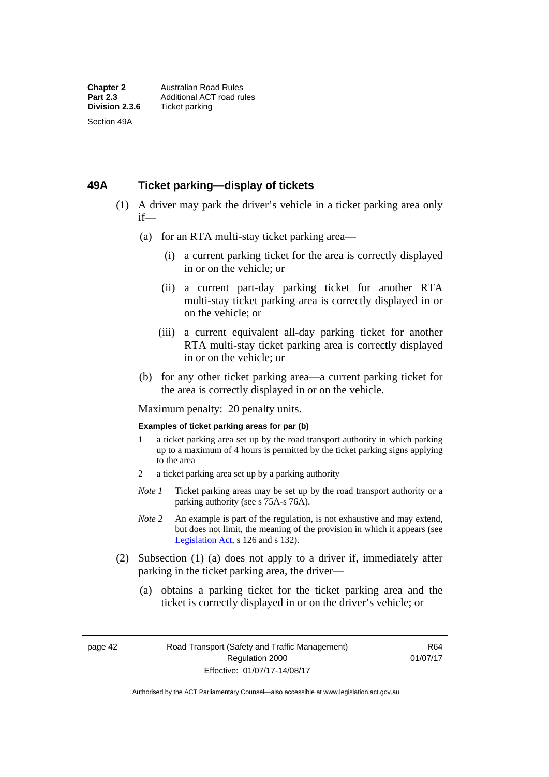#### **49A Ticket parking—display of tickets**

- (1) A driver may park the driver's vehicle in a ticket parking area only if—
	- (a) for an RTA multi-stay ticket parking area—
		- (i) a current parking ticket for the area is correctly displayed in or on the vehicle; or
		- (ii) a current part-day parking ticket for another RTA multi-stay ticket parking area is correctly displayed in or on the vehicle; or
		- (iii) a current equivalent all-day parking ticket for another RTA multi-stay ticket parking area is correctly displayed in or on the vehicle; or
	- (b) for any other ticket parking area—a current parking ticket for the area is correctly displayed in or on the vehicle.

Maximum penalty: 20 penalty units.

#### **Examples of ticket parking areas for par (b)**

- 1 a ticket parking area set up by the road transport authority in which parking up to a maximum of 4 hours is permitted by the ticket parking signs applying to the area
- 2 a ticket parking area set up by a parking authority
- *Note 1* Ticket parking areas may be set up by the road transport authority or a parking authority (see s 75A-s 76A).
- *Note 2* An example is part of the regulation, is not exhaustive and may extend, but does not limit, the meaning of the provision in which it appears (see [Legislation Act,](http://www.legislation.act.gov.au/a/2001-14) s 126 and s 132).
- (2) Subsection (1) (a) does not apply to a driver if, immediately after parking in the ticket parking area, the driver—
	- (a) obtains a parking ticket for the ticket parking area and the ticket is correctly displayed in or on the driver's vehicle; or

page 42 Road Transport (Safety and Traffic Management) Regulation 2000 Effective: 01/07/17-14/08/17

R64 01/07/17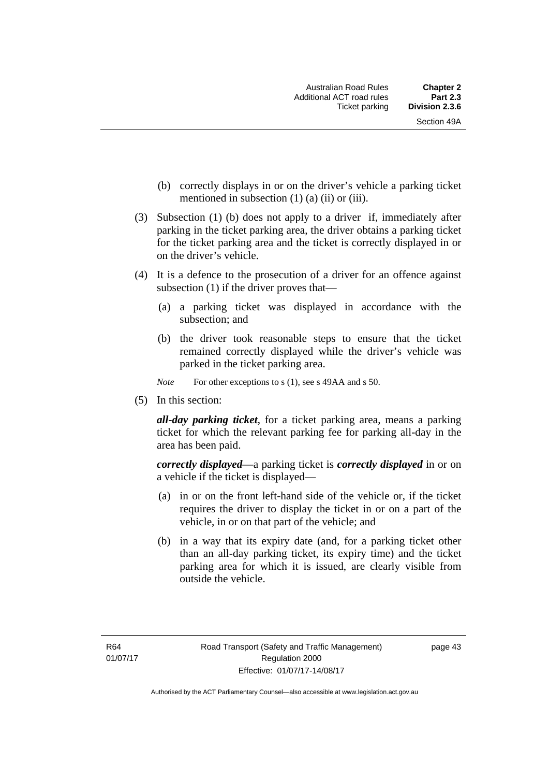- (b) correctly displays in or on the driver's vehicle a parking ticket mentioned in subsection  $(1)$   $(a)$   $(ii)$  or  $(iii)$ .
- (3) Subsection (1) (b) does not apply to a driver if, immediately after parking in the ticket parking area, the driver obtains a parking ticket for the ticket parking area and the ticket is correctly displayed in or on the driver's vehicle.
- (4) It is a defence to the prosecution of a driver for an offence against subsection (1) if the driver proves that—
	- (a) a parking ticket was displayed in accordance with the subsection; and
	- (b) the driver took reasonable steps to ensure that the ticket remained correctly displayed while the driver's vehicle was parked in the ticket parking area.
	- *Note* For other exceptions to s (1), see s 49AA and s 50.
- (5) In this section:

*all-day parking ticket*, for a ticket parking area, means a parking ticket for which the relevant parking fee for parking all-day in the area has been paid.

*correctly displayed*—a parking ticket is *correctly displayed* in or on a vehicle if the ticket is displayed—

- (a) in or on the front left-hand side of the vehicle or, if the ticket requires the driver to display the ticket in or on a part of the vehicle, in or on that part of the vehicle; and
- (b) in a way that its expiry date (and, for a parking ticket other than an all-day parking ticket, its expiry time) and the ticket parking area for which it is issued, are clearly visible from outside the vehicle.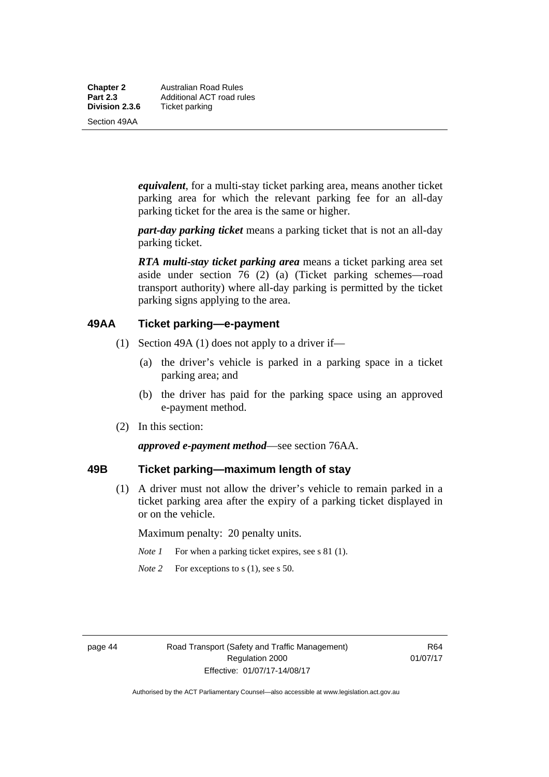**Chapter 2** Australian Road Rules<br>**Part 2.3** Additional ACT road ru **Part 2.3 Additional ACT road rules**<br>**Division 2.3.6** Ticket parking **Ticket parking** 

Section 49AA

*equivalent*, for a multi-stay ticket parking area, means another ticket parking area for which the relevant parking fee for an all-day parking ticket for the area is the same or higher.

*part-day parking ticket* means a parking ticket that is not an all-day parking ticket.

*RTA multi-stay ticket parking area* means a ticket parking area set aside under section 76 (2) (a) (Ticket parking schemes—road transport authority) where all-day parking is permitted by the ticket parking signs applying to the area.

### **49AA Ticket parking—e-payment**

- (1) Section 49A (1) does not apply to a driver if—
	- (a) the driver's vehicle is parked in a parking space in a ticket parking area; and
	- (b) the driver has paid for the parking space using an approved e-payment method.
- (2) In this section:

*approved e-payment method*—see section 76AA.

## **49B Ticket parking—maximum length of stay**

(1) A driver must not allow the driver's vehicle to remain parked in a ticket parking area after the expiry of a parking ticket displayed in or on the vehicle.

Maximum penalty: 20 penalty units.

- *Note 1* For when a parking ticket expires, see s 81 (1).
- *Note* 2 For exceptions to s (1), see s 50.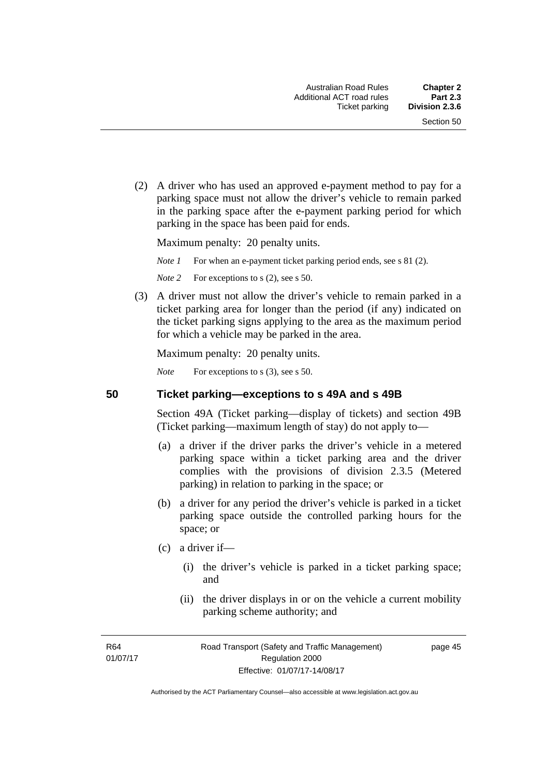(2) A driver who has used an approved e-payment method to pay for a parking space must not allow the driver's vehicle to remain parked in the parking space after the e-payment parking period for which parking in the space has been paid for ends.

Maximum penalty: 20 penalty units.

*Note 1* For when an e-payment ticket parking period ends, see s 81 (2).

*Note* 2 For exceptions to s (2), see s 50.

 (3) A driver must not allow the driver's vehicle to remain parked in a ticket parking area for longer than the period (if any) indicated on the ticket parking signs applying to the area as the maximum period for which a vehicle may be parked in the area.

Maximum penalty: 20 penalty units.

*Note* For exceptions to s (3), see s 50.

**50 Ticket parking—exceptions to s 49A and s 49B** 

Section 49A (Ticket parking—display of tickets) and section 49B (Ticket parking—maximum length of stay) do not apply to—

- (a) a driver if the driver parks the driver's vehicle in a metered parking space within a ticket parking area and the driver complies with the provisions of division 2.3.5 (Metered parking) in relation to parking in the space; or
- (b) a driver for any period the driver's vehicle is parked in a ticket parking space outside the controlled parking hours for the space; or
- (c) a driver if—
	- (i) the driver's vehicle is parked in a ticket parking space; and
	- (ii) the driver displays in or on the vehicle a current mobility parking scheme authority; and

R64 01/07/17 page 45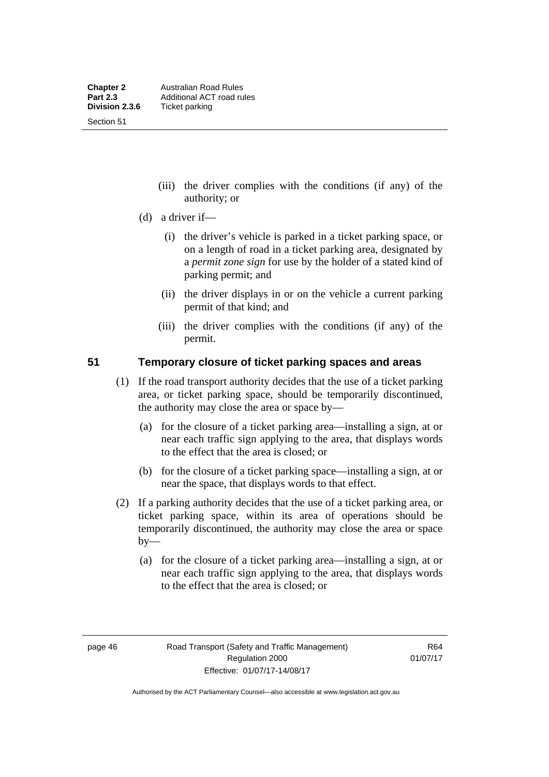Section 51

- (iii) the driver complies with the conditions (if any) of the authority; or
- (d) a driver if—
	- (i) the driver's vehicle is parked in a ticket parking space, or on a length of road in a ticket parking area, designated by a *permit zone sign* for use by the holder of a stated kind of parking permit; and
	- (ii) the driver displays in or on the vehicle a current parking permit of that kind; and
	- (iii) the driver complies with the conditions (if any) of the permit.

#### **51 Temporary closure of ticket parking spaces and areas**

- (1) If the road transport authority decides that the use of a ticket parking area, or ticket parking space, should be temporarily discontinued, the authority may close the area or space by—
	- (a) for the closure of a ticket parking area—installing a sign, at or near each traffic sign applying to the area, that displays words to the effect that the area is closed; or
	- (b) for the closure of a ticket parking space—installing a sign, at or near the space, that displays words to that effect.
- (2) If a parking authority decides that the use of a ticket parking area, or ticket parking space, within its area of operations should be temporarily discontinued, the authority may close the area or space  $by-$ 
	- (a) for the closure of a ticket parking area—installing a sign, at or near each traffic sign applying to the area, that displays words to the effect that the area is closed; or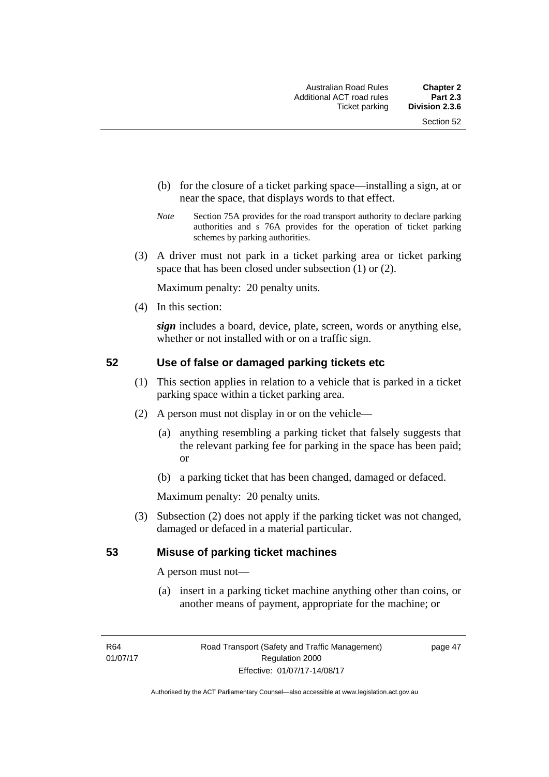- (b) for the closure of a ticket parking space—installing a sign, at or near the space, that displays words to that effect.
- *Note* Section 75A provides for the road transport authority to declare parking authorities and s 76A provides for the operation of ticket parking schemes by parking authorities.
- (3) A driver must not park in a ticket parking area or ticket parking space that has been closed under subsection (1) or (2).

Maximum penalty: 20 penalty units.

(4) In this section:

*sign* includes a board, device, plate, screen, words or anything else, whether or not installed with or on a traffic sign.

### **52 Use of false or damaged parking tickets etc**

- (1) This section applies in relation to a vehicle that is parked in a ticket parking space within a ticket parking area.
- (2) A person must not display in or on the vehicle—
	- (a) anything resembling a parking ticket that falsely suggests that the relevant parking fee for parking in the space has been paid; or
	- (b) a parking ticket that has been changed, damaged or defaced.

Maximum penalty: 20 penalty units.

 (3) Subsection (2) does not apply if the parking ticket was not changed, damaged or defaced in a material particular.

#### **53 Misuse of parking ticket machines**

A person must not—

(a) insert in a parking ticket machine anything other than coins, or another means of payment, appropriate for the machine; or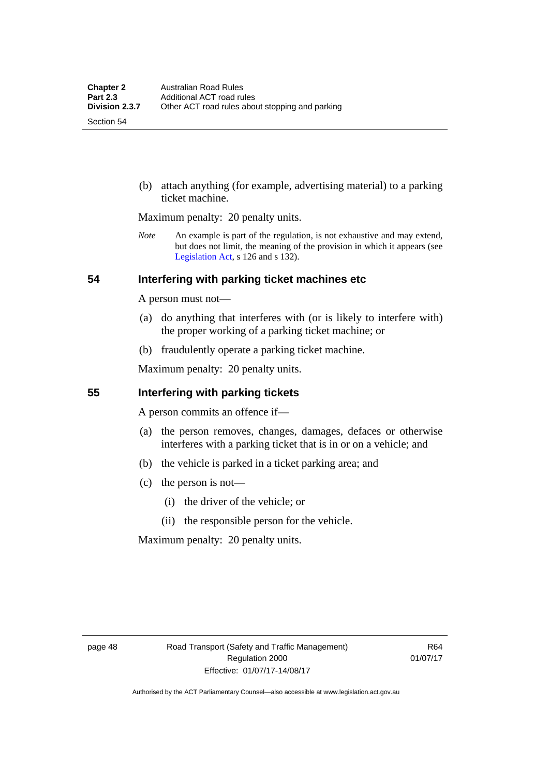Section 54

 (b) attach anything (for example, advertising material) to a parking ticket machine.

Maximum penalty: 20 penalty units.

*Note* An example is part of the regulation, is not exhaustive and may extend, but does not limit, the meaning of the provision in which it appears (see [Legislation Act,](http://www.legislation.act.gov.au/a/2001-14) s 126 and s 132).

#### **54 Interfering with parking ticket machines etc**

A person must not—

- (a) do anything that interferes with (or is likely to interfere with) the proper working of a parking ticket machine; or
- (b) fraudulently operate a parking ticket machine.

Maximum penalty: 20 penalty units.

#### **55 Interfering with parking tickets**

A person commits an offence if—

- (a) the person removes, changes, damages, defaces or otherwise interferes with a parking ticket that is in or on a vehicle; and
- (b) the vehicle is parked in a ticket parking area; and
- (c) the person is not—
	- (i) the driver of the vehicle; or
	- (ii) the responsible person for the vehicle.

Maximum penalty: 20 penalty units.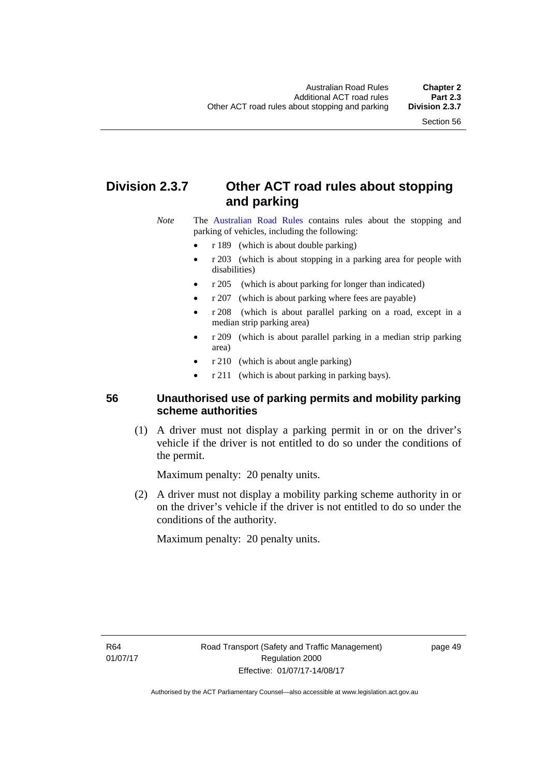# **Division 2.3.7 Other ACT road rules about stopping and parking**

*Note* The [Australian Road Rules](http://www.legislation.act.gov.au//ni/db_37271/default.asp) contains rules about the stopping and parking of vehicles, including the following:

- r 189 (which is about double parking)
- r 203 (which is about stopping in a parking area for people with disabilities)
- r 205 (which is about parking for longer than indicated)
- r 207 (which is about parking where fees are payable)
- r 208 (which is about parallel parking on a road, except in a median strip parking area)
- r 209 (which is about parallel parking in a median strip parking area)
- r 210 (which is about angle parking)
- r 211 (which is about parking in parking bays).

## **56 Unauthorised use of parking permits and mobility parking scheme authorities**

 (1) A driver must not display a parking permit in or on the driver's vehicle if the driver is not entitled to do so under the conditions of the permit.

Maximum penalty: 20 penalty units.

 (2) A driver must not display a mobility parking scheme authority in or on the driver's vehicle if the driver is not entitled to do so under the conditions of the authority.

Maximum penalty: 20 penalty units.

R64 01/07/17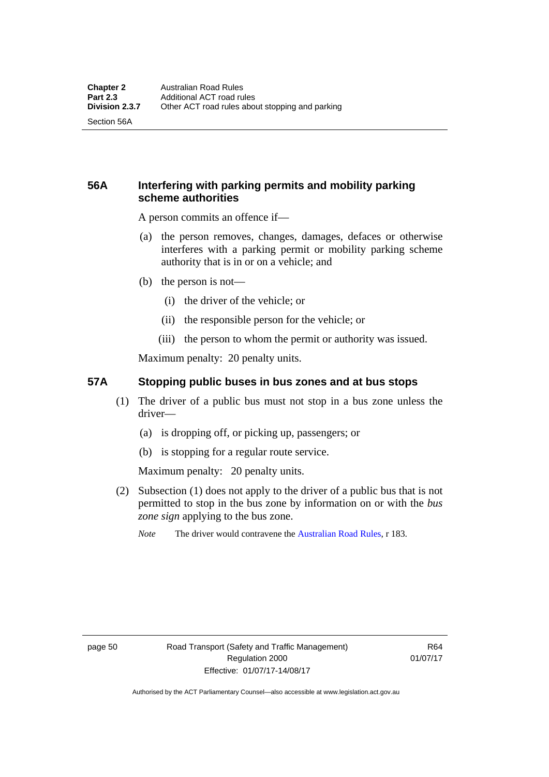Section 56A

## **56A Interfering with parking permits and mobility parking scheme authorities**

A person commits an offence if—

- (a) the person removes, changes, damages, defaces or otherwise interferes with a parking permit or mobility parking scheme authority that is in or on a vehicle; and
- (b) the person is not—
	- (i) the driver of the vehicle; or
	- (ii) the responsible person for the vehicle; or
	- (iii) the person to whom the permit or authority was issued.

Maximum penalty: 20 penalty units.

#### **57A Stopping public buses in bus zones and at bus stops**

- (1) The driver of a public bus must not stop in a bus zone unless the driver—
	- (a) is dropping off, or picking up, passengers; or
	- (b) is stopping for a regular route service.

Maximum penalty: 20 penalty units.

- (2) Subsection (1) does not apply to the driver of a public bus that is not permitted to stop in the bus zone by information on or with the *bus zone sign* applying to the bus zone.
	- *Note* The driver would contravene the [Australian Road Rules,](http://www.legislation.act.gov.au//ni/db_37271/default.asp) r 183.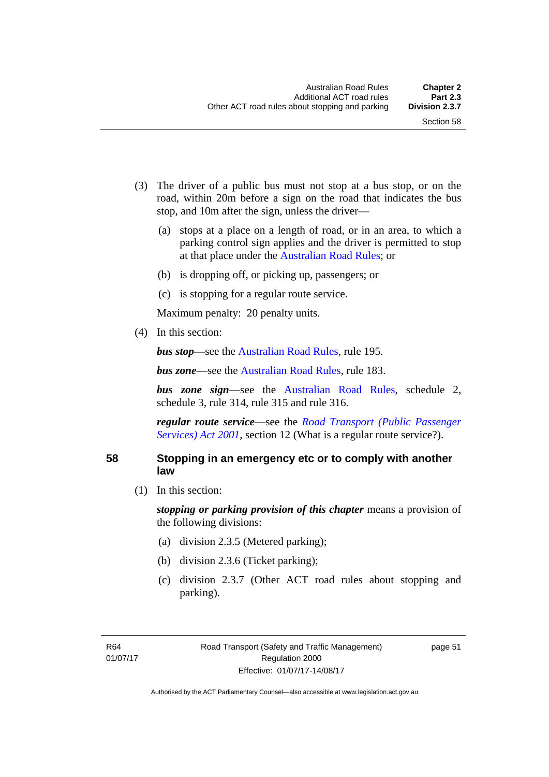- (3) The driver of a public bus must not stop at a bus stop, or on the road, within 20m before a sign on the road that indicates the bus stop, and 10m after the sign, unless the driver—
	- (a) stops at a place on a length of road, or in an area, to which a parking control sign applies and the driver is permitted to stop at that place under the [Australian Road Rules;](http://www.legislation.act.gov.au//ni/db_37271/default.asp) or
	- (b) is dropping off, or picking up, passengers; or
	- (c) is stopping for a regular route service.

Maximum penalty: 20 penalty units.

(4) In this section:

*bus stop***—see the [Australian Road Rules](http://www.legislation.act.gov.au//ni/db_37271/default.asp)**, rule 195.

*bus zone***—see the Australian Road Rules**, rule 183.

*bus zone sign*—see the [Australian Road Rules,](http://www.legislation.act.gov.au//ni/db_37271/default.asp) schedule 2, schedule 3, rule 314, rule 315 and rule 316.

*regular route service*—see the *[Road Transport \(Public Passenger](http://www.legislation.act.gov.au/a/2001-62)  Services*) *Act 2001*, section 12 (What is a regular route service?).

#### **58 Stopping in an emergency etc or to comply with another law**

(1) In this section:

*stopping or parking provision of this chapter* means a provision of the following divisions:

- (a) division 2.3.5 (Metered parking);
- (b) division 2.3.6 (Ticket parking);
- (c) division 2.3.7 (Other ACT road rules about stopping and parking).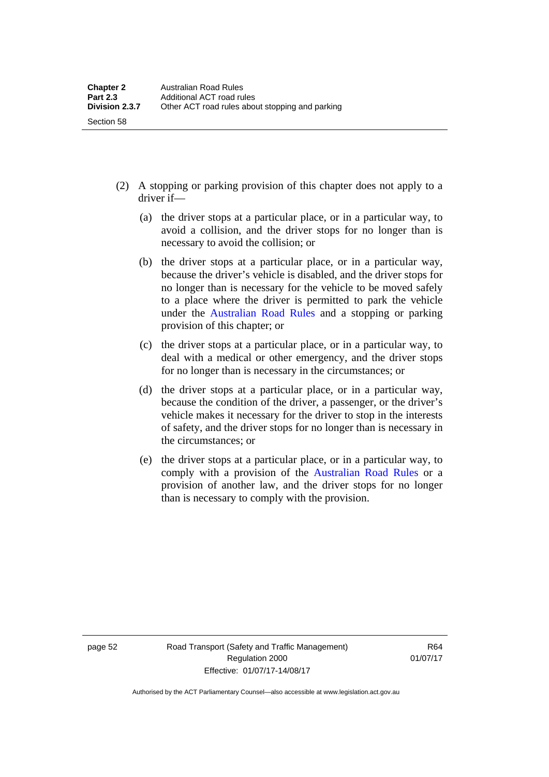- (2) A stopping or parking provision of this chapter does not apply to a driver if—
	- (a) the driver stops at a particular place, or in a particular way, to avoid a collision, and the driver stops for no longer than is necessary to avoid the collision; or
	- (b) the driver stops at a particular place, or in a particular way, because the driver's vehicle is disabled, and the driver stops for no longer than is necessary for the vehicle to be moved safely to a place where the driver is permitted to park the vehicle under the [Australian Road Rules](http://www.legislation.act.gov.au//ni/db_37271/default.asp) and a stopping or parking provision of this chapter; or
	- (c) the driver stops at a particular place, or in a particular way, to deal with a medical or other emergency, and the driver stops for no longer than is necessary in the circumstances; or
	- (d) the driver stops at a particular place, or in a particular way, because the condition of the driver, a passenger, or the driver's vehicle makes it necessary for the driver to stop in the interests of safety, and the driver stops for no longer than is necessary in the circumstances; or
	- (e) the driver stops at a particular place, or in a particular way, to comply with a provision of the [Australian Road Rules](http://www.legislation.act.gov.au//ni/db_37271/default.asp) or a provision of another law, and the driver stops for no longer than is necessary to comply with the provision.

Section 58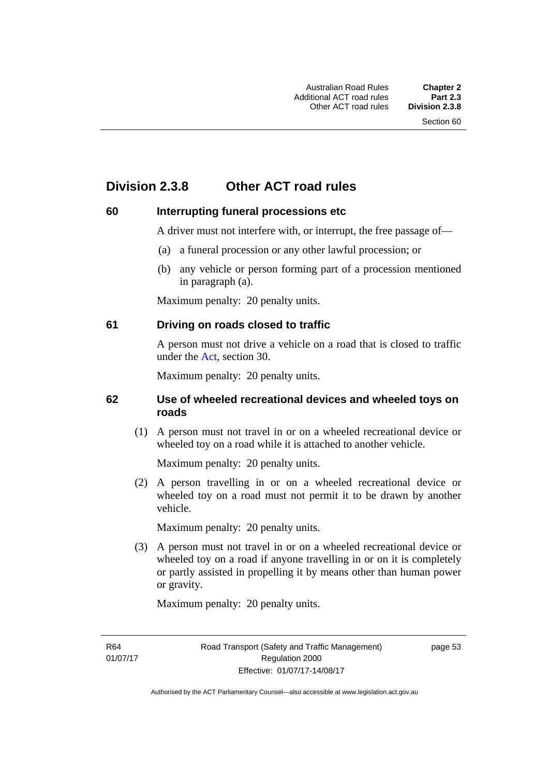# **Division 2.3.8 Other ACT road rules**

#### **60 Interrupting funeral processions etc**

A driver must not interfere with, or interrupt, the free passage of—

- (a) a funeral procession or any other lawful procession; or
- (b) any vehicle or person forming part of a procession mentioned in paragraph (a).

Maximum penalty: 20 penalty units.

#### **61 Driving on roads closed to traffic**

A person must not drive a vehicle on a road that is closed to traffic under the [Act](http://www.legislation.act.gov.au/a/1999-80/default.asp), section 30.

Maximum penalty: 20 penalty units.

#### **62 Use of wheeled recreational devices and wheeled toys on roads**

 (1) A person must not travel in or on a wheeled recreational device or wheeled toy on a road while it is attached to another vehicle.

Maximum penalty: 20 penalty units.

 (2) A person travelling in or on a wheeled recreational device or wheeled toy on a road must not permit it to be drawn by another vehicle.

Maximum penalty: 20 penalty units.

 (3) A person must not travel in or on a wheeled recreational device or wheeled toy on a road if anyone travelling in or on it is completely or partly assisted in propelling it by means other than human power or gravity.

Maximum penalty: 20 penalty units.

R64 01/07/17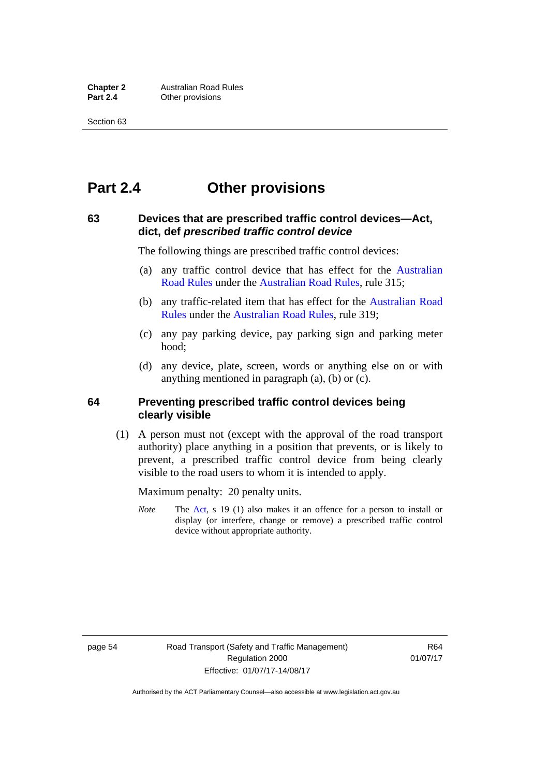# **Part 2.4 Other provisions**

### **63 Devices that are prescribed traffic control devices—Act, dict, def** *prescribed traffic control device*

The following things are prescribed traffic control devices:

- (a) any traffic control device that has effect for the [Australian](http://www.legislation.act.gov.au//ni/db_37271/default.asp)  [Road Rules](http://www.legislation.act.gov.au//ni/db_37271/default.asp) under the [Australian Road Rules](http://www.legislation.act.gov.au//ni/db_37271/default.asp), rule 315;
- (b) any traffic-related item that has effect for the [Australian Road](http://www.legislation.act.gov.au//ni/db_37271/default.asp)  [Rules](http://www.legislation.act.gov.au//ni/db_37271/default.asp) under the [Australian Road Rules,](http://www.legislation.act.gov.au//ni/db_37271/default.asp) rule 319;
- (c) any pay parking device, pay parking sign and parking meter hood;
- (d) any device, plate, screen, words or anything else on or with anything mentioned in paragraph (a), (b) or (c).

#### **64 Preventing prescribed traffic control devices being clearly visible**

 (1) A person must not (except with the approval of the road transport authority) place anything in a position that prevents, or is likely to prevent, a prescribed traffic control device from being clearly visible to the road users to whom it is intended to apply.

Maximum penalty: 20 penalty units.

*Note* The [Act](http://www.legislation.act.gov.au/a/1999-80/default.asp), s 19 (1) also makes it an offence for a person to install or display (or interfere, change or remove) a prescribed traffic control device without appropriate authority.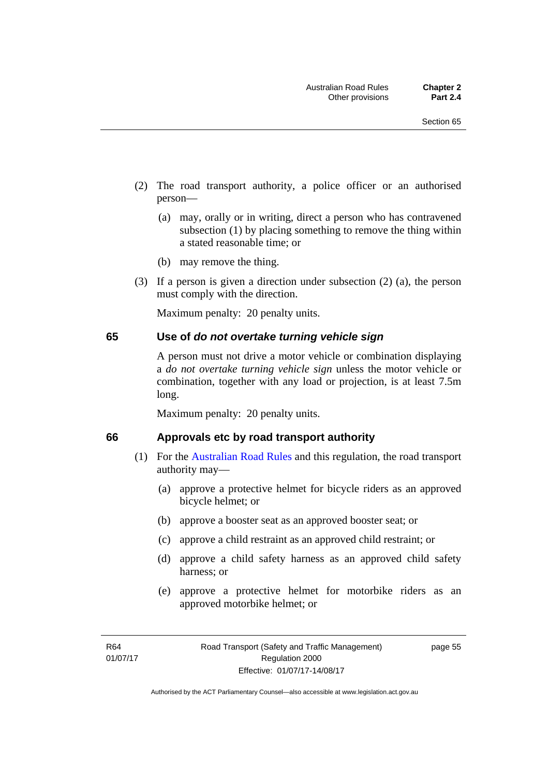- (2) The road transport authority, a police officer or an authorised person—
	- (a) may, orally or in writing, direct a person who has contravened subsection (1) by placing something to remove the thing within a stated reasonable time; or
	- (b) may remove the thing.
- (3) If a person is given a direction under subsection (2) (a), the person must comply with the direction.

Maximum penalty: 20 penalty units.

#### **65 Use of** *do not overtake turning vehicle sign*

A person must not drive a motor vehicle or combination displaying a *do not overtake turning vehicle sign* unless the motor vehicle or combination, together with any load or projection, is at least 7.5m long.

Maximum penalty: 20 penalty units.

#### **66 Approvals etc by road transport authority**

- (1) For the [Australian Road Rules](http://www.legislation.act.gov.au//ni/db_37271/default.asp) and this regulation, the road transport authority may—
	- (a) approve a protective helmet for bicycle riders as an approved bicycle helmet; or
	- (b) approve a booster seat as an approved booster seat; or
	- (c) approve a child restraint as an approved child restraint; or
	- (d) approve a child safety harness as an approved child safety harness; or
	- (e) approve a protective helmet for motorbike riders as an approved motorbike helmet; or

page 55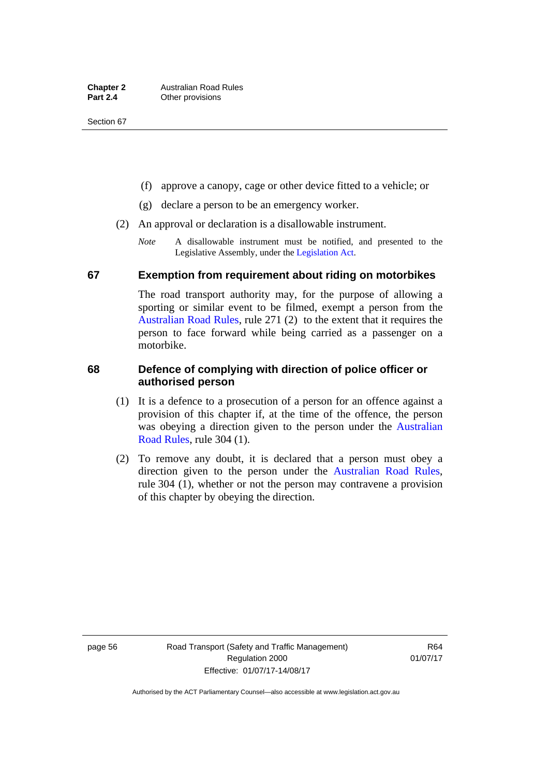- (f) approve a canopy, cage or other device fitted to a vehicle; or
- (g) declare a person to be an emergency worker.
- (2) An approval or declaration is a disallowable instrument.
	- *Note* A disallowable instrument must be notified, and presented to the Legislative Assembly, under the [Legislation Act.](http://www.legislation.act.gov.au/a/2001-14)

### **67 Exemption from requirement about riding on motorbikes**

The road transport authority may, for the purpose of allowing a sporting or similar event to be filmed, exempt a person from the [Australian Road Rules](http://www.legislation.act.gov.au//ni/db_37271/default.asp), rule 271 (2) to the extent that it requires the person to face forward while being carried as a passenger on a motorbike.

### **68 Defence of complying with direction of police officer or authorised person**

- (1) It is a defence to a prosecution of a person for an offence against a provision of this chapter if, at the time of the offence, the person was obeying a direction given to the person under the [Australian](http://www.legislation.act.gov.au//ni/db_37271/default.asp)  [Road Rules,](http://www.legislation.act.gov.au//ni/db_37271/default.asp) rule 304 (1).
- (2) To remove any doubt, it is declared that a person must obey a direction given to the person under the [Australian Road Rules](http://www.legislation.act.gov.au//ni/db_37271/default.asp), rule 304 (1), whether or not the person may contravene a provision of this chapter by obeying the direction.

page 56 Road Transport (Safety and Traffic Management) Regulation 2000 Effective: 01/07/17-14/08/17

R64 01/07/17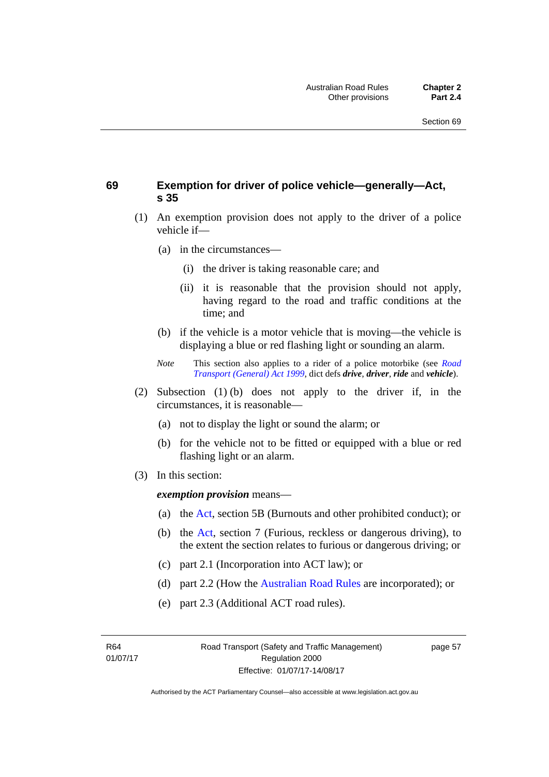### **69 Exemption for driver of police vehicle—generally—Act, s 35**

- (1) An exemption provision does not apply to the driver of a police vehicle if—
	- (a) in the circumstances—
		- (i) the driver is taking reasonable care; and
		- (ii) it is reasonable that the provision should not apply, having regard to the road and traffic conditions at the time; and
	- (b) if the vehicle is a motor vehicle that is moving—the vehicle is displaying a blue or red flashing light or sounding an alarm.
	- *Note* This section also applies to a rider of a police motorbike (see *[Road](http://www.legislation.act.gov.au/a/1999-77)  [Transport \(General\) Act 1999](http://www.legislation.act.gov.au/a/1999-77)*, dict defs *drive*, *driver*, *ride* and *vehicle*).
- (2) Subsection (1) (b) does not apply to the driver if, in the circumstances, it is reasonable—
	- (a) not to display the light or sound the alarm; or
	- (b) for the vehicle not to be fitted or equipped with a blue or red flashing light or an alarm.
- (3) In this section:

*exemption provision* means—

- (a) the [Act](http://www.legislation.act.gov.au/a/1999-80/default.asp), section 5B (Burnouts and other prohibited conduct); or
- (b) the [Act](http://www.legislation.act.gov.au/a/1999-80/default.asp), section 7 (Furious, reckless or dangerous driving), to the extent the section relates to furious or dangerous driving; or
- (c) part 2.1 (Incorporation into ACT law); or
- (d) part 2.2 (How the [Australian Road Rules](http://www.legislation.act.gov.au//ni/db_37271/default.asp) are incorporated); or
- (e) part 2.3 (Additional ACT road rules).

R64 01/07/17 page 57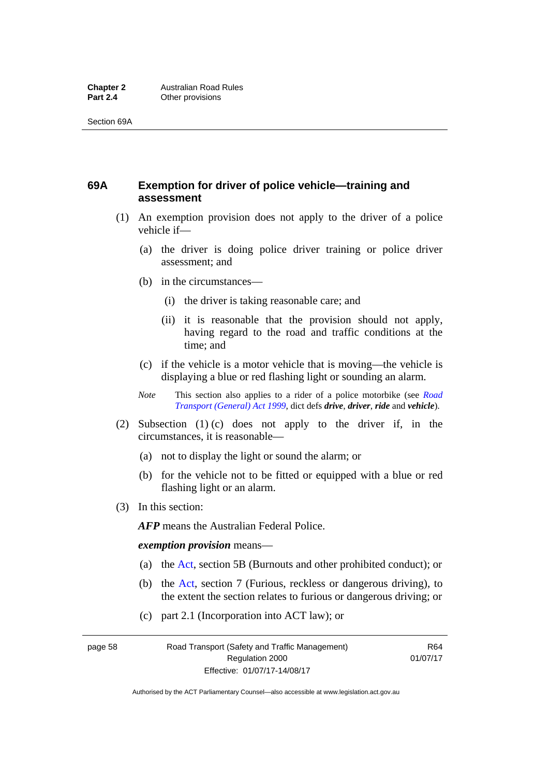### **69A Exemption for driver of police vehicle—training and assessment**

- (1) An exemption provision does not apply to the driver of a police vehicle if—
	- (a) the driver is doing police driver training or police driver assessment; and
	- (b) in the circumstances—
		- (i) the driver is taking reasonable care; and
		- (ii) it is reasonable that the provision should not apply, having regard to the road and traffic conditions at the time; and
	- (c) if the vehicle is a motor vehicle that is moving—the vehicle is displaying a blue or red flashing light or sounding an alarm.
	- *Note* This section also applies to a rider of a police motorbike (see *[Road](http://www.legislation.act.gov.au/a/1999-77)  [Transport \(General\) Act 1999](http://www.legislation.act.gov.au/a/1999-77)*, dict defs *drive*, *driver*, *ride* and *vehicle*).
- (2) Subsection (1) (c) does not apply to the driver if, in the circumstances, it is reasonable—
	- (a) not to display the light or sound the alarm; or
	- (b) for the vehicle not to be fitted or equipped with a blue or red flashing light or an alarm.
- (3) In this section:

*AFP* means the Australian Federal Police.

#### *exemption provision* means—

- (a) the [Act,](http://www.legislation.act.gov.au/a/1999-80/default.asp) section 5B (Burnouts and other prohibited conduct); or
- (b) the [Act](http://www.legislation.act.gov.au/a/1999-80/default.asp), section 7 (Furious, reckless or dangerous driving), to the extent the section relates to furious or dangerous driving; or
- (c) part 2.1 (Incorporation into ACT law); or

page 58 Road Transport (Safety and Traffic Management) Regulation 2000 Effective: 01/07/17-14/08/17

R64 01/07/17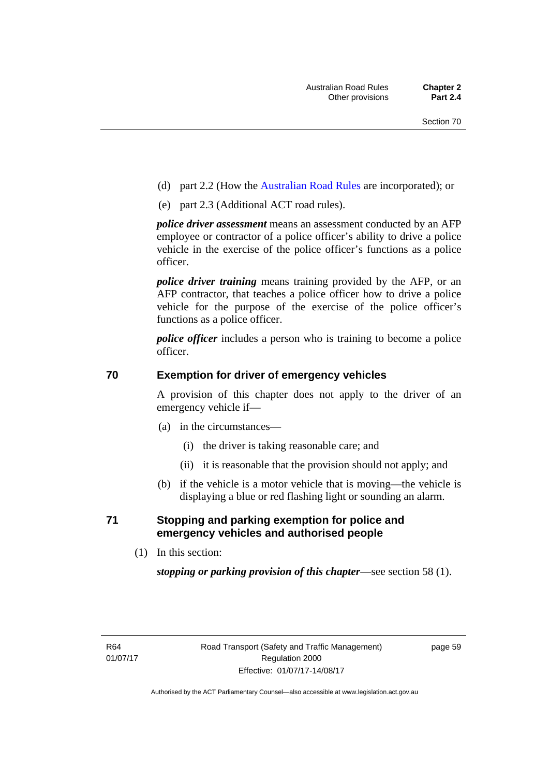- (d) part 2.2 (How the [Australian Road Rules](http://www.legislation.act.gov.au//ni/db_37271/default.asp) are incorporated); or
- (e) part 2.3 (Additional ACT road rules).

*police driver assessment* means an assessment conducted by an AFP employee or contractor of a police officer's ability to drive a police vehicle in the exercise of the police officer's functions as a police officer.

*police driver training* means training provided by the AFP, or an AFP contractor, that teaches a police officer how to drive a police vehicle for the purpose of the exercise of the police officer's functions as a police officer.

*police officer* includes a person who is training to become a police officer.

### **70 Exemption for driver of emergency vehicles**

A provision of this chapter does not apply to the driver of an emergency vehicle if—

- (a) in the circumstances—
	- (i) the driver is taking reasonable care; and
	- (ii) it is reasonable that the provision should not apply; and
- (b) if the vehicle is a motor vehicle that is moving—the vehicle is displaying a blue or red flashing light or sounding an alarm.

### **71 Stopping and parking exemption for police and emergency vehicles and authorised people**

(1) In this section:

*stopping or parking provision of this chapter*—see section 58 (1).

page 59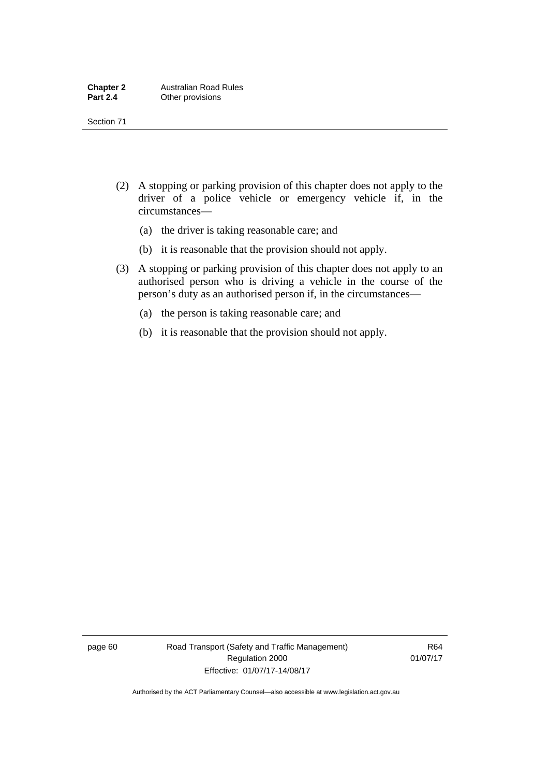- (2) A stopping or parking provision of this chapter does not apply to the driver of a police vehicle or emergency vehicle if, in the circumstances—
	- (a) the driver is taking reasonable care; and
	- (b) it is reasonable that the provision should not apply.
- (3) A stopping or parking provision of this chapter does not apply to an authorised person who is driving a vehicle in the course of the person's duty as an authorised person if, in the circumstances—
	- (a) the person is taking reasonable care; and
	- (b) it is reasonable that the provision should not apply.

page 60 Road Transport (Safety and Traffic Management) Regulation 2000 Effective: 01/07/17-14/08/17

R64 01/07/17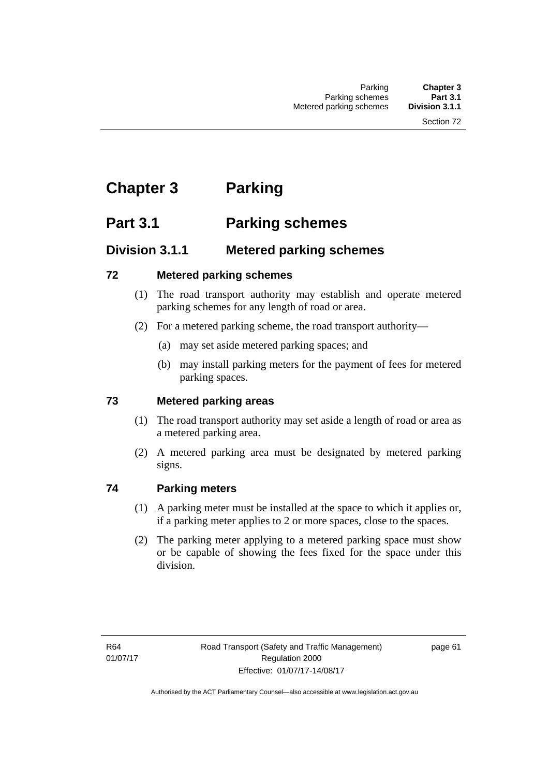# **Chapter 3 Parking**

# **Part 3.1 Parking schemes**

### **Division 3.1.1 Metered parking schemes**

### **72 Metered parking schemes**

- (1) The road transport authority may establish and operate metered parking schemes for any length of road or area.
- (2) For a metered parking scheme, the road transport authority—
	- (a) may set aside metered parking spaces; and
	- (b) may install parking meters for the payment of fees for metered parking spaces.

### **73 Metered parking areas**

- (1) The road transport authority may set aside a length of road or area as a metered parking area.
- (2) A metered parking area must be designated by metered parking signs.

### **74 Parking meters**

- (1) A parking meter must be installed at the space to which it applies or, if a parking meter applies to 2 or more spaces, close to the spaces.
- (2) The parking meter applying to a metered parking space must show or be capable of showing the fees fixed for the space under this division.

page 61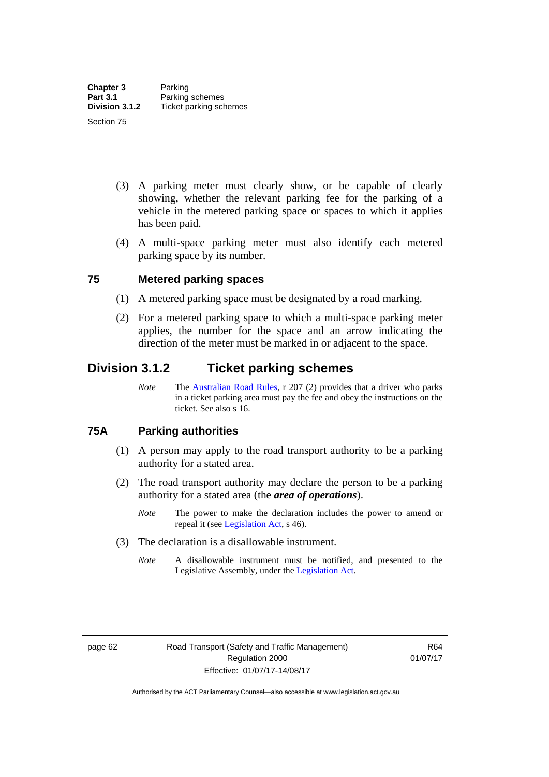- (3) A parking meter must clearly show, or be capable of clearly showing, whether the relevant parking fee for the parking of a vehicle in the metered parking space or spaces to which it applies has been paid.
- (4) A multi-space parking meter must also identify each metered parking space by its number.

### **75 Metered parking spaces**

- (1) A metered parking space must be designated by a road marking.
- (2) For a metered parking space to which a multi-space parking meter applies, the number for the space and an arrow indicating the direction of the meter must be marked in or adjacent to the space.

### **Division 3.1.2 Ticket parking schemes**

*Note* The [Australian Road Rules](http://www.legislation.act.gov.au//ni/db_37271/default.asp), r 207 (2) provides that a driver who parks in a ticket parking area must pay the fee and obey the instructions on the ticket. See also s 16.

### **75A Parking authorities**

- (1) A person may apply to the road transport authority to be a parking authority for a stated area.
- (2) The road transport authority may declare the person to be a parking authority for a stated area (the *area of operations*).
	- *Note* The power to make the declaration includes the power to amend or repeal it (see [Legislation Act,](http://www.legislation.act.gov.au/a/2001-14) s 46).
- (3) The declaration is a disallowable instrument.
	- *Note* A disallowable instrument must be notified, and presented to the Legislative Assembly, under the [Legislation Act.](http://www.legislation.act.gov.au/a/2001-14)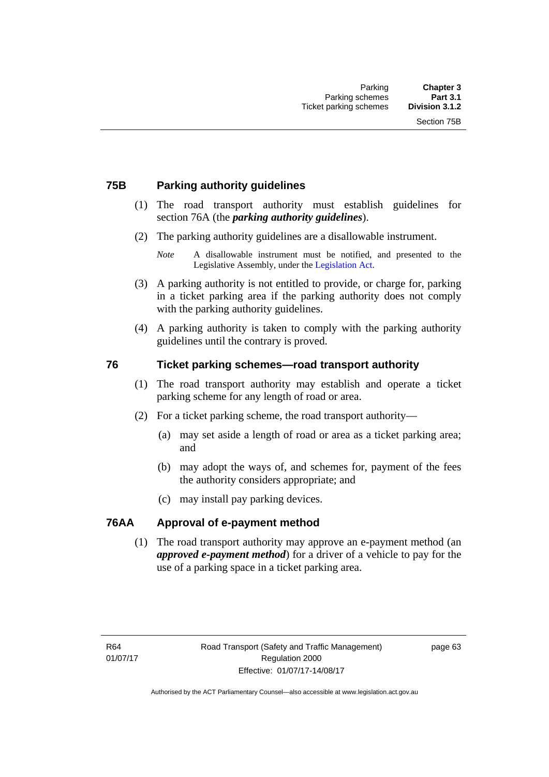### **75B Parking authority guidelines**

- (1) The road transport authority must establish guidelines for section 76A (the *parking authority guidelines*).
- (2) The parking authority guidelines are a disallowable instrument.

- (3) A parking authority is not entitled to provide, or charge for, parking in a ticket parking area if the parking authority does not comply with the parking authority guidelines.
- (4) A parking authority is taken to comply with the parking authority guidelines until the contrary is proved.

### **76 Ticket parking schemes—road transport authority**

- (1) The road transport authority may establish and operate a ticket parking scheme for any length of road or area.
- (2) For a ticket parking scheme, the road transport authority—
	- (a) may set aside a length of road or area as a ticket parking area; and
	- (b) may adopt the ways of, and schemes for, payment of the fees the authority considers appropriate; and
	- (c) may install pay parking devices.

### **76AA Approval of e-payment method**

(1) The road transport authority may approve an e-payment method (an *approved e-payment method*) for a driver of a vehicle to pay for the use of a parking space in a ticket parking area.

page 63

*Note* A disallowable instrument must be notified, and presented to the Legislative Assembly, under the [Legislation Act.](http://www.legislation.act.gov.au/a/2001-14)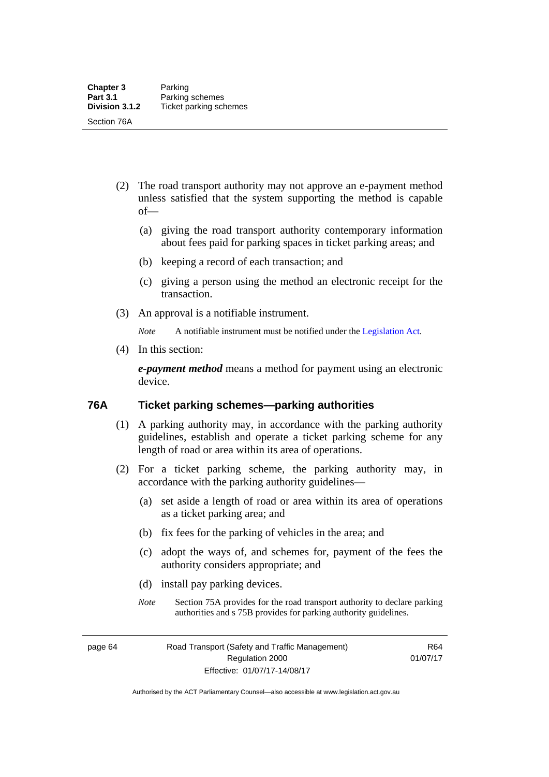- (2) The road transport authority may not approve an e-payment method unless satisfied that the system supporting the method is capable of—
	- (a) giving the road transport authority contemporary information about fees paid for parking spaces in ticket parking areas; and
	- (b) keeping a record of each transaction; and
	- (c) giving a person using the method an electronic receipt for the transaction.
- (3) An approval is a notifiable instrument.

*Note* A notifiable instrument must be notified under the [Legislation Act](http://www.legislation.act.gov.au/a/2001-14).

(4) In this section:

*e-payment method* means a method for payment using an electronic device.

### **76A Ticket parking schemes—parking authorities**

- (1) A parking authority may, in accordance with the parking authority guidelines, establish and operate a ticket parking scheme for any length of road or area within its area of operations.
- (2) For a ticket parking scheme, the parking authority may, in accordance with the parking authority guidelines—
	- (a) set aside a length of road or area within its area of operations as a ticket parking area; and
	- (b) fix fees for the parking of vehicles in the area; and
	- (c) adopt the ways of, and schemes for, payment of the fees the authority considers appropriate; and
	- (d) install pay parking devices.
	- *Note* Section 75A provides for the road transport authority to declare parking authorities and s 75B provides for parking authority guidelines.

page 64 Road Transport (Safety and Traffic Management) Regulation 2000 Effective: 01/07/17-14/08/17

R64 01/07/17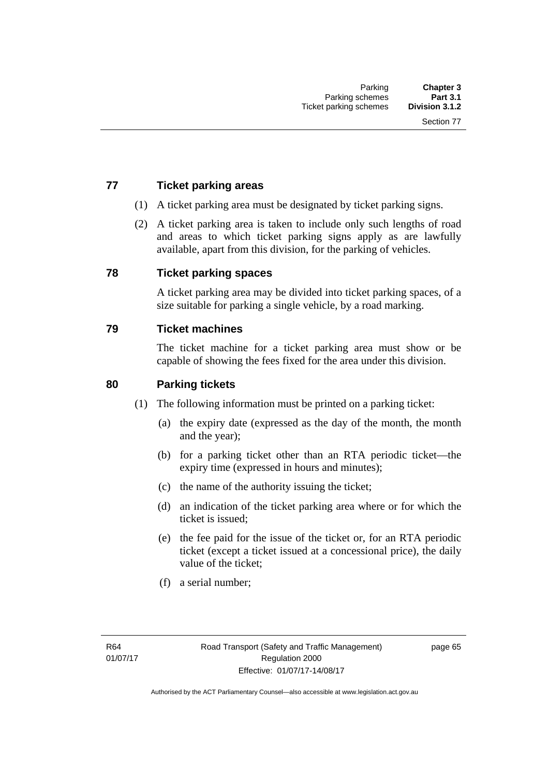### **77 Ticket parking areas**

- (1) A ticket parking area must be designated by ticket parking signs.
- (2) A ticket parking area is taken to include only such lengths of road and areas to which ticket parking signs apply as are lawfully available, apart from this division, for the parking of vehicles.

### **78 Ticket parking spaces**

A ticket parking area may be divided into ticket parking spaces, of a size suitable for parking a single vehicle, by a road marking.

### **79 Ticket machines**

The ticket machine for a ticket parking area must show or be capable of showing the fees fixed for the area under this division.

### **80 Parking tickets**

- (1) The following information must be printed on a parking ticket:
	- (a) the expiry date (expressed as the day of the month, the month and the year);
	- (b) for a parking ticket other than an RTA periodic ticket—the expiry time (expressed in hours and minutes);
	- (c) the name of the authority issuing the ticket;
	- (d) an indication of the ticket parking area where or for which the ticket is issued;
	- (e) the fee paid for the issue of the ticket or, for an RTA periodic ticket (except a ticket issued at a concessional price), the daily value of the ticket;
	- (f) a serial number;

page 65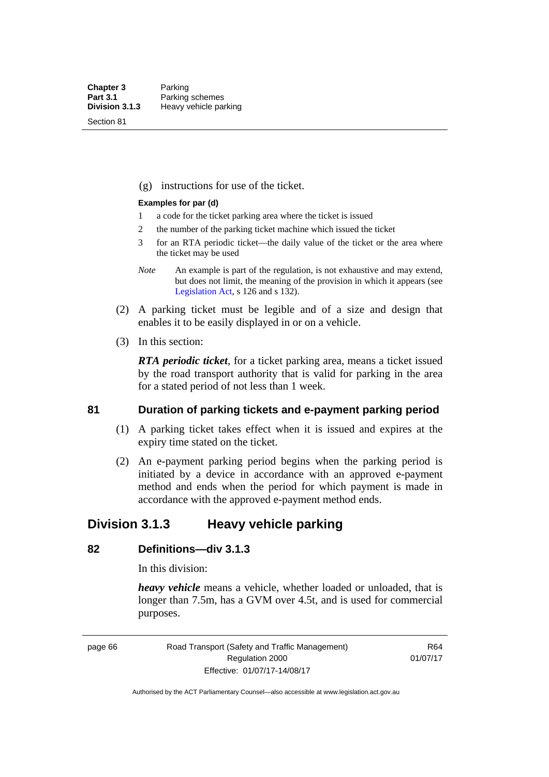Section 81

(g) instructions for use of the ticket.

#### **Examples for par (d)**

- 1 a code for the ticket parking area where the ticket is issued
- 2 the number of the parking ticket machine which issued the ticket
- 3 for an RTA periodic ticket—the daily value of the ticket or the area where the ticket may be used
- *Note* An example is part of the regulation, is not exhaustive and may extend, but does not limit, the meaning of the provision in which it appears (see [Legislation Act,](http://www.legislation.act.gov.au/a/2001-14) s 126 and s 132).
- (2) A parking ticket must be legible and of a size and design that enables it to be easily displayed in or on a vehicle.
- (3) In this section:

*RTA periodic ticket*, for a ticket parking area, means a ticket issued by the road transport authority that is valid for parking in the area for a stated period of not less than 1 week.

### **81 Duration of parking tickets and e-payment parking period**

- (1) A parking ticket takes effect when it is issued and expires at the expiry time stated on the ticket.
- (2) An e-payment parking period begins when the parking period is initiated by a device in accordance with an approved e-payment method and ends when the period for which payment is made in accordance with the approved e-payment method ends.

### **Division 3.1.3 Heavy vehicle parking**

### **82 Definitions—div 3.1.3**

In this division:

*heavy vehicle* means a vehicle, whether loaded or unloaded, that is longer than 7.5m, has a GVM over 4.5t, and is used for commercial purposes.

page 66 Road Transport (Safety and Traffic Management) Regulation 2000 Effective: 01/07/17-14/08/17

R64 01/07/17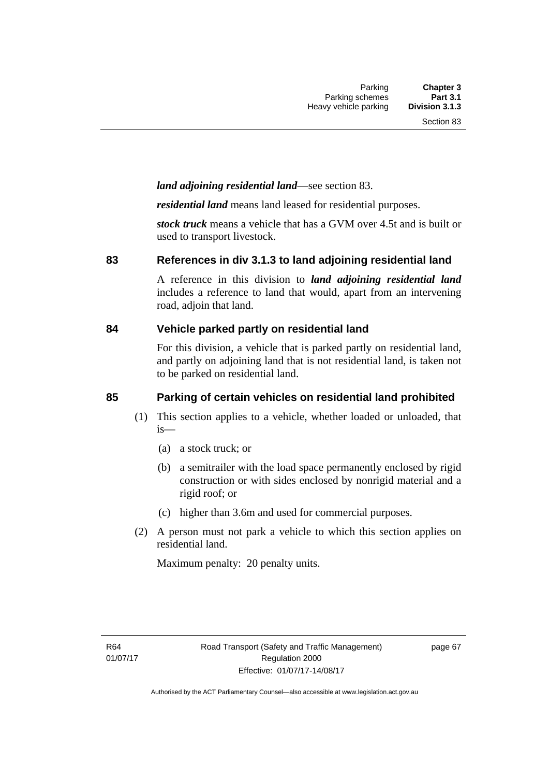### *land adjoining residential land*—see section 83.

*residential land* means land leased for residential purposes.

*stock truck* means a vehicle that has a GVM over 4.5t and is built or used to transport livestock.

### **83 References in div 3.1.3 to land adjoining residential land**

A reference in this division to *land adjoining residential land* includes a reference to land that would, apart from an intervening road, adjoin that land.

### **84 Vehicle parked partly on residential land**

For this division, a vehicle that is parked partly on residential land, and partly on adjoining land that is not residential land, is taken not to be parked on residential land.

### **85 Parking of certain vehicles on residential land prohibited**

- (1) This section applies to a vehicle, whether loaded or unloaded, that is—
	- (a) a stock truck; or
	- (b) a semitrailer with the load space permanently enclosed by rigid construction or with sides enclosed by nonrigid material and a rigid roof; or
	- (c) higher than 3.6m and used for commercial purposes.
- (2) A person must not park a vehicle to which this section applies on residential land.

Maximum penalty: 20 penalty units.

page 67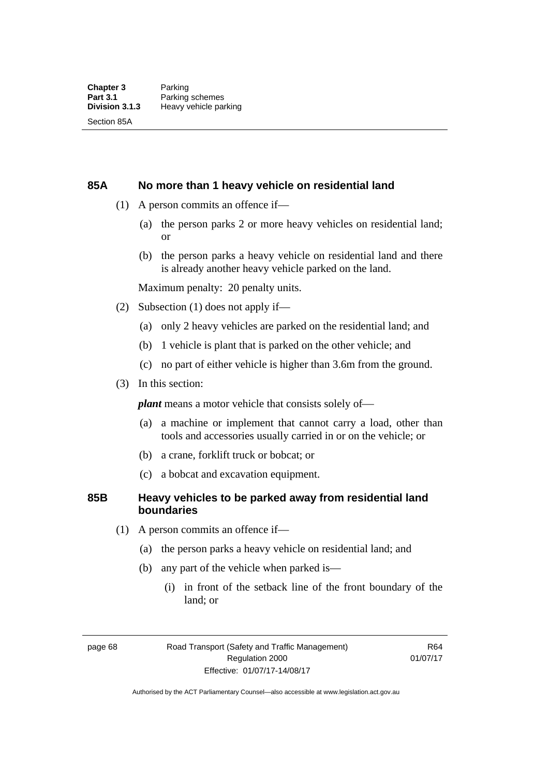### **85A No more than 1 heavy vehicle on residential land**

- (1) A person commits an offence if—
	- (a) the person parks 2 or more heavy vehicles on residential land; or
	- (b) the person parks a heavy vehicle on residential land and there is already another heavy vehicle parked on the land.

Maximum penalty: 20 penalty units.

- (2) Subsection (1) does not apply if—
	- (a) only 2 heavy vehicles are parked on the residential land; and
	- (b) 1 vehicle is plant that is parked on the other vehicle; and
	- (c) no part of either vehicle is higher than 3.6m from the ground.
- (3) In this section:

*plant* means a motor vehicle that consists solely of—

- (a) a machine or implement that cannot carry a load, other than tools and accessories usually carried in or on the vehicle; or
- (b) a crane, forklift truck or bobcat; or
- (c) a bobcat and excavation equipment.

### **85B Heavy vehicles to be parked away from residential land boundaries**

- (1) A person commits an offence if—
	- (a) the person parks a heavy vehicle on residential land; and
	- (b) any part of the vehicle when parked is—
		- (i) in front of the setback line of the front boundary of the land; or

page 68 Road Transport (Safety and Traffic Management) Regulation 2000 Effective: 01/07/17-14/08/17

R64 01/07/17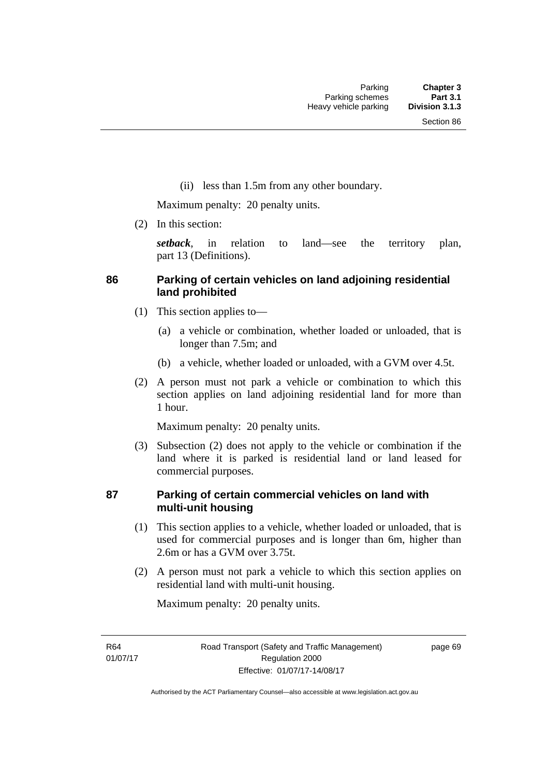(ii) less than 1.5m from any other boundary.

Maximum penalty: 20 penalty units.

(2) In this section:

*setback*, in relation to land—see the territory plan, part 13 (Definitions).

### **86 Parking of certain vehicles on land adjoining residential land prohibited**

- (1) This section applies to—
	- (a) a vehicle or combination, whether loaded or unloaded, that is longer than 7.5m; and
	- (b) a vehicle, whether loaded or unloaded, with a GVM over 4.5t.
- (2) A person must not park a vehicle or combination to which this section applies on land adjoining residential land for more than 1 hour.

Maximum penalty: 20 penalty units.

 (3) Subsection (2) does not apply to the vehicle or combination if the land where it is parked is residential land or land leased for commercial purposes.

### **87 Parking of certain commercial vehicles on land with multi-unit housing**

- (1) This section applies to a vehicle, whether loaded or unloaded, that is used for commercial purposes and is longer than 6m, higher than 2.6m or has a GVM over 3.75t.
- (2) A person must not park a vehicle to which this section applies on residential land with multi-unit housing.

Maximum penalty: 20 penalty units.

R64 01/07/17 page 69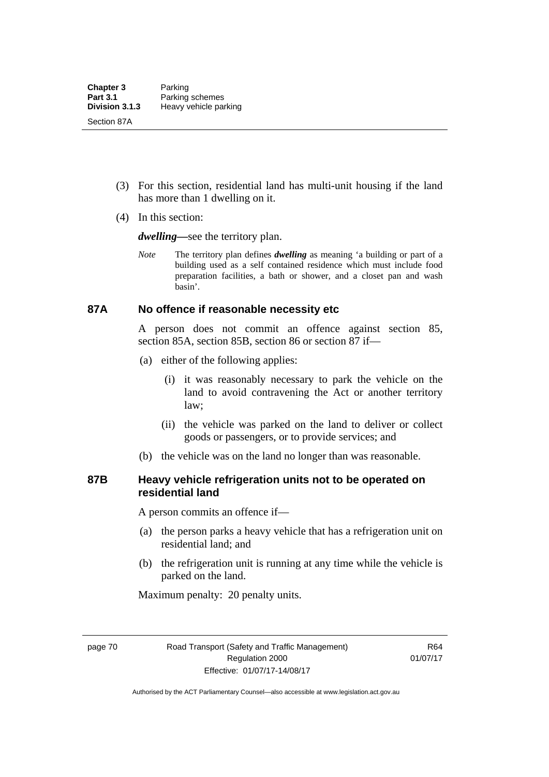- (3) For this section, residential land has multi-unit housing if the land has more than 1 dwelling on it.
- (4) In this section:

*dwelling—*see the territory plan.

*Note* The territory plan defines *dwelling* as meaning 'a building or part of a building used as a self contained residence which must include food preparation facilities, a bath or shower, and a closet pan and wash basin'.

### **87A No offence if reasonable necessity etc**

A person does not commit an offence against section 85, section 85A, section 85B, section 86 or section 87 if—

- (a) either of the following applies:
	- (i) it was reasonably necessary to park the vehicle on the land to avoid contravening the Act or another territory law;
	- (ii) the vehicle was parked on the land to deliver or collect goods or passengers, or to provide services; and
- (b) the vehicle was on the land no longer than was reasonable.

### **87B Heavy vehicle refrigeration units not to be operated on residential land**

A person commits an offence if—

- (a) the person parks a heavy vehicle that has a refrigeration unit on residential land; and
- (b) the refrigeration unit is running at any time while the vehicle is parked on the land.

Maximum penalty: 20 penalty units.

page 70 Road Transport (Safety and Traffic Management) Regulation 2000 Effective: 01/07/17-14/08/17

R64 01/07/17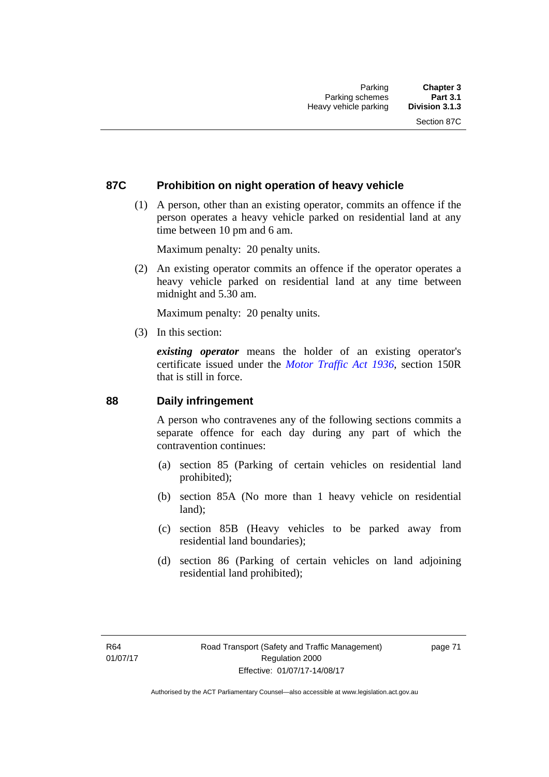### **87C Prohibition on night operation of heavy vehicle**

 (1) A person, other than an existing operator, commits an offence if the person operates a heavy vehicle parked on residential land at any time between 10 pm and 6 am.

Maximum penalty: 20 penalty units.

 (2) An existing operator commits an offence if the operator operates a heavy vehicle parked on residential land at any time between midnight and 5.30 am.

Maximum penalty: 20 penalty units.

(3) In this section:

*existing operator* means the holder of an existing operator's certificate issued under the *[Motor Traffic Act 1936](http://www.legislation.act.gov.au/a/1936-45)*, section 150R that is still in force.

### **88 Daily infringement**

A person who contravenes any of the following sections commits a separate offence for each day during any part of which the contravention continues:

- (a) section 85 (Parking of certain vehicles on residential land prohibited);
- (b) section 85A (No more than 1 heavy vehicle on residential land);
- (c) section 85B (Heavy vehicles to be parked away from residential land boundaries);
- (d) section 86 (Parking of certain vehicles on land adjoining residential land prohibited);

page 71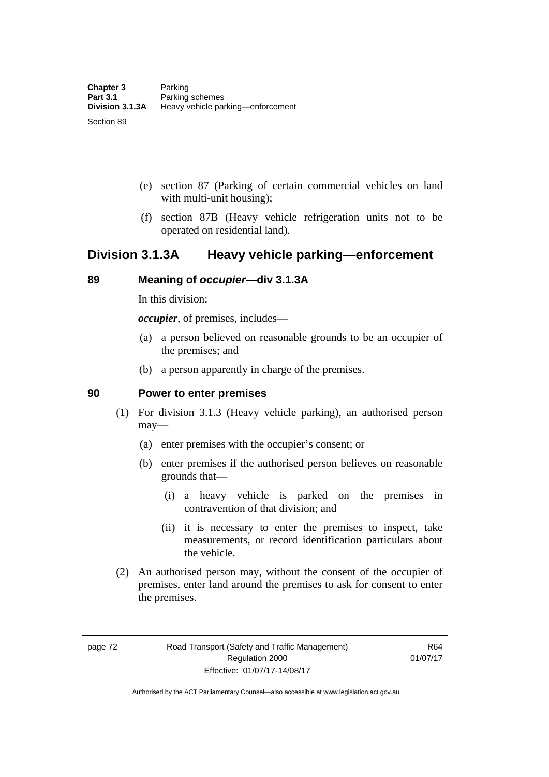- (e) section 87 (Parking of certain commercial vehicles on land with multi-unit housing);
- (f) section 87B (Heavy vehicle refrigeration units not to be operated on residential land).

### **Division 3.1.3A Heavy vehicle parking—enforcement**

### **89 Meaning of** *occupier***—div 3.1.3A**

In this division:

*occupier*, of premises, includes—

- (a) a person believed on reasonable grounds to be an occupier of the premises; and
- (b) a person apparently in charge of the premises.

### **90 Power to enter premises**

- (1) For division 3.1.3 (Heavy vehicle parking), an authorised person may—
	- (a) enter premises with the occupier's consent; or
	- (b) enter premises if the authorised person believes on reasonable grounds that—
		- (i) a heavy vehicle is parked on the premises in contravention of that division; and
		- (ii) it is necessary to enter the premises to inspect, take measurements, or record identification particulars about the vehicle.
- (2) An authorised person may, without the consent of the occupier of premises, enter land around the premises to ask for consent to enter the premises.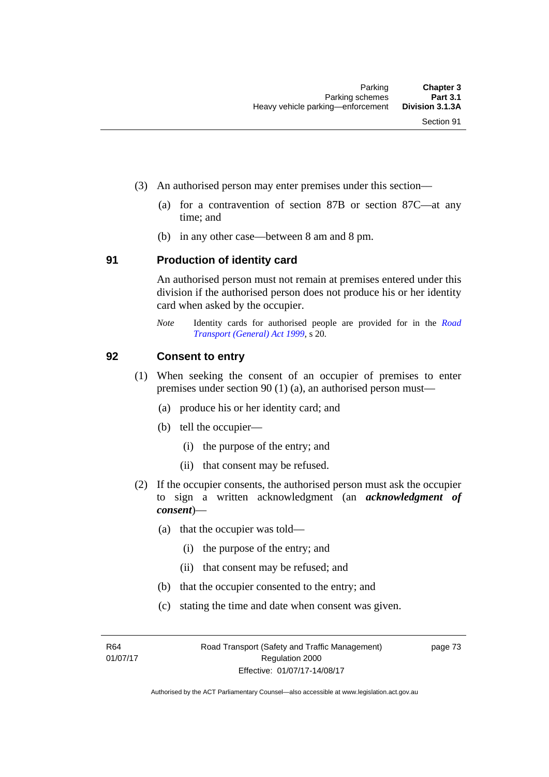- (3) An authorised person may enter premises under this section––
	- (a) for a contravention of section 87B or section 87C––at any time; and
	- (b) in any other case––between 8 am and 8 pm.

#### **91 Production of identity card**

An authorised person must not remain at premises entered under this division if the authorised person does not produce his or her identity card when asked by the occupier.

*Note* Identity cards for authorised people are provided for in the *[Road](http://www.legislation.act.gov.au/a/1999-77)  [Transport \(General\) Act 1999](http://www.legislation.act.gov.au/a/1999-77)*, s 20.

### **92 Consent to entry**

- (1) When seeking the consent of an occupier of premises to enter premises under section 90 (1) (a), an authorised person must—
	- (a) produce his or her identity card; and
	- (b) tell the occupier—
		- (i) the purpose of the entry; and
		- (ii) that consent may be refused.
- (2) If the occupier consents, the authorised person must ask the occupier to sign a written acknowledgment (an *acknowledgment of consent*)—
	- (a) that the occupier was told—
		- (i) the purpose of the entry; and
		- (ii) that consent may be refused; and
	- (b) that the occupier consented to the entry; and
	- (c) stating the time and date when consent was given.

R64 01/07/17 page 73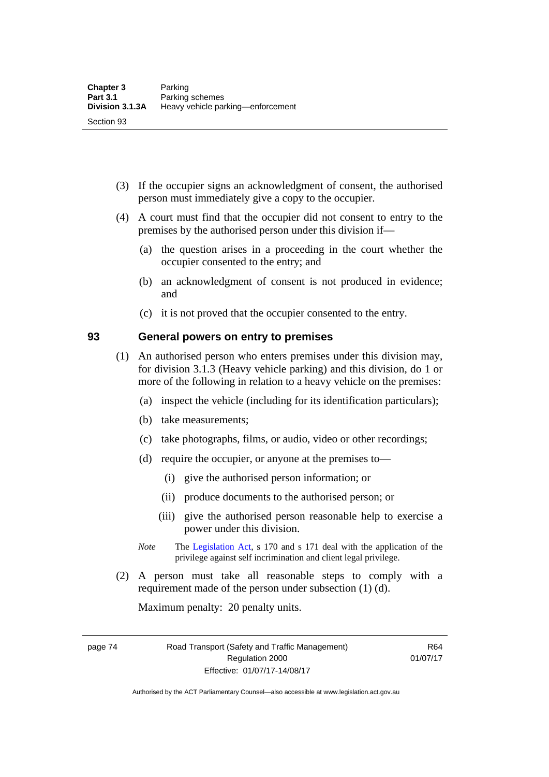- (3) If the occupier signs an acknowledgment of consent, the authorised person must immediately give a copy to the occupier.
- (4) A court must find that the occupier did not consent to entry to the premises by the authorised person under this division if—
	- (a) the question arises in a proceeding in the court whether the occupier consented to the entry; and
	- (b) an acknowledgment of consent is not produced in evidence; and
	- (c) it is not proved that the occupier consented to the entry.

#### **93 General powers on entry to premises**

- (1) An authorised person who enters premises under this division may, for division 3.1.3 (Heavy vehicle parking) and this division, do 1 or more of the following in relation to a heavy vehicle on the premises:
	- (a) inspect the vehicle (including for its identification particulars);
	- (b) take measurements;
	- (c) take photographs, films, or audio, video or other recordings;
	- (d) require the occupier, or anyone at the premises to—
		- (i) give the authorised person information; or
		- (ii) produce documents to the authorised person; or
		- (iii) give the authorised person reasonable help to exercise a power under this division.
	- *Note* The [Legislation Act](http://www.legislation.act.gov.au/a/2001-14), s 170 and s 171 deal with the application of the privilege against self incrimination and client legal privilege.
- (2) A person must take all reasonable steps to comply with a requirement made of the person under subsection (1) (d).

Maximum penalty: 20 penalty units.

page 74 Road Transport (Safety and Traffic Management) Regulation 2000 Effective: 01/07/17-14/08/17

R64 01/07/17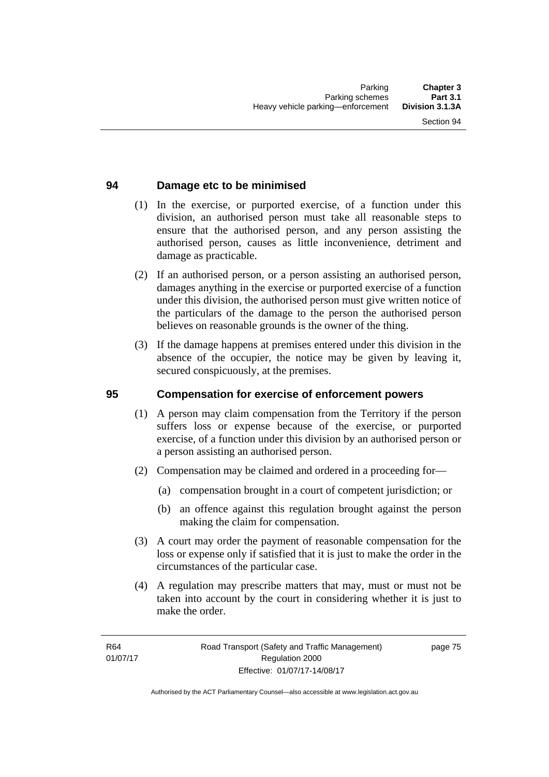### **94 Damage etc to be minimised**

- (1) In the exercise, or purported exercise, of a function under this division, an authorised person must take all reasonable steps to ensure that the authorised person, and any person assisting the authorised person, causes as little inconvenience, detriment and damage as practicable.
- (2) If an authorised person, or a person assisting an authorised person, damages anything in the exercise or purported exercise of a function under this division, the authorised person must give written notice of the particulars of the damage to the person the authorised person believes on reasonable grounds is the owner of the thing.
- (3) If the damage happens at premises entered under this division in the absence of the occupier, the notice may be given by leaving it, secured conspicuously, at the premises.

### **95 Compensation for exercise of enforcement powers**

- (1) A person may claim compensation from the Territory if the person suffers loss or expense because of the exercise, or purported exercise, of a function under this division by an authorised person or a person assisting an authorised person.
- (2) Compensation may be claimed and ordered in a proceeding for—
	- (a) compensation brought in a court of competent jurisdiction; or
	- (b) an offence against this regulation brought against the person making the claim for compensation.
- (3) A court may order the payment of reasonable compensation for the loss or expense only if satisfied that it is just to make the order in the circumstances of the particular case.
- (4) A regulation may prescribe matters that may, must or must not be taken into account by the court in considering whether it is just to make the order.

page 75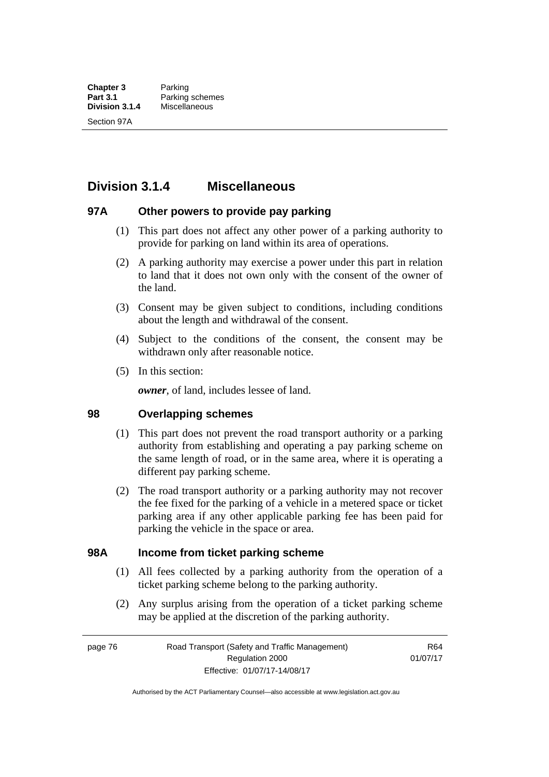## **Division 3.1.4 Miscellaneous**

### **97A Other powers to provide pay parking**

- (1) This part does not affect any other power of a parking authority to provide for parking on land within its area of operations.
- (2) A parking authority may exercise a power under this part in relation to land that it does not own only with the consent of the owner of the land.
- (3) Consent may be given subject to conditions, including conditions about the length and withdrawal of the consent.
- (4) Subject to the conditions of the consent, the consent may be withdrawn only after reasonable notice.
- (5) In this section:

*owner*, of land, includes lessee of land.

#### **98 Overlapping schemes**

- (1) This part does not prevent the road transport authority or a parking authority from establishing and operating a pay parking scheme on the same length of road, or in the same area, where it is operating a different pay parking scheme.
- (2) The road transport authority or a parking authority may not recover the fee fixed for the parking of a vehicle in a metered space or ticket parking area if any other applicable parking fee has been paid for parking the vehicle in the space or area.

### **98A Income from ticket parking scheme**

- (1) All fees collected by a parking authority from the operation of a ticket parking scheme belong to the parking authority.
- (2) Any surplus arising from the operation of a ticket parking scheme may be applied at the discretion of the parking authority.

page 76 Road Transport (Safety and Traffic Management) Regulation 2000 Effective: 01/07/17-14/08/17

R64 01/07/17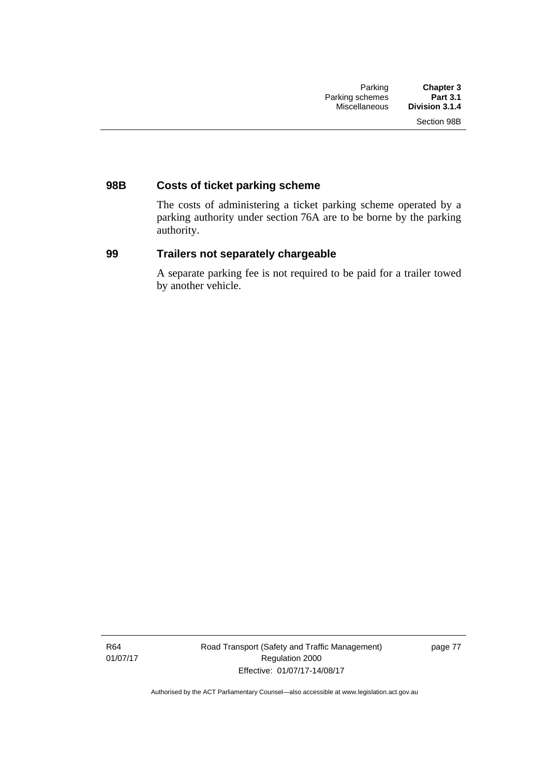### **98B Costs of ticket parking scheme**

The costs of administering a ticket parking scheme operated by a parking authority under section 76A are to be borne by the parking authority.

### **99 Trailers not separately chargeable**

A separate parking fee is not required to be paid for a trailer towed by another vehicle.

R64 01/07/17 Road Transport (Safety and Traffic Management) Regulation 2000 Effective: 01/07/17-14/08/17

page 77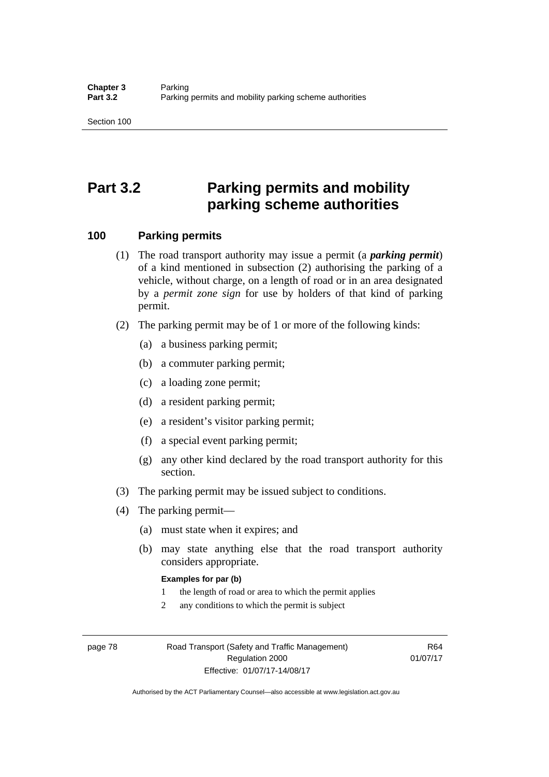# **Part 3.2 Parking permits and mobility parking scheme authorities**

### **100 Parking permits**

- (1) The road transport authority may issue a permit (a *parking permit*) of a kind mentioned in subsection (2) authorising the parking of a vehicle, without charge, on a length of road or in an area designated by a *permit zone sign* for use by holders of that kind of parking permit.
- (2) The parking permit may be of 1 or more of the following kinds:
	- (a) a business parking permit;
	- (b) a commuter parking permit;
	- (c) a loading zone permit;
	- (d) a resident parking permit;
	- (e) a resident's visitor parking permit;
	- (f) a special event parking permit;
	- (g) any other kind declared by the road transport authority for this section.
- (3) The parking permit may be issued subject to conditions.
- (4) The parking permit—
	- (a) must state when it expires; and
	- (b) may state anything else that the road transport authority considers appropriate.

#### **Examples for par (b)**

- 1 the length of road or area to which the permit applies
- 2 any conditions to which the permit is subject

page 78 Road Transport (Safety and Traffic Management) Regulation 2000 Effective: 01/07/17-14/08/17

R64 01/07/17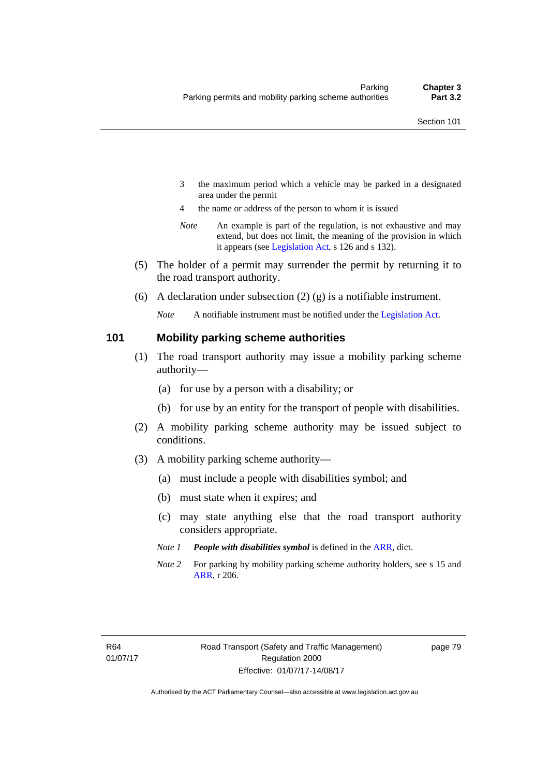- 3 the maximum period which a vehicle may be parked in a designated area under the permit
- 4 the name or address of the person to whom it is issued
- *Note* An example is part of the regulation, is not exhaustive and may extend, but does not limit, the meaning of the provision in which it appears (see [Legislation Act,](http://www.legislation.act.gov.au/a/2001-14) s 126 and s 132).
- (5) The holder of a permit may surrender the permit by returning it to the road transport authority.
- (6) A declaration under subsection  $(2)$  (g) is a notifiable instrument.

*Note* A notifiable instrument must be notified under the [Legislation Act](http://www.legislation.act.gov.au/a/2001-14).

#### **101 Mobility parking scheme authorities**

- (1) The road transport authority may issue a mobility parking scheme authority—
	- (a) for use by a person with a disability; or
	- (b) for use by an entity for the transport of people with disabilities.
- (2) A mobility parking scheme authority may be issued subject to conditions.
- (3) A mobility parking scheme authority—
	- (a) must include a people with disabilities symbol; and
	- (b) must state when it expires; and
	- (c) may state anything else that the road transport authority considers appropriate.
	- *Note 1 People with disabilities symbol* is defined in the [ARR,](http://www.legislation.act.gov.au//ni/db_37271/default.asp) dict.
	- *Note 2* For parking by mobility parking scheme authority holders, see s 15 and [ARR,](http://www.legislation.act.gov.au//ni/db_37271/default.asp) r 206.

page 79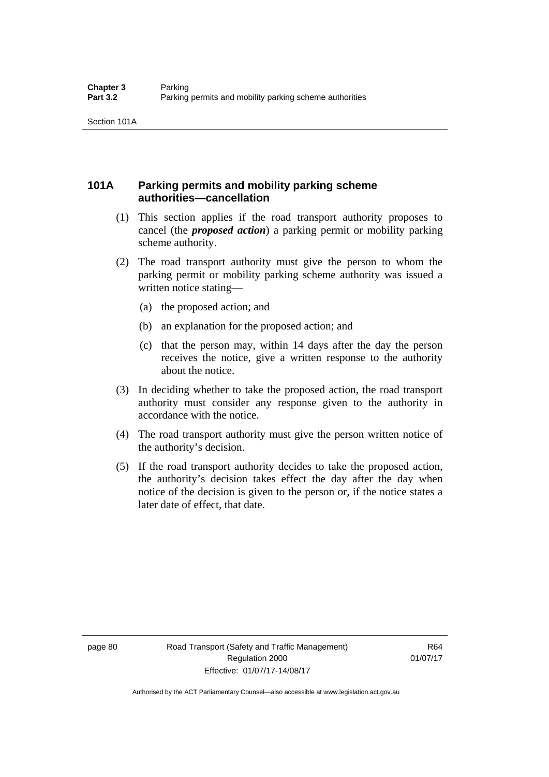### **101A Parking permits and mobility parking scheme authorities—cancellation**

- (1) This section applies if the road transport authority proposes to cancel (the *proposed action*) a parking permit or mobility parking scheme authority.
- (2) The road transport authority must give the person to whom the parking permit or mobility parking scheme authority was issued a written notice stating—
	- (a) the proposed action; and
	- (b) an explanation for the proposed action; and
	- (c) that the person may, within 14 days after the day the person receives the notice, give a written response to the authority about the notice.
- (3) In deciding whether to take the proposed action, the road transport authority must consider any response given to the authority in accordance with the notice.
- (4) The road transport authority must give the person written notice of the authority's decision.
- (5) If the road transport authority decides to take the proposed action, the authority's decision takes effect the day after the day when notice of the decision is given to the person or, if the notice states a later date of effect, that date.

page 80 Road Transport (Safety and Traffic Management) Regulation 2000 Effective: 01/07/17-14/08/17

R64 01/07/17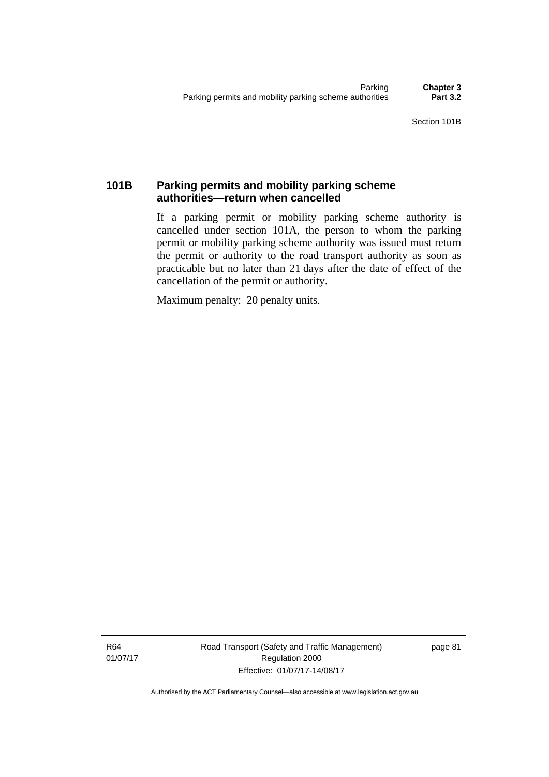### **101B Parking permits and mobility parking scheme authorities—return when cancelled**

If a parking permit or mobility parking scheme authority is cancelled under section 101A, the person to whom the parking permit or mobility parking scheme authority was issued must return the permit or authority to the road transport authority as soon as practicable but no later than 21 days after the date of effect of the cancellation of the permit or authority.

Maximum penalty: 20 penalty units.

R64 01/07/17 Road Transport (Safety and Traffic Management) Regulation 2000 Effective: 01/07/17-14/08/17

page 81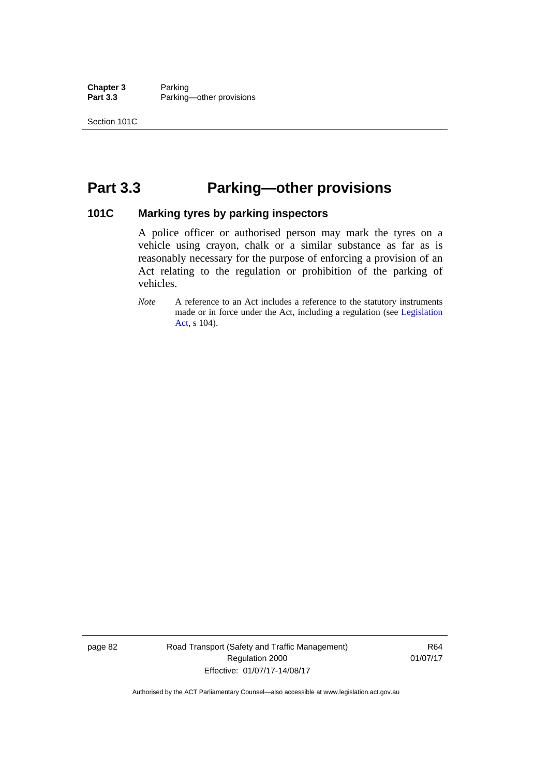**Chapter 3** Parking<br>**Part 3.3** Parking Parking—other provisions

## **Part 3.3 Parking—other provisions**

### **101C Marking tyres by parking inspectors**

A police officer or authorised person may mark the tyres on a vehicle using crayon, chalk or a similar substance as far as is reasonably necessary for the purpose of enforcing a provision of an Act relating to the regulation or prohibition of the parking of vehicles.

page 82 Road Transport (Safety and Traffic Management) Regulation 2000 Effective: 01/07/17-14/08/17

R64 01/07/17

*Note* A reference to an Act includes a reference to the statutory instruments made or in force under the Act, including a regulation (see [Legislation](http://www.legislation.act.gov.au/a/2001-14)  [Act](http://www.legislation.act.gov.au/a/2001-14), s 104).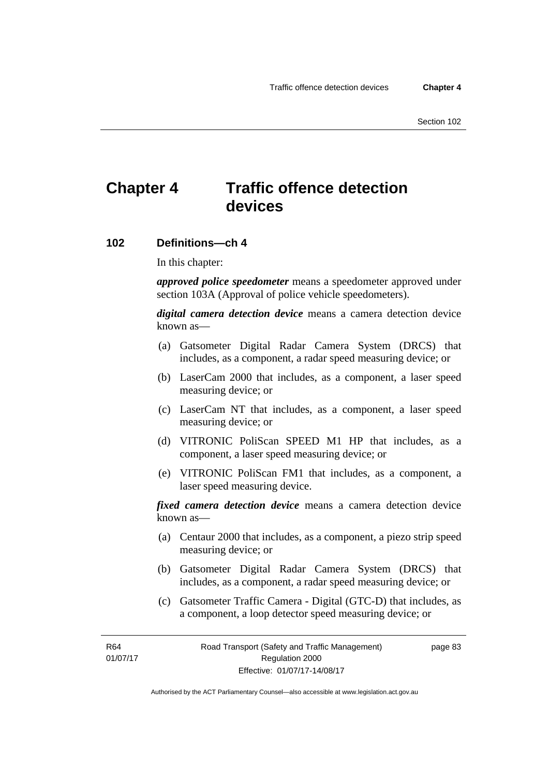# **Chapter 4 Traffic offence detection devices**

#### **102 Definitions—ch 4**

In this chapter:

*approved police speedometer* means a speedometer approved under section 103A (Approval of police vehicle speedometers).

*digital camera detection device* means a camera detection device known as—

- (a) Gatsometer Digital Radar Camera System (DRCS) that includes, as a component, a radar speed measuring device; or
- (b) LaserCam 2000 that includes, as a component, a laser speed measuring device; or
- (c) LaserCam NT that includes, as a component, a laser speed measuring device; or
- (d) VITRONIC PoliScan SPEED M1 HP that includes, as a component, a laser speed measuring device; or
- (e) VITRONIC PoliScan FM1 that includes, as a component, a laser speed measuring device.

*fixed camera detection device* means a camera detection device known as—

- (a) Centaur 2000 that includes, as a component, a piezo strip speed measuring device; or
- (b) Gatsometer Digital Radar Camera System (DRCS) that includes, as a component, a radar speed measuring device; or
- (c) Gatsometer Traffic Camera Digital (GTC-D) that includes, as a component, a loop detector speed measuring device; or

R64 01/07/17 page 83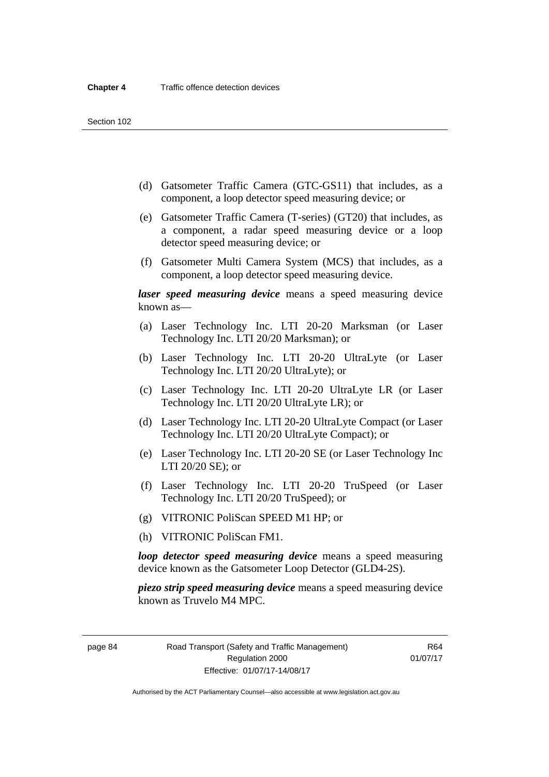- (d) Gatsometer Traffic Camera (GTC-GS11) that includes, as a component, a loop detector speed measuring device; or
- (e) Gatsometer Traffic Camera (T-series) (GT20) that includes, as a component, a radar speed measuring device or a loop detector speed measuring device; or
- (f) Gatsometer Multi Camera System (MCS) that includes, as a component, a loop detector speed measuring device.

*laser speed measuring device* means a speed measuring device known as—

- (a) Laser Technology Inc. LTI 20-20 Marksman (or Laser Technology Inc. LTI 20/20 Marksman); or
- (b) Laser Technology Inc. LTI 20-20 UltraLyte (or Laser Technology Inc. LTI 20/20 UltraLyte); or
- (c) Laser Technology Inc. LTI 20-20 UltraLyte LR (or Laser Technology Inc. LTI 20/20 UltraLyte LR); or
- (d) Laser Technology Inc. LTI 20-20 UltraLyte Compact (or Laser Technology Inc. LTI 20/20 UltraLyte Compact); or
- (e) Laser Technology Inc. LTI 20-20 SE (or Laser Technology Inc LTI 20/20 SE); or
- (f) Laser Technology Inc. LTI 20-20 TruSpeed (or Laser Technology Inc. LTI 20/20 TruSpeed); or
- (g) VITRONIC PoliScan SPEED M1 HP; or
- (h) VITRONIC PoliScan FM1.

*loop detector speed measuring device* means a speed measuring device known as the Gatsometer Loop Detector (GLD4-2S).

*piezo strip speed measuring device* means a speed measuring device known as Truvelo M4 MPC.

page 84 Road Transport (Safety and Traffic Management) Regulation 2000 Effective: 01/07/17-14/08/17

R64 01/07/17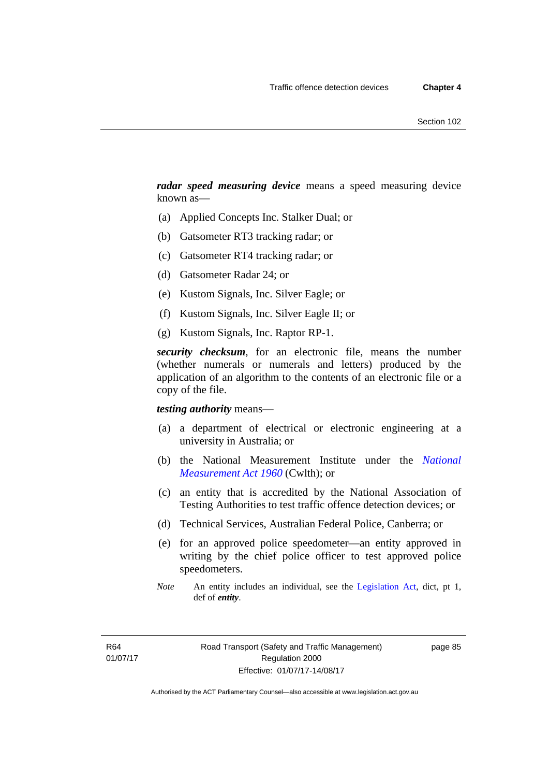*radar speed measuring device* means a speed measuring device known as—

- (a) Applied Concepts Inc. Stalker Dual; or
- (b) Gatsometer RT3 tracking radar; or
- (c) Gatsometer RT4 tracking radar; or
- (d) Gatsometer Radar 24; or
- (e) Kustom Signals, Inc. Silver Eagle; or
- (f) Kustom Signals, Inc. Silver Eagle II; or
- (g) Kustom Signals, Inc. Raptor RP-1.

*security checksum*, for an electronic file, means the number (whether numerals or numerals and letters) produced by the application of an algorithm to the contents of an electronic file or a copy of the file.

#### *testing authority* means—

- (a) a department of electrical or electronic engineering at a university in Australia; or
- (b) the National Measurement Institute under the *[National](http://www.comlaw.gov.au/Series/C2004A07405)  [Measurement Act 1960](http://www.comlaw.gov.au/Series/C2004A07405)* (Cwlth); or
- (c) an entity that is accredited by the National Association of Testing Authorities to test traffic offence detection devices; or
- (d) Technical Services, Australian Federal Police, Canberra; or
- (e) for an approved police speedometer—an entity approved in writing by the chief police officer to test approved police speedometers.
- *Note* An entity includes an individual, see the [Legislation Act,](http://www.legislation.act.gov.au/a/2001-14) dict, pt 1, def of *entity*.

page 85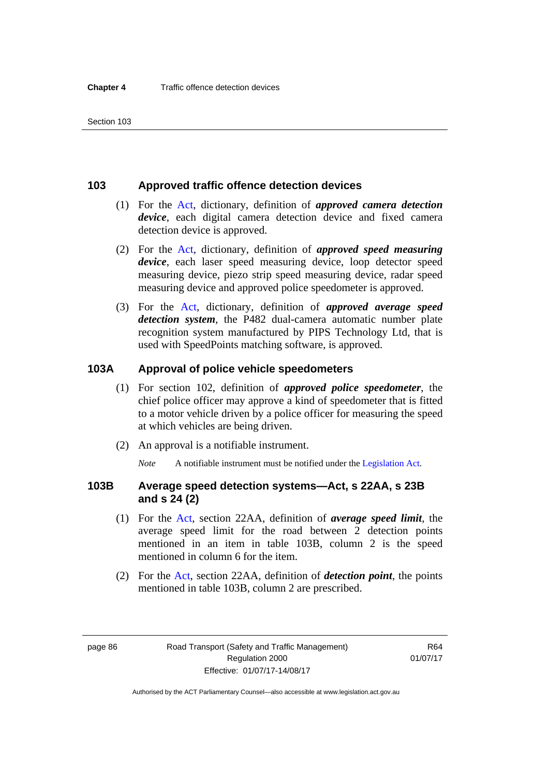### **103 Approved traffic offence detection devices**

- (1) For the [Act](http://www.legislation.act.gov.au/a/1999-80/default.asp), dictionary, definition of *approved camera detection device*, each digital camera detection device and fixed camera detection device is approved.
- (2) For the [Act,](http://www.legislation.act.gov.au/a/1999-80/default.asp) dictionary, definition of *approved speed measuring device*, each laser speed measuring device, loop detector speed measuring device, piezo strip speed measuring device, radar speed measuring device and approved police speedometer is approved.
- (3) For the [Act](http://www.legislation.act.gov.au/a/1999-80/default.asp), dictionary, definition of *approved average speed detection system*, the P482 dual-camera automatic number plate recognition system manufactured by PIPS Technology Ltd, that is used with SpeedPoints matching software, is approved.

### **103A Approval of police vehicle speedometers**

- (1) For section 102, definition of *approved police speedometer*, the chief police officer may approve a kind of speedometer that is fitted to a motor vehicle driven by a police officer for measuring the speed at which vehicles are being driven.
- (2) An approval is a notifiable instrument.

*Note* A notifiable instrument must be notified under the [Legislation Act](http://www.legislation.act.gov.au/a/2001-14).

### **103B Average speed detection systems—Act, s 22AA, s 23B and s 24 (2)**

- (1) For the [Act](http://www.legislation.act.gov.au/a/1999-80/default.asp), section 22AA, definition of *average speed limit*, the average speed limit for the road between 2 detection points mentioned in an item in table 103B, column 2 is the speed mentioned in column 6 for the item.
- (2) For the [Act](http://www.legislation.act.gov.au/a/1999-80/default.asp), section 22AA, definition of *detection point*, the points mentioned in table 103B, column 2 are prescribed.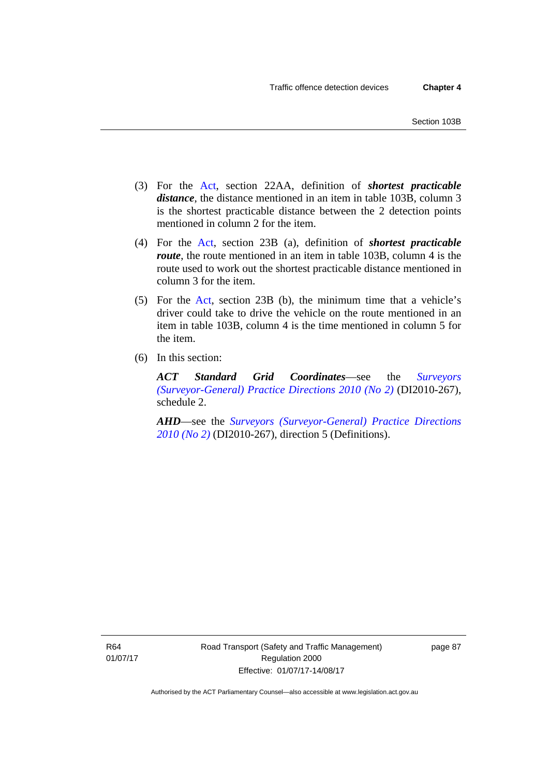- (3) For the [Act](http://www.legislation.act.gov.au/a/1999-80/default.asp), section 22AA, definition of *shortest practicable distance*, the distance mentioned in an item in table 103B, column 3 is the shortest practicable distance between the 2 detection points mentioned in column 2 for the item.
- (4) For the [Act,](http://www.legislation.act.gov.au/a/1999-80/default.asp) section 23B (a), definition of *shortest practicable route*, the route mentioned in an item in table 103B, column 4 is the route used to work out the shortest practicable distance mentioned in column 3 for the item.
- (5) For the [Act](http://www.legislation.act.gov.au/a/1999-80/default.asp), section 23B (b), the minimum time that a vehicle's driver could take to drive the vehicle on the route mentioned in an item in table 103B, column 4 is the time mentioned in column 5 for the item.
- (6) In this section:

*ACT Standard Grid Coordinates*—see the *[Surveyors](http://www.legislation.act.gov.au/di/2010-267/default.asp)  [\(Surveyor-General\) Practice Directions 2010 \(No 2\)](http://www.legislation.act.gov.au/di/2010-267/default.asp)* (DI2010-267), schedule 2.

*AHD*—see the *[Surveyors \(Surveyor-General\) Practice Directions](http://www.legislation.act.gov.au/di/2010-267/default.asp)  [2010 \(No 2\)](http://www.legislation.act.gov.au/di/2010-267/default.asp)* (DI2010-267), direction 5 (Definitions).

R64 01/07/17 page 87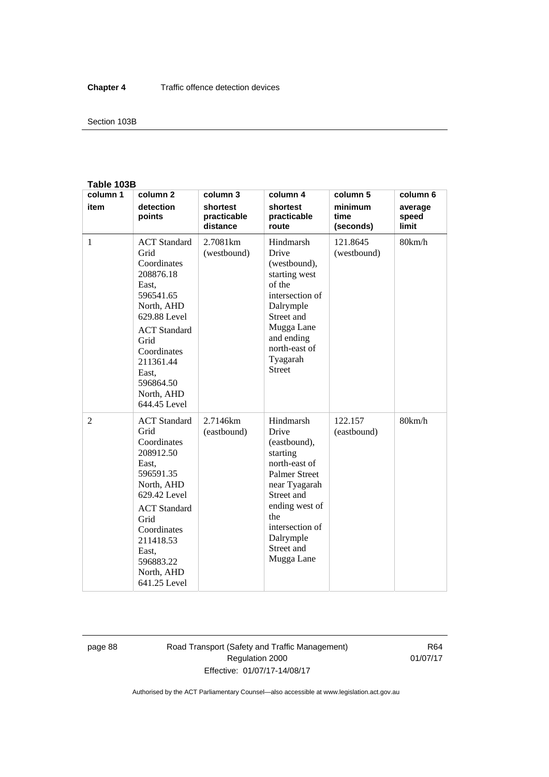#### Section 103B

#### **Table 103B**

| column 1       | column <sub>2</sub>                                                                                                                                                                                                        | column 3                            | column 4                                                                                                                                                                                                    | column 5                     | column 6                  |
|----------------|----------------------------------------------------------------------------------------------------------------------------------------------------------------------------------------------------------------------------|-------------------------------------|-------------------------------------------------------------------------------------------------------------------------------------------------------------------------------------------------------------|------------------------------|---------------------------|
| item           | detection<br>points                                                                                                                                                                                                        | shortest<br>practicable<br>distance | shortest<br>practicable<br>route                                                                                                                                                                            | minimum<br>time<br>(seconds) | average<br>speed<br>limit |
| $\mathbf{1}$   | <b>ACT</b> Standard<br>Grid<br>Coordinates<br>208876.18<br>East,<br>596541.65<br>North, AHD<br>629.88 Level<br><b>ACT</b> Standard<br>Grid<br>Coordinates<br>211361.44<br>East.<br>596864.50<br>North, AHD<br>644.45 Level | 2.7081km<br>(westbound)             | Hindmarsh<br>Drive<br>(westbound),<br>starting west<br>of the<br>intersection of<br>Dalrymple<br>Street and<br>Mugga Lane<br>and ending<br>north-east of<br>Tyagarah<br><b>Street</b>                       | 121.8645<br>(westbound)      | 80km/h                    |
| $\overline{2}$ | <b>ACT</b> Standard<br>Grid<br>Coordinates<br>208912.50<br>East,<br>596591.35<br>North, AHD<br>629.42 Level<br><b>ACT</b> Standard<br>Grid<br>Coordinates<br>211418.53<br>East,<br>596883.22<br>North, AHD<br>641.25 Level | 2.7146km<br>(eastbound)             | Hindmarsh<br>Drive<br>(eastbound),<br>starting<br>north-east of<br><b>Palmer Street</b><br>near Tyagarah<br>Street and<br>ending west of<br>the<br>intersection of<br>Dalrymple<br>Street and<br>Mugga Lane | 122.157<br>(eastbound)       | 80km/h                    |

page 88 Road Transport (Safety and Traffic Management) Regulation 2000 Effective: 01/07/17-14/08/17

R64 01/07/17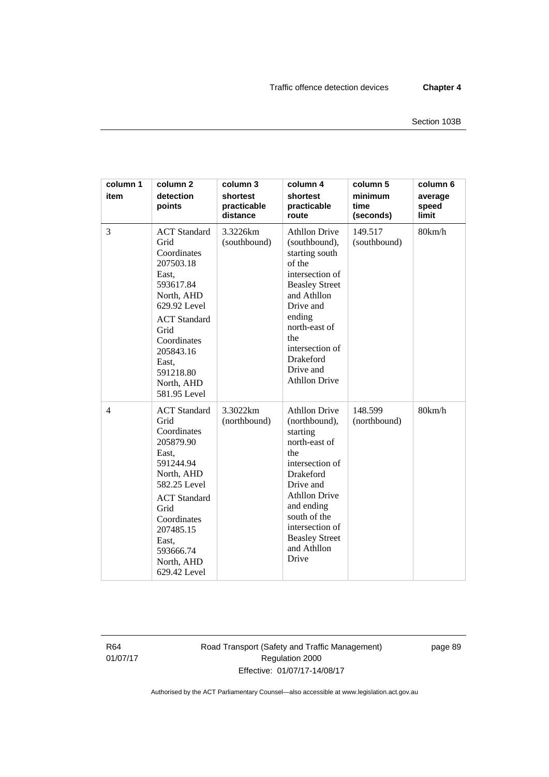| column 1<br>item | column <sub>2</sub><br>detection<br>points                                                                                                                                                                                 | column 3<br>shortest<br>practicable<br>distance | column 4<br>shortest<br>practicable<br>route                                                                                                                                                                                                            | column 5<br>minimum<br>time<br>(seconds) | column 6<br>average<br>speed<br>limit |
|------------------|----------------------------------------------------------------------------------------------------------------------------------------------------------------------------------------------------------------------------|-------------------------------------------------|---------------------------------------------------------------------------------------------------------------------------------------------------------------------------------------------------------------------------------------------------------|------------------------------------------|---------------------------------------|
| 3                | <b>ACT</b> Standard<br>Grid<br>Coordinates<br>207503.18<br>East,<br>593617.84<br>North, AHD<br>629.92 Level<br><b>ACT</b> Standard<br>Grid<br>Coordinates<br>205843.16<br>East,<br>591218.80<br>North, AHD<br>581.95 Level | 3.3226km<br>(southbound)                        | <b>Athllon Drive</b><br>(southbound),<br>starting south<br>of the<br>intersection of<br><b>Beasley Street</b><br>and Athllon<br>Drive and<br>ending<br>north-east of<br>the<br>intersection of<br>Drakeford<br>Drive and<br><b>Athllon Drive</b>        | 149.517<br>(southbound)                  | 80km/h                                |
| $\overline{4}$   | <b>ACT</b> Standard<br>Grid<br>Coordinates<br>205879.90<br>East,<br>591244.94<br>North, AHD<br>582.25 Level<br><b>ACT</b> Standard<br>Grid<br>Coordinates<br>207485.15<br>East,<br>593666.74<br>North, AHD<br>629.42 Level | 3.3022km<br>(northbound)                        | <b>Athllon Drive</b><br>(northbound),<br>starting<br>north-east of<br>the<br>intersection of<br><b>Drakeford</b><br>Drive and<br><b>Athllon Drive</b><br>and ending<br>south of the<br>intersection of<br><b>Beasley Street</b><br>and Athllon<br>Drive | 148.599<br>(northbound)                  | 80km/h                                |

R64 01/07/17 Road Transport (Safety and Traffic Management) Regulation 2000 Effective: 01/07/17-14/08/17

page 89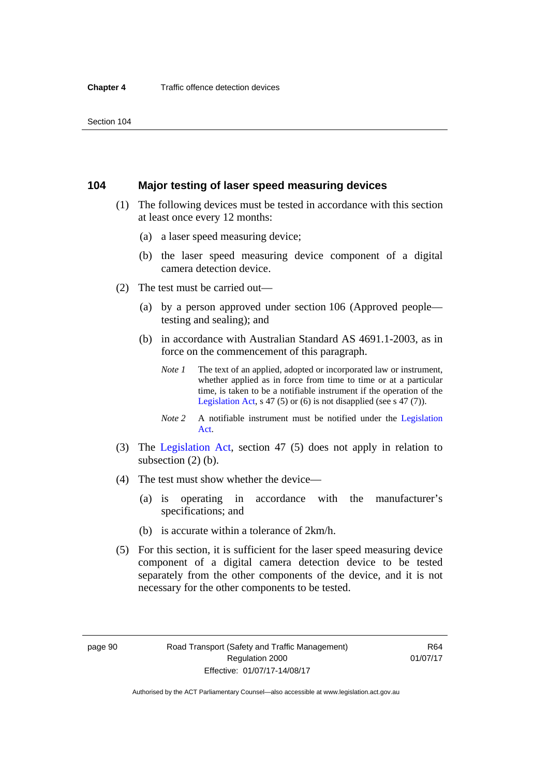### **104 Major testing of laser speed measuring devices**

- (1) The following devices must be tested in accordance with this section at least once every 12 months:
	- (a) a laser speed measuring device;
	- (b) the laser speed measuring device component of a digital camera detection device.
- (2) The test must be carried out—
	- (a) by a person approved under section 106 (Approved people testing and sealing); and
	- (b) in accordance with Australian Standard AS 4691.1-2003, as in force on the commencement of this paragraph.
		- *Note 1* The text of an applied, adopted or incorporated law or instrument, whether applied as in force from time to time or at a particular time, is taken to be a notifiable instrument if the operation of the [Legislation Act,](http://www.legislation.act.gov.au/a/2001-14) s 47 (5) or (6) is not disapplied (see s 47 (7)).
		- *Note 2* A notifiable instrument must be notified under the [Legislation](http://www.legislation.act.gov.au/a/2001-14)  [Act](http://www.legislation.act.gov.au/a/2001-14).
- (3) The [Legislation Act,](http://www.legislation.act.gov.au/a/2001-14) section 47 (5) does not apply in relation to subsection (2) (b).
- (4) The test must show whether the device—
	- (a) is operating in accordance with the manufacturer's specifications; and
	- (b) is accurate within a tolerance of 2km/h.
- (5) For this section, it is sufficient for the laser speed measuring device component of a digital camera detection device to be tested separately from the other components of the device, and it is not necessary for the other components to be tested.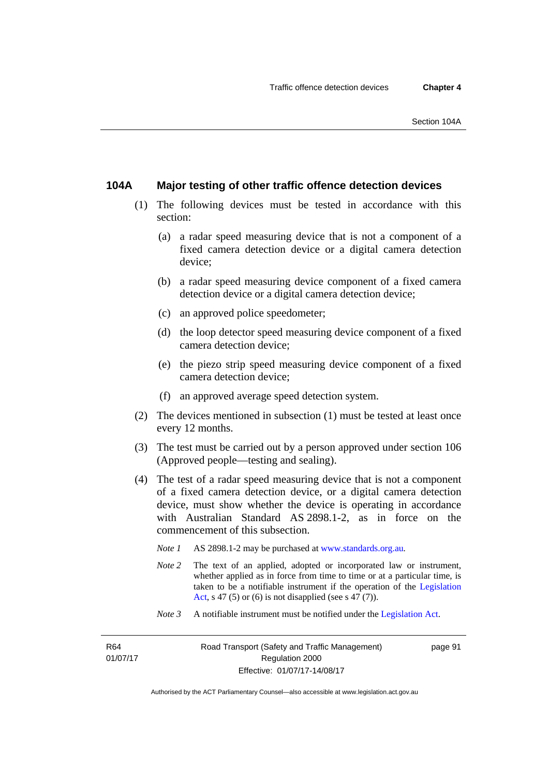### **104A Major testing of other traffic offence detection devices**

- (1) The following devices must be tested in accordance with this section:
	- (a) a radar speed measuring device that is not a component of a fixed camera detection device or a digital camera detection device;
	- (b) a radar speed measuring device component of a fixed camera detection device or a digital camera detection device;
	- (c) an approved police speedometer;
	- (d) the loop detector speed measuring device component of a fixed camera detection device;
	- (e) the piezo strip speed measuring device component of a fixed camera detection device;
	- (f) an approved average speed detection system.
- (2) The devices mentioned in subsection (1) must be tested at least once every 12 months.
- (3) The test must be carried out by a person approved under section 106 (Approved people—testing and sealing).
- (4) The test of a radar speed measuring device that is not a component of a fixed camera detection device, or a digital camera detection device, must show whether the device is operating in accordance with Australian Standard AS 2898.1-2, as in force on the commencement of this subsection.
	- *Note 1* AS 2898.1-2 may be purchased at [www.standards.org.au](http://www.standards.org.au/Pages/default.aspx)*.*
	- *Note* 2 The text of an applied, adopted or incorporated law or instrument, whether applied as in force from time to time or at a particular time, is taken to be a notifiable instrument if the operation of the [Legislation](http://www.legislation.act.gov.au/a/2001-14)  [Act,](http://www.legislation.act.gov.au/a/2001-14) s 47 (5) or (6) is not disapplied (see s 47 (7)).
	- *Note 3* A notifiable instrument must be notified under the [Legislation Act](http://www.legislation.act.gov.au/a/2001-14).

R64 01/07/17 page 91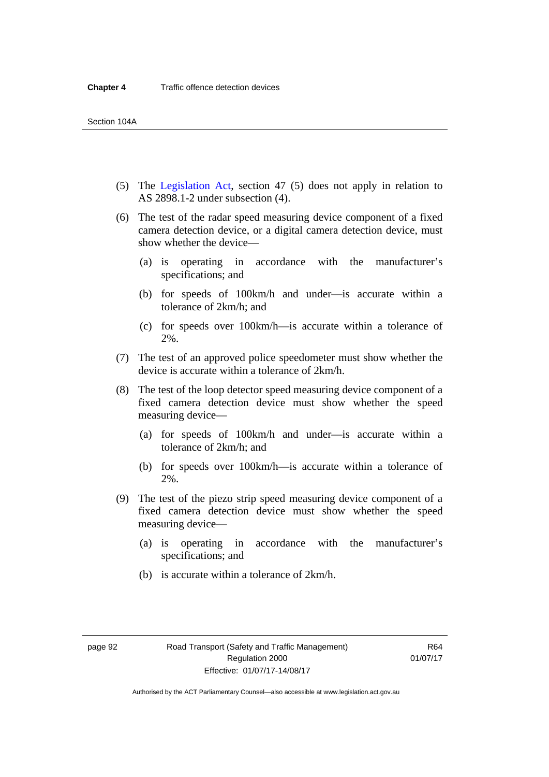- (5) The [Legislation Act,](http://www.legislation.act.gov.au/a/2001-14) section 47 (5) does not apply in relation to AS 2898.1-2 under subsection (4).
- (6) The test of the radar speed measuring device component of a fixed camera detection device, or a digital camera detection device, must show whether the device—
	- (a) is operating in accordance with the manufacturer's specifications; and
	- (b) for speeds of 100km/h and under—is accurate within a tolerance of 2km/h; and
	- (c) for speeds over 100km/h—is accurate within a tolerance of 2%.
- (7) The test of an approved police speedometer must show whether the device is accurate within a tolerance of 2km/h.
- (8) The test of the loop detector speed measuring device component of a fixed camera detection device must show whether the speed measuring device—
	- (a) for speeds of 100km/h and under—is accurate within a tolerance of 2km/h; and
	- (b) for speeds over 100km/h—is accurate within a tolerance of 2%.
- (9) The test of the piezo strip speed measuring device component of a fixed camera detection device must show whether the speed measuring device—
	- (a) is operating in accordance with the manufacturer's specifications; and
	- (b) is accurate within a tolerance of 2km/h.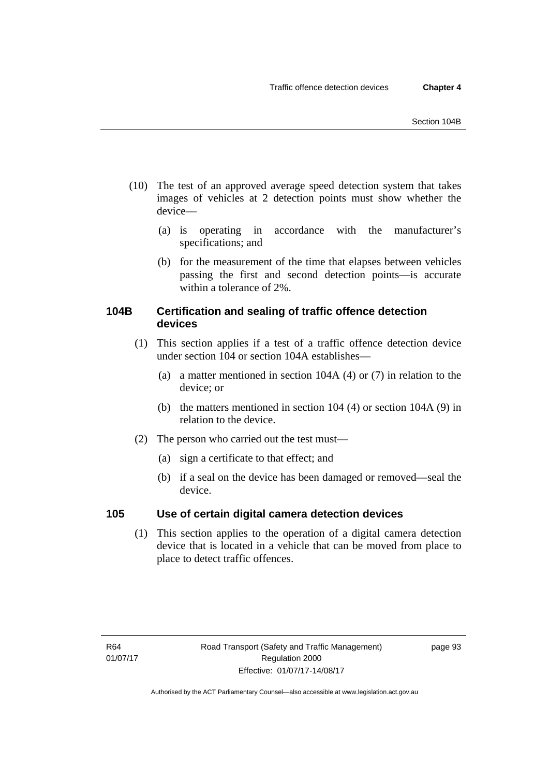- (10) The test of an approved average speed detection system that takes images of vehicles at 2 detection points must show whether the device—
	- (a) is operating in accordance with the manufacturer's specifications; and
	- (b) for the measurement of the time that elapses between vehicles passing the first and second detection points—is accurate within a tolerance of 2%.

# **104B Certification and sealing of traffic offence detection devices**

- (1) This section applies if a test of a traffic offence detection device under section 104 or section 104A establishes—
	- (a) a matter mentioned in section 104A (4) or (7) in relation to the device; or
	- (b) the matters mentioned in section 104 (4) or section 104A (9) in relation to the device.
- (2) The person who carried out the test must—
	- (a) sign a certificate to that effect; and
	- (b) if a seal on the device has been damaged or removed—seal the device.

# **105 Use of certain digital camera detection devices**

(1) This section applies to the operation of a digital camera detection device that is located in a vehicle that can be moved from place to place to detect traffic offences.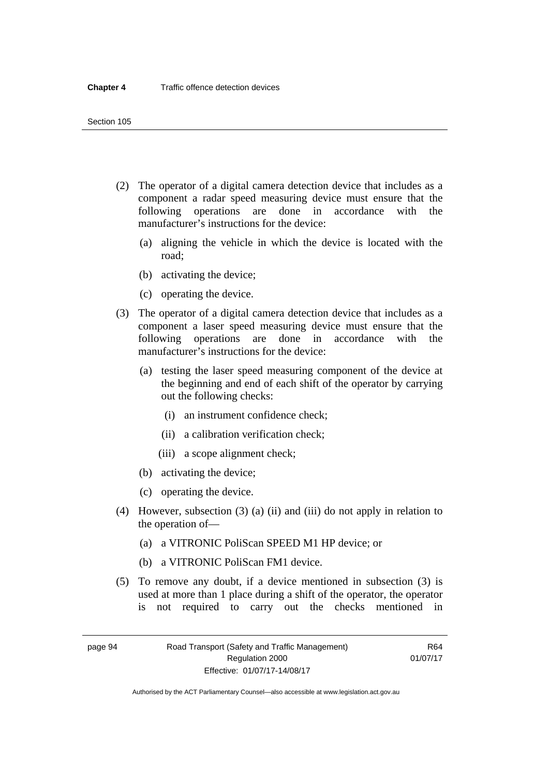- (2) The operator of a digital camera detection device that includes as a component a radar speed measuring device must ensure that the following operations are done in accordance with the manufacturer's instructions for the device:
	- (a) aligning the vehicle in which the device is located with the road;
	- (b) activating the device;
	- (c) operating the device.
- (3) The operator of a digital camera detection device that includes as a component a laser speed measuring device must ensure that the following operations are done in accordance with the manufacturer's instructions for the device:
	- (a) testing the laser speed measuring component of the device at the beginning and end of each shift of the operator by carrying out the following checks:
		- (i) an instrument confidence check;
		- (ii) a calibration verification check;
		- (iii) a scope alignment check;
	- (b) activating the device;
	- (c) operating the device.
- (4) However, subsection (3) (a) (ii) and (iii) do not apply in relation to the operation of—
	- (a) a VITRONIC PoliScan SPEED M1 HP device; or
	- (b) a VITRONIC PoliScan FM1 device.
- (5) To remove any doubt, if a device mentioned in subsection (3) is used at more than 1 place during a shift of the operator, the operator is not required to carry out the checks mentioned in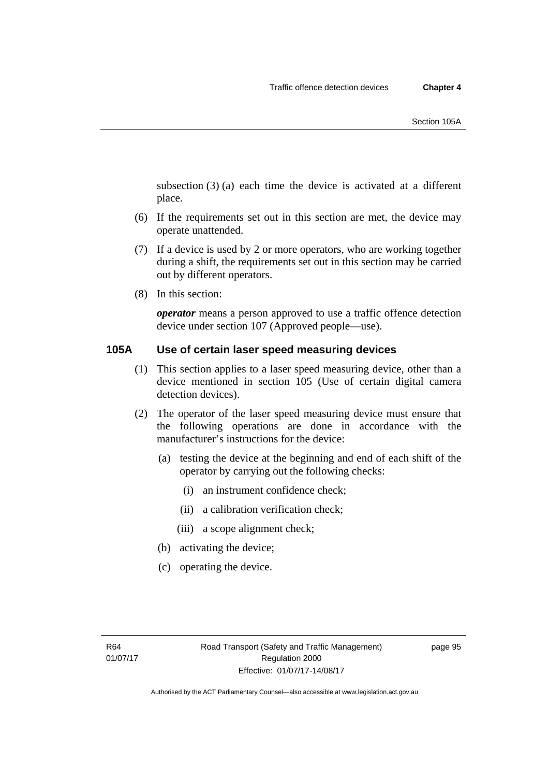subsection (3) (a) each time the device is activated at a different place.

- (6) If the requirements set out in this section are met, the device may operate unattended.
- (7) If a device is used by 2 or more operators, who are working together during a shift, the requirements set out in this section may be carried out by different operators.
- (8) In this section:

*operator* means a person approved to use a traffic offence detection device under section 107 (Approved people—use).

# **105A Use of certain laser speed measuring devices**

- (1) This section applies to a laser speed measuring device, other than a device mentioned in section 105 (Use of certain digital camera detection devices).
- (2) The operator of the laser speed measuring device must ensure that the following operations are done in accordance with the manufacturer's instructions for the device:
	- (a) testing the device at the beginning and end of each shift of the operator by carrying out the following checks:
		- (i) an instrument confidence check;
		- (ii) a calibration verification check;
		- (iii) a scope alignment check;
	- (b) activating the device;
	- (c) operating the device.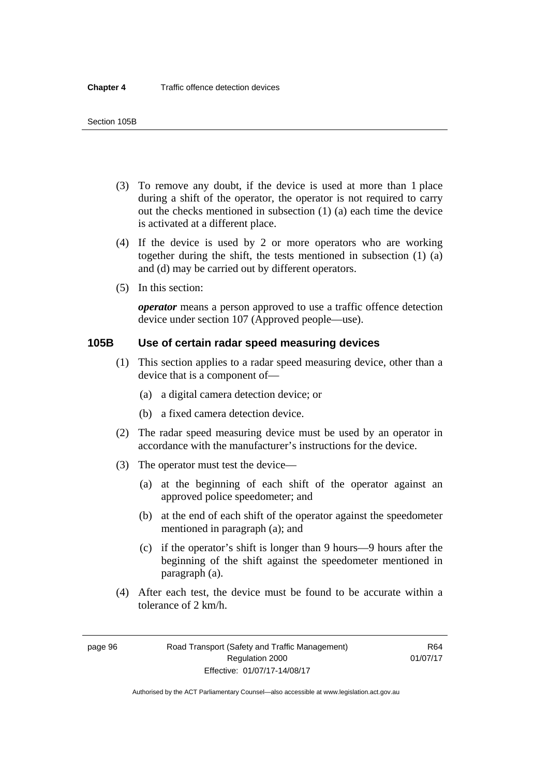- (3) To remove any doubt, if the device is used at more than 1 place during a shift of the operator, the operator is not required to carry out the checks mentioned in subsection (1) (a) each time the device is activated at a different place.
- (4) If the device is used by 2 or more operators who are working together during the shift, the tests mentioned in subsection (1) (a) and (d) may be carried out by different operators.
- (5) In this section:

*operator* means a person approved to use a traffic offence detection device under section 107 (Approved people—use).

# **105B Use of certain radar speed measuring devices**

- (1) This section applies to a radar speed measuring device, other than a device that is a component of—
	- (a) a digital camera detection device; or
	- (b) a fixed camera detection device.
- (2) The radar speed measuring device must be used by an operator in accordance with the manufacturer's instructions for the device.
- (3) The operator must test the device—
	- (a) at the beginning of each shift of the operator against an approved police speedometer; and
	- (b) at the end of each shift of the operator against the speedometer mentioned in paragraph (a); and
	- (c) if the operator's shift is longer than 9 hours—9 hours after the beginning of the shift against the speedometer mentioned in paragraph (a).
- (4) After each test, the device must be found to be accurate within a tolerance of 2 km/h.

page 96 Road Transport (Safety and Traffic Management) Regulation 2000 Effective: 01/07/17-14/08/17

R64 01/07/17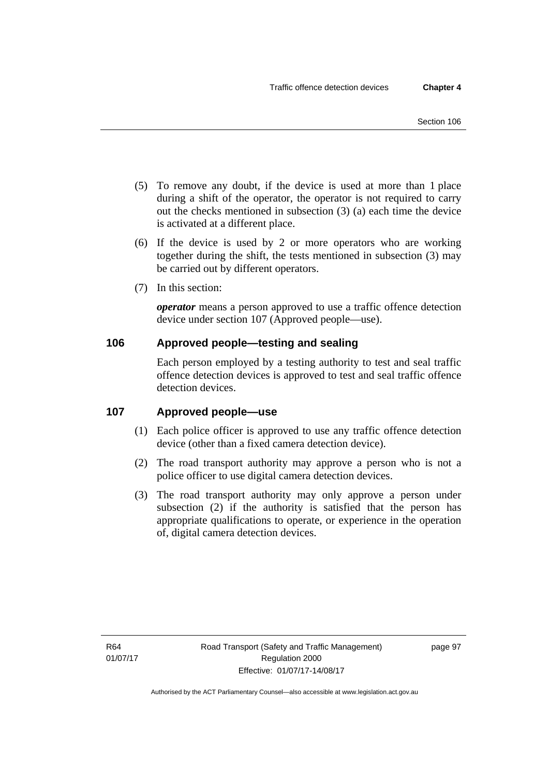- (5) To remove any doubt, if the device is used at more than 1 place during a shift of the operator, the operator is not required to carry out the checks mentioned in subsection (3) (a) each time the device is activated at a different place.
- (6) If the device is used by 2 or more operators who are working together during the shift, the tests mentioned in subsection (3) may be carried out by different operators.
- (7) In this section:

*operator* means a person approved to use a traffic offence detection device under section 107 (Approved people—use).

# **106 Approved people—testing and sealing**

Each person employed by a testing authority to test and seal traffic offence detection devices is approved to test and seal traffic offence detection devices.

# **107 Approved people—use**

- (1) Each police officer is approved to use any traffic offence detection device (other than a fixed camera detection device).
- (2) The road transport authority may approve a person who is not a police officer to use digital camera detection devices.
- (3) The road transport authority may only approve a person under subsection (2) if the authority is satisfied that the person has appropriate qualifications to operate, or experience in the operation of, digital camera detection devices.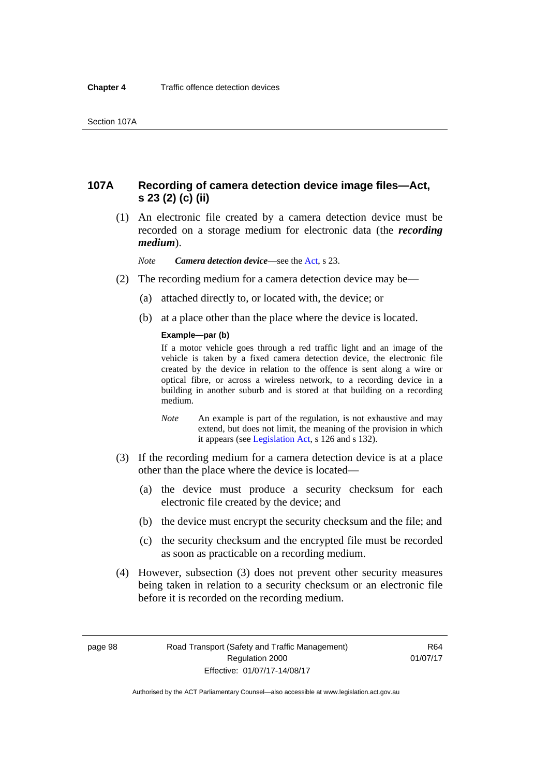# **107A Recording of camera detection device image files—Act, s 23 (2) (c) (ii)**

 (1) An electronic file created by a camera detection device must be recorded on a storage medium for electronic data (the *recording medium*).

*Note Camera detection device*—see the [Act,](http://www.legislation.act.gov.au/a/1999-80/default.asp) s 23.

- (2) The recording medium for a camera detection device may be—
	- (a) attached directly to, or located with, the device; or
	- (b) at a place other than the place where the device is located.

#### **Example—par (b)**

If a motor vehicle goes through a red traffic light and an image of the vehicle is taken by a fixed camera detection device, the electronic file created by the device in relation to the offence is sent along a wire or optical fibre, or across a wireless network, to a recording device in a building in another suburb and is stored at that building on a recording medium.

- *Note* An example is part of the regulation, is not exhaustive and may extend, but does not limit, the meaning of the provision in which it appears (see [Legislation Act,](http://www.legislation.act.gov.au/a/2001-14) s 126 and s 132).
- (3) If the recording medium for a camera detection device is at a place other than the place where the device is located—
	- (a) the device must produce a security checksum for each electronic file created by the device; and
	- (b) the device must encrypt the security checksum and the file; and
	- (c) the security checksum and the encrypted file must be recorded as soon as practicable on a recording medium.
- (4) However, subsection (3) does not prevent other security measures being taken in relation to a security checksum or an electronic file before it is recorded on the recording medium.

page 98 Road Transport (Safety and Traffic Management) Regulation 2000 Effective: 01/07/17-14/08/17

R64 01/07/17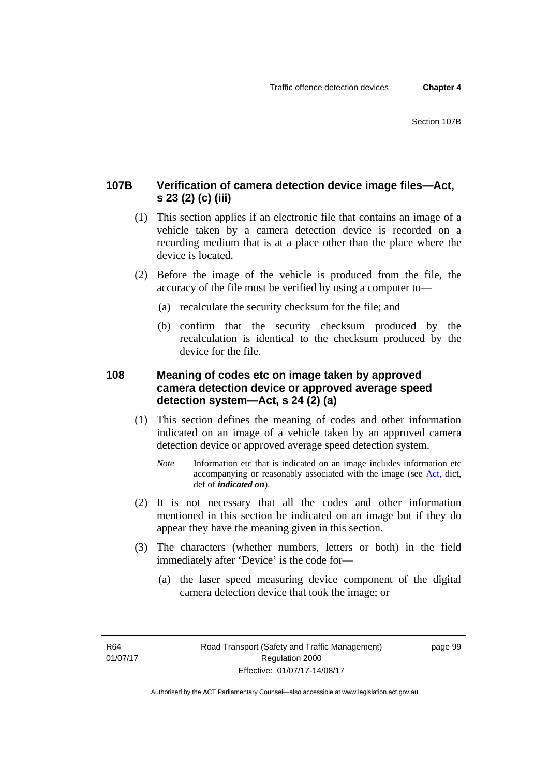# **107B Verification of camera detection device image files—Act, s 23 (2) (c) (iii)**

- (1) This section applies if an electronic file that contains an image of a vehicle taken by a camera detection device is recorded on a recording medium that is at a place other than the place where the device is located.
- (2) Before the image of the vehicle is produced from the file, the accuracy of the file must be verified by using a computer to—
	- (a) recalculate the security checksum for the file; and
	- (b) confirm that the security checksum produced by the recalculation is identical to the checksum produced by the device for the file.

# **108 Meaning of codes etc on image taken by approved camera detection device or approved average speed detection system—Act, s 24 (2) (a)**

- (1) This section defines the meaning of codes and other information indicated on an image of a vehicle taken by an approved camera detection device or approved average speed detection system.
	- *Note* Information etc that is indicated on an image includes information etc accompanying or reasonably associated with the image (see [Act,](http://www.legislation.act.gov.au/a/1999-80/default.asp) dict, def of *indicated on*).
- (2) It is not necessary that all the codes and other information mentioned in this section be indicated on an image but if they do appear they have the meaning given in this section.
- (3) The characters (whether numbers, letters or both) in the field immediately after 'Device' is the code for—
	- (a) the laser speed measuring device component of the digital camera detection device that took the image; or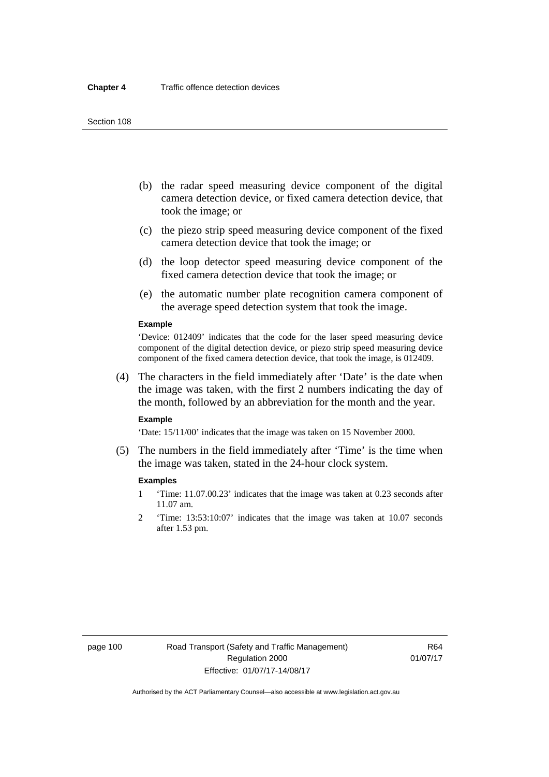- (b) the radar speed measuring device component of the digital camera detection device, or fixed camera detection device, that took the image; or
- (c) the piezo strip speed measuring device component of the fixed camera detection device that took the image; or
- (d) the loop detector speed measuring device component of the fixed camera detection device that took the image; or
- (e) the automatic number plate recognition camera component of the average speed detection system that took the image.

#### **Example**

'Device: 012409' indicates that the code for the laser speed measuring device component of the digital detection device, or piezo strip speed measuring device component of the fixed camera detection device, that took the image, is 012409.

 (4) The characters in the field immediately after 'Date' is the date when the image was taken, with the first 2 numbers indicating the day of the month, followed by an abbreviation for the month and the year.

#### **Example**

'Date: 15/11/00' indicates that the image was taken on 15 November 2000.

 (5) The numbers in the field immediately after 'Time' is the time when the image was taken, stated in the 24-hour clock system.

#### **Examples**

- 1 'Time: 11.07.00.23' indicates that the image was taken at 0.23 seconds after 11.07 am.
- 2 'Time: 13:53:10:07' indicates that the image was taken at 10.07 seconds after 1.53 pm.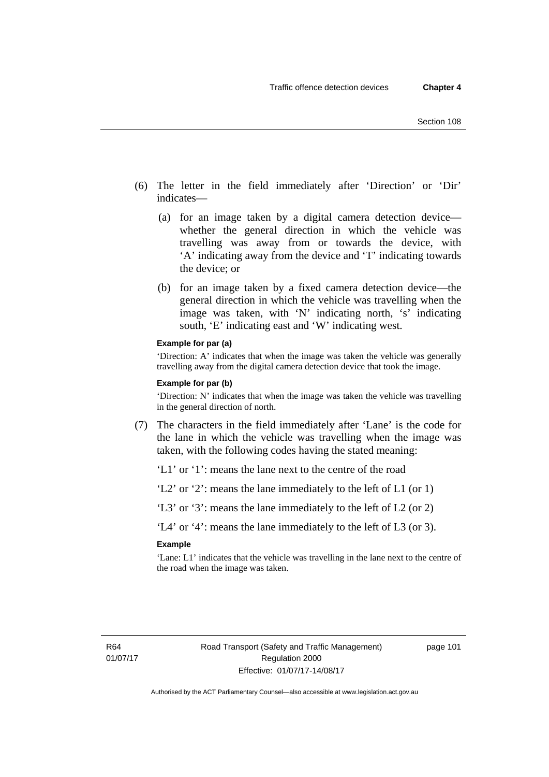- (6) The letter in the field immediately after 'Direction' or 'Dir' indicates—
	- (a) for an image taken by a digital camera detection device whether the general direction in which the vehicle was travelling was away from or towards the device, with 'A' indicating away from the device and 'T' indicating towards the device; or
	- (b) for an image taken by a fixed camera detection device—the general direction in which the vehicle was travelling when the image was taken, with 'N' indicating north, 's' indicating south, 'E' indicating east and 'W' indicating west.

#### **Example for par (a)**

'Direction: A' indicates that when the image was taken the vehicle was generally travelling away from the digital camera detection device that took the image.

#### **Example for par (b)**

'Direction: N' indicates that when the image was taken the vehicle was travelling in the general direction of north.

 (7) The characters in the field immediately after 'Lane' is the code for the lane in which the vehicle was travelling when the image was taken, with the following codes having the stated meaning:

'L1' or '1': means the lane next to the centre of the road

'L2' or '2': means the lane immediately to the left of L1 (or 1)

'L3' or '3': means the lane immediately to the left of L2 (or 2)

'L4' or '4': means the lane immediately to the left of L3 (or 3).

#### **Example**

'Lane: L1' indicates that the vehicle was travelling in the lane next to the centre of the road when the image was taken.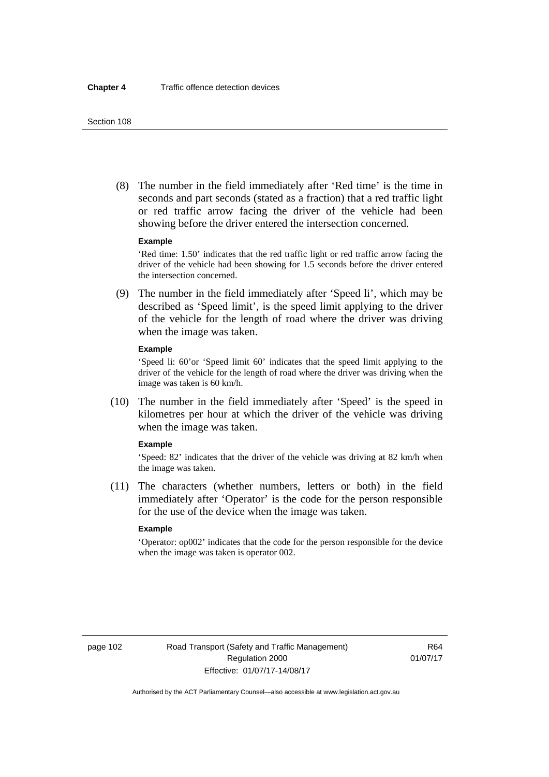(8) The number in the field immediately after 'Red time' is the time in seconds and part seconds (stated as a fraction) that a red traffic light or red traffic arrow facing the driver of the vehicle had been showing before the driver entered the intersection concerned.

#### **Example**

'Red time: 1.50' indicates that the red traffic light or red traffic arrow facing the driver of the vehicle had been showing for 1.5 seconds before the driver entered the intersection concerned.

 (9) The number in the field immediately after 'Speed li', which may be described as 'Speed limit', is the speed limit applying to the driver of the vehicle for the length of road where the driver was driving when the image was taken.

#### **Example**

'Speed li: 60'or 'Speed limit 60' indicates that the speed limit applying to the driver of the vehicle for the length of road where the driver was driving when the image was taken is 60 km/h.

 (10) The number in the field immediately after 'Speed' is the speed in kilometres per hour at which the driver of the vehicle was driving when the image was taken.

#### **Example**

'Speed: 82' indicates that the driver of the vehicle was driving at 82 km/h when the image was taken.

 (11) The characters (whether numbers, letters or both) in the field immediately after 'Operator' is the code for the person responsible for the use of the device when the image was taken.

### **Example**

'Operator: op002' indicates that the code for the person responsible for the device when the image was taken is operator 002.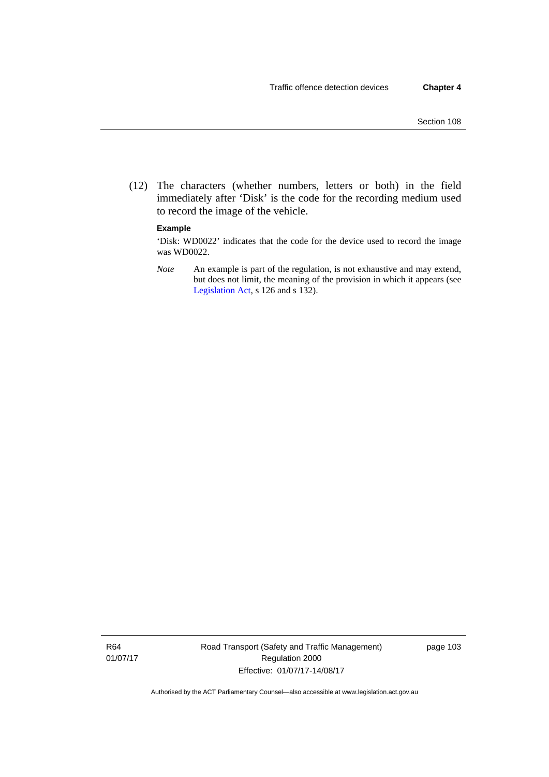(12) The characters (whether numbers, letters or both) in the field immediately after 'Disk' is the code for the recording medium used to record the image of the vehicle.

### **Example**

'Disk: WD0022' indicates that the code for the device used to record the image was WD0022.

*Note* An example is part of the regulation, is not exhaustive and may extend, but does not limit, the meaning of the provision in which it appears (see [Legislation Act,](http://www.legislation.act.gov.au/a/2001-14) s 126 and s 132).

R64 01/07/17 Road Transport (Safety and Traffic Management) Regulation 2000 Effective: 01/07/17-14/08/17

page 103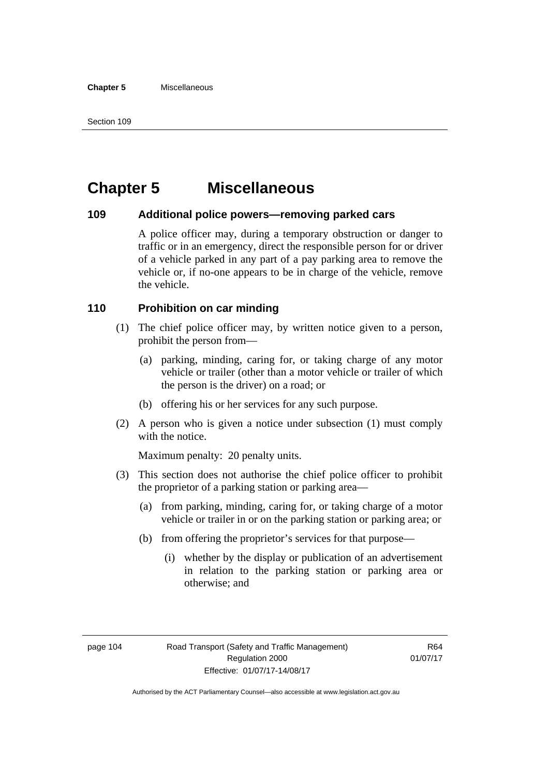# **Chapter 5 Miscellaneous**

# **109 Additional police powers—removing parked cars**

A police officer may, during a temporary obstruction or danger to traffic or in an emergency, direct the responsible person for or driver of a vehicle parked in any part of a pay parking area to remove the vehicle or, if no-one appears to be in charge of the vehicle, remove the vehicle.

# **110 Prohibition on car minding**

- (1) The chief police officer may, by written notice given to a person, prohibit the person from—
	- (a) parking, minding, caring for, or taking charge of any motor vehicle or trailer (other than a motor vehicle or trailer of which the person is the driver) on a road; or
	- (b) offering his or her services for any such purpose.
- (2) A person who is given a notice under subsection (1) must comply with the notice.

Maximum penalty: 20 penalty units.

- (3) This section does not authorise the chief police officer to prohibit the proprietor of a parking station or parking area—
	- (a) from parking, minding, caring for, or taking charge of a motor vehicle or trailer in or on the parking station or parking area; or
	- (b) from offering the proprietor's services for that purpose—
		- (i) whether by the display or publication of an advertisement in relation to the parking station or parking area or otherwise; and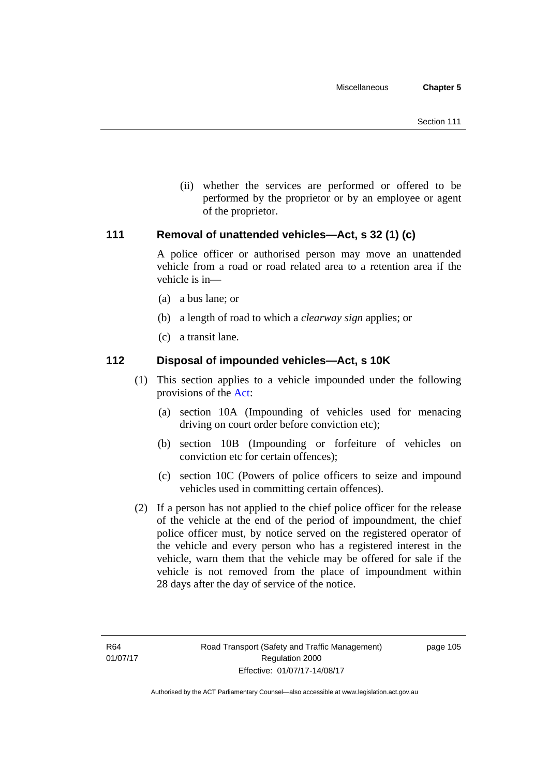(ii) whether the services are performed or offered to be performed by the proprietor or by an employee or agent of the proprietor.

# **111 Removal of unattended vehicles—Act, s 32 (1) (c)**

A police officer or authorised person may move an unattended vehicle from a road or road related area to a retention area if the vehicle is in—

- (a) a bus lane; or
- (b) a length of road to which a *clearway sign* applies; or
- (c) a transit lane.

# **112 Disposal of impounded vehicles—Act, s 10K**

- (1) This section applies to a vehicle impounded under the following provisions of the [Act](http://www.legislation.act.gov.au/a/1999-80/default.asp):
	- (a) section 10A (Impounding of vehicles used for menacing driving on court order before conviction etc);
	- (b) section 10B (Impounding or forfeiture of vehicles on conviction etc for certain offences);
	- (c) section 10C (Powers of police officers to seize and impound vehicles used in committing certain offences).
- (2) If a person has not applied to the chief police officer for the release of the vehicle at the end of the period of impoundment, the chief police officer must, by notice served on the registered operator of the vehicle and every person who has a registered interest in the vehicle, warn them that the vehicle may be offered for sale if the vehicle is not removed from the place of impoundment within 28 days after the day of service of the notice.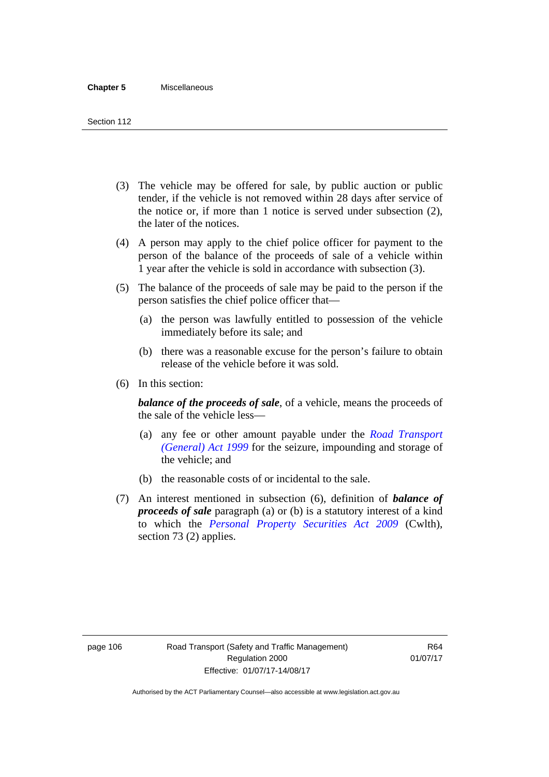- (3) The vehicle may be offered for sale, by public auction or public tender, if the vehicle is not removed within 28 days after service of the notice or, if more than 1 notice is served under subsection (2), the later of the notices.
- (4) A person may apply to the chief police officer for payment to the person of the balance of the proceeds of sale of a vehicle within 1 year after the vehicle is sold in accordance with subsection (3).
- (5) The balance of the proceeds of sale may be paid to the person if the person satisfies the chief police officer that—
	- (a) the person was lawfully entitled to possession of the vehicle immediately before its sale; and
	- (b) there was a reasonable excuse for the person's failure to obtain release of the vehicle before it was sold.
- (6) In this section:

*balance of the proceeds of sale*, of a vehicle, means the proceeds of the sale of the vehicle less—

- (a) any fee or other amount payable under the *[Road Transport](http://www.legislation.act.gov.au/a/1999-77)  [\(General\) Act 1999](http://www.legislation.act.gov.au/a/1999-77)* for the seizure, impounding and storage of the vehicle; and
- (b) the reasonable costs of or incidental to the sale.
- (7) An interest mentioned in subsection (6), definition of *balance of proceeds of sale* paragraph (a) or (b) is a statutory interest of a kind to which the *[Personal Property Securities Act 2009](http://www.comlaw.gov.au/Series/C2009A00130)* (Cwlth), section 73 (2) applies.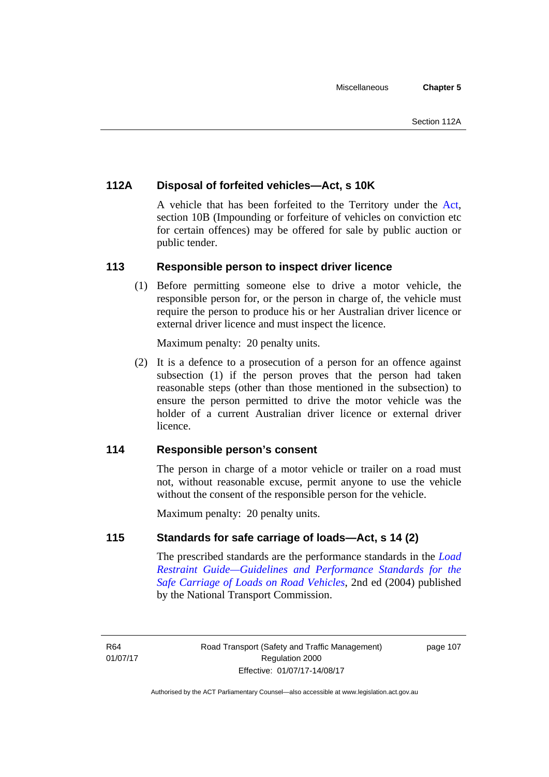# **112A Disposal of forfeited vehicles—Act, s 10K**

A vehicle that has been forfeited to the Territory under the [Act](http://www.legislation.act.gov.au/a/1999-80/default.asp), section 10B (Impounding or forfeiture of vehicles on conviction etc for certain offences) may be offered for sale by public auction or public tender.

# **113 Responsible person to inspect driver licence**

(1) Before permitting someone else to drive a motor vehicle, the responsible person for, or the person in charge of, the vehicle must require the person to produce his or her Australian driver licence or external driver licence and must inspect the licence.

Maximum penalty: 20 penalty units.

 (2) It is a defence to a prosecution of a person for an offence against subsection (1) if the person proves that the person had taken reasonable steps (other than those mentioned in the subsection) to ensure the person permitted to drive the motor vehicle was the holder of a current Australian driver licence or external driver licence.

# **114 Responsible person's consent**

The person in charge of a motor vehicle or trailer on a road must not, without reasonable excuse, permit anyone to use the vehicle without the consent of the responsible person for the vehicle.

Maximum penalty: 20 penalty units.

# **115 Standards for safe carriage of loads—Act, s 14 (2)**

The prescribed standards are the performance standards in the *[Load](http://www.ntc.gov.au/viewpage.aspx?documentid=862)  [Restraint Guide—Guidelines and Performance Standards for the](http://www.ntc.gov.au/viewpage.aspx?documentid=862)  [Safe Carriage of Loads on Road Vehicles](http://www.ntc.gov.au/viewpage.aspx?documentid=862)*, 2nd ed (2004) published by the National Transport Commission.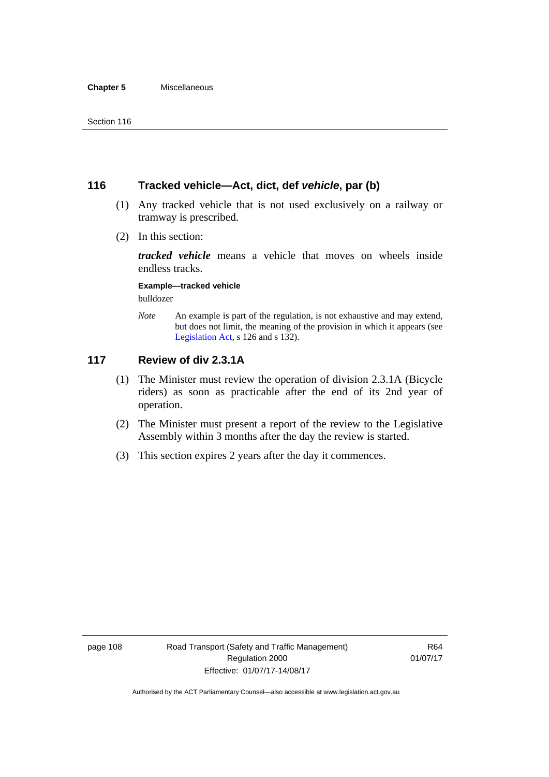# **116 Tracked vehicle—Act, dict, def** *vehicle***, par (b)**

- (1) Any tracked vehicle that is not used exclusively on a railway or tramway is prescribed.
- (2) In this section:

*tracked vehicle* means a vehicle that moves on wheels inside endless tracks.

### **Example—tracked vehicle**

bulldozer

*Note* An example is part of the regulation, is not exhaustive and may extend, but does not limit, the meaning of the provision in which it appears (see [Legislation Act,](http://www.legislation.act.gov.au/a/2001-14) s 126 and s 132).

# **117 Review of div 2.3.1A**

- (1) The Minister must review the operation of division 2.3.1A (Bicycle riders) as soon as practicable after the end of its 2nd year of operation.
- (2) The Minister must present a report of the review to the Legislative Assembly within 3 months after the day the review is started.
- (3) This section expires 2 years after the day it commences.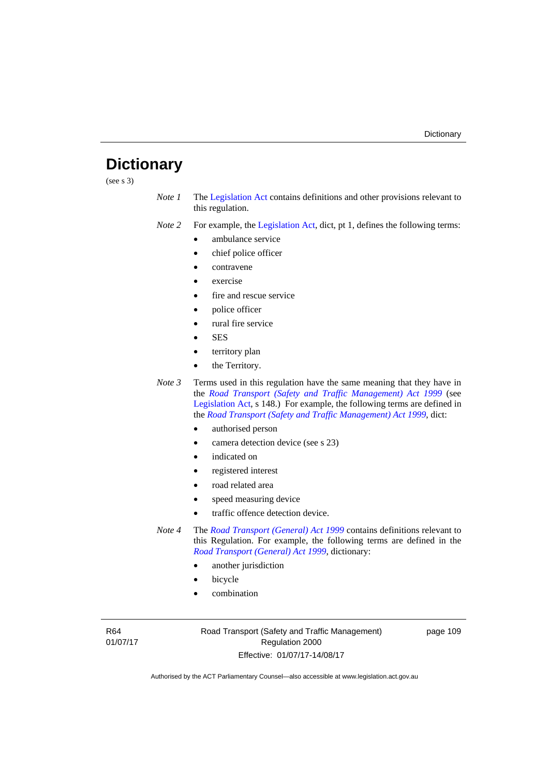# **Dictionary**

(see s 3)

*Note 1* The [Legislation Act](http://www.legislation.act.gov.au/a/2001-14) contains definitions and other provisions relevant to this regulation.

*Note 2* For example, the [Legislation Act,](http://www.legislation.act.gov.au/a/2001-14) dict, pt 1, defines the following terms:

- ambulance service
- chief police officer
- contravene
- exercise
- fire and rescue service
- police officer
- rural fire service
- SES
- territory plan
- the Territory.
- *Note 3* Terms used in this regulation have the same meaning that they have in the *[Road Transport \(Safety and Traffic Management\) Act 1999](http://www.legislation.act.gov.au/a/1999-80)* (see [Legislation Act,](http://www.legislation.act.gov.au/a/2001-14) s 148.) For example, the following terms are defined in the *[Road Transport \(Safety and Traffic Management\) Act 1999](http://www.legislation.act.gov.au/a/1999-80)*, dict:
	- authorised person
	- camera detection device (see s 23)
	- indicated on
	- registered interest
	- road related area
	- speed measuring device
	- traffic offence detection device.

*Note 4* The *[Road Transport \(General\) Act 1999](http://www.legislation.act.gov.au/a/1999-77)* contains definitions relevant to this Regulation. For example, the following terms are defined in the *[Road Transport \(General\) Act 1999](http://www.legislation.act.gov.au/a/1999-77)*, dictionary:

- another jurisdiction
- bicycle
- combination

R64 01/07/17 Road Transport (Safety and Traffic Management) Regulation 2000 Effective: 01/07/17-14/08/17

page 109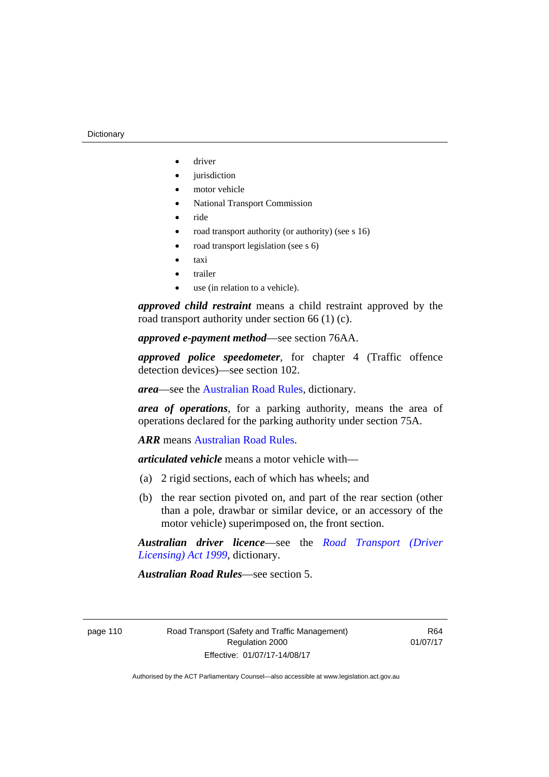- driver
- jurisdiction
- motor vehicle
- National Transport Commission
- ride
- road transport authority (or authority) (see s 16)
- road transport legislation (see s 6)
- taxi
- trailer
- use (in relation to a vehicle).

*approved child restraint* means a child restraint approved by the road transport authority under section 66 (1) (c).

*approved e-payment method*—see section 76AA.

*approved police speedometer*, for chapter 4 (Traffic offence detection devices)—see section 102.

*area*—see the [Australian Road Rules,](http://www.legislation.act.gov.au//ni/db_37271/default.asp) dictionary.

*area of operations*, for a parking authority, means the area of operations declared for the parking authority under section 75A.

*ARR* means [Australian Road Rules](http://www.legislation.act.gov.au//ni/db_37271/default.asp).

*articulated vehicle* means a motor vehicle with—

- (a) 2 rigid sections, each of which has wheels; and
- (b) the rear section pivoted on, and part of the rear section (other than a pole, drawbar or similar device, or an accessory of the motor vehicle) superimposed on, the front section.

*Australian driver licence*—see the *[Road Transport \(Driver](http://www.legislation.act.gov.au/a/1999-78)  [Licensing\) Act 1999](http://www.legislation.act.gov.au/a/1999-78)*, dictionary.

*Australian Road Rules*—see section 5.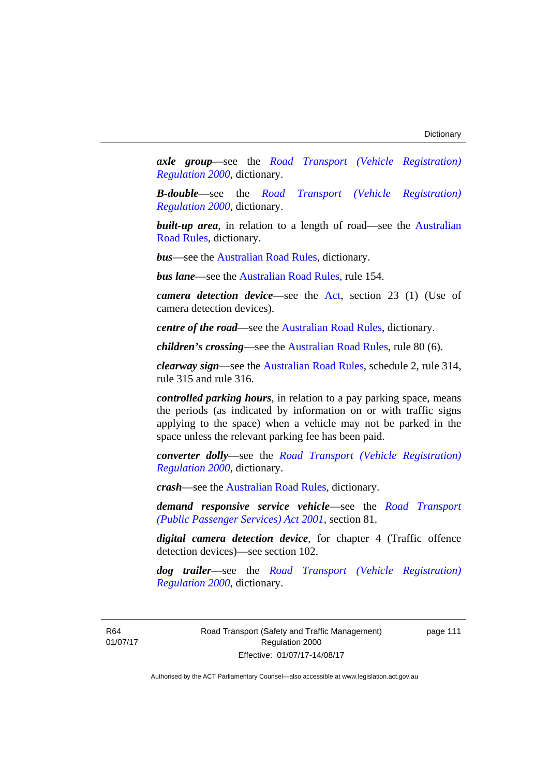*axle group*—see the *[Road Transport \(Vehicle Registration\)](http://www.legislation.act.gov.au/sl/2000-12)  [Regulation 2000](http://www.legislation.act.gov.au/sl/2000-12)*, dictionary.

*B-double*—see the *[Road Transport \(Vehicle Registration\)](http://www.legislation.act.gov.au/sl/2000-12)  [Regulation 2000](http://www.legislation.act.gov.au/sl/2000-12)*, dictionary.

**built-up area**, in relation to a length of road—see the Australian [Road Rules,](http://www.legislation.act.gov.au//ni/db_37271/default.asp) dictionary.

*bus*—see the [Australian Road Rules](http://www.legislation.act.gov.au//ni/db_37271/default.asp), dictionary.

*bus lane*—see the [Australian Road Rules](http://www.legislation.act.gov.au//ni/db_37271/default.asp), rule 154.

*camera detection device*—see the [Act,](http://www.legislation.act.gov.au/a/1999-80/default.asp) section 23 (1) (Use of camera detection devices).

*centre of the road*—see the [Australian Road Rules](http://www.legislation.act.gov.au//ni/db_37271/default.asp), dictionary.

*children's crossing*—see the [Australian Road Rules](http://www.legislation.act.gov.au//ni/db_37271/default.asp), rule 80 (6).

*clearway sign*—see the [Australian Road Rules,](http://www.legislation.act.gov.au//ni/db_37271/default.asp) schedule 2, rule 314, rule 315 and rule 316.

*controlled parking hours*, in relation to a pay parking space, means the periods (as indicated by information on or with traffic signs applying to the space) when a vehicle may not be parked in the space unless the relevant parking fee has been paid.

*converter dolly*—see the *[Road Transport \(Vehicle Registration\)](http://www.legislation.act.gov.au/sl/2000-12)  [Regulation 2000](http://www.legislation.act.gov.au/sl/2000-12)*, dictionary.

*crash*—see the [Australian Road Rules](http://www.legislation.act.gov.au//ni/db_37271/default.asp), dictionary.

*demand responsive service vehicle*—see the *[Road Transport](http://www.legislation.act.gov.au/a/2001-62)  [\(Public Passenger Services\) Act 2001](http://www.legislation.act.gov.au/a/2001-62)*, section 81.

*digital camera detection device*, for chapter 4 (Traffic offence detection devices)—see section 102.

*dog trailer*—see the *[Road Transport \(Vehicle Registration\)](http://www.legislation.act.gov.au/sl/2000-12)  [Regulation 2000](http://www.legislation.act.gov.au/sl/2000-12)*, dictionary.

R64 01/07/17 Road Transport (Safety and Traffic Management) Regulation 2000 Effective: 01/07/17-14/08/17

page 111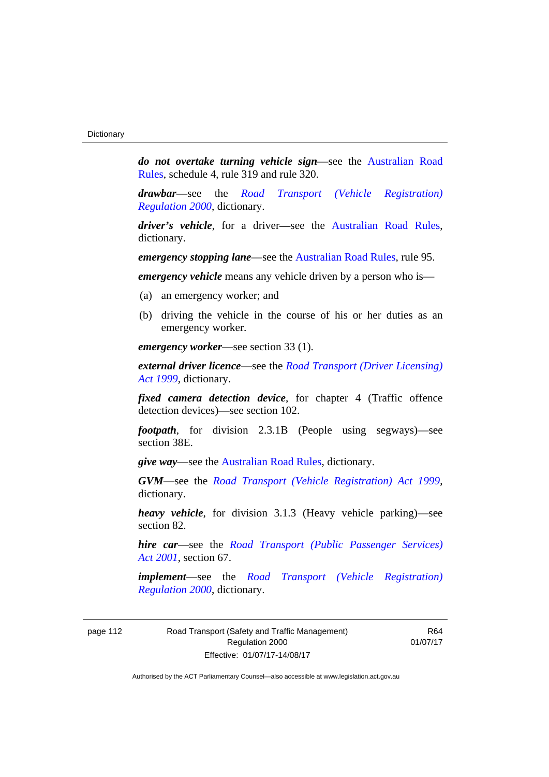*do not overtake turning vehicle sign*—see the [Australian Road](http://www.legislation.act.gov.au//ni/db_37271/default.asp)  [Rules](http://www.legislation.act.gov.au//ni/db_37271/default.asp), schedule 4, rule 319 and rule 320.

*drawbar*—see the *[Road Transport \(Vehicle Registration\)](http://www.legislation.act.gov.au/sl/2000-12)  [Regulation 2000](http://www.legislation.act.gov.au/sl/2000-12)*, dictionary.

*driver's vehicle*, for a driver*—*see the [Australian Road Rules](http://www.legislation.act.gov.au//ni/db_37271/default.asp), dictionary.

*emergency stopping lane*—see the [Australian Road Rules](http://www.legislation.act.gov.au//ni/db_37271/default.asp), rule 95.

*emergency vehicle* means any vehicle driven by a person who is—

- (a) an emergency worker; and
- (b) driving the vehicle in the course of his or her duties as an emergency worker.

*emergency worker*—see section 33 (1).

*external driver licence*—see the *[Road Transport \(Driver Licensing\)](http://www.legislation.act.gov.au/a/1999-78)  [Act 1999](http://www.legislation.act.gov.au/a/1999-78)*, dictionary.

*fixed camera detection device*, for chapter 4 (Traffic offence detection devices)—see section 102.

*footpath*, for division 2.3.1B (People using segways)—see section 38E.

*give way*—see the [Australian Road Rules,](http://www.legislation.act.gov.au//ni/db_37271/default.asp) dictionary.

*GVM*—see the *[Road Transport \(Vehicle Registration\) Act 1999](http://www.legislation.act.gov.au/a/1999-81)*, dictionary.

*heavy vehicle*, for division 3.1.3 (Heavy vehicle parking)—see section 82.

*hire car*—see the *[Road Transport \(Public Passenger Services\)](http://www.legislation.act.gov.au/a/2001-62)  [Act 2001](http://www.legislation.act.gov.au/a/2001-62)*, section 67.

*implement*—see the *[Road Transport \(Vehicle Registration\)](http://www.legislation.act.gov.au/sl/2000-12)  [Regulation 2000](http://www.legislation.act.gov.au/sl/2000-12)*, dictionary.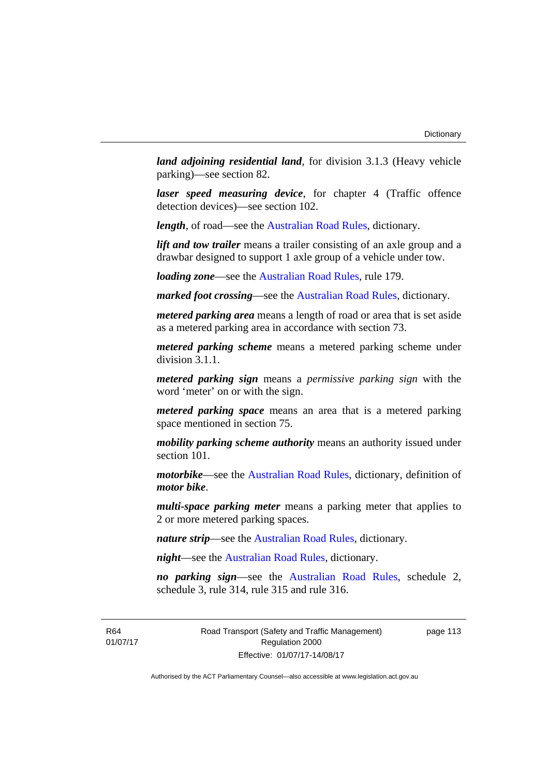*land adjoining residential land*, for division 3.1.3 (Heavy vehicle parking)—see section 82.

*laser speed measuring device*, for chapter 4 (Traffic offence detection devices)—see section 102.

*length*, of road—see the [Australian Road Rules](http://www.legislation.act.gov.au//ni/db_37271/default.asp), dictionary.

*lift and tow trailer* means a trailer consisting of an axle group and a drawbar designed to support 1 axle group of a vehicle under tow.

*loading zone*—see the [Australian Road Rules,](http://www.legislation.act.gov.au//ni/db_37271/default.asp) rule 179.

*marked foot crossing*—see the [Australian Road Rules,](http://www.legislation.act.gov.au//ni/db_37271/default.asp) dictionary.

*metered parking area* means a length of road or area that is set aside as a metered parking area in accordance with section 73.

*metered parking scheme* means a metered parking scheme under division 3.1.1.

*metered parking sign* means a *permissive parking sign* with the word 'meter' on or with the sign.

*metered parking space* means an area that is a metered parking space mentioned in section 75.

*mobility parking scheme authority* means an authority issued under section 101.

*motorbike*—see the [Australian Road Rules,](http://www.legislation.act.gov.au//ni/db_37271/default.asp) dictionary, definition of *motor bike*.

*multi-space parking meter* means a parking meter that applies to 2 or more metered parking spaces.

*nature strip*—see the [Australian Road Rules](http://www.legislation.act.gov.au//ni/db_37271/default.asp), dictionary.

*night*—see the [Australian Road Rules,](http://www.legislation.act.gov.au//ni/db_37271/default.asp) dictionary.

*no parking sign*—see the [Australian Road Rules](http://www.legislation.act.gov.au//ni/db_37271/default.asp), schedule 2, schedule 3, rule 314, rule 315 and rule 316.

R64 01/07/17 Road Transport (Safety and Traffic Management) Regulation 2000 Effective: 01/07/17-14/08/17

page 113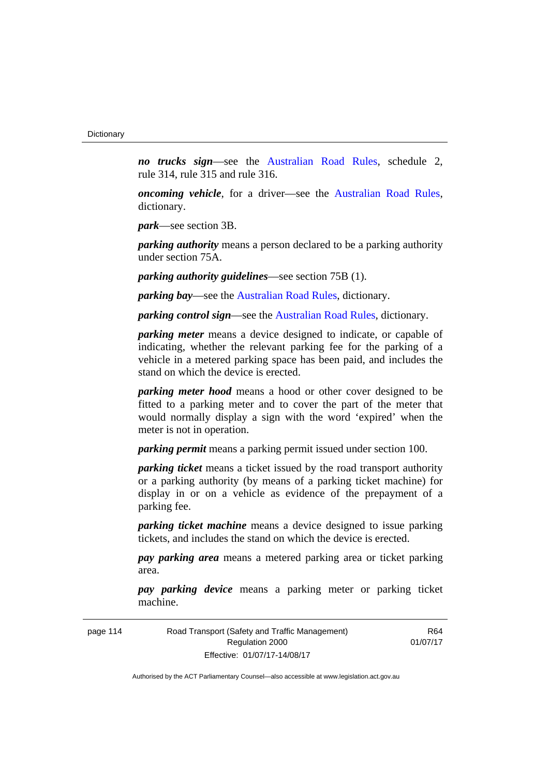*no trucks sign*—see the [Australian Road Rules,](http://www.legislation.act.gov.au//ni/db_37271/default.asp) schedule 2, rule 314, rule 315 and rule 316.

*oncoming vehicle*, for a driver—see the [Australian Road Rules](http://www.legislation.act.gov.au//ni/db_37271/default.asp), dictionary.

*park*—see section 3B.

*parking authority* means a person declared to be a parking authority under section 75A.

*parking authority guidelines*—see section 75B (1).

*parking bay*—see the [Australian Road Rules,](http://www.legislation.act.gov.au//ni/db_37271/default.asp) dictionary.

*parking control sign*—see the [Australian Road Rules](http://www.legislation.act.gov.au//ni/db_37271/default.asp), dictionary.

*parking meter* means a device designed to indicate, or capable of indicating, whether the relevant parking fee for the parking of a vehicle in a metered parking space has been paid, and includes the stand on which the device is erected.

*parking meter hood* means a hood or other cover designed to be fitted to a parking meter and to cover the part of the meter that would normally display a sign with the word 'expired' when the meter is not in operation.

*parking permit* means a parking permit issued under section 100.

*parking ticket* means a ticket issued by the road transport authority or a parking authority (by means of a parking ticket machine) for display in or on a vehicle as evidence of the prepayment of a parking fee.

*parking ticket machine* means a device designed to issue parking tickets, and includes the stand on which the device is erected.

*pay parking area* means a metered parking area or ticket parking area.

*pay parking device* means a parking meter or parking ticket machine.

| page 114 | Road Transport (Safety and Traffic Management) |  |
|----------|------------------------------------------------|--|
|          | Regulation 2000                                |  |
|          | Effective: 01/07/17-14/08/17                   |  |

R64 01/07/17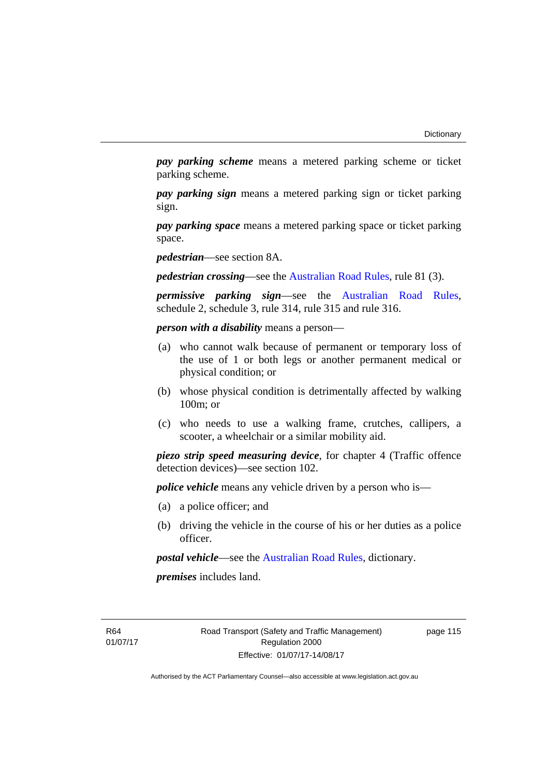*pay parking scheme* means a metered parking scheme or ticket parking scheme.

*pay parking sign* means a metered parking sign or ticket parking sign.

*pay parking space* means a metered parking space or ticket parking space.

*pedestrian*—see section 8A.

*pedestrian crossing*—see the [Australian Road Rules](http://www.legislation.act.gov.au//ni/db_37271/default.asp), rule 81 (3).

*permissive parking sign*—see the [Australian Road Rules](http://www.legislation.act.gov.au//ni/db_37271/default.asp), schedule 2, schedule 3, rule 314, rule 315 and rule 316.

*person with a disability* means a person—

- (a) who cannot walk because of permanent or temporary loss of the use of 1 or both legs or another permanent medical or physical condition; or
- (b) whose physical condition is detrimentally affected by walking 100m; or
- (c) who needs to use a walking frame, crutches, callipers, a scooter, a wheelchair or a similar mobility aid.

*piezo strip speed measuring device*, for chapter 4 (Traffic offence detection devices)—see section 102.

*police vehicle* means any vehicle driven by a person who is—

- (a) a police officer; and
- (b) driving the vehicle in the course of his or her duties as a police officer.

*postal vehicle*—see the [Australian Road Rules,](http://www.legislation.act.gov.au//ni/db_37271/default.asp) dictionary.

*premises* includes land.

R64 01/07/17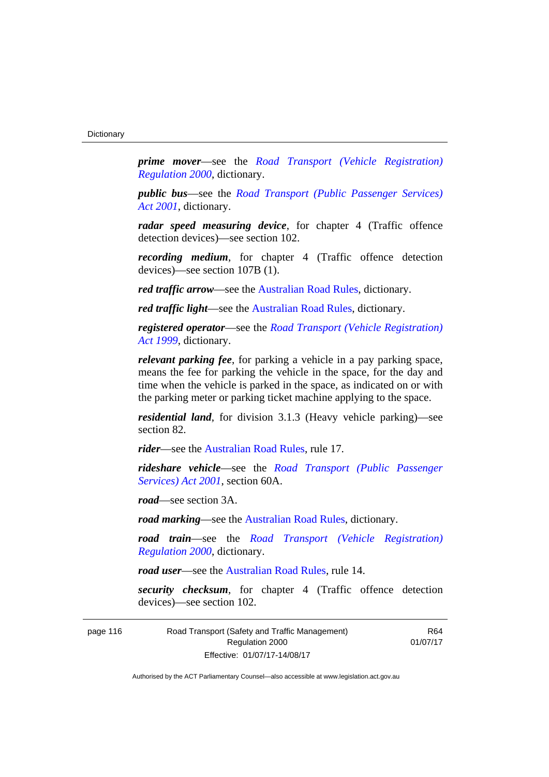*prime mover*—see the *[Road Transport \(Vehicle Registration\)](http://www.legislation.act.gov.au/sl/2000-12)  [Regulation 2000](http://www.legislation.act.gov.au/sl/2000-12)*, dictionary.

*public bus*—see the *[Road Transport \(Public Passenger Services\)](http://www.legislation.act.gov.au/a/2001-62)  [Act 2001](http://www.legislation.act.gov.au/a/2001-62)*, dictionary.

*radar speed measuring device*, for chapter 4 (Traffic offence detection devices)—see section 102.

*recording medium*, for chapter 4 (Traffic offence detection devices)—see section 107B (1).

*red traffic arrow*—see the [Australian Road Rules,](http://www.legislation.act.gov.au//ni/db_37271/default.asp) dictionary.

*red traffic light*—see the [Australian Road Rules,](http://www.legislation.act.gov.au//ni/db_37271/default.asp) dictionary.

*registered operator*—see the *[Road Transport \(Vehicle Registration\)](http://www.legislation.act.gov.au/a/1999-81)  [Act 1999](http://www.legislation.act.gov.au/a/1999-81)*, dictionary.

*relevant parking fee*, for parking a vehicle in a pay parking space, means the fee for parking the vehicle in the space, for the day and time when the vehicle is parked in the space, as indicated on or with the parking meter or parking ticket machine applying to the space.

*residential land*, for division 3.1.3 (Heavy vehicle parking)—see section 82.

*rider*—see the [Australian Road Rules,](http://www.legislation.act.gov.au//ni/db_37271/default.asp) rule 17.

*rideshare vehicle*—see the *[Road Transport \(Public Passenger](http://www.legislation.act.gov.au/a/2001-62)  [Services\) Act 2001](http://www.legislation.act.gov.au/a/2001-62)*, section 60A.

*road*—see section 3A.

*road marking*—see the [Australian Road Rules](http://www.legislation.act.gov.au//ni/db_37271/default.asp), dictionary.

*road train*—see the *[Road Transport \(Vehicle Registration\)](http://www.legislation.act.gov.au/sl/2000-12)  [Regulation 2000](http://www.legislation.act.gov.au/sl/2000-12)*, dictionary.

*road user*—see the [Australian Road Rules,](http://www.legislation.act.gov.au//ni/db_37271/default.asp) rule 14.

*security checksum*, for chapter 4 (Traffic offence detection devices)—see section 102.

| page 116 | Road Transport (Safety and Traffic Management) | R64      |
|----------|------------------------------------------------|----------|
|          | Regulation 2000                                | 01/07/17 |
|          | Effective: 01/07/17-14/08/17                   |          |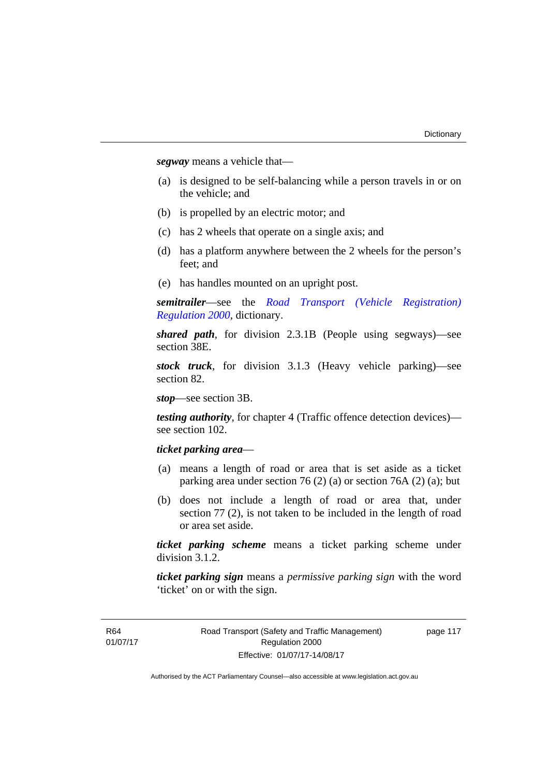*segway* means a vehicle that—

- (a) is designed to be self-balancing while a person travels in or on the vehicle; and
- (b) is propelled by an electric motor; and
- (c) has 2 wheels that operate on a single axis; and
- (d) has a platform anywhere between the 2 wheels for the person's feet; and
- (e) has handles mounted on an upright post.

*semitrailer*—see the *[Road Transport \(Vehicle Registration\)](http://www.legislation.act.gov.au/sl/2000-12)  [Regulation 2000](http://www.legislation.act.gov.au/sl/2000-12)*, dictionary.

*shared path*, for division 2.3.1B (People using segways)—see section 38E.

*stock truck*, for division 3.1.3 (Heavy vehicle parking)—see section 82.

*stop*—see section 3B.

*testing authority*, for chapter 4 (Traffic offence detection devices) see section 102.

# *ticket parking area*—

- (a) means a length of road or area that is set aside as a ticket parking area under section 76 (2) (a) or section 76A (2) (a); but
- (b) does not include a length of road or area that, under section 77 (2), is not taken to be included in the length of road or area set aside.

*ticket parking scheme* means a ticket parking scheme under division 3.1.2.

*ticket parking sign* means a *permissive parking sign* with the word 'ticket' on or with the sign.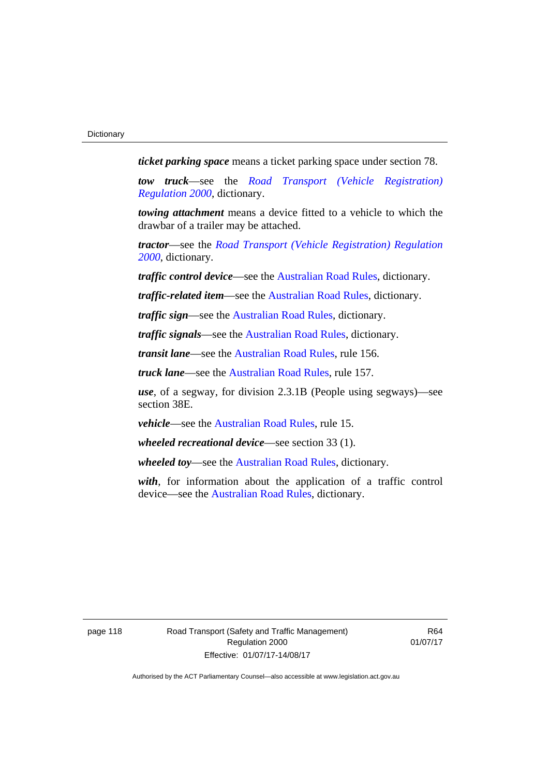*ticket parking space* means a ticket parking space under section 78.

*tow truck*—see the *[Road Transport \(Vehicle Registration\)](http://www.legislation.act.gov.au/sl/2000-12)  [Regulation 2000](http://www.legislation.act.gov.au/sl/2000-12)*, dictionary.

*towing attachment* means a device fitted to a vehicle to which the drawbar of a trailer may be attached.

*tractor*—see the *[Road Transport \(Vehicle Registration\) Regulation](http://www.legislation.act.gov.au/sl/2000-12)  [2000](http://www.legislation.act.gov.au/sl/2000-12)*, dictionary.

*traffic control device*—see the [Australian Road Rules](http://www.legislation.act.gov.au//ni/db_37271/default.asp), dictionary.

*traffic-related item*—see the [Australian Road Rules,](http://www.legislation.act.gov.au//ni/db_37271/default.asp) dictionary.

*traffic sign*—see the [Australian Road Rules](http://www.legislation.act.gov.au//ni/db_37271/default.asp), dictionary.

*traffic signals*—see the [Australian Road Rules](http://www.legislation.act.gov.au//ni/db_37271/default.asp), dictionary.

*transit lane*—see the [Australian Road Rules,](http://www.legislation.act.gov.au//ni/db_37271/default.asp) rule 156.

*truck lane*—see the [Australian Road Rules,](http://www.legislation.act.gov.au//ni/db_37271/default.asp) rule 157.

*use*, of a segway, for division 2.3.1B (People using segways)—see section 38E.

*vehicle*—see the [Australian Road Rules](http://www.legislation.act.gov.au//ni/db_37271/default.asp), rule 15.

*wheeled recreational device*—see section 33 (1).

*wheeled toy*—see the [Australian Road Rules](http://www.legislation.act.gov.au//ni/db_37271/default.asp), dictionary.

*with*, for information about the application of a traffic control device—see the [Australian Road Rules,](http://www.legislation.act.gov.au//ni/db_37271/default.asp) dictionary.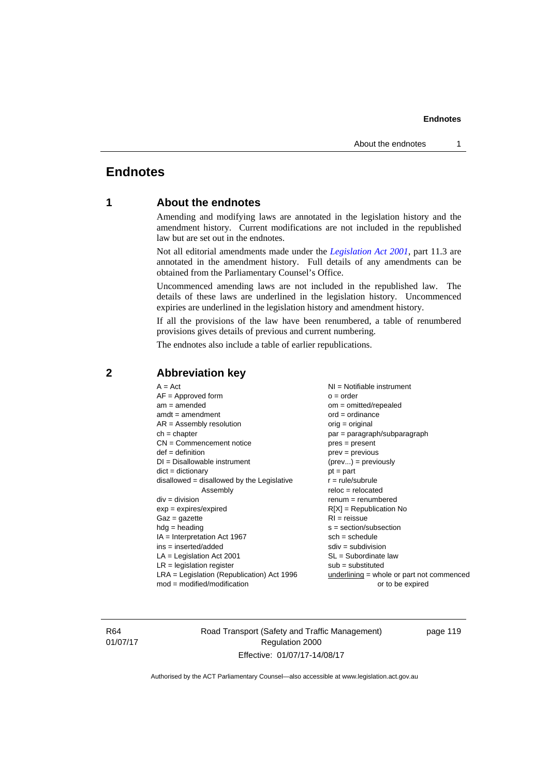# **Endnotes**

# **1 About the endnotes**

Amending and modifying laws are annotated in the legislation history and the amendment history. Current modifications are not included in the republished law but are set out in the endnotes.

Not all editorial amendments made under the *[Legislation Act 2001](http://www.legislation.act.gov.au/a/2001-14)*, part 11.3 are annotated in the amendment history. Full details of any amendments can be obtained from the Parliamentary Counsel's Office.

Uncommenced amending laws are not included in the republished law. The details of these laws are underlined in the legislation history. Uncommenced expiries are underlined in the legislation history and amendment history.

If all the provisions of the law have been renumbered, a table of renumbered provisions gives details of previous and current numbering.

The endnotes also include a table of earlier republications.

| $renum = renumbered$<br>$div = division$<br>$exp = expires/expired$<br>$R[X]$ = Republication No<br>$RI = reissue$<br>$Gaz = gazette$<br>$hdg = heading$<br>$s = section/subsection$<br>$IA = Interpretation Act 1967$<br>$sch = schedule$<br>$ins = inserted/added$<br>$sdiv = subdivision$<br>$SL = Subordinate$ law<br>$LA =$ Legislation Act 2001<br>$LR =$ legislation register<br>$sub =$ substituted<br>$LRA =$ Legislation (Republication) Act 1996<br>underlining = whole or part not commenced<br>$mod = modified/modification$<br>or to be expired |
|---------------------------------------------------------------------------------------------------------------------------------------------------------------------------------------------------------------------------------------------------------------------------------------------------------------------------------------------------------------------------------------------------------------------------------------------------------------------------------------------------------------------------------------------------------------|
|---------------------------------------------------------------------------------------------------------------------------------------------------------------------------------------------------------------------------------------------------------------------------------------------------------------------------------------------------------------------------------------------------------------------------------------------------------------------------------------------------------------------------------------------------------------|

# **2 Abbreviation key**

R64 01/07/17 Road Transport (Safety and Traffic Management) Regulation 2000 Effective: 01/07/17-14/08/17

page 119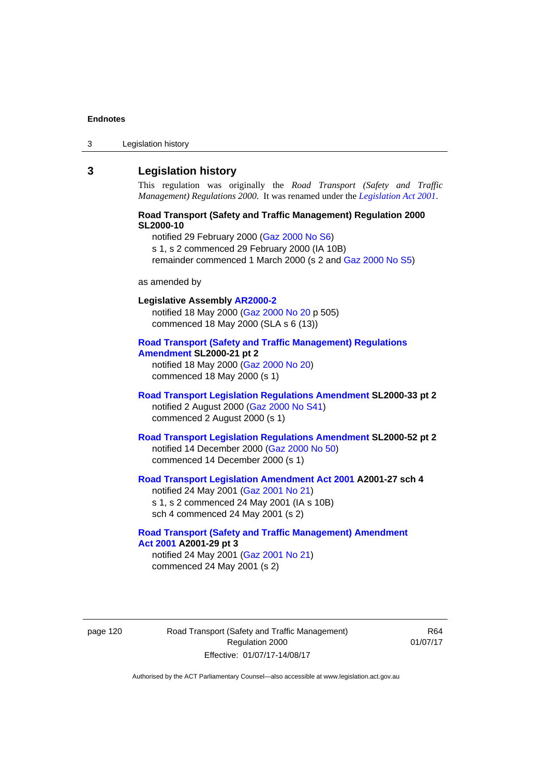3 Legislation history

# **3 Legislation history**

This regulation was originally the *Road Transport (Safety and Traffic Management) Regulations 2000*. It was renamed under the *[Legislation Act 2001](http://www.legislation.act.gov.au/a/2001-14)*.

### **Road Transport (Safety and Traffic Management) Regulation 2000 SL2000-10**

notified 29 February 2000 [\(Gaz 2000 No S6\)](http://www.legislation.act.gov.au/gaz/2000-S6/default.asp) s 1, s 2 commenced 29 February 2000 (IA 10B) remainder commenced 1 March 2000 (s 2 and [Gaz 2000 No S5\)](http://www.legislation.act.gov.au/gaz/2000-S5/default.asp)

#### as amended by

# **Legislative Assembly [AR2000-2](http://www.legislation.act.gov.au/ar/2000-2/default.asp)** notified 18 May 2000 ([Gaz 2000 No 20 p](http://www.legislation.act.gov.au/gaz/2000-20/default.asp) 505) commenced 18 May 2000 (SLA s 6 (13)) **[Road Transport \(Safety and Traffic Management\) Regulations](http://www.legislation.act.gov.au/sl/2000-21/default.asp)  [Amendment](http://www.legislation.act.gov.au/sl/2000-21/default.asp) SL2000-21 pt 2**

notified 18 May 2000 ([Gaz 2000 No 20\)](http://www.legislation.act.gov.au/gaz/2000-20/default.asp) commenced 18 May 2000 (s 1)

## **[Road Transport Legislation Regulations Amendment](http://www.legislation.act.gov.au/sl/2000-33/default.asp) SL2000-33 pt 2**  notified 2 August 2000 ([Gaz 2000 No S41](http://www.legislation.act.gov.au/gaz/2000-S41/default.asp)) commenced 2 August 2000 (s 1)

### **[Road Transport Legislation Regulations Amendment](http://www.legislation.act.gov.au/sl/2000-52/default.asp) SL2000-52 pt 2**  notified 14 December 2000 [\(Gaz 2000 No 50](http://www.legislation.act.gov.au/gaz/2000-50/default.asp)) commenced 14 December 2000 (s 1)

### **[Road Transport Legislation Amendment Act 2001](http://www.legislation.act.gov.au/a/2001-27) A2001-27 sch 4**  notified 24 May 2001 ([Gaz 2001 No 21\)](http://www.legislation.act.gov.au/gaz/2001-21/default.asp) s 1, s 2 commenced 24 May 2001 (IA s 10B)

sch 4 commenced 24 May 2001 (s 2)

# **[Road Transport \(Safety and Traffic Management\) Amendment](http://www.legislation.act.gov.au/a/2001-29)  [Act 2001](http://www.legislation.act.gov.au/a/2001-29) A2001-29 pt 3**

notified 24 May 2001 ([Gaz 2001 No 21\)](http://www.legislation.act.gov.au/gaz/2001-21/default.asp) commenced 24 May 2001 (s 2)

page 120 Road Transport (Safety and Traffic Management) Regulation 2000 Effective: 01/07/17-14/08/17

R64 01/07/17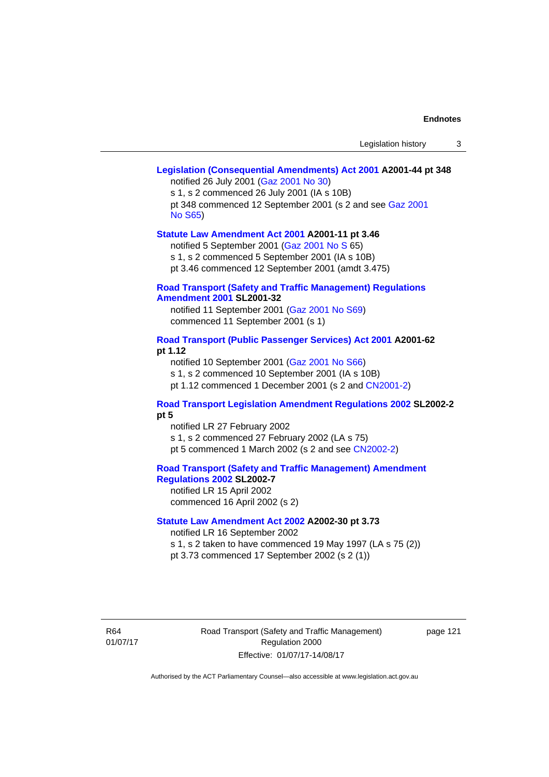# **[Legislation \(Consequential Amendments\) Act 2001](http://www.legislation.act.gov.au/a/2001-44) A2001-44 pt 348**

notified 26 July 2001 ([Gaz 2001 No 30\)](http://www.legislation.act.gov.au/gaz/2001-30/default.asp)

s 1, s 2 commenced 26 July 2001 (IA s 10B) pt 348 commenced 12 September 2001 (s 2 and see [Gaz 2001](http://www.legislation.act.gov.au/gaz/2001-S65/default.asp)  [No S65](http://www.legislation.act.gov.au/gaz/2001-S65/default.asp))

#### **[Statute Law Amendment Act 2001](http://www.legislation.act.gov.au/a/2001-11) A2001-11 pt 3.46**

notified 5 September 2001 [\(Gaz 2001 No S 6](http://www.legislation.act.gov.au/gaz/2001-S/default.asp)5)

s 1, s 2 commenced 5 September 2001 (IA s 10B)

pt 3.46 commenced 12 September 2001 (amdt 3.475)

### **[Road Transport \(Safety and Traffic Management\) Regulations](http://www.legislation.act.gov.au/sl/2001-32)  [Amendment 2001](http://www.legislation.act.gov.au/sl/2001-32) SL2001-32**

notified 11 September 2001 [\(Gaz 2001 No S69\)](http://www.legislation.act.gov.au/gaz/2001-S69/default.asp) commenced 11 September 2001 (s 1)

### **[Road Transport \(Public Passenger Services\) Act 2001](http://www.legislation.act.gov.au/a/2001-62) A2001-62 pt 1.12**

notified 10 September 2001 [\(Gaz 2001 No S66\)](http://www.legislation.act.gov.au/gaz/2001-S66/default.asp)

s 1, s 2 commenced 10 September 2001 (IA s 10B)

pt 1.12 commenced 1 December 2001 (s 2 and [CN2001-2](http://www.legislation.act.gov.au/cn/2001-2/default.asp))

## **[Road Transport Legislation Amendment Regulations 2002](http://www.legislation.act.gov.au/sl/2002-2) SL2002-2 pt 5**

notified LR 27 February 2002 s 1, s 2 commenced 27 February 2002 (LA s 75) pt 5 commenced 1 March 2002 (s 2 and see [CN2002-2](http://www.legislation.act.gov.au/cn/2002-2/default.asp))

**[Road Transport \(Safety and Traffic Management\) Amendment](http://www.legislation.act.gov.au/sl/2002-7)  [Regulations 2002](http://www.legislation.act.gov.au/sl/2002-7) SL2002-7** 

notified LR 15 April 2002 commenced 16 April 2002 (s 2)

### **[Statute Law Amendment Act 2002](http://www.legislation.act.gov.au/a/2002-30) A2002-30 pt 3.73**

notified LR 16 September 2002

s 1, s 2 taken to have commenced 19 May 1997 (LA s 75 (2))

pt 3.73 commenced 17 September 2002 (s 2 (1))

R64 01/07/17 Road Transport (Safety and Traffic Management) Regulation 2000 Effective: 01/07/17-14/08/17

page 121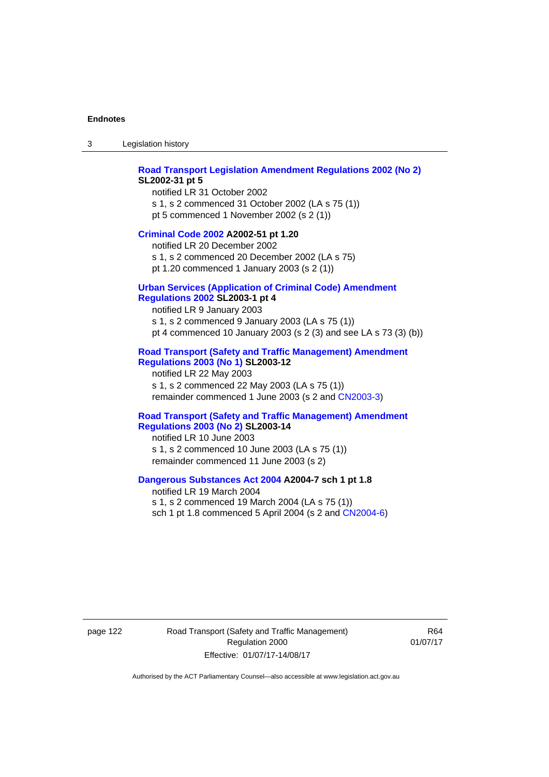3 Legislation history

### **[Road Transport Legislation Amendment Regulations 2002 \(No 2\)](http://www.legislation.act.gov.au/sl/2002-31) SL2002-31 pt 5**

notified LR 31 October 2002 s 1, s 2 commenced 31 October 2002 (LA s 75 (1)) pt 5 commenced 1 November 2002 (s 2 (1))

#### **[Criminal Code 2002](http://www.legislation.act.gov.au/a/2002-51) A2002-51 pt 1.20**

notified LR 20 December 2002 s 1, s 2 commenced 20 December 2002 (LA s 75) pt 1.20 commenced 1 January 2003 (s 2 (1))

### **[Urban Services \(Application of Criminal Code\) Amendment](http://www.legislation.act.gov.au/sl/2003-1)**

# **[Regulations 2002](http://www.legislation.act.gov.au/sl/2003-1) SL2003-1 pt 4**

notified LR 9 January 2003 s 1, s 2 commenced 9 January 2003 (LA s 75 (1)) pt 4 commenced 10 January 2003 (s 2 (3) and see LA s 73 (3) (b))

### **[Road Transport \(Safety and Traffic Management\) Amendment](http://www.legislation.act.gov.au/sl/2003-12)  [Regulations 2003 \(No 1\)](http://www.legislation.act.gov.au/sl/2003-12) SL2003-12**

notified LR 22 May 2003 s 1, s 2 commenced 22 May 2003 (LA s 75 (1)) remainder commenced 1 June 2003 (s 2 and [CN2003-3](http://www.legislation.act.gov.au/cn/2003-3/default.asp))

#### **[Road Transport \(Safety and Traffic Management\) Amendment](http://www.legislation.act.gov.au/sl/2003-14)  [Regulations 2003 \(No 2\)](http://www.legislation.act.gov.au/sl/2003-14) SL2003-14**

notified LR 10 June 2003 s 1, s 2 commenced 10 June 2003 (LA s 75 (1)) remainder commenced 11 June 2003 (s 2)

### **[Dangerous Substances Act 2004](http://www.legislation.act.gov.au/a/2004-7) A2004-7 sch 1 pt 1.8**

notified LR 19 March 2004 s 1, s 2 commenced 19 March 2004 (LA s 75 (1)) sch 1 pt 1.8 commenced 5 April 2004 (s 2 and [CN2004-6](http://www.legislation.act.gov.au/cn/2004-6/default.asp))

page 122 Road Transport (Safety and Traffic Management) Regulation 2000 Effective: 01/07/17-14/08/17

R64 01/07/17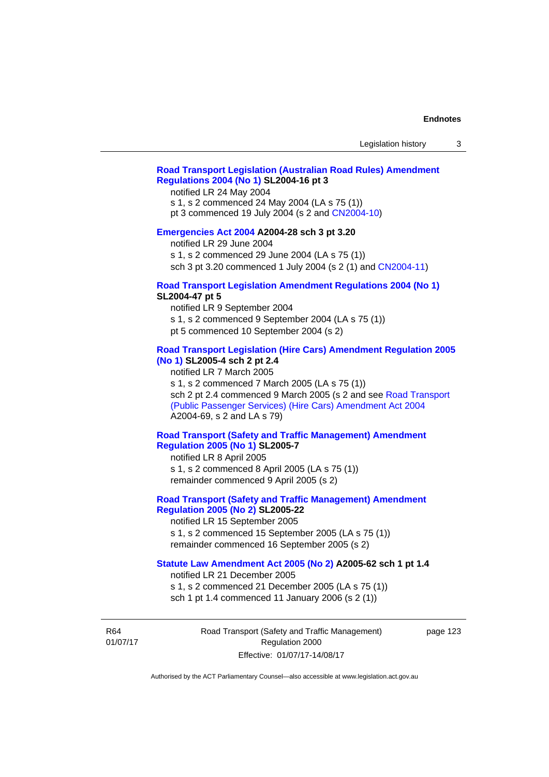# **[Road Transport Legislation \(Australian Road Rules\) Amendment](http://www.legislation.act.gov.au/sl/2004-16)  [Regulations 2004 \(No 1\)](http://www.legislation.act.gov.au/sl/2004-16) SL2004-16 pt 3**

notified LR 24 May 2004

s 1, s 2 commenced 24 May 2004 (LA s 75 (1))

pt 3 commenced 19 July 2004 (s 2 and [CN2004-10](http://www.legislation.act.gov.au/cn/2004-10/default.asp))

### **[Emergencies Act 2004](http://www.legislation.act.gov.au/a/2004-28) A2004-28 sch 3 pt 3.20**

notified LR 29 June 2004

s 1, s 2 commenced 29 June 2004 (LA s 75 (1))

sch 3 pt 3.20 commenced 1 July 2004 (s 2 (1) and [CN2004-11](http://www.legislation.act.gov.au/cn/2004-11/default.asp))

## **[Road Transport Legislation Amendment Regulations 2004 \(No 1\)](http://www.legislation.act.gov.au/sl/2004-47) SL2004-47 pt 5**

notified LR 9 September 2004

s 1, s 2 commenced 9 September 2004 (LA s 75 (1))

pt 5 commenced 10 September 2004 (s 2)

### **[Road Transport Legislation \(Hire Cars\) Amendment Regulation 2005](http://www.legislation.act.gov.au/sl/2005-4)  [\(No 1\)](http://www.legislation.act.gov.au/sl/2005-4) SL2005-4 sch 2 pt 2.4**

notified LR 7 March 2005

s 1, s 2 commenced 7 March 2005 (LA s 75 (1))

sch 2 pt 2.4 commenced 9 March 2005 (s 2 and see [Road Transport](http://www.legislation.act.gov.au/a/2004-69)  [\(Public Passenger Services\) \(Hire Cars\) Amendment Act 2004](http://www.legislation.act.gov.au/a/2004-69) A2004-69, s 2 and LA s 79)

## **[Road Transport \(Safety and Traffic Management\) Amendment](http://www.legislation.act.gov.au/sl/2005-7)  [Regulation 2005 \(No 1\)](http://www.legislation.act.gov.au/sl/2005-7) SL2005-7**

notified LR 8 April 2005 s 1, s 2 commenced 8 April 2005 (LA s 75 (1)) remainder commenced 9 April 2005 (s 2)

# **[Road Transport \(Safety and Traffic Management\) Amendment](http://www.legislation.act.gov.au/sl/2005-22)  [Regulation 2005 \(No 2\)](http://www.legislation.act.gov.au/sl/2005-22) SL2005-22**

notified LR 15 September 2005 s 1, s 2 commenced 15 September 2005 (LA s 75 (1)) remainder commenced 16 September 2005 (s 2)

### **[Statute Law Amendment Act 2005 \(No 2\)](http://www.legislation.act.gov.au/a/2005-62) A2005-62 sch 1 pt 1.4**

notified LR 21 December 2005 s 1, s 2 commenced 21 December 2005 (LA s 75 (1)) sch 1 pt 1.4 commenced 11 January 2006 (s 2 (1))

R64 01/07/17 Road Transport (Safety and Traffic Management) Regulation 2000 Effective: 01/07/17-14/08/17

page 123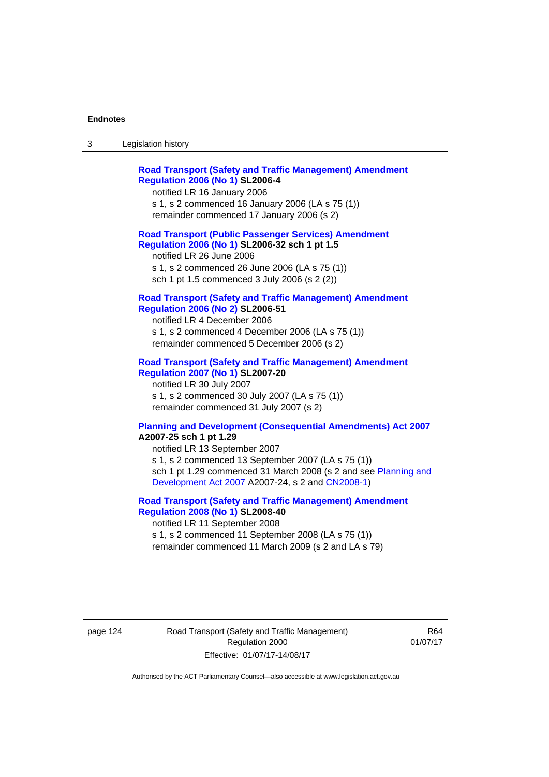| ు | Legislation history |
|---|---------------------|
|---|---------------------|

| <b>Road Transport (Safety and Traffic Management) Amendment</b><br><b>Regulation 2006 (No 1) SL2006-4</b><br>notified LR 16 January 2006<br>s 1, s 2 commenced 16 January 2006 (LA s 75 (1))<br>remainder commenced 17 January 2006 (s 2)                                                                   |  |
|-------------------------------------------------------------------------------------------------------------------------------------------------------------------------------------------------------------------------------------------------------------------------------------------------------------|--|
| <b>Road Transport (Public Passenger Services) Amendment</b><br>Regulation 2006 (No 1) SL2006-32 sch 1 pt 1.5<br>notified LR 26 June 2006<br>s 1, s 2 commenced 26 June 2006 (LA s 75 (1))<br>sch 1 pt 1.5 commenced 3 July 2006 (s 2 (2))                                                                   |  |
| <b>Road Transport (Safety and Traffic Management) Amendment</b><br><b>Regulation 2006 (No 2) SL2006-51</b><br>notified LR 4 December 2006<br>s 1, s 2 commenced 4 December 2006 (LA s 75 (1))<br>remainder commenced 5 December 2006 (s 2)                                                                  |  |
| <b>Road Transport (Safety and Traffic Management) Amendment</b><br><b>Regulation 2007 (No 1) SL2007-20</b><br>notified LR 30 July 2007<br>s 1, s 2 commenced 30 July 2007 (LA s 75 (1))<br>remainder commenced 31 July 2007 (s 2)                                                                           |  |
| <b>Planning and Development (Consequential Amendments) Act 2007</b><br>A2007-25 sch 1 pt 1.29<br>notified LR 13 September 2007<br>s 1, s 2 commenced 13 September 2007 (LA s 75 (1))<br>sch 1 pt 1.29 commenced 31 March 2008 (s 2 and see Planning and<br>Development Act 2007 A2007-24, s 2 and CN2008-1) |  |

### **[Road Transport \(Safety and Traffic Management\) Amendment](http://www.legislation.act.gov.au/sl/2008-40)  [Regulation 2008 \(No 1\)](http://www.legislation.act.gov.au/sl/2008-40) SL2008-40**  notified LR 11 September 2008

s 1, s 2 commenced 11 September 2008 (LA s 75 (1)) remainder commenced 11 March 2009 (s 2 and LA s 79)

page 124 Road Transport (Safety and Traffic Management) Regulation 2000 Effective: 01/07/17-14/08/17

R64 01/07/17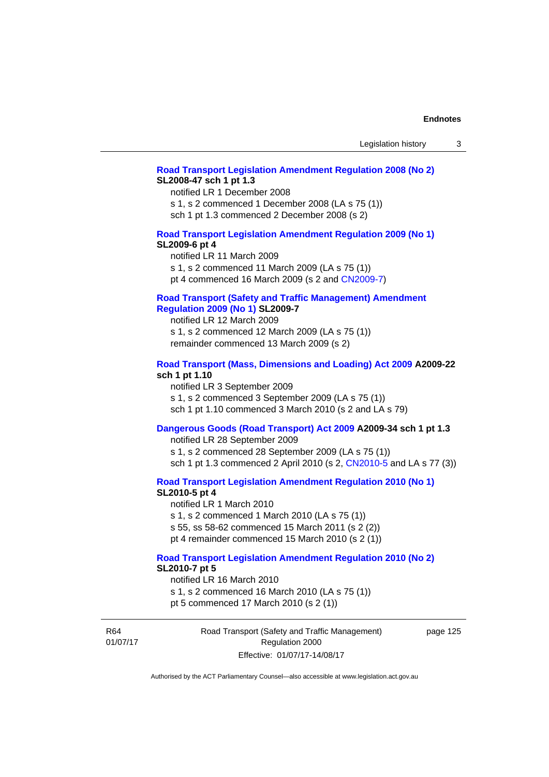#### **[Road Transport Legislation Amendment Regulation 2008 \(No 2\)](http://www.legislation.act.gov.au/sl/2008-47) SL2008-47 sch 1 pt 1.3**

notified LR 1 December 2008 s 1, s 2 commenced 1 December 2008 (LA s 75 (1)) sch 1 pt 1.3 commenced 2 December 2008 (s 2)

### **[Road Transport Legislation Amendment Regulation 2009 \(No 1\)](http://www.legislation.act.gov.au/sl/2009-6) SL2009-6 pt 4**

notified LR 11 March 2009 s 1, s 2 commenced 11 March 2009 (LA s 75 (1)) pt 4 commenced 16 March 2009 (s 2 and [CN2009-7\)](http://www.legislation.act.gov.au/cn/2009-7/default.asp)

### **[Road Transport \(Safety and Traffic Management\) Amendment](http://www.legislation.act.gov.au/sl/2009-7)  [Regulation 2009 \(No 1\)](http://www.legislation.act.gov.au/sl/2009-7) SL2009-7**

notified LR 12 March 2009 s 1, s 2 commenced 12 March 2009 (LA s 75 (1)) remainder commenced 13 March 2009 (s 2)

### **[Road Transport \(Mass, Dimensions and Loading\) Act 2009](http://www.legislation.act.gov.au/a/2009-22/default.asp) A2009-22 sch 1 pt 1.10**

notified LR 3 September 2009 s 1, s 2 commenced 3 September 2009 (LA s 75 (1)) sch 1 pt 1.10 commenced 3 March 2010 (s 2 and LA s 79)

# **[Dangerous Goods \(Road Transport\) Act 2009](http://www.legislation.act.gov.au/a/2009-34) A2009-34 sch 1 pt 1.3**

notified LR 28 September 2009 s 1, s 2 commenced 28 September 2009 (LA s 75 (1)) sch 1 pt 1.3 commenced 2 April 2010 (s 2, [CN2010-5 a](http://www.legislation.act.gov.au/cn/2010-5/default.asp)nd LA s 77 (3))

**[Road Transport Legislation Amendment Regulation 2010 \(No 1\)](http://www.legislation.act.gov.au/sl/2010-5)**

### **SL2010-5 pt 4**

notified LR 1 March 2010 s 1, s 2 commenced 1 March 2010 (LA s 75 (1)) s 55, ss 58-62 commenced 15 March 2011 (s 2 (2)) pt 4 remainder commenced 15 March 2010 (s 2 (1))

# **[Road Transport Legislation Amendment Regulation 2010 \(No 2\)](http://www.legislation.act.gov.au/sl/2010-7) SL2010-7 pt 5**

notified LR 16 March 2010 s 1, s 2 commenced 16 March 2010 (LA s 75 (1)) pt 5 commenced 17 March 2010 (s 2 (1))

R64 01/07/17 Road Transport (Safety and Traffic Management) Regulation 2000 Effective: 01/07/17-14/08/17

page 125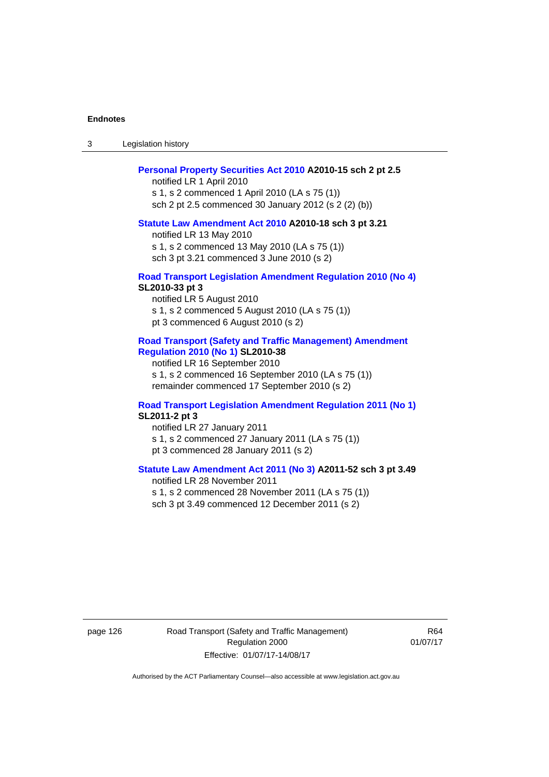3 Legislation history

#### **[Personal Property Securities Act 2010](http://www.legislation.act.gov.au/a/2010-15) A2010-15 sch 2 pt 2.5**

notified LR 1 April 2010 s 1, s 2 commenced 1 April 2010 (LA s 75 (1)) sch 2 pt 2.5 commenced 30 January 2012 (s 2 (2) (b))

#### **[Statute Law Amendment Act 2010](http://www.legislation.act.gov.au/a/2010-18) A2010-18 sch 3 pt 3.21**

notified LR 13 May 2010 s 1, s 2 commenced 13 May 2010 (LA s 75 (1)) sch 3 pt 3.21 commenced 3 June 2010 (s 2)

#### **[Road Transport Legislation Amendment Regulation 2010 \(No 4\)](http://www.legislation.act.gov.au/sl/2010-33) SL2010-33 pt 3**

notified LR 5 August 2010 s 1, s 2 commenced 5 August 2010 (LA s 75 (1)) pt 3 commenced 6 August 2010 (s 2)

### **[Road Transport \(Safety and Traffic Management\) Amendment](http://www.legislation.act.gov.au/sl/2010-38)  [Regulation 2010 \(No 1\)](http://www.legislation.act.gov.au/sl/2010-38) SL2010-38**

notified LR 16 September 2010 s 1, s 2 commenced 16 September 2010 (LA s 75 (1)) remainder commenced 17 September 2010 (s 2)

### **[Road Transport Legislation Amendment Regulation 2011 \(No 1\)](http://www.legislation.act.gov.au/sl/2011-2) SL2011-2 pt 3**

notified LR 27 January 2011 s 1, s 2 commenced 27 January 2011 (LA s 75 (1)) pt 3 commenced 28 January 2011 (s 2)

# **[Statute Law Amendment Act 2011 \(No 3\)](http://www.legislation.act.gov.au/a/2011-52) A2011-52 sch 3 pt 3.49**

notified LR 28 November 2011 s 1, s 2 commenced 28 November 2011 (LA s 75 (1)) sch 3 pt 3.49 commenced 12 December 2011 (s 2)

page 126 Road Transport (Safety and Traffic Management) Regulation 2000 Effective: 01/07/17-14/08/17

R64 01/07/17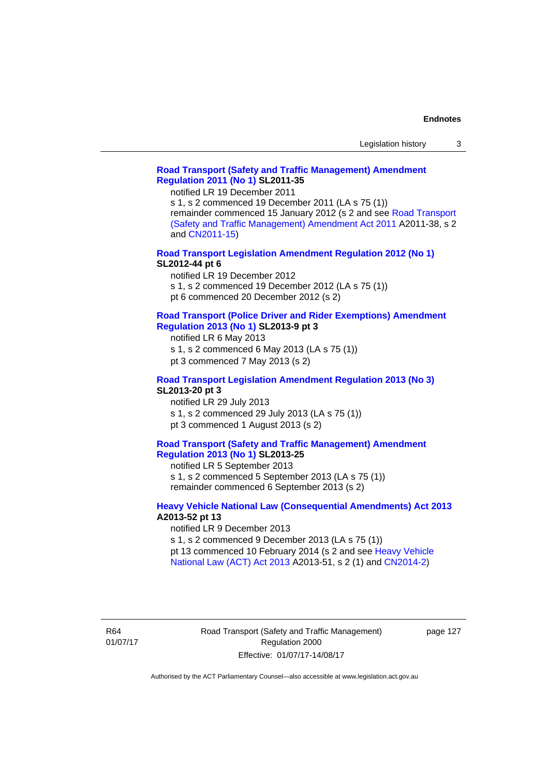### **[Road Transport \(Safety and Traffic Management\) Amendment](http://www.legislation.act.gov.au/sl/2011-35)  [Regulation 2011 \(No 1\)](http://www.legislation.act.gov.au/sl/2011-35) SL2011-35**

notified LR 19 December 2011

s 1, s 2 commenced 19 December 2011 (LA s 75 (1)) remainder commenced 15 January 2012 (s 2 and see [Road Transport](http://www.legislation.act.gov.au/a/2011-38)  [\(Safety and Traffic Management\) Amendment Act 2011](http://www.legislation.act.gov.au/a/2011-38) A2011-38, s 2 and [CN2011-15\)](http://www.legislation.act.gov.au/cn/2011-15/default.asp)

**[Road Transport Legislation Amendment Regulation 2012 \(No 1\)](http://www.legislation.act.gov.au/sl/2012-44/default.asp) SL2012-44 pt 6** 

notified LR 19 December 2012

s 1, s 2 commenced 19 December 2012 (LA s 75 (1))

pt 6 commenced 20 December 2012 (s 2)

#### **[Road Transport \(Police Driver and Rider Exemptions\) Amendment](http://www.legislation.act.gov.au/sl/2013-9/default.asp)  [Regulation 2013 \(No 1\)](http://www.legislation.act.gov.au/sl/2013-9/default.asp) SL2013-9 pt 3**

notified LR 6 May 2013

s 1, s 2 commenced 6 May 2013 (LA s 75 (1))

pt 3 commenced 7 May 2013 (s 2)

## **[Road Transport Legislation Amendment Regulation 2013 \(No 3\)](http://www.legislation.act.gov.au/sl/2013-20) SL2013-20 pt 3**

notified LR 29 July 2013 s 1, s 2 commenced 29 July 2013 (LA s 75 (1)) pt 3 commenced 1 August 2013 (s 2)

### **[Road Transport \(Safety and Traffic Management\) Amendment](http://www.legislation.act.gov.au/sl/2013-25)  [Regulation 2013 \(No 1\)](http://www.legislation.act.gov.au/sl/2013-25) SL2013-25**

notified LR 5 September 2013 s 1, s 2 commenced 5 September 2013 (LA s 75 (1)) remainder commenced 6 September 2013 (s 2)

### **[Heavy Vehicle National Law \(Consequential Amendments\) Act 2013](http://www.legislation.act.gov.au/a/2013-52) A2013-52 pt 13**

notified LR 9 December 2013

s 1, s 2 commenced 9 December 2013 (LA s 75 (1))

pt 13 commenced 10 February 2014 (s 2 and see [Heavy Vehicle](http://www.legislation.act.gov.au/a/2013-51/default.asp)  [National Law \(ACT\) Act 2013](http://www.legislation.act.gov.au/a/2013-51/default.asp) A2013-51, s 2 (1) and [CN2014-2](http://www.legislation.act.gov.au/cn/2014-2/default.asp))

R64 01/07/17 page 127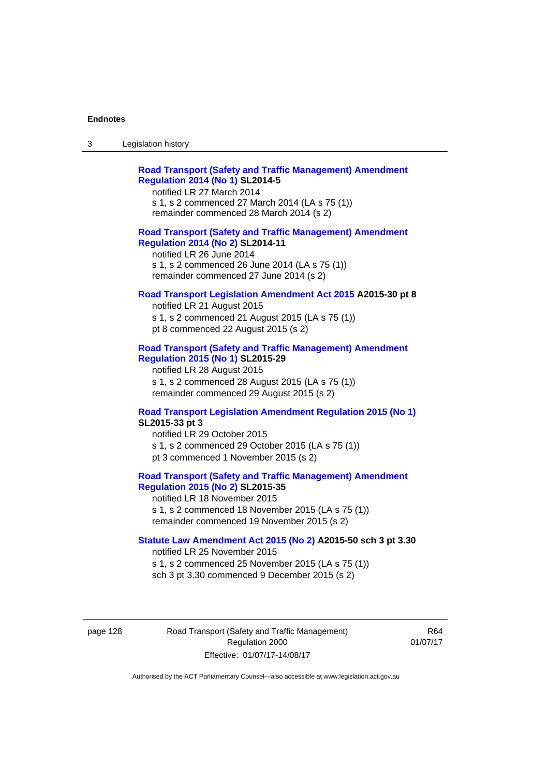| Legislation history<br>-3 |
|---------------------------|
|---------------------------|

| <b>Road Transport (Safety and Traffic Management) Amendment</b> |  |  |
|-----------------------------------------------------------------|--|--|
| <b>Regulation 2014 (No 1) SL2014-5</b>                          |  |  |
| notified LR 27 March 2014                                       |  |  |
|                                                                 |  |  |

s 1, s 2 commenced 27 March 2014 (LA s 75 (1)) remainder commenced 28 March 2014 (s 2)

### **[Road Transport \(Safety and Traffic Management\) Amendment](http://www.legislation.act.gov.au/sl/2014-11)  [Regulation 2014 \(No 2\)](http://www.legislation.act.gov.au/sl/2014-11) SL2014-11**

notified LR 26 June 2014 s 1, s 2 commenced 26 June 2014 (LA s 75 (1)) remainder commenced 27 June 2014 (s 2)

### **[Road Transport Legislation Amendment Act 2015](http://www.legislation.act.gov.au/a/2015-30/default.asp) A2015-30 pt 8**

notified LR 21 August 2015 s 1, s 2 commenced 21 August 2015 (LA s 75 (1)) pt 8 commenced 22 August 2015 (s 2)

### **[Road Transport \(Safety and Traffic Management\) Amendment](http://www.legislation.act.gov.au/sl/2015-29)  [Regulation 2015 \(No 1\)](http://www.legislation.act.gov.au/sl/2015-29) SL2015-29**

notified LR 28 August 2015 s 1, s 2 commenced 28 August 2015 (LA s 75 (1)) remainder commenced 29 August 2015 (s 2)

# **[Road Transport Legislation Amendment Regulation 2015 \(No 1\)](http://www.legislation.act.gov.au/sl/2015-33) SL2015-33 pt 3**

notified LR 29 October 2015 s 1, s 2 commenced 29 October 2015 (LA s 75 (1)) pt 3 commenced 1 November 2015 (s 2)

# **[Road Transport \(Safety and Traffic Management\) Amendment](http://www.legislation.act.gov.au/sl/2015-35)  [Regulation 2015 \(No 2\)](http://www.legislation.act.gov.au/sl/2015-35) SL2015-35**

notified LR 18 November 2015 s 1, s 2 commenced 18 November 2015 (LA s 75 (1)) remainder commenced 19 November 2015 (s 2)

### **[Statute Law Amendment Act 2015 \(No 2\)](http://www.legislation.act.gov.au/a/2015-50) A2015-50 sch 3 pt 3.30**

notified LR 25 November 2015 s 1, s 2 commenced 25 November 2015 (LA s 75 (1)) sch 3 pt 3.30 commenced 9 December 2015 (s 2)

page 128 Road Transport (Safety and Traffic Management) Regulation 2000 Effective: 01/07/17-14/08/17

R64 01/07/17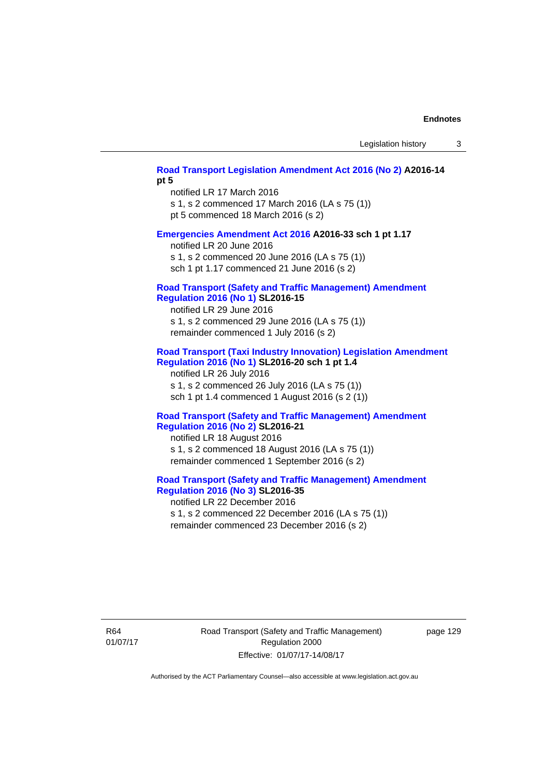## **[Road Transport Legislation Amendment Act 2016 \(No 2\)](http://www.legislation.act.gov.au/a/2016-14) A2016-14 pt 5**

notified LR 17 March 2016 s 1, s 2 commenced 17 March 2016 (LA s 75 (1)) pt 5 commenced 18 March 2016 (s 2)

#### **[Emergencies Amendment Act 2016](http://www.legislation.act.gov.au/a/2016-33) A2016-33 sch 1 pt 1.17**

notified LR 20 June 2016 s 1, s 2 commenced 20 June 2016 (LA s 75 (1)) sch 1 pt 1.17 commenced 21 June 2016 (s 2)

### **[Road Transport \(Safety and Traffic Management\) Amendment](http://www.legislation.act.gov.au/sl/2016-15)  [Regulation 2016 \(No 1\)](http://www.legislation.act.gov.au/sl/2016-15) SL2016-15**

notified LR 29 June 2016 s 1, s 2 commenced 29 June 2016 (LA s 75 (1)) remainder commenced 1 July 2016 (s 2)

### **[Road Transport \(Taxi Industry Innovation\) Legislation Amendment](http://www.legislation.act.gov.au/sl/2016-20/default.asp)  [Regulation 2016 \(No 1\)](http://www.legislation.act.gov.au/sl/2016-20/default.asp) SL2016-20 sch 1 pt 1.4**

notified LR 26 July 2016 s 1, s 2 commenced 26 July 2016 (LA s 75 (1)) sch 1 pt 1.4 commenced 1 August 2016 (s 2 (1))

### **[Road Transport \(Safety and Traffic Management\) Amendment](http://www.legislation.act.gov.au/sl/2016-21/default.asp)  [Regulation 2016 \(No 2\)](http://www.legislation.act.gov.au/sl/2016-21/default.asp) SL2016-21**

notified LR 18 August 2016 s 1, s 2 commenced 18 August 2016 (LA s 75 (1)) remainder commenced 1 September 2016 (s 2)

# **[Road Transport \(Safety and Traffic Management\) Amendment](http://www.legislation.act.gov.au/sl/2016-35/default.asp)  [Regulation 2016 \(No 3\)](http://www.legislation.act.gov.au/sl/2016-35/default.asp) SL2016-35**

notified LR 22 December 2016 s 1, s 2 commenced 22 December 2016 (LA s 75 (1)) remainder commenced 23 December 2016 (s 2)

R64 01/07/17 Road Transport (Safety and Traffic Management) Regulation 2000 Effective: 01/07/17-14/08/17

page 129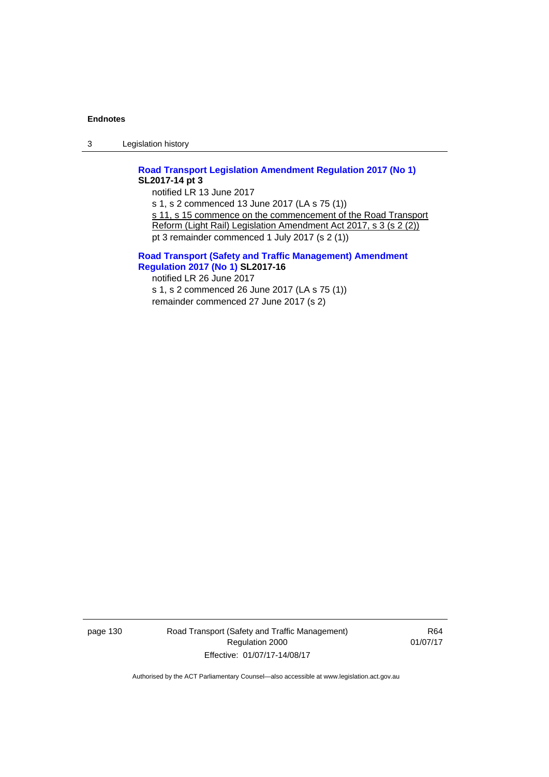3 Legislation history

# **[Road Transport Legislation Amendment Regulation 2017 \(No 1\)](http://www.legislation.act.gov.au/sl/2017-14/default.asp) SL2017-14 pt 3**

notified LR 13 June 2017 s 1, s 2 commenced 13 June 2017 (LA s 75 (1)) s 11, s 15 commence on the commencement of the Road Transport Reform (Light Rail) Legislation Amendment Act 2017, s 3 (s 2 (2)) pt 3 remainder commenced 1 July 2017 (s 2 (1))

### **[Road Transport \(Safety and Traffic Management\) Amendment](http://www.legislation.act.gov.au/sl/2017-16/default.asp)  [Regulation 2017 \(No 1\)](http://www.legislation.act.gov.au/sl/2017-16/default.asp) SL2017-16**

notified LR 26 June 2017 s 1, s 2 commenced 26 June 2017 (LA s 75 (1)) remainder commenced 27 June 2017 (s 2)

page 130 Road Transport (Safety and Traffic Management) Regulation 2000 Effective: 01/07/17-14/08/17

R64 01/07/17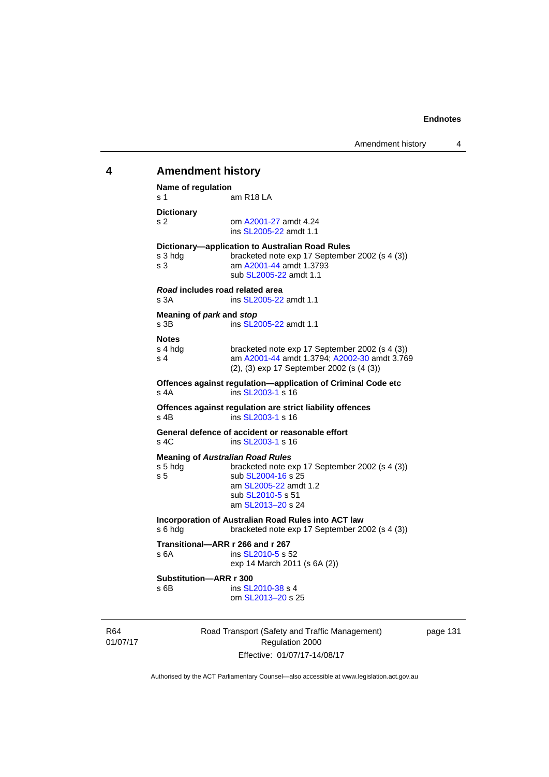# 01/07/17 Road Transport (Safety and Traffic Management) Regulation 2000 **4 Amendment history Name of regulation**  s 1 am R18 LA **Dictionary**  s 2 om [A2001-27](http://www.legislation.act.gov.au/a/2001-27) amdt 4.24 ins [SL2005-22](http://www.legislation.act.gov.au/sl/2005-22) amdt 1.1 **Dictionary—application to Australian Road Rules**  s 3 hdg bracketed note exp 17 September 2002 (s 4 (3)) s 3 am [A2001-44](http://www.legislation.act.gov.au/a/2001-44) amdt 1.3793 sub [SL2005-22](http://www.legislation.act.gov.au/sl/2005-22) amdt 1.1 *Road* **includes road related area**  s 3A **ins SL2005-22** amdt 1.1 **Meaning of** *park* **and** *stop* s 3B ins [SL2005-22](http://www.legislation.act.gov.au/sl/2005-22) amdt 1.1 **Notes**  s 4 hdg bracketed note exp 17 September 2002 (s 4 (3))<br>s 4 am A2001-44 amdt 1.3794: A2002-30 amdt 3.76 am [A2001-44](http://www.legislation.act.gov.au/a/2001-44) amdt 1.3794; [A2002-30](http://www.legislation.act.gov.au/a/2002-30) amdt 3.769 (2), (3) exp 17 September 2002 (s (4 (3)) **Offences against regulation—application of Criminal Code etc**  s 4A ins [SL2003-1](http://www.legislation.act.gov.au/sl/2003-1) s 16 **Offences against regulation are strict liability offences**  s 4B ins [SL2003-1](http://www.legislation.act.gov.au/sl/2003-1) s 16 **General defence of accident or reasonable effort**  s 4C ins [SL2003-1](http://www.legislation.act.gov.au/sl/2003-1) s 16 **Meaning of** *Australian Road Rules* s 5 hdg bracketed note exp 17 September 2002 (s 4 (3)) s 5 sub [SL2004-16](http://www.legislation.act.gov.au/sl/2004-16) s 25 am [SL2005-22](http://www.legislation.act.gov.au/sl/2005-22) amdt 1.2 sub [SL2010-5](http://www.legislation.act.gov.au/sl/2010-5) s 51 am [SL2013–20](http://www.legislation.act.gov.au/sl/2013-20) s 24 **Incorporation of Australian Road Rules into ACT law**  s 6 hdg bracketed note exp 17 September 2002 (s 4 (3)) **Transitional—ARR r 266 and r 267**  s 6A ins [SL2010-5](http://www.legislation.act.gov.au/sl/2010-5) s 52 exp 14 March 2011 (s 6A (2)) **Substitution—ARR r 300**  s 6B ins [SL2010-38](http://www.legislation.act.gov.au/sl/2010-38) s 4 om [SL2013–20](http://www.legislation.act.gov.au/sl/2013-20) s 25

page 131

Authorised by the ACT Parliamentary Counsel—also accessible at www.legislation.act.gov.au

Effective: 01/07/17-14/08/17

R64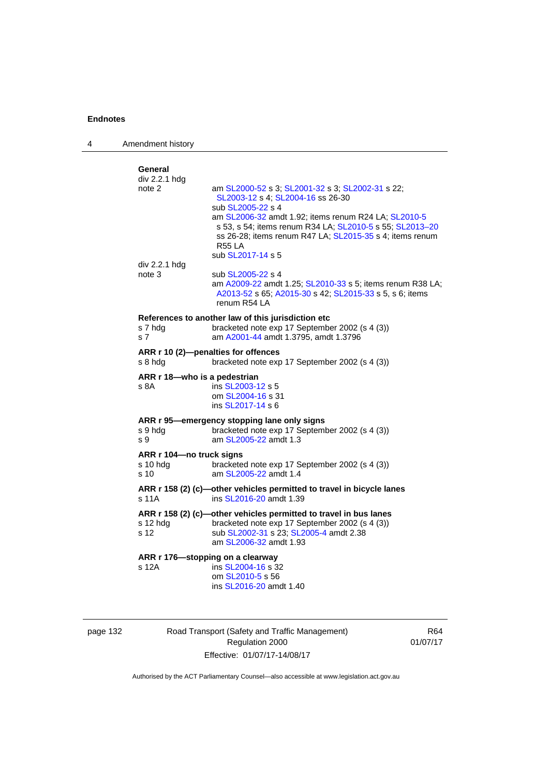4 Amendment history

| General<br>div 2.2.1 hdg         |                                                                                                                                                                                                                    |
|----------------------------------|--------------------------------------------------------------------------------------------------------------------------------------------------------------------------------------------------------------------|
| note 2                           | am SL2000-52 s 3; SL2001-32 s 3; SL2002-31 s 22;<br>SL2003-12 s 4; SL2004-16 ss 26-30<br>sub SL2005-22 s 4                                                                                                         |
|                                  | am SL2006-32 amdt 1.92; items renum R24 LA; SL2010-5<br>s 53, s 54; items renum R34 LA; SL2010-5 s 55; SL2013-20<br>ss 26-28; items renum R47 LA; SL2015-35 s 4; items renum<br><b>R55 LA</b><br>sub SL2017-14 s 5 |
| div 2.2.1 hdg<br>note 3          | sub SL2005-22 s 4                                                                                                                                                                                                  |
|                                  | am A2009-22 amdt 1.25; SL2010-33 s 5; items renum R38 LA;<br>A2013-52 s 65; A2015-30 s 42; SL2015-33 s 5, s 6; items<br>renum R54 LA                                                                               |
|                                  | References to another law of this jurisdiction etc                                                                                                                                                                 |
| s 7 hda<br>s 7                   | bracketed note exp 17 September 2002 (s 4 (3))<br>am A2001-44 amdt 1.3795, amdt 1.3796                                                                                                                             |
| s 8 hda                          | ARR r 10 (2)-penalties for offences<br>bracketed note exp 17 September 2002 (s 4 (3))                                                                                                                              |
| ARR r 18-who is a pedestrian     |                                                                                                                                                                                                                    |
| s 8A                             | ins SL2003-12 s 5<br>om SL2004-16 s 31                                                                                                                                                                             |
|                                  | ins SL2017-14 s 6                                                                                                                                                                                                  |
|                                  | ARR r 95-emergency stopping lane only signs                                                                                                                                                                        |
| s 9 hdg<br>s 9                   | bracketed note exp 17 September 2002 (s 4 (3))<br>am SL2005-22 amdt 1.3                                                                                                                                            |
| ARR r 104-no truck signs         |                                                                                                                                                                                                                    |
| s 10 hdg<br>s 10                 | bracketed note exp 17 September 2002 (s 4 (3))<br>am SL2005-22 amdt 1.4                                                                                                                                            |
| s 11A                            | ARR r 158 (2) (c)-other vehicles permitted to travel in bicycle lanes<br>ins SL2016-20 amdt 1.39                                                                                                                   |
|                                  | ARR r 158 (2) (c)-other vehicles permitted to travel in bus lanes                                                                                                                                                  |
| $s$ 12 hdg                       | bracketed note exp 17 September 2002 (s 4 (3))                                                                                                                                                                     |
| s 12                             | sub SL2002-31 s 23; SL2005-4 amdt 2.38<br>am SL2006-32 amdt 1.93                                                                                                                                                   |
| ARR r 176-stopping on a clearway |                                                                                                                                                                                                                    |
| s 12A                            | ins SL2004-16 s 32<br>om SL2010-5 s 56                                                                                                                                                                             |
|                                  | ins SL2016-20 amdt 1.40                                                                                                                                                                                            |
|                                  |                                                                                                                                                                                                                    |

| page | 132 |
|------|-----|
|      |     |

Road Transport (Safety and Traffic Management) Regulation 2000 Effective: 01/07/17-14/08/17

R64 01/07/17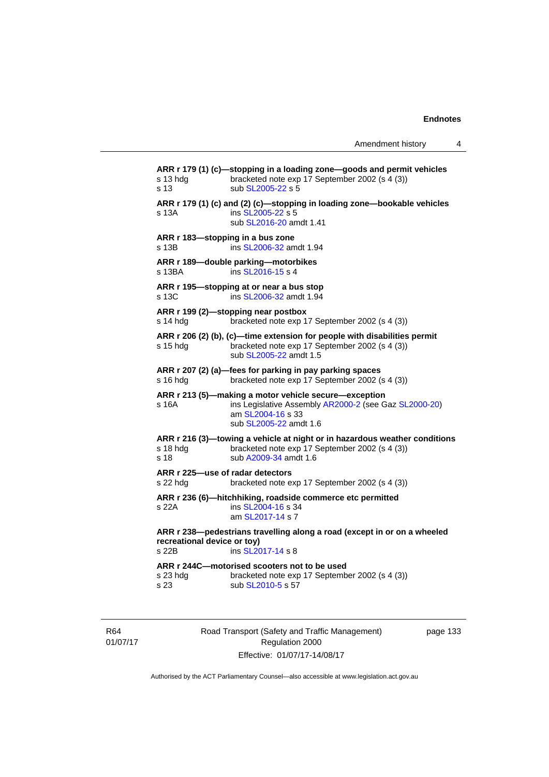**ARR r 179 (1) (c)—stopping in a loading zone—goods and permit vehicles**  s 13 hdg bracketed note exp 17 September 2002 (s 4 (3)) s 13 sub [SL2005-22](http://www.legislation.act.gov.au/sl/2005-22) s 5 **ARR r 179 (1) (c) and (2) (c)—stopping in loading zone—bookable vehicles**  s 13A ins [SL2005-22](http://www.legislation.act.gov.au/sl/2005-22) s 5 sub [SL2016-20](http://www.legislation.act.gov.au/sl/2016-20) amdt 1.41 **ARR r 183—stopping in a bus zone**  s 13B ins [SL2006-32](http://www.legislation.act.gov.au/sl/2006-32) amdt 1.94 **ARR r 189—double parking—motorbikes**  s 13BA ins [SL2016-15](http://www.legislation.act.gov.au/sl/2016-15) s 4 **ARR r 195—stopping at or near a bus stop**  s 13C ins [SL2006-32](http://www.legislation.act.gov.au/sl/2006-32) amdt 1.94 **ARR r 199 (2)—stopping near postbox**  s 14 hdg bracketed note exp 17 September 2002 (s 4 (3)) **ARR r 206 (2) (b), (c)—time extension for people with disabilities permit**  s 15 hdg bracketed note exp 17 September 2002 (s 4 (3)) sub [SL2005-22](http://www.legislation.act.gov.au/sl/2005-22) amdt 1.5 **ARR r 207 (2) (a)—fees for parking in pay parking spaces**  s 16 hdg bracketed note exp 17 September 2002 (s 4 (3)) **ARR r 213 (5)—making a motor vehicle secure—exception**  s 16A ins Legislative Assembly [AR2000-2](http://www.legislation.act.gov.au/ar/2000-2/default.asp) (see Gaz [SL2000-20\)](http://www.legislation.act.gov.au/sl/2000-20) am [SL2004-16](http://www.legislation.act.gov.au/sl/2004-16) s 33 sub [SL2005-22](http://www.legislation.act.gov.au/sl/2005-22) amdt 1.6 **ARR r 216 (3)—towing a vehicle at night or in hazardous weather conditions**  s 18 hdg bracketed note exp 17 September 2002 (s 4 (3)) s 18 sub [A2009-34](http://www.legislation.act.gov.au/a/2009-34) amdt 1.6 **ARR r 225—use of radar detectors**  s 22 hdg bracketed note exp 17 September 2002 (s 4 (3)) **ARR r 236 (6)—hitchhiking, roadside commerce etc permitted**  s 22A **ins [SL2004-16](http://www.legislation.act.gov.au/sl/2004-16) s 34**  am [SL2017-14](http://www.legislation.act.gov.au/sl/2017-14/default.asp) s 7 **ARR r 238—pedestrians travelling along a road (except in or on a wheeled recreational device or toy)**  s 22B ins [SL2017-14](http://www.legislation.act.gov.au/sl/2017-14/default.asp) s 8 **ARR r 244C—motorised scooters not to be used**  s 23 hdg bracketed note exp 17 September 2002 (s 4 (3)) s 23 sub [SL2010-5](http://www.legislation.act.gov.au/sl/2010-5) s 57

R64 01/07/17 Road Transport (Safety and Traffic Management) Regulation 2000 Effective: 01/07/17-14/08/17

page 133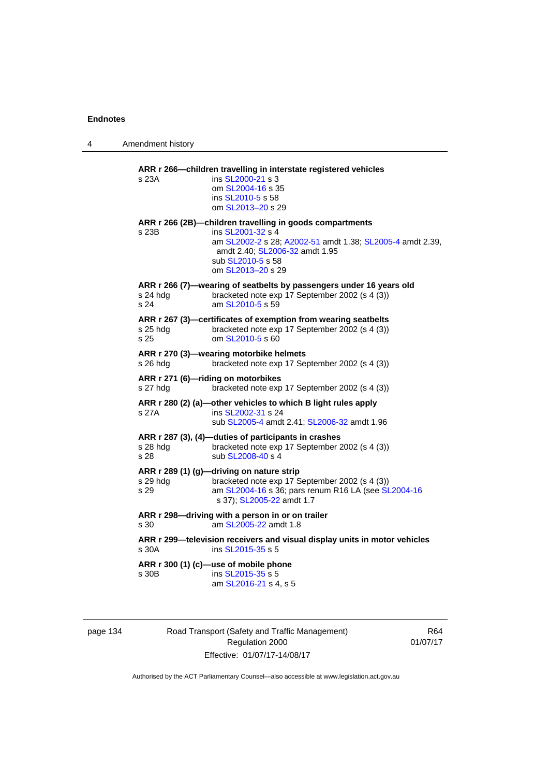4 Amendment history

| s 23A            | ins SL2000-21 s 3<br>om SL2004-16 s 35<br>ins SL2010-5 s 58<br>om SL2013-20 s 29                                                                                                                                       |
|------------------|------------------------------------------------------------------------------------------------------------------------------------------------------------------------------------------------------------------------|
| s 23B            | ARR r 266 (2B)-children travelling in goods compartments<br>ins SL2001-32 s 4<br>am SL2002-2 s 28; A2002-51 amdt 1.38; SL2005-4 amdt 2.39,<br>amdt 2.40; SL2006-32 amdt 1.95<br>sub SL2010-5 s 58<br>om SL2013-20 s 29 |
| s 24 hdg<br>s 24 | ARR r 266 (7)-wearing of seatbelts by passengers under 16 years old<br>bracketed note exp 17 September 2002 (s 4 (3))<br>am SL2010-5 s 59                                                                              |
| s 25 hdg<br>s 25 | ARR r 267 (3)-certificates of exemption from wearing seatbelts<br>bracketed note exp 17 September 2002 (s 4 (3))<br>om SL2010-5 s 60                                                                                   |
| s 26 hdg         | ARR r 270 (3)-wearing motorbike helmets<br>bracketed note exp 17 September 2002 (s 4 (3))                                                                                                                              |
| s 27 hdg         | ARR r 271 (6)-riding on motorbikes<br>bracketed note exp 17 September 2002 (s 4 (3))                                                                                                                                   |
| s 27A            | ARR r 280 (2) (a)-other vehicles to which B light rules apply<br>ins SL2002-31 s 24<br>sub SL2005-4 amdt 2.41; SL2006-32 amdt 1.96                                                                                     |
| s 28 hdg<br>s 28 | ARR r 287 (3), (4)-duties of participants in crashes<br>bracketed note exp 17 September 2002 (s 4 (3))<br>sub SL2008-40 s 4                                                                                            |
| s 29 hdg<br>s 29 | ARR r 289 (1) (g)-driving on nature strip<br>bracketed note exp 17 September 2002 (s 4 (3))<br>am SL2004-16 s 36; pars renum R16 LA (see SL2004-16<br>s 37); SL2005-22 amdt 1.7                                        |
| s 30             | ARR r 298-driving with a person in or on trailer<br>am SL2005-22 amdt 1.8                                                                                                                                              |
| s 30A            | ARR r 299-television receivers and visual display units in motor vehicles<br>ins SL2015-35 s 5                                                                                                                         |
| s 30B            | ARR r 300 (1) (c)-use of mobile phone<br>ins SL2015-35 s 5<br>am SL2016-21 s 4, s 5                                                                                                                                    |

page 134 Road Transport (Safety and Traffic Management) Regulation 2000 Effective: 01/07/17-14/08/17

R64 01/07/17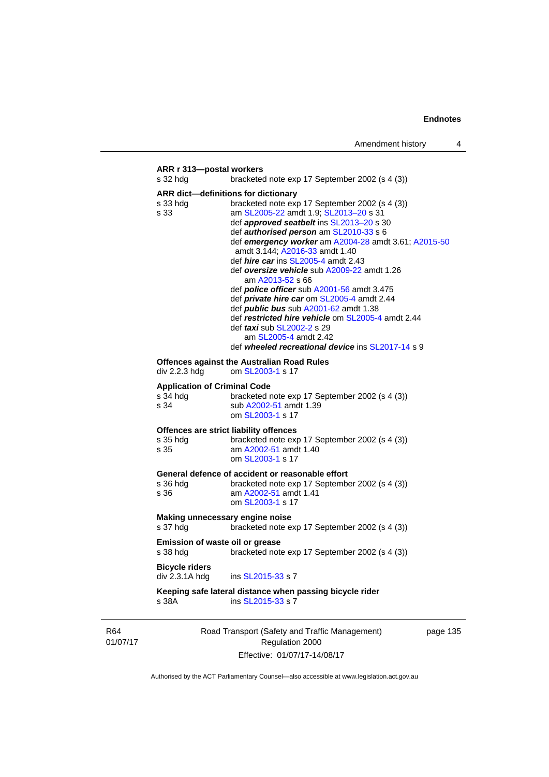## Road Transport (Safety and Traffic Management) page 135 **ARR r 313—postal workers**  s 32 hdg bracketed note exp 17 September 2002 (s 4 (3)) **ARR dict—definitions for dictionary**  s 33 hdg bracketed note exp 17 September 2002 (s 4 (3)) s 33 **am [SL2005-22](http://www.legislation.act.gov.au/sl/2005-22)** amdt 1.9; SL2013-20 s 31 def *approved seatbelt* ins [SL2013–20](http://www.legislation.act.gov.au/sl/2013-20) s 30 def *authorised person* am [SL2010-33](http://www.legislation.act.gov.au/sl/2010-33) s 6 def *emergency worker* am [A2004-28](http://www.legislation.act.gov.au/a/2004-28) amdt 3.61; [A2015-50](http://www.legislation.act.gov.au/a/2015-50) amdt 3.144; [A2016-33](http://www.legislation.act.gov.au/a/2016-33/default.asp) amdt 1.40 def *hire car* ins [SL2005-4](http://www.legislation.act.gov.au/sl/2005-4) amdt 2.43 def *oversize vehicle* sub [A2009-22](http://www.legislation.act.gov.au/a/2009-22) amdt 1.26 am [A2013-52](http://www.legislation.act.gov.au/a/2013-52) s 66 def *police officer* sub [A2001-56](http://www.legislation.act.gov.au/a/2001-56) amdt 3.475 def *private hire car* om [SL2005-4](http://www.legislation.act.gov.au/sl/2005-4) amdt 2.44 def *public bus* sub [A2001-62](http://www.legislation.act.gov.au/a/2001-62) amdt 1.38 def *restricted hire vehicle* om [SL2005-4](http://www.legislation.act.gov.au/sl/2005-4) amdt 2.44 def *taxi* sub [SL2002-2](http://www.legislation.act.gov.au/sl/2002-2) s 29 am [SL2005-4](http://www.legislation.act.gov.au/sl/2005-4) amdt 2.42 def *wheeled recreational device* ins [SL2017-14](http://www.legislation.act.gov.au/sl/2017-14/default.asp) s 9 **Offences against the Australian Road Rules**  div 2.2.3 hdg om [SL2003-1](http://www.legislation.act.gov.au/sl/2003-1) s 17 **Application of Criminal Code**  s 34 hdg bracketed note exp 17 September 2002 (s 4 (3)) s 34 sub [A2002-51](http://www.legislation.act.gov.au/a/2002-51) amdt 1.39 om [SL2003-1](http://www.legislation.act.gov.au/sl/2003-1) s 17 **Offences are strict liability offences**  s 35 hdg bracketed note exp 17 September 2002 (s 4 (3))<br>s 35 am A2002-51 amdt 1.40 am [A2002-51](http://www.legislation.act.gov.au/a/2002-51) amdt 1.40 om [SL2003-1](http://www.legislation.act.gov.au/sl/2003-1) s 17 **General defence of accident or reasonable effort**  s 36 hdg bracketed note exp 17 September 2002 (s 4 (3))<br>s 36 **by** am A2002-51 amdt 1.41 am [A2002-51](http://www.legislation.act.gov.au/a/2002-51) amdt 1.41 om [SL2003-1](http://www.legislation.act.gov.au/sl/2003-1) s 17 **Making unnecessary engine noise**  s 37 hdg bracketed note exp 17 September 2002 (s 4 (3)) **Emission of waste oil or grease**  bracketed note exp 17 September 2002 (s 4 (3)) **Bicycle riders**  div 2.3.1A hdg ins [SL2015-33](http://www.legislation.act.gov.au/sl/2015-33) s 7 **Keeping safe lateral distance when passing bicycle rider**  ins [SL2015-33](http://www.legislation.act.gov.au/sl/2015-33) s 7

R64 01/07/17

Regulation 2000 Effective: 01/07/17-14/08/17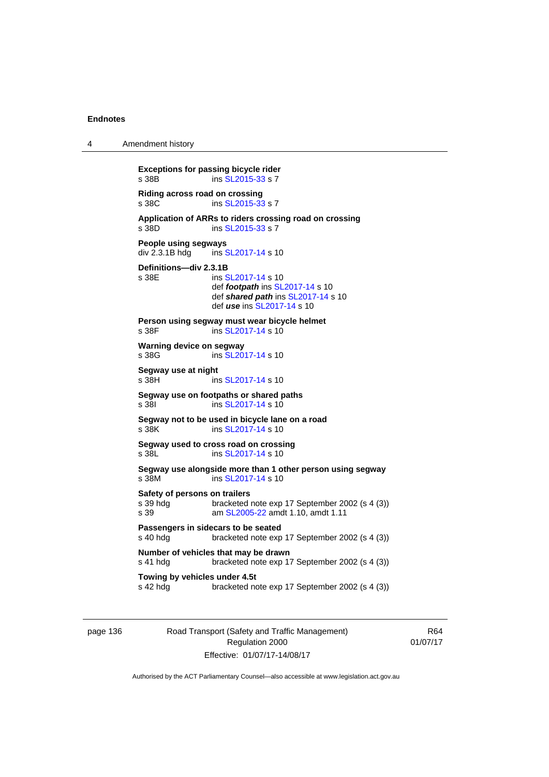4 Amendment history

**Exceptions for passing bicycle rider**  s 38B ins [SL2015-33](http://www.legislation.act.gov.au/sl/2015-33) s 7 **Riding across road on crossing**  ins [SL2015-33](http://www.legislation.act.gov.au/sl/2015-33) s 7 **Application of ARRs to riders crossing road on crossing**  s 38D ins [SL2015-33](http://www.legislation.act.gov.au/sl/2015-33) s 7 **People using segways**  div 2.3.1B hdg ins [SL2017-14](http://www.legislation.act.gov.au/sl/2017-14/default.asp) s 10 **Definitions—div 2.3.1B**  ins [SL2017-14](http://www.legislation.act.gov.au/sl/2017-14/default.asp) s 10 def *footpath* ins [SL2017-14](http://www.legislation.act.gov.au/sl/2017-14/default.asp) s 10 def *shared path* ins [SL2017-14](http://www.legislation.act.gov.au/sl/2017-14/default.asp) s 10 def *use* ins [SL2017-14](http://www.legislation.act.gov.au/sl/2017-14/default.asp) s 10 **Person using segway must wear bicycle helmet**  s 38F ins [SL2017-14](http://www.legislation.act.gov.au/sl/2017-14/default.asp) s 10 **Warning device on segway**  s 38G ins [SL2017-14](http://www.legislation.act.gov.au/sl/2017-14/default.asp) s 10 **Segway use at night**  s 38H ins [SL2017-14](http://www.legislation.act.gov.au/sl/2017-14/default.asp) s 10 **Segway use on footpaths or shared paths**  s 38I ins [SL2017-14](http://www.legislation.act.gov.au/sl/2017-14/default.asp) s 10 **Segway not to be used in bicycle lane on a road**  s 38K ins [SL2017-14](http://www.legislation.act.gov.au/sl/2017-14/default.asp) s 10 **Segway used to cross road on crossing**  s 38L ins [SL2017-14](http://www.legislation.act.gov.au/sl/2017-14/default.asp) s 10 **Segway use alongside more than 1 other person using segway**  s 38M ins [SL2017-14](http://www.legislation.act.gov.au/sl/2017-14/default.asp) s 10 **Safety of persons on trailers**  s 39 hdg bracketed note exp 17 September 2002 (s 4 (3)) s 39 am [SL2005-22](http://www.legislation.act.gov.au/sl/2005-22) amdt 1.10, amdt 1.11 **Passengers in sidecars to be seated**  s 40 hdg bracketed note exp 17 September 2002 (s 4 (3)) **Number of vehicles that may be drawn**  s 41 hdg bracketed note exp 17 September 2002 (s 4 (3)) **Towing by vehicles under 4.5t** s 42 hdg bracketed no bracketed note exp 17 September 2002 (s 4 (3))

page 136 Road Transport (Safety and Traffic Management) Regulation 2000 Effective: 01/07/17-14/08/17

R64 01/07/17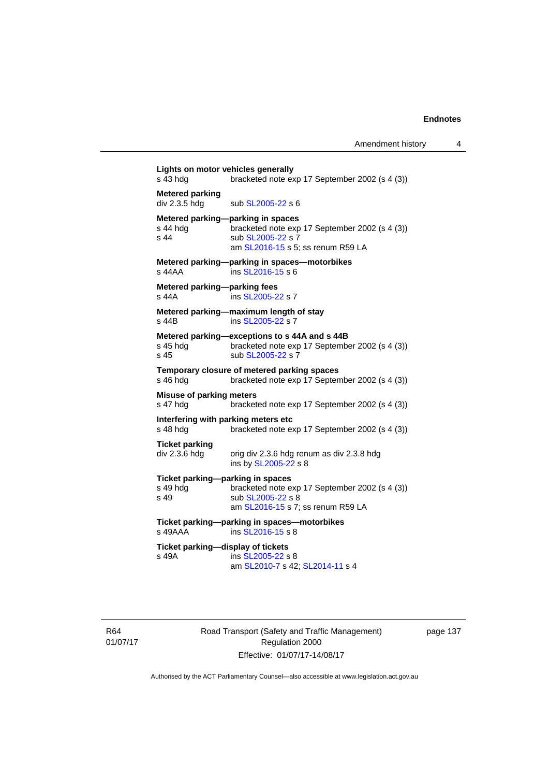**Lights on motor vehicles generally**  s 43 hdg bracketed note exp 17 September 2002 (s 4 (3)) **Metered parking**   $div 2.3.5$  hdg sub  $SL2005-22$  s 6 **Metered parking—parking in spaces**<br>s 44 hdg bracketed note exp bracketed note exp 17 September 2002 (s 4 (3)) s 44 sub [SL2005-22](http://www.legislation.act.gov.au/sl/2005-22) s 7 am [SL2016-15](http://www.legislation.act.gov.au/sl/2016-15) s 5; ss renum R59 LA **Metered parking—parking in spaces—motorbikes**  s 44AA ins [SL2016-15](http://www.legislation.act.gov.au/sl/2016-15) s 6 **Metered parking—parking fees**<br>s 44A **ins SL2005-2** ins [SL2005-22](http://www.legislation.act.gov.au/sl/2005-22) s 7 **Metered parking—maximum length of stay**  s 44B ins [SL2005-22](http://www.legislation.act.gov.au/sl/2005-22) s 7 **Metered parking—exceptions to s 44A and s 44B**  s 45 hdg bracketed note exp 17 September 2002 (s 4 (3))<br>s 45 sub SL2005-22 s 7 sub [SL2005-22](http://www.legislation.act.gov.au/sl/2005-22) s 7 **Temporary closure of metered parking spaces**  s 46 hdg bracketed note exp 17 September 2002 (s 4 (3)) **Misuse of parking meters**  s 47 hdg bracketed note exp 17 September 2002 (s 4 (3)) **Interfering with parking meters etc**  s 48 hdg bracketed note exp 17 September 2002 (s 4 (3)) **Ticket parking**  div 2.3.6 hdg orig div 2.3.6 hdg renum as div 2.3.8 hdg ins by [SL2005-22](http://www.legislation.act.gov.au/sl/2005-22) s 8 **Ticket parking—parking in spaces**  s 49 hdg bracketed note exp 17 September 2002 (s 4 (3)) s 49 sub [SL2005-22](http://www.legislation.act.gov.au/sl/2005-22) s 8 am [SL2016-15](http://www.legislation.act.gov.au/sl/2016-15) s 7; ss renum R59 LA **Ticket parking—parking in spaces—motorbikes**<br>s 49AAA ins SL2016-15 s 8  $ins$  [SL2016-15](http://www.legislation.act.gov.au/sl/2016-15) s 8 **Ticket parking—display of tickets**  s 49A ins [SL2005-22](http://www.legislation.act.gov.au/sl/2005-22) s 8 am [SL2010-7](http://www.legislation.act.gov.au/sl/2010-7) s 42; [SL2014-11](http://www.legislation.act.gov.au/sl/2014-11) s 4

R64 01/07/17 Road Transport (Safety and Traffic Management) Regulation 2000 Effective: 01/07/17-14/08/17

page 137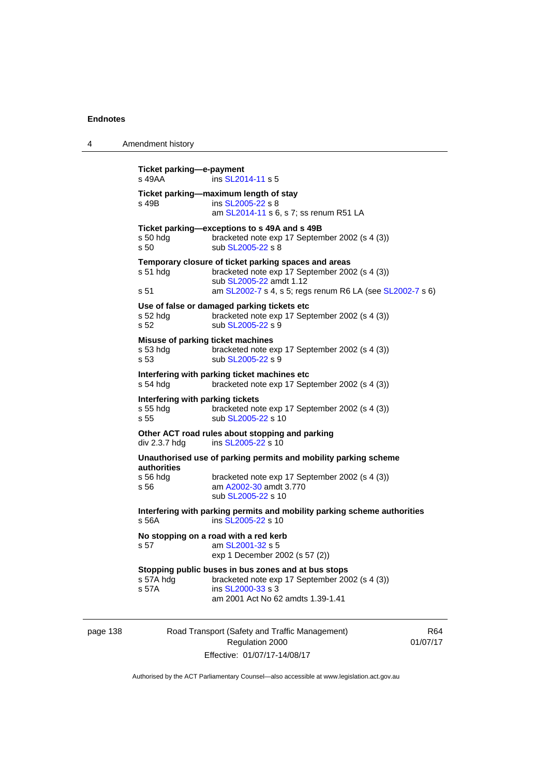4 Amendment history

|          | Ticket parking-e-payment<br>s 49AA                                                                          | ins SL2014-11 s 5                                                                                                                                               |                 |  |  |
|----------|-------------------------------------------------------------------------------------------------------------|-----------------------------------------------------------------------------------------------------------------------------------------------------------------|-----------------|--|--|
|          | s 49B                                                                                                       | Ticket parking-maximum length of stay<br>ins SL2005-22 s 8<br>am SL2014-11 s 6, s 7; ss renum R51 LA                                                            |                 |  |  |
|          | s 50 hdg<br>s 50                                                                                            | Ticket parking-exceptions to s 49A and s 49B<br>bracketed note exp 17 September 2002 (s 4 (3))<br>sub SL2005-22 s 8                                             |                 |  |  |
|          | $s51$ hdg                                                                                                   | Temporary closure of ticket parking spaces and areas<br>bracketed note exp 17 September 2002 (s 4 (3))<br>sub SL2005-22 amdt 1.12                               |                 |  |  |
|          | s 51                                                                                                        | am SL2002-7 s 4, s 5; regs renum R6 LA (see SL2002-7 s 6)                                                                                                       |                 |  |  |
|          | $s52$ hdg<br>s 52                                                                                           | Use of false or damaged parking tickets etc<br>bracketed note exp 17 September 2002 (s 4 (3))<br>sub SL2005-22 s 9                                              |                 |  |  |
|          | Misuse of parking ticket machines<br>$s53$ hdg<br>s 53                                                      | bracketed note exp 17 September 2002 (s 4 (3))<br>sub SL2005-22 s 9                                                                                             |                 |  |  |
|          | Interfering with parking ticket machines etc<br>$s54$ hdg<br>bracketed note exp 17 September 2002 (s 4 (3)) |                                                                                                                                                                 |                 |  |  |
|          | Interfering with parking tickets<br>s 55 hdg<br>s 55                                                        | bracketed note exp 17 September 2002 (s 4 (3))<br>sub SL2005-22 s 10                                                                                            |                 |  |  |
|          | div 2.3.7 hdg                                                                                               | Other ACT road rules about stopping and parking<br>ins SL2005-22 s 10                                                                                           |                 |  |  |
|          | authorities                                                                                                 | Unauthorised use of parking permits and mobility parking scheme                                                                                                 |                 |  |  |
|          | $s$ 56 hdg<br>s 56                                                                                          | bracketed note exp 17 September 2002 (s 4 (3))<br>am A2002-30 amdt 3.770<br>sub SL2005-22 s 10                                                                  |                 |  |  |
|          | s 56A                                                                                                       | Interfering with parking permits and mobility parking scheme authorities<br>ins SL2005-22 s 10                                                                  |                 |  |  |
|          | No stopping on a road with a red kerb<br>am SL2001-32 s 5<br>s 57<br>exp 1 December 2002 (s 57 (2))         |                                                                                                                                                                 |                 |  |  |
|          | s 57A hdg<br>s 57A                                                                                          | Stopping public buses in bus zones and at bus stops<br>bracketed note exp 17 September 2002 (s 4 (3))<br>ins SL2000-33 s 3<br>am 2001 Act No 62 amdts 1.39-1.41 |                 |  |  |
| page 138 |                                                                                                             | Road Transport (Safety and Traffic Management)<br>Regulation 2000                                                                                               | R64<br>01/07/17 |  |  |

Authorised by the ACT Parliamentary Counsel—also accessible at www.legislation.act.gov.au

Effective: 01/07/17-14/08/17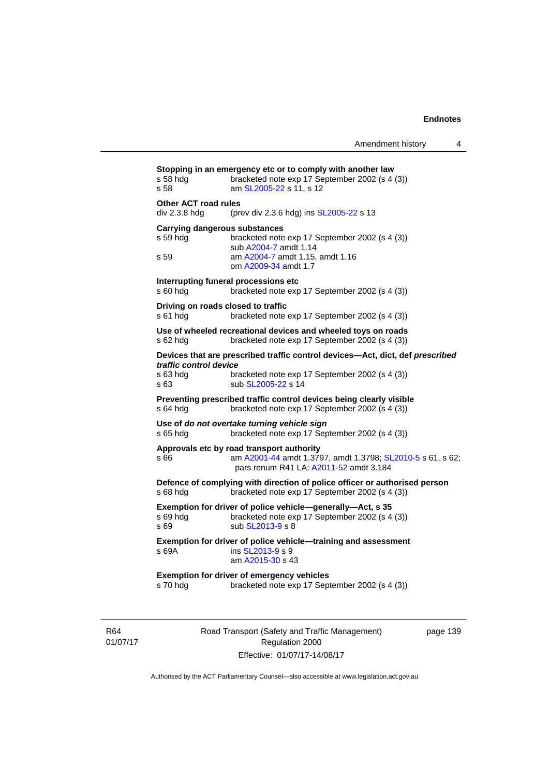**Stopping in an emergency etc or to comply with another law**  s 58 hdg bracketed note exp 17 September 2002 (s 4 (3)) s 58 am [SL2005-22](http://www.legislation.act.gov.au/sl/2005-22) s 11, s 12 **Other ACT road rules**  div 2.3.8 hdg (prev div 2.3.6 hdg) ins [SL2005-22](http://www.legislation.act.gov.au/sl/2005-22) s 13 **Carrying dangerous substances**  s 59 hdg bracketed note exp 17 September 2002 (s 4 (3)) sub [A2004-7](http://www.legislation.act.gov.au/a/2004-7) amdt 1.14<br>s 59 am A2004-7 amdt 1.15. am [A2004-7](http://www.legislation.act.gov.au/a/2004-7) amdt 1.15, amdt 1.16 om [A2009-34](http://www.legislation.act.gov.au/a/2009-34) amdt 1.7 **Interrupting funeral processions etc**  s 60 hdg bracketed note exp 17 September 2002 (s 4 (3)) **Driving on roads closed to traffic**  s 61 hdg bracketed note exp 17 September 2002 (s 4 (3)) **Use of wheeled recreational devices and wheeled toys on roads**  s 62 hdg bracketed note exp 17 September 2002 (s 4 (3)) **Devices that are prescribed traffic control devices—Act, dict, def** *prescribed traffic control device* s 63 hdg bracketed note exp 17 September 2002 (s 4 (3)) s 63 sub [SL2005-22](http://www.legislation.act.gov.au/sl/2005-22) s 14 **Preventing prescribed traffic control devices being clearly visible**  s 64 hdg bracketed note exp 17 September 2002 (s 4 (3)) **Use of** *do not overtake turning vehicle sign*  s 65 hdg bracketed note exp 17 September 2002 (s 4 (3)) **Approvals etc by road transport authority**  s 66 **am [A2001-44](http://www.legislation.act.gov.au/a/2001-44) amdt 1.3797, amdt 1.3798; [SL2010-5](http://www.legislation.act.gov.au/sl/2010-5) s 61, s 62;** pars renum R41 LA; [A2011-52](http://www.legislation.act.gov.au/a/2011-52) amdt 3.184 **Defence of complying with direction of police officer or authorised person**  s 68 hdg bracketed note exp 17 September 2002 (s 4 (3)) **Exemption for driver of police vehicle—generally—Act, s 35**  s 69 hdg bracketed note exp 17 September 2002 (s 4 (3)) s 69 sub [SL2013-9](http://www.legislation.act.gov.au/sl/2013-9/default.asp) s 8 **Exemption for driver of police vehicle—training and assessment**  s 69A ins [SL2013-9](http://www.legislation.act.gov.au/sl/2013-9/default.asp) s 9 am [A2015-30](http://www.legislation.act.gov.au/a/2015-30) s 43 **Exemption for driver of emergency vehicles**  s 70 hdg bracketed note exp 17 September 2002 (s 4 (3))

R64 01/07/17 Road Transport (Safety and Traffic Management) Regulation 2000 Effective: 01/07/17-14/08/17

page 139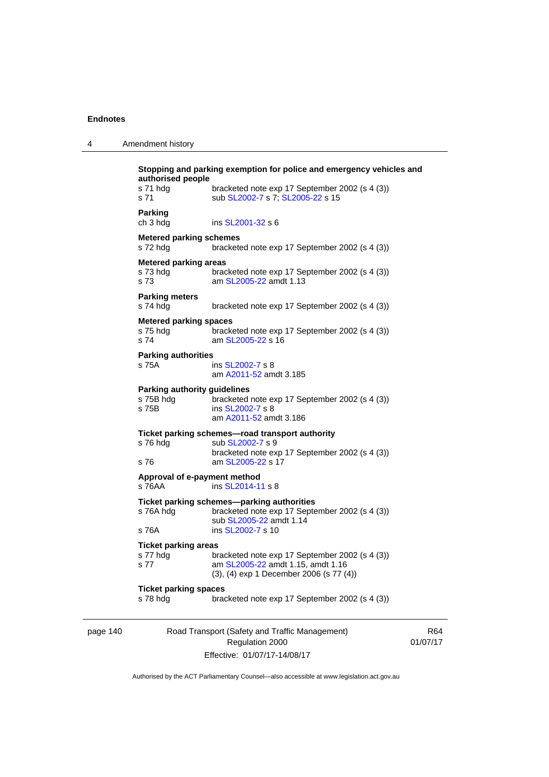page 140

4 Amendment history

| authorised people                                         | Stopping and parking exemption for police and emergency vehicles and                                                                       |      |
|-----------------------------------------------------------|--------------------------------------------------------------------------------------------------------------------------------------------|------|
| s 71 hdg<br>s 71                                          | bracketed note exp 17 September 2002 (s 4 (3))<br>sub SL2002-7 s 7; SL2005-22 s 15                                                         |      |
| <b>Parking</b><br>ch 3 hdg                                | ins SL2001-32 s 6                                                                                                                          |      |
| <b>Metered parking schemes</b><br>s 72 hdg                | bracketed note exp 17 September 2002 (s 4 (3))                                                                                             |      |
| <b>Metered parking areas</b><br>s 73 hdg<br>s 73          | bracketed note exp 17 September 2002 (s 4 (3))<br>am SL2005-22 amdt 1.13                                                                   |      |
| <b>Parking meters</b><br>s 74 hdg                         | bracketed note exp 17 September 2002 (s 4 (3))                                                                                             |      |
| <b>Metered parking spaces</b><br>s 75 hdg<br>s 74         | bracketed note exp 17 September 2002 (s 4 (3))<br>am SL2005-22 s 16                                                                        |      |
| <b>Parking authorities</b><br>s 75A                       | ins SL2002-7 s 8<br>am A2011-52 amdt 3.185                                                                                                 |      |
| <b>Parking authority guidelines</b><br>s 75B hdg<br>s 75B | bracketed note exp 17 September 2002 (s 4 (3))<br>ins SL2002-7 s 8<br>am A2011-52 amdt 3.186                                               |      |
| s 76 hdg<br>s 76                                          | Ticket parking schemes-road transport authority<br>sub SL2002-7 s 9<br>bracketed note exp 17 September 2002 (s 4 (3))<br>am SL2005-22 s 17 |      |
| Approval of e-payment method<br>s 76AA                    | ins SL2014-11 s 8                                                                                                                          |      |
| s 76A hdg                                                 | Ticket parking schemes-parking authorities<br>bracketed note exp 17 September 2002 (s 4 (3))<br>sub SL2005-22 amdt 1.14                    |      |
| s 76A<br><b>Ticket parking areas</b>                      | ins SL2002-7 s 10                                                                                                                          |      |
| s 77 hdg<br>s 77                                          | bracketed note exp 17 September 2002 (s 4 (3))<br>am SL2005-22 amdt 1.15, amdt 1.16<br>(3), (4) exp 1 December 2006 (s 77 (4))             |      |
| <b>Ticket parking spaces</b><br>s 78 hdg                  | bracketed note exp 17 September 2002 (s 4 (3))                                                                                             |      |
|                                                           | Road Transport (Safety and Traffic Management)<br>Regulation 2000                                                                          | 01/0 |

Effective: 01/07/17-14/08/17

R64 01/07/17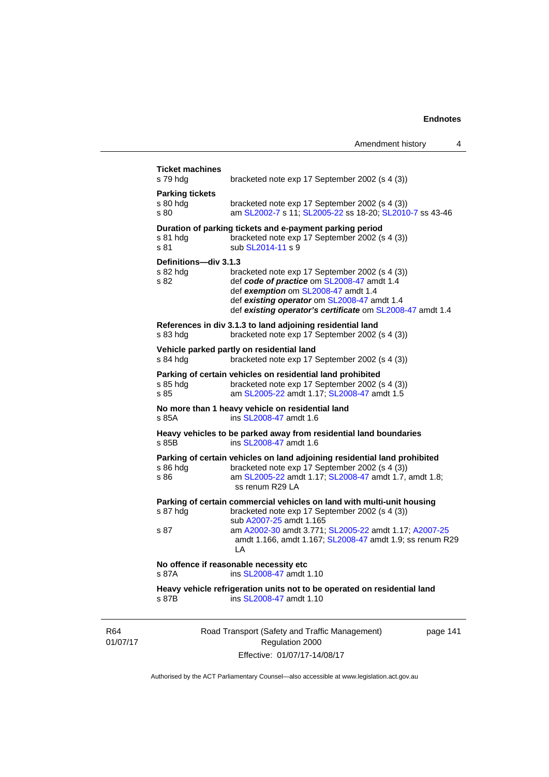| s 79 hdg                                   | bracketed note exp 17 September 2002 (s 4 (3))                                                                                                                                                                                                  |
|--------------------------------------------|-------------------------------------------------------------------------------------------------------------------------------------------------------------------------------------------------------------------------------------------------|
| <b>Parking tickets</b><br>s 80 hda<br>s 80 | bracketed note exp 17 September 2002 (s 4 (3))<br>am SL2002-7 s 11: SL2005-22 ss 18-20: SL2010-7 ss 43-46                                                                                                                                       |
| s 81 hdg<br>s 81                           | Duration of parking tickets and e-payment parking period<br>bracketed note exp 17 September 2002 (s 4 (3))<br>sub SL2014-11 s 9                                                                                                                 |
| Definitions-div 3.1.3<br>s 82 hdg<br>s 82  | bracketed note exp 17 September 2002 (s 4 (3))<br>def code of practice om SL2008-47 amdt 1.4<br>def exemption om SL2008-47 amdt 1.4<br>def existing operator om SL2008-47 amdt 1.4<br>def existing operator's certificate om SL2008-47 amdt 1.4 |
| s 83 hdg                                   | References in div 3.1.3 to land adjoining residential land<br>bracketed note exp 17 September 2002 (s 4 (3))                                                                                                                                    |
| s 84 hdg                                   | Vehicle parked partly on residential land<br>bracketed note exp 17 September 2002 (s 4 (3))                                                                                                                                                     |
| s 85 hda<br>s 85                           | Parking of certain vehicles on residential land prohibited<br>bracketed note exp 17 September 2002 (s 4 (3))<br>am SL2005-22 amdt 1.17; SL2008-47 amdt 1.5                                                                                      |
| s 85A                                      | No more than 1 heavy vehicle on residential land<br>ins SL2008-47 amdt 1.6                                                                                                                                                                      |
| s 85B                                      | Heavy vehicles to be parked away from residential land boundaries<br>ins SL2008-47 amdt 1.6                                                                                                                                                     |
| s 86 hdg<br>s 86                           | Parking of certain vehicles on land adjoining residential land prohibited<br>bracketed note exp 17 September 2002 (s 4 (3))<br>am SL2005-22 amdt 1.17; SL2008-47 amdt 1.7, amdt 1.8;<br>ss renum R29 LA                                         |
| s 87 hdg                                   | Parking of certain commercial vehicles on land with multi-unit housing<br>bracketed note exp 17 September 2002 (s 4 (3))<br>sub A2007-25 amdt 1.165                                                                                             |
| s 87                                       | am A2002-30 amdt 3.771; SL2005-22 amdt 1.17; A2007-25<br>amdt 1.166, amdt 1.167; SL2008-47 amdt 1.9; ss renum R29<br>LA                                                                                                                         |
|                                            | No offence if reasonable necessity etc<br>ins SL2008-47 amdt 1.10                                                                                                                                                                               |
| s 87A                                      |                                                                                                                                                                                                                                                 |

R64 01/07/17 Road Transport (Safety and Traffic Management) Regulation 2000 Effective: 01/07/17-14/08/17

page 141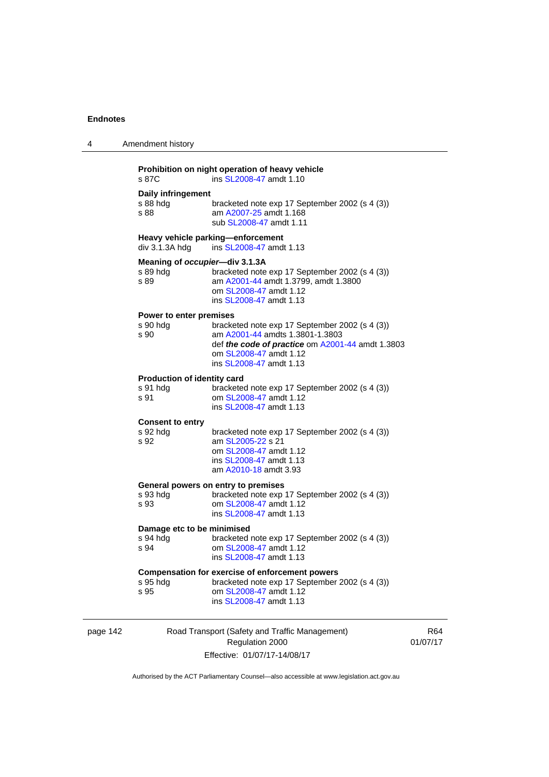| 4           | Amendment history                                                                   |                                                                                                                                                                                            |  |  |  |
|-------------|-------------------------------------------------------------------------------------|--------------------------------------------------------------------------------------------------------------------------------------------------------------------------------------------|--|--|--|
|             | Prohibition on night operation of heavy vehicle<br>s 87C<br>ins SL2008-47 amdt 1.10 |                                                                                                                                                                                            |  |  |  |
|             | Daily infringement<br>s 88 hdg<br>s 88                                              | bracketed note exp 17 September 2002 (s 4 (3))<br>am A2007-25 amdt 1.168<br>sub SL2008-47 amdt 1.11                                                                                        |  |  |  |
|             | $div$ 3.1.3A hdg                                                                    | Heavy vehicle parking-enforcement<br>ins SL2008-47 amdt 1.13                                                                                                                               |  |  |  |
|             | Meaning of occupier-div 3.1.3A<br>s 89 hdg<br>s 89                                  | bracketed note exp 17 September 2002 (s 4 (3))<br>am A2001-44 amdt 1.3799, amdt 1.3800<br>om SL2008-47 amdt 1.12<br>ins SL2008-47 amdt 1.13                                                |  |  |  |
|             | Power to enter premises<br>s 90 hdg<br>s 90                                         | bracketed note exp 17 September 2002 (s 4 (3))<br>am A2001-44 amdts 1.3801-1.3803<br>def the code of practice om A2001-44 amdt 1.3803<br>om SL2008-47 amdt 1.12<br>ins SL2008-47 amdt 1.13 |  |  |  |
|             | <b>Production of identity card</b><br>s 91 hdg<br>s 91                              | bracketed note exp 17 September 2002 (s 4 (3))<br>om SL2008-47 amdt 1.12<br>ins SL2008-47 amdt 1.13                                                                                        |  |  |  |
|             | <b>Consent to entry</b><br>s 92 hdg<br>s 92                                         | bracketed note exp 17 September 2002 (s 4 (3))<br>am SL2005-22 s 21<br>om SL2008-47 amdt 1.12<br>ins SL2008-47 amdt 1.13<br>am A2010-18 amdt 3.93                                          |  |  |  |
|             | s 93 hdg<br>s 93                                                                    | General powers on entry to premises<br>bracketed note exp 17 September 2002 (s 4 (3))<br>om SL2008-47 amdt 1.12<br>ins SL2008-47 amdt 1.13                                                 |  |  |  |
|             | Damage etc to be minimised<br>s 94 hdg<br>s 94                                      | bracketed note exp 17 September 2002 (s 4 (3))<br>om SL2008-47 amdt 1.12<br>ins SL2008-47 amdt 1.13                                                                                        |  |  |  |
|             | s 95 hdg<br>s 95                                                                    | Compensation for exercise of enforcement powers<br>bracketed note exp 17 September 2002 (s 4 (3))<br>om SL2008-47 amdt 1.12<br>ins SL2008-47 amdt 1.13                                     |  |  |  |
| $n$ ane 142 |                                                                                     | Road Transport (Safety and Traffic Management)                                                                                                                                             |  |  |  |

page 142 Road Transport (Safety and Traffic Management) Regulation 2000 Effective: 01/07/17-14/08/17

R64 01/07/17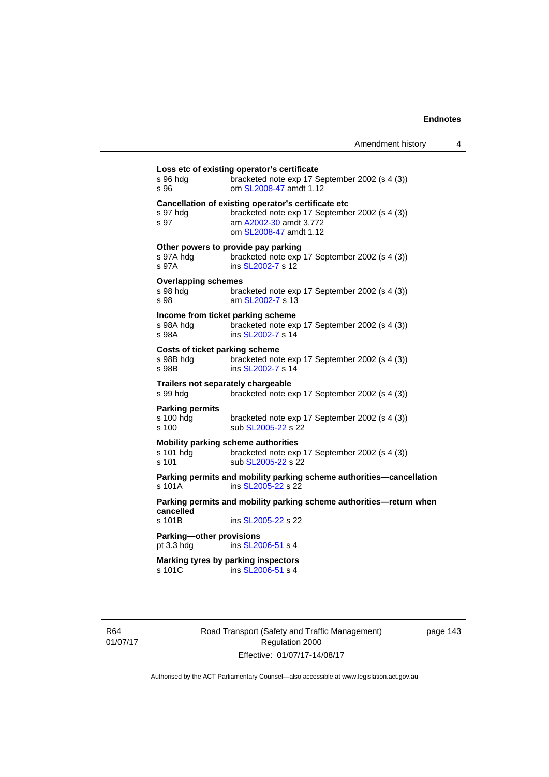| s 96 hda<br>s 96                               | bracketed note exp 17 September 2002 (s 4 (3))<br>om SL2008-47 amdt 1.12                                                                                  |
|------------------------------------------------|-----------------------------------------------------------------------------------------------------------------------------------------------------------|
| s 97 hda<br>s 97                               | Cancellation of existing operator's certificate etc<br>bracketed note exp 17 September 2002 (s 4 (3))<br>am A2002-30 amdt 3.772<br>om SL2008-47 amdt 1.12 |
| s 97A hda<br>s 97A                             | Other powers to provide pay parking<br>bracketed note exp 17 September 2002 (s 4 (3))<br>ins SL2002-7 s 12                                                |
| <b>Overlapping schemes</b><br>s 98 hda<br>s 98 | bracketed note exp 17 September 2002 (s 4 (3))<br>am SL2002-7 s 13                                                                                        |
| s 98A hdg<br>s 98A                             | Income from ticket parking scheme<br>bracketed note exp 17 September 2002 (s 4 (3))<br>ins SL2002-7 s 14                                                  |
| s 98B hdq<br>s 98B                             | Costs of ticket parking scheme<br>bracketed note exp 17 September 2002 (s 4 (3))<br>ins SL2002-7 s 14                                                     |
| s 99 hda                                       | Trailers not separately chargeable<br>bracketed note exp 17 September 2002 (s 4 (3))                                                                      |
| <b>Parking permits</b><br>s 100 hdq<br>s 100   | bracketed note exp 17 September 2002 (s 4 (3))<br>sub SL2005-22 s 22                                                                                      |
| s 101 hdg<br>$s$ 101                           | <b>Mobility parking scheme authorities</b><br>bracketed note exp 17 September 2002 (s 4 (3))<br>sub SL2005-22 s 22                                        |
| $s$ 101 $A$                                    | Parking permits and mobility parking scheme authorities-cancellation<br>ins SL2005-22 s 22                                                                |
| cancelled<br>s 101B                            | Parking permits and mobility parking scheme authorities-return when<br>ins SL2005-22 s 22                                                                 |
| Parking-other provisions<br>pt $3.3$ hdg       | ins SL2006-51 s 4                                                                                                                                         |
| s 101C                                         | Marking tyres by parking inspectors<br>ins SL2006-51 s 4                                                                                                  |

R64 01/07/17 Road Transport (Safety and Traffic Management) Regulation 2000 Effective: 01/07/17-14/08/17

page 143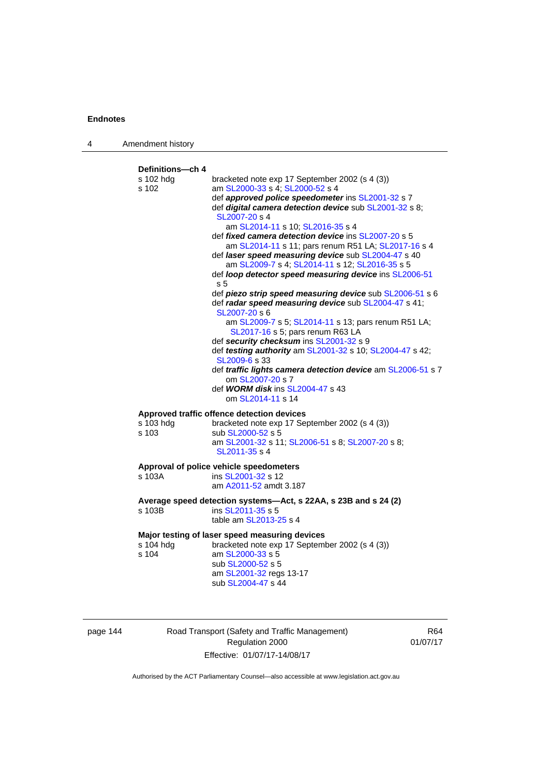| 4 | Amendment history                      |                                                                                                                                                                                                                                                                                                                                                                                                                                                                                                                                                                                                                                                                                                                                                                                                                                                                                                                                                                                                                                                                        |
|---|----------------------------------------|------------------------------------------------------------------------------------------------------------------------------------------------------------------------------------------------------------------------------------------------------------------------------------------------------------------------------------------------------------------------------------------------------------------------------------------------------------------------------------------------------------------------------------------------------------------------------------------------------------------------------------------------------------------------------------------------------------------------------------------------------------------------------------------------------------------------------------------------------------------------------------------------------------------------------------------------------------------------------------------------------------------------------------------------------------------------|
|   | Definitions-ch 4<br>s 102 hdg<br>s 102 | bracketed note exp 17 September 2002 (s 4 (3))<br>am SL2000-33 s 4; SL2000-52 s 4<br>def approved police speedometer ins SL2001-32 s 7<br>def digital camera detection device sub SL2001-32 s 8;<br>SL2007-20 s 4<br>am SL2014-11 s 10; SL2016-35 s 4<br>def <i>fixed camera detection device</i> ins SL2007-20 s 5<br>am SL2014-11 s 11; pars renum R51 LA; SL2017-16 s 4<br>def laser speed measuring device sub SL2004-47 s 40<br>am SL2009-7 s 4; SL2014-11 s 12; SL2016-35 s 5<br>def loop detector speed measuring device ins SL2006-51<br>s 5<br>def piezo strip speed measuring device sub SL2006-51 s 6<br>def radar speed measuring device sub SL2004-47 s 41;<br>SL2007-20 s 6<br>am SL2009-7 s 5; SL2014-11 s 13; pars renum R51 LA;<br>SL2017-16 s 5; pars renum R63 LA<br>def security checksum ins SL2001-32 s 9<br>def testing authority am SL2001-32 s 10; SL2004-47 s 42;<br>SL2009-6 s 33<br>def traffic lights camera detection device am SL2006-51 s 7<br>om SL2007-20 s 7<br>def <b>WORM disk</b> ins <b>SL2004-47</b> s 43<br>om SL2014-11 s 14 |
|   | s 103 hdg<br>s 103                     | Approved traffic offence detection devices<br>bracketed note exp 17 September 2002 (s 4 (3))<br>sub SL2000-52 s 5<br>am SL2001-32 s 11; SL2006-51 s 8; SL2007-20 s 8;<br>SL2011-35 s 4                                                                                                                                                                                                                                                                                                                                                                                                                                                                                                                                                                                                                                                                                                                                                                                                                                                                                 |
|   | s 103A                                 | Approval of police vehicle speedometers<br>ins SL2001-32 s 12<br>am A2011-52 amdt 3.187                                                                                                                                                                                                                                                                                                                                                                                                                                                                                                                                                                                                                                                                                                                                                                                                                                                                                                                                                                                |
|   | s 103B                                 | Average speed detection systems-Act, s 22AA, s 23B and s 24 (2)<br>ins SL2011-35 s 5<br>table am SL2013-25 s 4                                                                                                                                                                                                                                                                                                                                                                                                                                                                                                                                                                                                                                                                                                                                                                                                                                                                                                                                                         |
|   | s 104 hdg<br>s 104                     | Major testing of laser speed measuring devices<br>bracketed note exp 17 September 2002 (s 4 (3))<br>am SL2000-33 s 5<br>sub SL2000-52 s 5<br>am SL2001-32 regs 13-17<br>sub SL2004-47 s 44                                                                                                                                                                                                                                                                                                                                                                                                                                                                                                                                                                                                                                                                                                                                                                                                                                                                             |

| page 144 |  |  |
|----------|--|--|
|          |  |  |

Road Transport (Safety and Traffic Management) Regulation 2000 Effective: 01/07/17-14/08/17

R64 01/07/17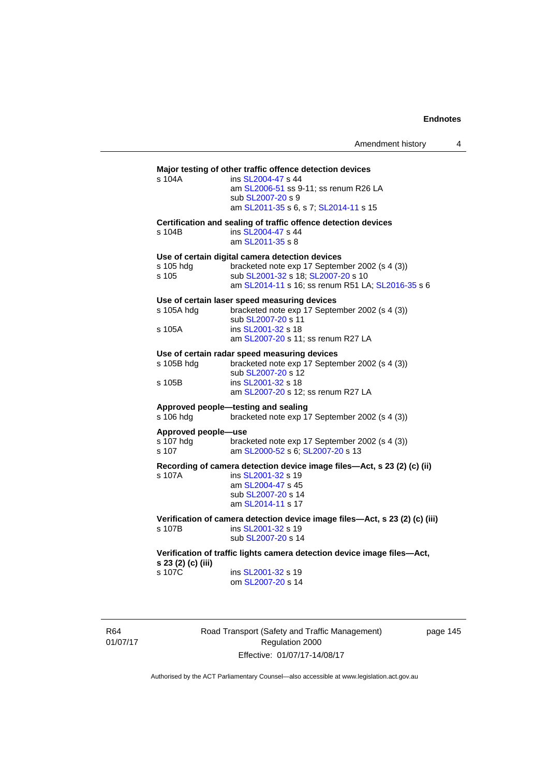# **Major testing of other traffic offence detection devices**  s 104A ins [SL2004-47](http://www.legislation.act.gov.au/sl/2004-47) s 44 am [SL2006-51](http://www.legislation.act.gov.au/sl/2006-51) ss 9-11; ss renum R26 LA sub [SL2007-20](http://www.legislation.act.gov.au/sl/2007-20) s 9 am [SL2011-35](http://www.legislation.act.gov.au/sl/2011-35) s 6, s 7; [SL2014-11](http://www.legislation.act.gov.au/sl/2014-11) s 15 **Certification and sealing of traffic offence detection devices**  s 104B ins [SL2004-47](http://www.legislation.act.gov.au/sl/2004-47) s 44 am [SL2011-35](http://www.legislation.act.gov.au/sl/2011-35) s 8 **Use of certain digital camera detection devices**  s 105 hdg bracketed note exp 17 September 2002 (s 4 (3))<br>s 105 sub SL2001-32 s 18; SL2007-20 s 10 sub [SL2001-32](http://www.legislation.act.gov.au/sl/2001-32) s 18; [SL2007-20](http://www.legislation.act.gov.au/sl/2007-20) s 10 am [SL2014-11](http://www.legislation.act.gov.au/sl/2014-11) s 16; ss renum R51 LA; [SL2016-35](http://www.legislation.act.gov.au/sl/2016-35/default.asp) s 6 **Use of certain laser speed measuring devices**  s 105A hdg bracketed note exp 17 September 2002 (s 4 (3)) sub [SL2007-20](http://www.legislation.act.gov.au/sl/2007-20) s<sup>11</sup><br>s 105A ins SL2001-32 s 18 ins [SL2001-32](http://www.legislation.act.gov.au/sl/2001-32) s 18 am [SL2007-20](http://www.legislation.act.gov.au/sl/2007-20) s 11; ss renum R27 LA **Use of certain radar speed measuring devices**  s 105B hdg bracketed note exp 17 September 2002 (s 4 (3)) sub [SL2007-20](http://www.legislation.act.gov.au/sl/2007-20) s 12 s 105B ins [SL2001-32](http://www.legislation.act.gov.au/sl/2001-32) s 18 am [SL2007-20](http://www.legislation.act.gov.au/sl/2007-20) s 12; ss renum R27 LA **Approved people—testing and sealing**  s 106 hdg bracketed note exp 17 September 2002 (s 4 (3)) **Approved people—use**  s 107 hdg bracketed note exp 17 September 2002 (s 4 (3))<br>s 107 am SL2000-52 s 6: SL2007-20 s 13 am [SL2000-52](http://www.legislation.act.gov.au/sl/2000-52) s 6; [SL2007-20](http://www.legislation.act.gov.au/sl/2007-20) s 13 **Recording of camera detection device image files—Act, s 23 (2) (c) (ii)**  s 107A ins [SL2001-32](http://www.legislation.act.gov.au/sl/2001-32) s 19 am [SL2004-47](http://www.legislation.act.gov.au/sl/2004-47) s 45 sub [SL2007-20](http://www.legislation.act.gov.au/sl/2007-20) s 14 am [SL2014-11](http://www.legislation.act.gov.au/sl/2014-11) s 17 **Verification of camera detection device image files—Act, s 23 (2) (c) (iii)**  s 107B ins [SL2001-32](http://www.legislation.act.gov.au/sl/2001-32) s 19 sub [SL2007-20](http://www.legislation.act.gov.au/sl/2007-20) s 14 **Verification of traffic lights camera detection device image files—Act, s 23 (2) (c) (iii)**  ins [SL2001-32](http://www.legislation.act.gov.au/sl/2001-32) s 19 om [SL2007-20](http://www.legislation.act.gov.au/sl/2007-20) s 14

R64 01/07/17 Road Transport (Safety and Traffic Management) Regulation 2000 Effective: 01/07/17-14/08/17

page 145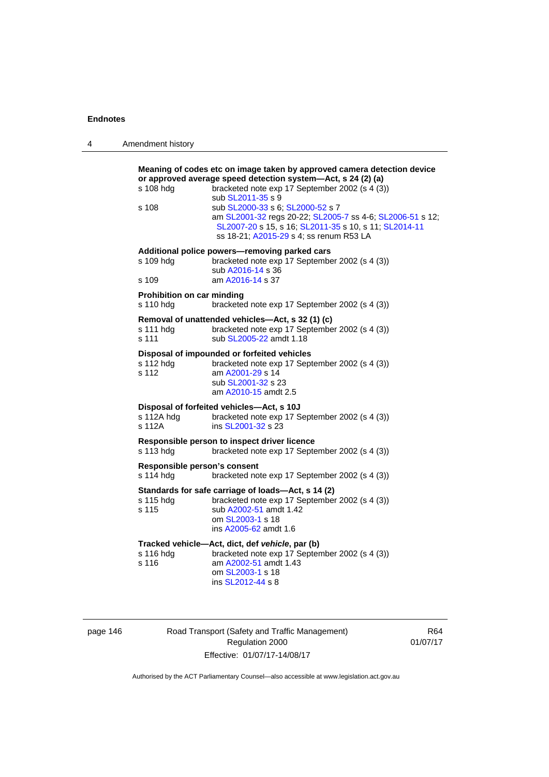4 Amendment history

| s 108 hdg<br>s 108                        | Meaning of codes etc on image taken by approved camera detection device<br>or approved average speed detection system-Act, s 24 (2) (a)<br>bracketed note exp 17 September 2002 (s 4 (3))<br>sub SL2011-35 s 9<br>sub SL2000-33 s 6; SL2000-52 s 7<br>am SL2001-32 regs 20-22; SL2005-7 ss 4-6; SL2006-51 s 12;<br>SL2007-20 s 15, s 16; SL2011-35 s 10, s 11; SL2014-11 |
|-------------------------------------------|--------------------------------------------------------------------------------------------------------------------------------------------------------------------------------------------------------------------------------------------------------------------------------------------------------------------------------------------------------------------------|
|                                           | ss 18-21; A2015-29 s 4; ss renum R53 LA                                                                                                                                                                                                                                                                                                                                  |
| s 109 hdg                                 | Additional police powers-removing parked cars<br>bracketed note exp 17 September 2002 (s 4 (3))<br>sub A2016-14 s 36                                                                                                                                                                                                                                                     |
| s 109                                     | am A2016-14 s 37                                                                                                                                                                                                                                                                                                                                                         |
| Prohibition on car minding<br>s 110 hdg   | bracketed note exp 17 September 2002 (s 4 (3))                                                                                                                                                                                                                                                                                                                           |
| s 111 hdg<br>s 111                        | Removal of unattended vehicles-Act, s 32 (1) (c)<br>bracketed note exp 17 September 2002 (s 4 (3))<br>sub SL2005-22 amdt 1.18                                                                                                                                                                                                                                            |
| s 112 hdg<br>s 112                        | Disposal of impounded or forfeited vehicles<br>bracketed note exp 17 September 2002 (s 4 (3))<br>am A2001-29 s 14<br>sub SL2001-32 s 23<br>am A2010-15 amdt 2.5                                                                                                                                                                                                          |
| s 112A hdg<br>s 112A                      | Disposal of forfeited vehicles-Act, s 10J<br>bracketed note exp 17 September 2002 (s 4 (3))<br>ins SL2001-32 s 23                                                                                                                                                                                                                                                        |
| s 113 hdg                                 | Responsible person to inspect driver licence<br>bracketed note exp 17 September 2002 (s 4 (3))                                                                                                                                                                                                                                                                           |
| Responsible person's consent<br>s 114 hdg | bracketed note exp 17 September 2002 (s 4 (3))                                                                                                                                                                                                                                                                                                                           |
| s 115 hdg<br>s 115                        | Standards for safe carriage of loads-Act, s 14 (2)<br>bracketed note exp 17 September 2002 (s 4 (3))<br>sub A2002-51 amdt 1.42<br>om SL2003-1 s 18<br>ins A2005-62 amdt 1.6                                                                                                                                                                                              |
| s 116 hdg<br>s 116                        | Tracked vehicle-Act, dict, def vehicle, par (b)<br>bracketed note exp 17 September 2002 (s 4 (3))<br>am A2002-51 amdt 1.43<br>om SL2003-1 s 18<br>ins SL2012-44 s 8                                                                                                                                                                                                      |
|                                           |                                                                                                                                                                                                                                                                                                                                                                          |

| page 146 |  |  |
|----------|--|--|
|          |  |  |

page 146 **Road Transport (Safety and Traffic Management)** Regulation 2000 Effective: 01/07/17-14/08/17

R64 01/07/17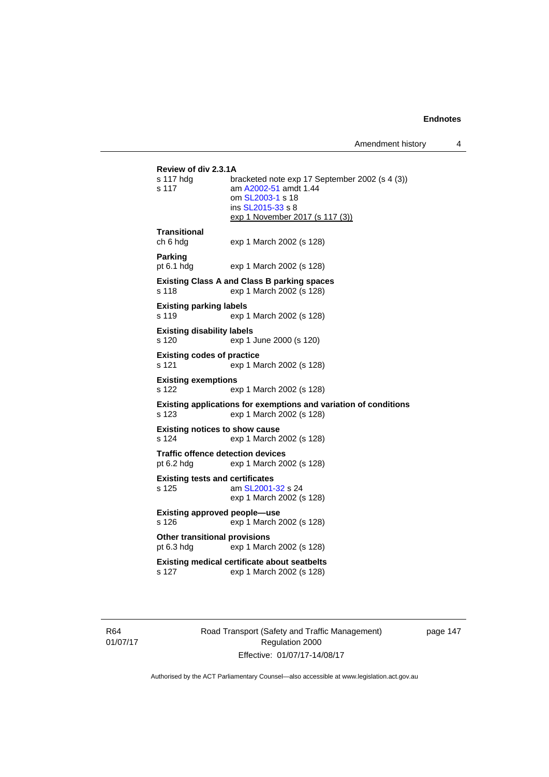Amendment history 4

```
Review of div 2.3.1A 
                bracketed note exp 17 September 2002 (s 4 (3))
s 117 am A2002-51 amdt 1.44
                 om SL2003-1 s 18 
                 ins SL2015-33 s 8 
                exp 1 November 2017 (s 117 (3))
Transitional 
ch 6 hdg exp 1 March 2002 (s 128) 
Parking 
pt 6.1 hdg exp 1 March 2002 (s 128) 
Existing Class A and Class B parking spaces 
s 118 exp 1 March 2002 (s 128) 
Existing parking labels 
s 119 exp 1 March 2002 (s 128) 
Existing disability labels 
s 120 exp 1 June 2000 (s 120) 
Existing codes of practice 
s 121 exp 1 March 2002 (s 128) 
Existing exemptions 
s 122 exp 1 March 2002 (s 128) 
Existing applications for exemptions and variation of conditions 
s 123 exp 1 March 2002 (s 128) 
Existing notices to show cause 
s 124 exp 1 March 2002 (s 128) 
Traffic offence detection devices 
pt 6.2 hdg exp 1 March 2002 (s 128) 
Existing tests and certificates 
s 125 am SL2001-32 s 24 
                exp 1 March 2002 (s 128) 
Existing approved people—use 
s 126 exp 1 March 2002 (s 128) 
Other transitional provisions 
pt 6.3 hdg exp 1 March 2002 (s 128) 
Existing medical certificate about seatbelts 
s 127 exp 1 March 2002 (s 128)
```
R64 01/07/17 Road Transport (Safety and Traffic Management) Regulation 2000 Effective: 01/07/17-14/08/17

page 147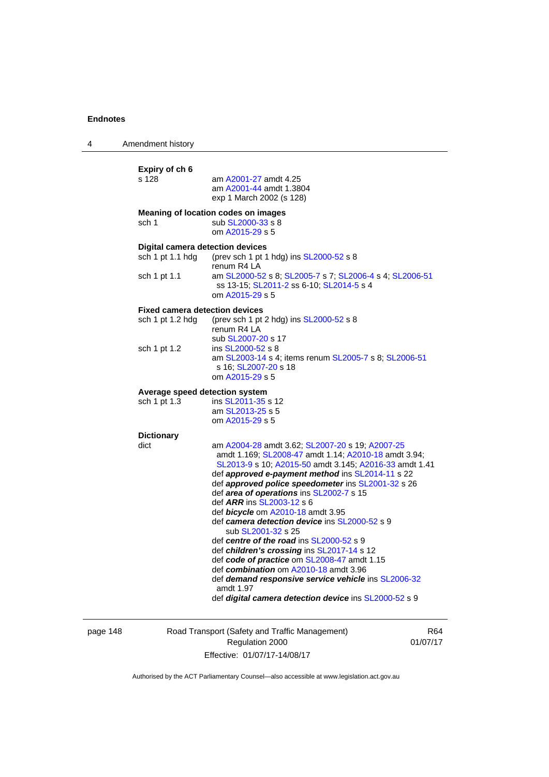| 4 | Amendment history                                                           |                                                                                                                                                                                                                                                                                                                                                                                                                                                                                                                                                                                                                                                                                                                                                                                        |
|---|-----------------------------------------------------------------------------|----------------------------------------------------------------------------------------------------------------------------------------------------------------------------------------------------------------------------------------------------------------------------------------------------------------------------------------------------------------------------------------------------------------------------------------------------------------------------------------------------------------------------------------------------------------------------------------------------------------------------------------------------------------------------------------------------------------------------------------------------------------------------------------|
|   | Expiry of ch 6<br>s 128                                                     | am A2001-27 amdt 4.25<br>am A2001-44 amdt 1.3804<br>exp 1 March 2002 (s 128)                                                                                                                                                                                                                                                                                                                                                                                                                                                                                                                                                                                                                                                                                                           |
|   | sch 1                                                                       | Meaning of location codes on images<br>sub SL2000-33 s 8<br>om A2015-29 s 5                                                                                                                                                                                                                                                                                                                                                                                                                                                                                                                                                                                                                                                                                                            |
|   | <b>Digital camera detection devices</b><br>sch 1 pt 1.1 hdg<br>sch 1 pt 1.1 | (prev sch 1 pt 1 hdg) ins SL2000-52 s 8<br>renum R4 LA<br>am SL2000-52 s 8; SL2005-7 s 7; SL2006-4 s 4; SL2006-51<br>ss 13-15; SL2011-2 ss 6-10; SL2014-5 s 4<br>om A2015-29 s 5                                                                                                                                                                                                                                                                                                                                                                                                                                                                                                                                                                                                       |
|   | <b>Fixed camera detection devices</b><br>sch 1 pt 1.2 hdg                   | (prev sch 1 pt 2 hdg) ins SL2000-52 s 8<br>renum R4 LA                                                                                                                                                                                                                                                                                                                                                                                                                                                                                                                                                                                                                                                                                                                                 |
|   | sch 1 pt 1.2                                                                | sub SL2007-20 s 17<br>ins SL2000-52 s 8<br>am SL2003-14 s 4; items renum SL2005-7 s 8; SL2006-51<br>s 16; SL2007-20 s 18<br>om A2015-29 s 5                                                                                                                                                                                                                                                                                                                                                                                                                                                                                                                                                                                                                                            |
|   | Average speed detection system<br>sch 1 pt 1.3                              | ins SL2011-35 s 12<br>am SL2013-25 s 5<br>om A2015-29 s 5                                                                                                                                                                                                                                                                                                                                                                                                                                                                                                                                                                                                                                                                                                                              |
|   | <b>Dictionary</b><br>dict                                                   | am A2004-28 amdt 3.62; SL2007-20 s 19; A2007-25<br>amdt 1.169; SL2008-47 amdt 1.14; A2010-18 amdt 3.94;<br>SL2013-9 s 10; A2015-50 amdt 3.145; A2016-33 amdt 1.41<br>def approved e-payment method ins SL2014-11 s 22<br>def approved police speedometer ins SL2001-32 s 26<br>def area of operations ins SL2002-7 s 15<br>def ARR ins SL2003-12 s 6<br>def bicycle om A2010-18 amdt 3.95<br>def camera detection device ins SL2000-52 s 9<br>sub SL2001-32 s 25<br>def centre of the road ins SL2000-52 s 9<br>def children's crossing ins SL2017-14 s 12<br>def code of practice om SL2008-47 amdt 1.15<br>def combination om A2010-18 amdt 3.96<br>def <b>demand responsive service vehicle</b> ins SL2006-32<br>amdt 1.97<br>def digital camera detection device ins SL2000-52 s 9 |

page 148 Road Transport (Safety and Traffic Management) Regulation 2000 Effective: 01/07/17-14/08/17

R64 01/07/17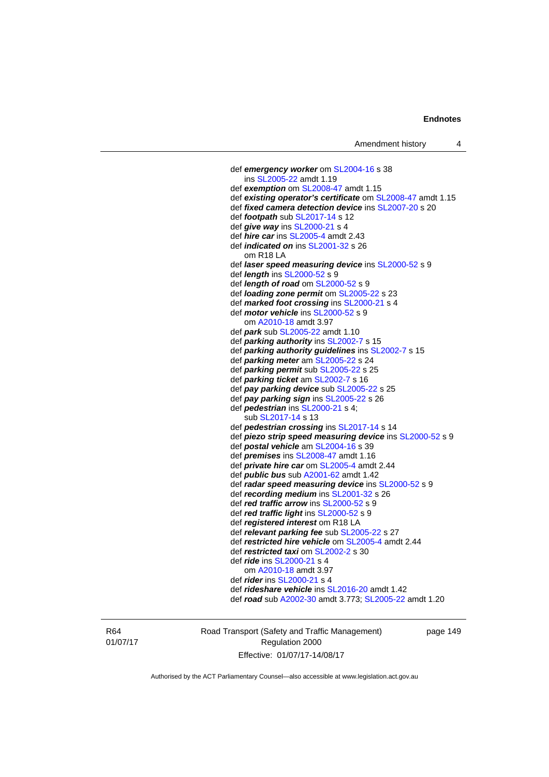def *emergency worker* om [SL2004-16](http://www.legislation.act.gov.au/sl/2004-16) s 38 ins [SL2005-22](http://www.legislation.act.gov.au/sl/2005-22) amdt 1.19 def *exemption* om [SL2008-47](http://www.legislation.act.gov.au/sl/2008-47) amdt 1.15 def *existing operator's certificate* om [SL2008-47](http://www.legislation.act.gov.au/sl/2008-47) amdt 1.15 def *fixed camera detection device* ins [SL2007-20](http://www.legislation.act.gov.au/sl/2007-20) s 20 def *footpath* sub [SL2017-14](http://www.legislation.act.gov.au/sl/2017-14/default.asp) s 12 def *give way* ins [SL2000-21](http://www.legislation.act.gov.au/sl/2000-21) s 4 def *hire car* ins [SL2005-4](http://www.legislation.act.gov.au/sl/2005-4) amdt 2.43 def *indicated on* ins [SL2001-32](http://www.legislation.act.gov.au/sl/2001-32) s 26 om R18 LA def *laser speed measuring device* ins [SL2000-52](http://www.legislation.act.gov.au/sl/2000-52) s 9 def *length* ins [SL2000-52](http://www.legislation.act.gov.au/sl/2000-52) s 9 def *length of road* om [SL2000-52](http://www.legislation.act.gov.au/sl/2000-52) s 9 def *loading zone permit* om [SL2005-22](http://www.legislation.act.gov.au/sl/2005-22) s 23 def *marked foot crossing* ins [SL2000-21](http://www.legislation.act.gov.au/sl/2000-21) s 4 def *motor vehicle* ins [SL2000-52](http://www.legislation.act.gov.au/sl/2000-52) s 9 om [A2010-18](http://www.legislation.act.gov.au/a/2010-18) amdt 3.97 def *park* sub [SL2005-22](http://www.legislation.act.gov.au/sl/2005-22) amdt 1.10 def *parking authority* ins [SL2002-7](http://www.legislation.act.gov.au/sl/2002-7) s 15 def *parking authority guidelines* ins [SL2002-7](http://www.legislation.act.gov.au/sl/2002-7) s 15 def *parking meter* am [SL2005-22](http://www.legislation.act.gov.au/sl/2005-22) s 24 def *parking permit* sub [SL2005-22](http://www.legislation.act.gov.au/sl/2005-22) s 25 def *parking ticket* am [SL2002-7](http://www.legislation.act.gov.au/sl/2002-7) s 16 def *pay parking device* sub [SL2005-22](http://www.legislation.act.gov.au/sl/2005-22) s 25 def *pay parking sign* ins [SL2005-22](http://www.legislation.act.gov.au/sl/2005-22) s 26 def *pedestrian* ins [SL2000-21](http://www.legislation.act.gov.au/sl/2000-21) s 4; sub [SL2017-14](http://www.legislation.act.gov.au/sl/2017-14/default.asp) s 13 def *pedestrian crossing* ins [SL2017-14](http://www.legislation.act.gov.au/sl/2017-14/default.asp) s 14 def *piezo strip speed measuring device* ins [SL2000-52](http://www.legislation.act.gov.au/sl/2000-52) s 9 def *postal vehicle* am [SL2004-16](http://www.legislation.act.gov.au/sl/2004-16) s 39 def *premises* ins [SL2008-47](http://www.legislation.act.gov.au/sl/2008-47) amdt 1.16 def *private hire car* om [SL2005-4](http://www.legislation.act.gov.au/sl/2005-4) amdt 2.44 def *public bus* sub [A2001-62](http://www.legislation.act.gov.au/a/2001-62) amdt 1.42 def *radar speed measuring device* ins [SL2000-52](http://www.legislation.act.gov.au/sl/2000-52) s 9 def *recording medium* ins [SL2001-32](http://www.legislation.act.gov.au/sl/2001-32) s 26 def *red traffic arrow* ins [SL2000-52](http://www.legislation.act.gov.au/sl/2000-52) s 9 def *red traffic light* ins [SL2000-52](http://www.legislation.act.gov.au/sl/2000-52) s 9 def *registered interest* om R18 LA def *relevant parking fee* sub [SL2005-22](http://www.legislation.act.gov.au/sl/2005-22) s 27 def *restricted hire vehicle* om [SL2005-4](http://www.legislation.act.gov.au/sl/2005-4) amdt 2.44 def *restricted taxi* om [SL2002-2](http://www.legislation.act.gov.au/sl/2002-2) s 30 def *ride* ins [SL2000-21](http://www.legislation.act.gov.au/sl/2000-21) s 4 om [A2010-18](http://www.legislation.act.gov.au/a/2010-18) amdt 3.97 def *rider* ins [SL2000-21](http://www.legislation.act.gov.au/sl/2000-21) s 4 def *rideshare vehicle* ins [SL2016-20](http://www.legislation.act.gov.au/sl/2016-20) amdt 1.42 def *road* sub [A2002-30](http://www.legislation.act.gov.au/a/2002-30) amdt 3.773; [SL2005-22](http://www.legislation.act.gov.au/sl/2005-22) amdt 1.20

R64 01/07/17 Road Transport (Safety and Traffic Management) Regulation 2000 Effective: 01/07/17-14/08/17

page 149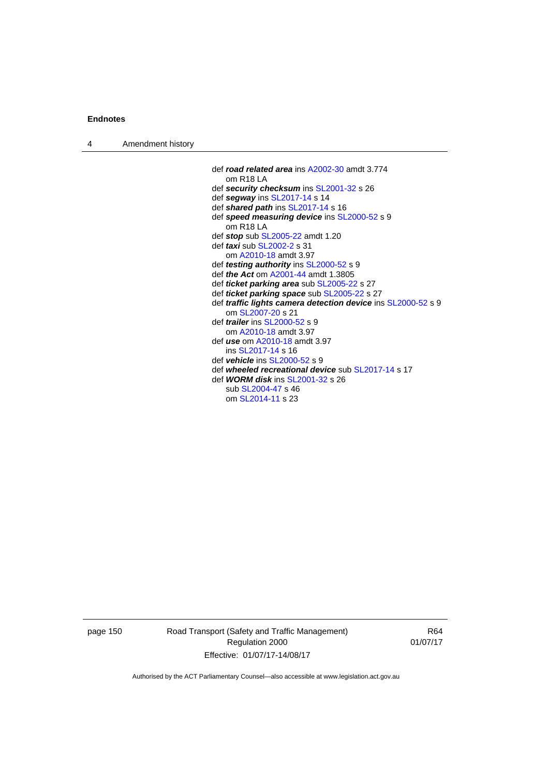| 4 | Amendment history |                                                                     |
|---|-------------------|---------------------------------------------------------------------|
|   |                   |                                                                     |
|   |                   | def road related area ins A2002-30 amdt 3.774                       |
|   |                   | om R18 LA                                                           |
|   |                   | def security checksum ins SL2001-32 s 26                            |
|   |                   | def segway ins SL2017-14 s 14                                       |
|   |                   | def shared path ins SL2017-14 s 16                                  |
|   |                   | def speed measuring device ins SL2000-52 s 9                        |
|   |                   | $om$ R <sub>18</sub> LA                                             |
|   |                   | def stop sub SL2005-22 amdt 1.20                                    |
|   |                   | def <i>taxi</i> sub SL2002-2 s 31                                   |
|   |                   | om A2010-18 amdt 3.97                                               |
|   |                   | def <i>testing authority</i> ins SL2000-52 s 9                      |
|   |                   | def <i>the Act</i> om A2001-44 amdt 1.3805                          |
|   |                   | def <i>ticket parking area</i> sub SL2005-22 s 27                   |
|   |                   | def ticket parking space sub SL2005-22 s 27                         |
|   |                   | def <i>traffic lights camera detection device</i> ins SL2000-52 s 9 |
|   |                   | om SL2007-20 s 21                                                   |
|   |                   | def <i>trailer</i> ins $SL2000-52$ s 9                              |
|   |                   | om A2010-18 amdt 3.97                                               |
|   |                   | def use om A2010-18 amdt 3.97                                       |
|   |                   | ins SL2017-14 s 16                                                  |
|   |                   | def vehicle ins $SL2000-52$ s 9                                     |
|   |                   | def wheeled recreational device sub SL2017-14 s 17                  |
|   |                   | def <b>WORM disk</b> ins <b>SL2001-32</b> s 26                      |
|   |                   | sub SL2004-47 s 46                                                  |
|   |                   | om SL2014-11 s 23                                                   |

page 150 Road Transport (Safety and Traffic Management) Regulation 2000 Effective: 01/07/17-14/08/17

R64 01/07/17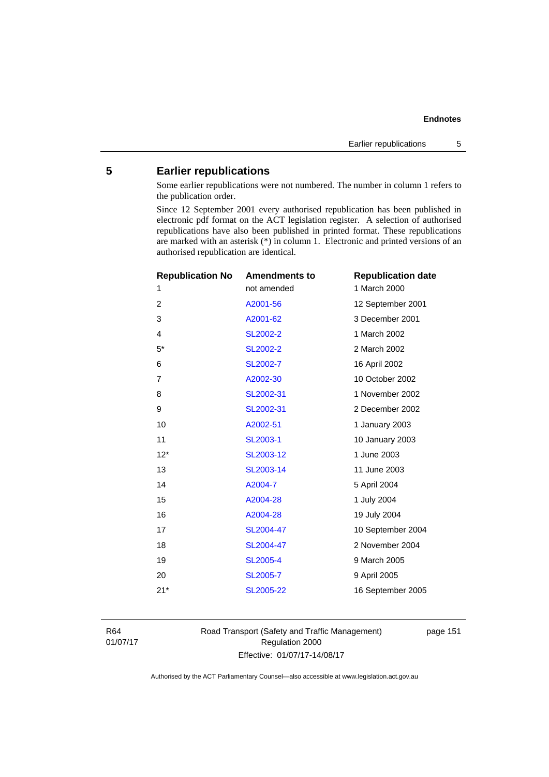# **5 Earlier republications**

Some earlier republications were not numbered. The number in column 1 refers to the publication order.

Since 12 September 2001 every authorised republication has been published in electronic pdf format on the ACT legislation register. A selection of authorised republications have also been published in printed format. These republications are marked with an asterisk (\*) in column 1. Electronic and printed versions of an authorised republication are identical.

| <b>Republication No</b> | <b>Amendments to</b> | <b>Republication date</b> |
|-------------------------|----------------------|---------------------------|
| 1                       | not amended          | 1 March 2000              |
| $\overline{2}$          | A2001-56             | 12 September 2001         |
| 3                       | A2001-62             | 3 December 2001           |
| $\overline{4}$          | <b>SL2002-2</b>      | 1 March 2002              |
| $5*$                    | SL2002-2             | 2 March 2002              |
| 6                       | SL2002-7             | 16 April 2002             |
| $\overline{7}$          | A2002-30             | 10 October 2002           |
| 8                       | SL2002-31            | 1 November 2002           |
| 9                       | SL2002-31            | 2 December 2002           |
| 10                      | A2002-51             | 1 January 2003            |
| 11                      | SL2003-1             | 10 January 2003           |
| $12*$                   | SL2003-12            | 1 June 2003               |
| 13                      | SL2003-14            | 11 June 2003              |
| 14                      | A2004-7              | 5 April 2004              |
| 15                      | A2004-28             | 1 July 2004               |
| 16                      | A2004-28             | 19 July 2004              |
| 17                      | SL2004-47            | 10 September 2004         |
| 18                      | SL2004-47            | 2 November 2004           |
| 19                      | <b>SL2005-4</b>      | 9 March 2005              |
| 20                      | <b>SL2005-7</b>      | 9 April 2005              |
| $21*$                   | SL2005-22            | 16 September 2005         |
|                         |                      |                           |

R64 01/07/17 Road Transport (Safety and Traffic Management) Regulation 2000 Effective: 01/07/17-14/08/17

page 151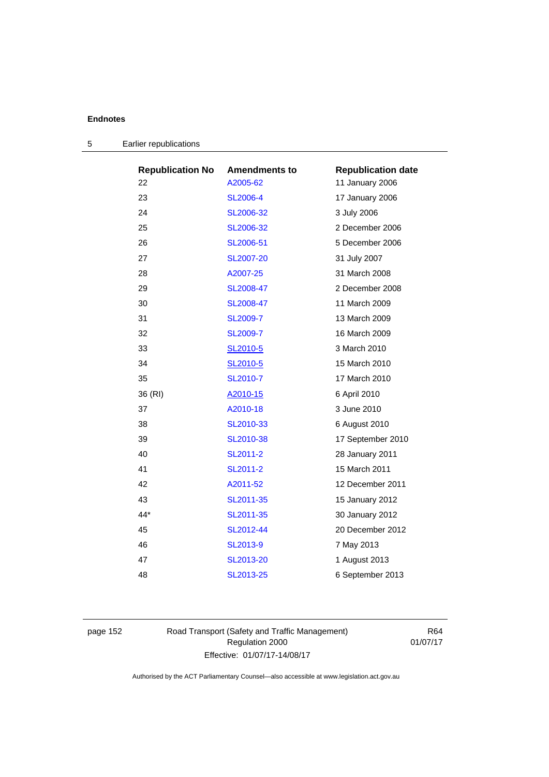| <b>Republication No</b> | <b>Amendments to</b> | <b>Republication date</b> |
|-------------------------|----------------------|---------------------------|
| 22                      | A2005-62             | 11 January 2006           |
| 23                      | <b>SL2006-4</b>      | 17 January 2006           |
| 24                      | SL2006-32            | 3 July 2006               |
| 25                      | SL2006-32            | 2 December 2006           |
| 26                      | SL2006-51            | 5 December 2006           |
| 27                      | <b>SL2007-20</b>     | 31 July 2007              |
| 28                      | A2007-25             | 31 March 2008             |
| 29                      | SL2008-47            | 2 December 2008           |
| 30                      | SL2008-47            | 11 March 2009             |
| 31                      | SL2009-7             | 13 March 2009             |
| 32                      | SL2009-7             | 16 March 2009             |
| 33                      | SL2010-5             | 3 March 2010              |
| 34                      | SL2010-5             | 15 March 2010             |
| 35                      | SL2010-7             | 17 March 2010             |
| 36 (RI)                 | A2010-15             | 6 April 2010              |
| 37                      | A2010-18             | 3 June 2010               |
| 38                      | SL2010-33            | 6 August 2010             |
| 39                      | SL2010-38            | 17 September 2010         |
| 40                      | SL2011-2             | 28 January 2011           |
| 41                      | SL2011-2             | 15 March 2011             |
| 42                      | A2011-52             | 12 December 2011          |
| 43                      | SL2011-35            | 15 January 2012           |
| $44*$                   | SL2011-35            | 30 January 2012           |
| 45                      | SL2012-44            | 20 December 2012          |
| 46                      | SL2013-9             | 7 May 2013                |
| 47                      | SL2013-20            | 1 August 2013             |
| 48                      | SL2013-25            | 6 September 2013          |

| 5 | Earlier republications |
|---|------------------------|
|---|------------------------|

page 152 Road Transport (Safety and Traffic Management) Regulation 2000 Effective: 01/07/17-14/08/17

R64 01/07/17